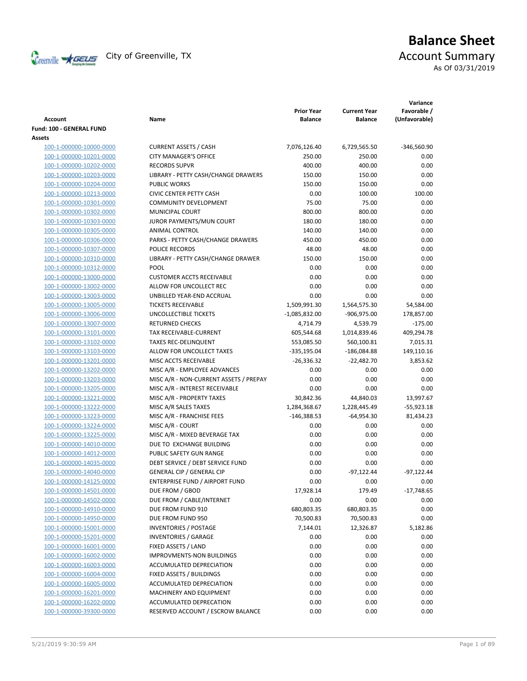

# **Balance Sheet** Creenville  $\star$  GEUS</del> City of Greenville, TX **Account Summary** As Of 03/31/2019

| <b>Account</b>                 | Name                                   | <b>Prior Year</b><br><b>Balance</b> | <b>Current Year</b><br><b>Balance</b> | Variance<br>Favorable /<br>(Unfavorable) |
|--------------------------------|----------------------------------------|-------------------------------------|---------------------------------------|------------------------------------------|
| Fund: 100 - GENERAL FUND       |                                        |                                     |                                       |                                          |
| Assets                         |                                        |                                     |                                       |                                          |
| 100-1-000000-10000-0000        | <b>CURRENT ASSETS / CASH</b>           | 7,076,126.40                        | 6,729,565.50                          | $-346,560.90$                            |
| 100-1-000000-10201-0000        | <b>CITY MANAGER'S OFFICE</b>           | 250.00                              | 250.00                                | 0.00                                     |
| 100-1-000000-10202-0000        | <b>RECORDS SUPVR</b>                   | 400.00                              | 400.00                                | 0.00                                     |
| 100-1-000000-10203-0000        | LIBRARY - PETTY CASH/CHANGE DRAWERS    | 150.00                              | 150.00                                | 0.00                                     |
| 100-1-000000-10204-0000        | <b>PUBLIC WORKS</b>                    | 150.00                              | 150.00                                | 0.00                                     |
| 100-1-000000-10213-0000        | <b>CIVIC CENTER PETTY CASH</b>         | 0.00                                | 100.00                                | 100.00                                   |
| 100-1-000000-10301-0000        | <b>COMMUNITY DEVELOPMENT</b>           | 75.00                               | 75.00                                 | 0.00                                     |
| 100-1-000000-10302-0000        | MUNICIPAL COURT                        | 800.00                              | 800.00                                | 0.00                                     |
| 100-1-000000-10303-0000        | JUROR PAYMENTS/MUN COURT               | 180.00                              | 180.00                                | 0.00                                     |
| 100-1-000000-10305-0000        | <b>ANIMAL CONTROL</b>                  | 140.00                              | 140.00                                | 0.00                                     |
| 100-1-000000-10306-0000        | PARKS - PETTY CASH/CHANGE DRAWERS      | 450.00                              | 450.00                                | 0.00                                     |
| 100-1-000000-10307-0000        | POLICE RECORDS                         | 48.00                               | 48.00                                 | 0.00                                     |
| 100-1-000000-10310-0000        | LIBRARY - PETTY CASH/CHANGE DRAWER     | 150.00                              | 150.00                                | 0.00                                     |
| 100-1-000000-10312-0000        | <b>POOL</b>                            | 0.00                                | 0.00                                  | 0.00                                     |
| 100-1-000000-13000-0000        | <b>CUSTOMER ACCTS RECEIVABLE</b>       | 0.00                                | 0.00                                  | 0.00                                     |
| 100-1-000000-13002-0000        | ALLOW FOR UNCOLLECT REC                | 0.00                                | 0.00                                  | 0.00                                     |
| 100-1-000000-13003-0000        | UNBILLED YEAR-END ACCRUAL              | 0.00                                | 0.00                                  | 0.00                                     |
| 100-1-000000-13005-0000        | <b>TICKETS RECEIVABLE</b>              | 1,509,991.30                        | 1,564,575.30                          | 54,584.00                                |
| 100-1-000000-13006-0000        | UNCOLLECTIBLE TICKETS                  | $-1,085,832.00$                     | -906,975.00                           | 178,857.00                               |
| 100-1-000000-13007-0000        | <b>RETURNED CHECKS</b>                 | 4,714.79                            | 4,539.79                              | $-175.00$                                |
| 100-1-000000-13101-0000        | TAX RECEIVABLE-CURRENT                 | 605,544.68                          | 1,014,839.46                          | 409,294.78                               |
| 100-1-000000-13102-0000        | <b>TAXES REC-DELINQUENT</b>            | 553,085.50                          | 560,100.81                            | 7,015.31                                 |
| 100-1-000000-13103-0000        | ALLOW FOR UNCOLLECT TAXES              | $-335,195.04$                       | $-186,084.88$                         | 149,110.16                               |
| 100-1-000000-13201-0000        | MISC ACCTS RECEIVABLE                  | $-26,336.32$                        | $-22,482.70$                          | 3,853.62                                 |
| 100-1-000000-13202-0000        | MISC A/R - EMPLOYEE ADVANCES           | 0.00                                | 0.00                                  | 0.00                                     |
| 100-1-000000-13203-0000        | MISC A/R - NON-CURRENT ASSETS / PREPAY | 0.00                                | 0.00                                  | 0.00                                     |
| 100-1-000000-13205-0000        | MISC A/R - INTEREST RECEIVABLE         | 0.00                                | 0.00                                  | 0.00                                     |
| 100-1-000000-13221-0000        | MISC A/R - PROPERTY TAXES              | 30,842.36                           | 44,840.03                             | 13,997.67                                |
| 100-1-000000-13222-0000        | MISC A/R SALES TAXES                   | 1,284,368.67                        | 1,228,445.49                          | $-55,923.18$                             |
| 100-1-000000-13223-0000        | MISC A/R - FRANCHISE FEES              | $-146,388.53$                       | -64,954.30                            | 81,434.23                                |
| 100-1-000000-13224-0000        | MISC A/R - COURT                       | 0.00                                | 0.00                                  | 0.00                                     |
| 100-1-000000-13225-0000        | MISC A/R - MIXED BEVERAGE TAX          | 0.00                                | 0.00                                  | 0.00                                     |
| 100-1-000000-14010-0000        | DUE TO EXCHANGE BUILDING               | 0.00                                | 0.00                                  | 0.00                                     |
| 100-1-000000-14012-0000        | PUBLIC SAFETY GUN RANGE                | 0.00                                | 0.00                                  | 0.00                                     |
| 100-1-000000-14035-0000        | DEBT SERVICE / DEBT SERVICE FUND       | 0.00                                | 0.00                                  | 0.00                                     |
| 100-1-000000-14040-0000        | <b>GENERAL CIP / GENERAL CIP</b>       | 0.00                                | $-97,122.44$                          | $-97,122.44$                             |
| <u>100-1-000000-14125-0000</u> | ENTERPRISE FUND / AIRPORT FUND         | 0.00                                | 0.00                                  | 0.00                                     |
| 100-1-000000-14501-0000        | DUE FROM / GBOD                        | 17,928.14                           | 179.49                                | $-17,748.65$                             |
| 100-1-000000-14502-0000        | DUE FROM / CABLE/INTERNET              | 0.00                                | 0.00                                  | 0.00                                     |
| 100-1-000000-14910-0000        | DUE FROM FUND 910                      | 680,803.35                          | 680,803.35                            | 0.00                                     |
| 100-1-000000-14950-0000        | DUE FROM FUND 950                      | 70,500.83                           | 70,500.83                             | 0.00                                     |
| 100-1-000000-15001-0000        | <b>INVENTORIES / POSTAGE</b>           | 7,144.01                            | 12,326.87                             | 5,182.86                                 |
| 100-1-000000-15201-0000        | <b>INVENTORIES / GARAGE</b>            | 0.00                                | 0.00                                  | 0.00                                     |
| 100-1-000000-16001-0000        | FIXED ASSETS / LAND                    | 0.00                                | 0.00                                  | 0.00                                     |
| 100-1-000000-16002-0000        | <b>IMPROVMENTS-NON BUILDINGS</b>       | 0.00                                | 0.00                                  | 0.00                                     |
| 100-1-000000-16003-0000        | ACCUMULATED DEPRECIATION               | 0.00                                | 0.00                                  | 0.00                                     |
| 100-1-000000-16004-0000        | FIXED ASSETS / BUILDINGS               | 0.00                                | 0.00                                  | 0.00                                     |
| 100-1-000000-16005-0000        | ACCUMULATED DEPRECIATION               | 0.00                                | 0.00                                  | 0.00                                     |
| 100-1-000000-16201-0000        | MACHINERY AND EQUIPMENT                | 0.00                                | 0.00                                  | 0.00                                     |
| 100-1-000000-16202-0000        | ACCUMULATED DEPRECATION                | 0.00                                | 0.00                                  | 0.00                                     |
| 100-1-000000-39300-0000        | RESERVED ACCOUNT / ESCROW BALANCE      | 0.00                                | 0.00                                  | 0.00                                     |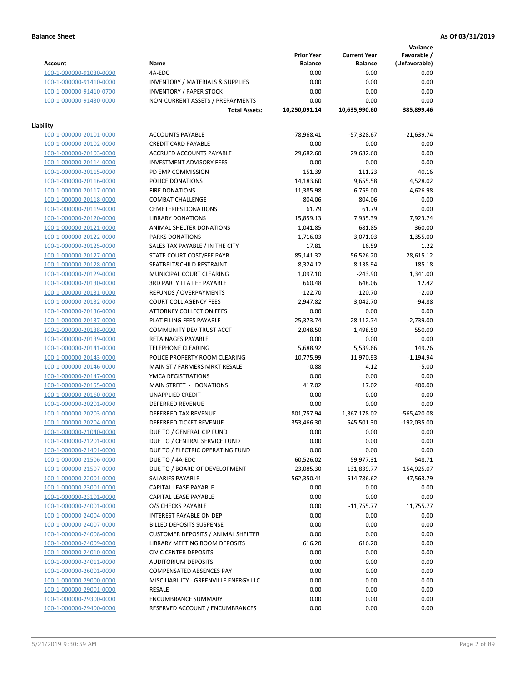**Variance**

|                         |                                             | <b>Prior Year</b> | <b>Current Year</b> | Favorable /   |
|-------------------------|---------------------------------------------|-------------------|---------------------|---------------|
| Account                 | Name                                        | <b>Balance</b>    | <b>Balance</b>      | (Unfavorable) |
| 100-1-000000-91030-0000 | 4A-EDC                                      | 0.00              | 0.00                | 0.00          |
| 100-1-000000-91410-0000 | <b>INVENTORY / MATERIALS &amp; SUPPLIES</b> | 0.00              | 0.00                | 0.00          |
| 100-1-000000-91410-0700 | <b>INVENTORY / PAPER STOCK</b>              | 0.00              | 0.00                | 0.00          |
| 100-1-000000-91430-0000 | NON-CURRENT ASSETS / PREPAYMENTS            | 0.00              | 0.00                | 0.00          |
|                         | <b>Total Assets:</b>                        | 10,250,091.14     | 10,635,990.60       | 385,899.46    |
|                         |                                             |                   |                     |               |
| Liability               |                                             |                   |                     |               |
| 100-1-000000-20101-0000 | <b>ACCOUNTS PAYABLE</b>                     | $-78,968.41$      | $-57,328.67$        | $-21,639.74$  |
| 100-1-000000-20102-0000 | <b>CREDIT CARD PAYABLE</b>                  | 0.00              | 0.00                | 0.00          |
| 100-1-000000-20103-0000 | <b>ACCRUED ACCOUNTS PAYABLE</b>             | 29,682.60         | 29,682.60           | 0.00          |
| 100-1-000000-20114-0000 | <b>INVESTMENT ADVISORY FEES</b>             | 0.00              | 0.00                | 0.00          |
| 100-1-000000-20115-0000 | PD EMP COMMISSION                           | 151.39            | 111.23              | 40.16         |
| 100-1-000000-20116-0000 | POLICE DONATIONS                            | 14,183.60         | 9,655.58            | 4,528.02      |
| 100-1-000000-20117-0000 | <b>FIRE DONATIONS</b>                       | 11,385.98         | 6,759.00            | 4,626.98      |
| 100-1-000000-20118-0000 | <b>COMBAT CHALLENGE</b>                     | 804.06            | 804.06              | 0.00          |
| 100-1-000000-20119-0000 | <b>CEMETERIES DONATIONS</b>                 | 61.79             | 61.79               | 0.00          |
| 100-1-000000-20120-0000 | <b>LIBRARY DONATIONS</b>                    | 15,859.13         | 7,935.39            | 7,923.74      |
| 100-1-000000-20121-0000 | <b>ANIMAL SHELTER DONATIONS</b>             | 1,041.85          | 681.85              | 360.00        |
| 100-1-000000-20122-0000 | <b>PARKS DONATIONS</b>                      | 1,716.03          | 3,071.03            | $-1,355.00$   |
| 100-1-000000-20125-0000 | SALES TAX PAYABLE / IN THE CITY             | 17.81             | 16.59               | 1.22          |
|                         |                                             |                   |                     |               |
| 100-1-000000-20127-0000 | STATE COURT COST/FEE PAYB                   | 85,141.32         | 56,526.20           | 28,615.12     |
| 100-1-000000-20128-0000 | SEATBELT&CHILD RESTRAINT                    | 8,324.12          | 8,138.94            | 185.18        |
| 100-1-000000-20129-0000 | MUNICIPAL COURT CLEARING                    | 1,097.10          | $-243.90$           | 1,341.00      |
| 100-1-000000-20130-0000 | <b>3RD PARTY FTA FEE PAYABLE</b>            | 660.48            | 648.06              | 12.42         |
| 100-1-000000-20131-0000 | REFUNDS / OVERPAYMENTS                      | $-122.70$         | $-120.70$           | $-2.00$       |
| 100-1-000000-20132-0000 | <b>COURT COLL AGENCY FEES</b>               | 2,947.82          | 3,042.70            | $-94.88$      |
| 100-1-000000-20136-0000 | <b>ATTORNEY COLLECTION FEES</b>             | 0.00              | 0.00                | 0.00          |
| 100-1-000000-20137-0000 | PLAT FILING FEES PAYABLE                    | 25,373.74         | 28,112.74           | $-2,739.00$   |
| 100-1-000000-20138-0000 | COMMUNITY DEV TRUST ACCT                    | 2,048.50          | 1,498.50            | 550.00        |
| 100-1-000000-20139-0000 | RETAINAGES PAYABLE                          | 0.00              | 0.00                | 0.00          |
| 100-1-000000-20141-0000 | <b>TELEPHONE CLEARING</b>                   | 5,688.92          | 5,539.66            | 149.26        |
| 100-1-000000-20143-0000 | POLICE PROPERTY ROOM CLEARING               | 10,775.99         | 11,970.93           | $-1,194.94$   |
| 100-1-000000-20146-0000 | MAIN ST / FARMERS MRKT RESALE               | $-0.88$           | 4.12                | $-5.00$       |
| 100-1-000000-20147-0000 | YMCA REGISTRATIONS                          | 0.00              | 0.00                | 0.00          |
| 100-1-000000-20155-0000 | MAIN STREET - DONATIONS                     | 417.02            | 17.02               | 400.00        |
| 100-1-000000-20160-0000 | <b>UNAPPLIED CREDIT</b>                     | 0.00              | 0.00                | 0.00          |
| 100-1-000000-20201-0000 | <b>DEFERRED REVENUE</b>                     | 0.00              | 0.00                | 0.00          |
| 100-1-000000-20203-0000 | <b>DEFERRED TAX REVENUE</b>                 | 801,757.94        | 1,367,178.02        | $-565,420.08$ |
| 100-1-000000-20204-0000 | DEFERRED TICKET REVENUE                     | 353,466.30        | 545,501.30          | $-192,035.00$ |
| 100-1-000000-21040-0000 | DUE TO / GENERAL CIP FUND                   | 0.00              | 0.00                | 0.00          |
| 100-1-000000-21201-0000 | DUE TO / CENTRAL SERVICE FUND               | 0.00              | 0.00                | 0.00          |
| 100-1-000000-21401-0000 | DUE TO / ELECTRIC OPERATING FUND            | 0.00              | 0.00                | 0.00          |
| 100-1-000000-21506-0000 | DUE TO / 4A-EDC                             | 60,526.02         | 59,977.31           | 548.71        |
| 100-1-000000-21507-0000 | DUE TO / BOARD OF DEVELOPMENT               | $-23,085.30$      | 131,839.77          | -154,925.07   |
| 100-1-000000-22001-0000 | SALARIES PAYABLE                            | 562,350.41        | 514,786.62          | 47,563.79     |
| 100-1-000000-23001-0000 | CAPITAL LEASE PAYABLE                       | 0.00              | 0.00                | 0.00          |
| 100-1-000000-23101-0000 | <b>CAPITAL LEASE PAYABLE</b>                | 0.00              | 0.00                | 0.00          |
| 100-1-000000-24001-0000 | O/S CHECKS PAYABLE                          | 0.00              | $-11,755.77$        | 11,755.77     |
| 100-1-000000-24004-0000 | INTEREST PAYABLE ON DEP                     | 0.00              | 0.00                | 0.00          |
| 100-1-000000-24007-0000 | <b>BILLED DEPOSITS SUSPENSE</b>             | 0.00              | 0.00                | 0.00          |
| 100-1-000000-24008-0000 | <b>CUSTOMER DEPOSITS / ANIMAL SHELTER</b>   | 0.00              | 0.00                | 0.00          |
| 100-1-000000-24009-0000 | LIBRARY MEETING ROOM DEPOSITS               | 616.20            | 616.20              | 0.00          |
|                         | <b>CIVIC CENTER DEPOSITS</b>                |                   |                     |               |
| 100-1-000000-24010-0000 |                                             | 0.00              | 0.00                | 0.00          |
| 100-1-000000-24011-0000 | <b>AUDITORIUM DEPOSITS</b>                  | 0.00              | 0.00                | 0.00          |
| 100-1-000000-26001-0000 | COMPENSATED ABSENCES PAY                    | 0.00              | 0.00                | 0.00          |
| 100-1-000000-29000-0000 | MISC LIABILITY - GREENVILLE ENERGY LLC      | 0.00              | 0.00                | 0.00          |
| 100-1-000000-29001-0000 | RESALE                                      | 0.00              | 0.00                | 0.00          |
| 100-1-000000-29300-0000 | <b>ENCUMBRANCE SUMMARY</b>                  | 0.00              | 0.00                | 0.00          |
| 100-1-000000-29400-0000 | RESERVED ACCOUNT / ENCUMBRANCES             | 0.00              | 0.00                | 0.00          |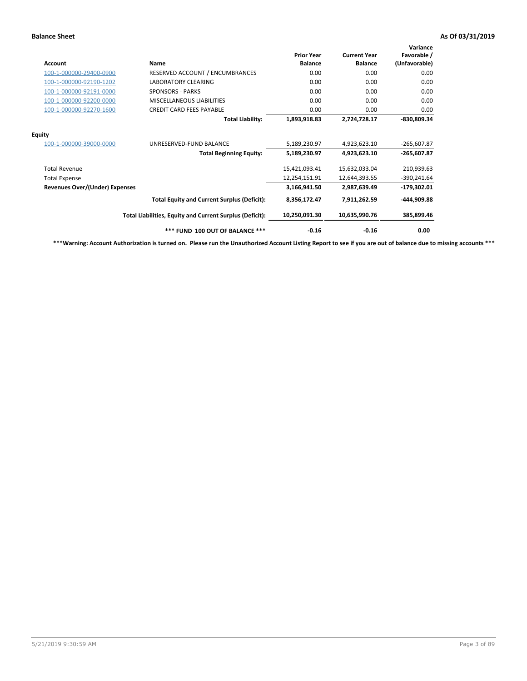| <b>Account</b>                        | <b>Name</b>                                              | <b>Prior Year</b><br><b>Balance</b> | <b>Current Year</b><br><b>Balance</b> | Variance<br>Favorable /<br>(Unfavorable) |
|---------------------------------------|----------------------------------------------------------|-------------------------------------|---------------------------------------|------------------------------------------|
| 100-1-000000-29400-0900               | RESERVED ACCOUNT / ENCUMBRANCES                          | 0.00                                | 0.00                                  | 0.00                                     |
| 100-1-000000-92190-1202               | <b>LABORATORY CLEARING</b>                               | 0.00                                | 0.00                                  | 0.00                                     |
| 100-1-000000-92191-0000               | <b>SPONSORS - PARKS</b>                                  | 0.00                                | 0.00                                  | 0.00                                     |
| 100-1-000000-92200-0000               | MISCELLANEOUS LIABILITIES                                | 0.00                                | 0.00                                  | 0.00                                     |
| 100-1-000000-92270-1600               | <b>CREDIT CARD FEES PAYABLE</b>                          | 0.00                                | 0.00                                  | 0.00                                     |
|                                       | <b>Total Liability:</b>                                  | 1,893,918.83                        | 2,724,728.17                          | -830,809.34                              |
| <b>Equity</b>                         |                                                          |                                     |                                       |                                          |
| 100-1-000000-39000-0000               | UNRESERVED-FUND BALANCE                                  | 5,189,230.97                        | 4,923,623.10                          | $-265,607.87$                            |
|                                       | <b>Total Beginning Equity:</b>                           | 5,189,230.97                        | 4,923,623.10                          | -265,607.87                              |
| <b>Total Revenue</b>                  |                                                          | 15,421,093.41                       | 15,632,033.04                         | 210,939.63                               |
| <b>Total Expense</b>                  |                                                          | 12,254,151.91                       | 12,644,393.55                         | $-390,241.64$                            |
| <b>Revenues Over/(Under) Expenses</b> |                                                          | 3,166,941.50                        | 2.987.639.49                          | $-179,302.01$                            |
|                                       | <b>Total Equity and Current Surplus (Deficit):</b>       | 8,356,172.47                        | 7,911,262.59                          | -444,909.88                              |
|                                       | Total Liabilities, Equity and Current Surplus (Deficit): | 10,250,091.30                       | 10,635,990.76                         | 385,899.46                               |
|                                       | *** FUND 100 OUT OF BALANCE ***                          | $-0.16$                             | $-0.16$                               | 0.00                                     |

**\*\*\*Warning: Account Authorization is turned on. Please run the Unauthorized Account Listing Report to see if you are out of balance due to missing accounts \*\*\***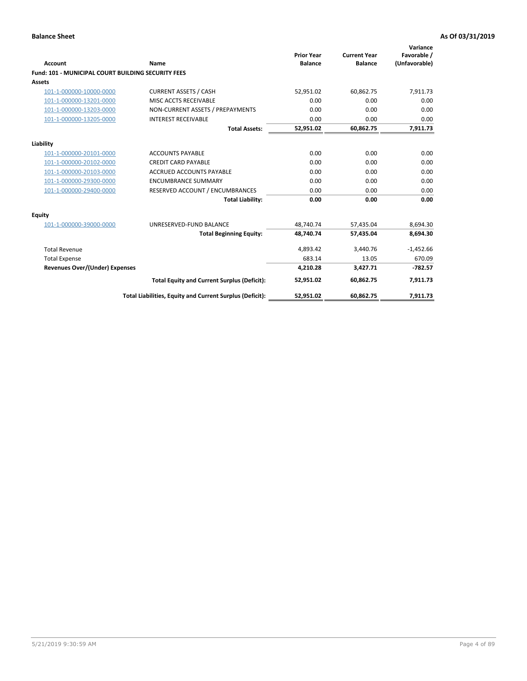| <b>Account</b>                                            | Name                                                     | <b>Prior Year</b><br><b>Balance</b> | <b>Current Year</b><br><b>Balance</b> | Variance<br>Favorable /<br>(Unfavorable) |
|-----------------------------------------------------------|----------------------------------------------------------|-------------------------------------|---------------------------------------|------------------------------------------|
| <b>Fund: 101 - MUNICIPAL COURT BUILDING SECURITY FEES</b> |                                                          |                                     |                                       |                                          |
| <b>Assets</b>                                             |                                                          |                                     |                                       |                                          |
| 101-1-000000-10000-0000                                   | <b>CURRENT ASSETS / CASH</b>                             | 52,951.02                           | 60,862.75                             | 7,911.73                                 |
| 101-1-000000-13201-0000                                   | MISC ACCTS RECEIVABLE                                    | 0.00                                | 0.00                                  | 0.00                                     |
| 101-1-000000-13203-0000                                   | NON-CURRENT ASSETS / PREPAYMENTS                         | 0.00                                | 0.00                                  | 0.00                                     |
| 101-1-000000-13205-0000                                   | <b>INTEREST RECEIVABLE</b>                               | 0.00                                | 0.00                                  | 0.00                                     |
|                                                           | <b>Total Assets:</b>                                     | 52,951.02                           | 60,862.75                             | 7,911.73                                 |
| Liability                                                 |                                                          |                                     |                                       |                                          |
| 101-1-000000-20101-0000                                   | <b>ACCOUNTS PAYABLE</b>                                  | 0.00                                | 0.00                                  | 0.00                                     |
| 101-1-000000-20102-0000                                   | <b>CREDIT CARD PAYABLE</b>                               | 0.00                                | 0.00                                  | 0.00                                     |
| 101-1-000000-20103-0000                                   | <b>ACCRUED ACCOUNTS PAYABLE</b>                          | 0.00                                | 0.00                                  | 0.00                                     |
| 101-1-000000-29300-0000                                   | <b>ENCUMBRANCE SUMMARY</b>                               | 0.00                                | 0.00                                  | 0.00                                     |
| 101-1-000000-29400-0000                                   | RESERVED ACCOUNT / ENCUMBRANCES                          | 0.00                                | 0.00                                  | 0.00                                     |
|                                                           | <b>Total Liability:</b>                                  | 0.00                                | 0.00                                  | 0.00                                     |
| <b>Equity</b>                                             |                                                          |                                     |                                       |                                          |
| 101-1-000000-39000-0000                                   | UNRESERVED-FUND BALANCE                                  | 48,740.74                           | 57,435.04                             | 8,694.30                                 |
|                                                           | <b>Total Beginning Equity:</b>                           | 48,740.74                           | 57,435.04                             | 8,694.30                                 |
| <b>Total Revenue</b>                                      |                                                          | 4,893.42                            | 3,440.76                              | $-1,452.66$                              |
| <b>Total Expense</b>                                      |                                                          | 683.14                              | 13.05                                 | 670.09                                   |
| <b>Revenues Over/(Under) Expenses</b>                     |                                                          | 4,210.28                            | 3,427.71                              | $-782.57$                                |
|                                                           | <b>Total Equity and Current Surplus (Deficit):</b>       | 52,951.02                           | 60,862.75                             | 7,911.73                                 |
|                                                           | Total Liabilities, Equity and Current Surplus (Deficit): | 52,951.02                           | 60,862.75                             | 7,911.73                                 |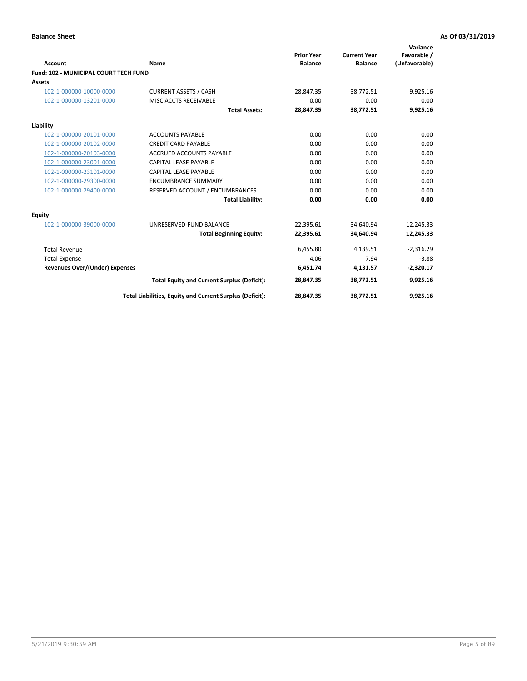| <b>Account</b>                               | <b>Name</b>                                              | <b>Prior Year</b><br><b>Balance</b> | <b>Current Year</b><br><b>Balance</b> | Variance<br>Favorable /<br>(Unfavorable) |
|----------------------------------------------|----------------------------------------------------------|-------------------------------------|---------------------------------------|------------------------------------------|
| <b>Fund: 102 - MUNICIPAL COURT TECH FUND</b> |                                                          |                                     |                                       |                                          |
| Assets                                       |                                                          |                                     |                                       |                                          |
| 102-1-000000-10000-0000                      | <b>CURRENT ASSETS / CASH</b>                             | 28,847.35                           | 38,772.51                             | 9,925.16                                 |
| 102-1-000000-13201-0000                      | MISC ACCTS RECEIVABLE                                    | 0.00                                | 0.00                                  | 0.00                                     |
|                                              | <b>Total Assets:</b>                                     | 28,847.35                           | 38,772.51                             | 9,925.16                                 |
| Liability                                    |                                                          |                                     |                                       |                                          |
| 102-1-000000-20101-0000                      | <b>ACCOUNTS PAYABLE</b>                                  | 0.00                                | 0.00                                  | 0.00                                     |
| 102-1-000000-20102-0000                      | <b>CREDIT CARD PAYABLE</b>                               | 0.00                                | 0.00                                  | 0.00                                     |
| 102-1-000000-20103-0000                      | <b>ACCRUED ACCOUNTS PAYABLE</b>                          | 0.00                                | 0.00                                  | 0.00                                     |
| 102-1-000000-23001-0000                      | <b>CAPITAL LEASE PAYABLE</b>                             | 0.00                                | 0.00                                  | 0.00                                     |
| 102-1-000000-23101-0000                      | <b>CAPITAL LEASE PAYABLE</b>                             | 0.00                                | 0.00                                  | 0.00                                     |
| 102-1-000000-29300-0000                      | <b>ENCUMBRANCE SUMMARY</b>                               | 0.00                                | 0.00                                  | 0.00                                     |
| 102-1-000000-29400-0000                      | RESERVED ACCOUNT / ENCUMBRANCES                          | 0.00                                | 0.00                                  | 0.00                                     |
|                                              | <b>Total Liability:</b>                                  | 0.00                                | 0.00                                  | 0.00                                     |
| Equity                                       |                                                          |                                     |                                       |                                          |
| 102-1-000000-39000-0000                      | UNRESERVED-FUND BALANCE                                  | 22,395.61                           | 34,640.94                             | 12,245.33                                |
|                                              | <b>Total Beginning Equity:</b>                           | 22,395.61                           | 34,640.94                             | 12,245.33                                |
| <b>Total Revenue</b>                         |                                                          | 6,455.80                            | 4,139.51                              | $-2,316.29$                              |
| <b>Total Expense</b>                         |                                                          | 4.06                                | 7.94                                  | $-3.88$                                  |
| <b>Revenues Over/(Under) Expenses</b>        |                                                          | 6,451.74                            | 4,131.57                              | $-2,320.17$                              |
|                                              | <b>Total Equity and Current Surplus (Deficit):</b>       | 28,847.35                           | 38,772.51                             | 9,925.16                                 |
|                                              | Total Liabilities, Equity and Current Surplus (Deficit): | 28,847.35                           | 38,772.51                             | 9,925.16                                 |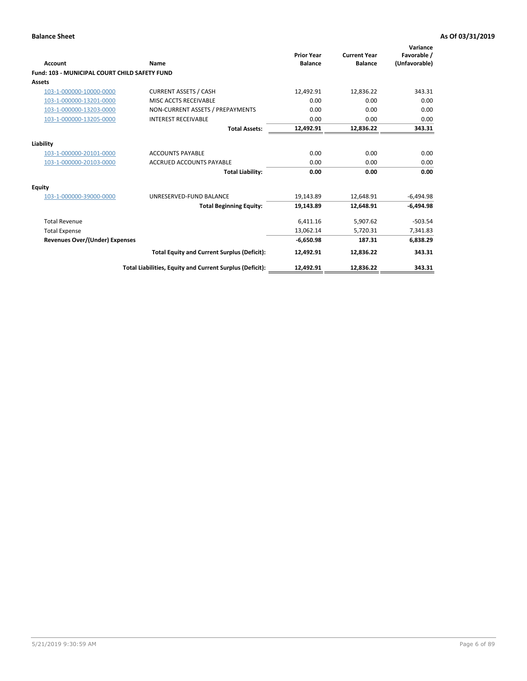| <b>Account</b>                                       | Name                                                     | <b>Prior Year</b><br><b>Balance</b> | <b>Current Year</b><br><b>Balance</b> | Variance<br>Favorable /<br>(Unfavorable) |
|------------------------------------------------------|----------------------------------------------------------|-------------------------------------|---------------------------------------|------------------------------------------|
| <b>Fund: 103 - MUNICIPAL COURT CHILD SAFETY FUND</b> |                                                          |                                     |                                       |                                          |
| <b>Assets</b>                                        |                                                          |                                     |                                       |                                          |
| 103-1-000000-10000-0000                              | <b>CURRENT ASSETS / CASH</b>                             | 12,492.91                           | 12,836.22                             | 343.31                                   |
| 103-1-000000-13201-0000                              | MISC ACCTS RECEIVABLE                                    | 0.00                                | 0.00                                  | 0.00                                     |
| 103-1-000000-13203-0000                              | NON-CURRENT ASSETS / PREPAYMENTS                         | 0.00                                | 0.00                                  | 0.00                                     |
| 103-1-000000-13205-0000                              | <b>INTEREST RECEIVABLE</b>                               | 0.00                                | 0.00                                  | 0.00                                     |
|                                                      | <b>Total Assets:</b>                                     | 12,492.91                           | 12,836.22                             | 343.31                                   |
| Liability                                            |                                                          |                                     |                                       |                                          |
| 103-1-000000-20101-0000                              | <b>ACCOUNTS PAYABLE</b>                                  | 0.00                                | 0.00                                  | 0.00                                     |
| 103-1-000000-20103-0000                              | <b>ACCRUED ACCOUNTS PAYABLE</b>                          | 0.00                                | 0.00                                  | 0.00                                     |
|                                                      | <b>Total Liability:</b>                                  | 0.00                                | 0.00                                  | 0.00                                     |
| Equity                                               |                                                          |                                     |                                       |                                          |
| 103-1-000000-39000-0000                              | UNRESERVED-FUND BALANCE                                  | 19,143.89                           | 12,648.91                             | $-6,494.98$                              |
|                                                      | <b>Total Beginning Equity:</b>                           | 19,143.89                           | 12.648.91                             | $-6.494.98$                              |
| <b>Total Revenue</b>                                 |                                                          | 6,411.16                            | 5,907.62                              | $-503.54$                                |
| <b>Total Expense</b>                                 |                                                          | 13,062.14                           | 5,720.31                              | 7,341.83                                 |
| <b>Revenues Over/(Under) Expenses</b>                |                                                          | $-6,650.98$                         | 187.31                                | 6,838.29                                 |
|                                                      | <b>Total Equity and Current Surplus (Deficit):</b>       | 12,492.91                           | 12,836.22                             | 343.31                                   |
|                                                      | Total Liabilities, Equity and Current Surplus (Deficit): | 12,492.91                           | 12,836.22                             | 343.31                                   |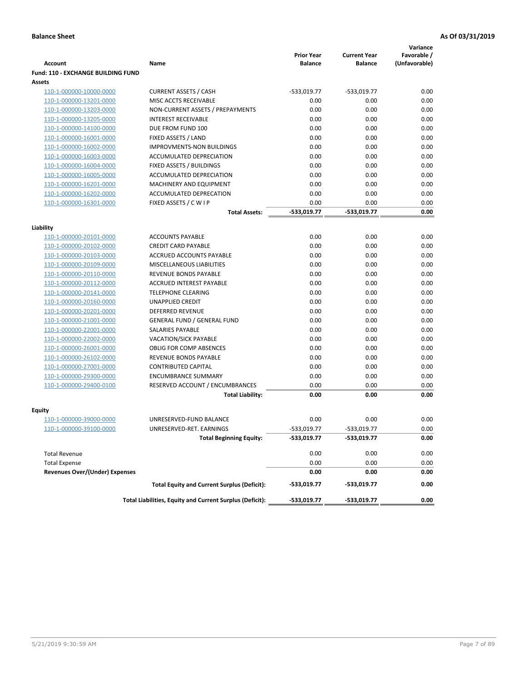|                                                    |                                                          |                                     |                                       | Variance                     |
|----------------------------------------------------|----------------------------------------------------------|-------------------------------------|---------------------------------------|------------------------------|
| <b>Account</b>                                     | Name                                                     | <b>Prior Year</b><br><b>Balance</b> | <b>Current Year</b><br><b>Balance</b> | Favorable /<br>(Unfavorable) |
| <b>Fund: 110 - EXCHANGE BUILDING FUND</b>          |                                                          |                                     |                                       |                              |
| Assets                                             |                                                          |                                     |                                       |                              |
| 110-1-000000-10000-0000                            | <b>CURRENT ASSETS / CASH</b>                             | -533,019.77                         | $-533,019.77$                         | 0.00                         |
| 110-1-000000-13201-0000                            | MISC ACCTS RECEIVABLE                                    | 0.00                                | 0.00                                  | 0.00                         |
| 110-1-000000-13203-0000                            | NON-CURRENT ASSETS / PREPAYMENTS                         | 0.00                                | 0.00                                  | 0.00                         |
| 110-1-000000-13205-0000                            | <b>INTEREST RECEIVABLE</b>                               | 0.00                                | 0.00                                  | 0.00                         |
| 110-1-000000-14100-0000                            | DUE FROM FUND 100                                        | 0.00                                | 0.00                                  | 0.00                         |
| 110-1-000000-16001-0000                            | FIXED ASSETS / LAND                                      | 0.00                                | 0.00                                  | 0.00                         |
| 110-1-000000-16002-0000                            | <b>IMPROVMENTS-NON BUILDINGS</b>                         | 0.00                                | 0.00                                  | 0.00                         |
| 110-1-000000-16003-0000                            | ACCUMULATED DEPRECIATION                                 | 0.00                                | 0.00                                  | 0.00                         |
| 110-1-000000-16004-0000                            | FIXED ASSETS / BUILDINGS                                 | 0.00                                | 0.00                                  | 0.00                         |
| 110-1-000000-16005-0000                            | ACCUMULATED DEPRECIATION                                 | 0.00                                | 0.00                                  | 0.00                         |
| 110-1-000000-16201-0000                            | <b>MACHINERY AND EQUIPMENT</b>                           | 0.00                                | 0.00                                  | 0.00                         |
| 110-1-000000-16202-0000                            | ACCUMULATED DEPRECATION                                  | 0.00                                | 0.00                                  | 0.00                         |
| 110-1-000000-16301-0000                            | FIXED ASSETS / C W I P                                   | 0.00                                | 0.00                                  | 0.00                         |
|                                                    | <b>Total Assets:</b>                                     | $-533,019.77$                       | -533,019.77                           | 0.00                         |
| Liability                                          |                                                          |                                     |                                       |                              |
| 110-1-000000-20101-0000                            | <b>ACCOUNTS PAYABLE</b>                                  | 0.00                                | 0.00                                  | 0.00                         |
| 110-1-000000-20102-0000                            | <b>CREDIT CARD PAYABLE</b>                               | 0.00                                | 0.00                                  | 0.00                         |
| 110-1-000000-20103-0000                            | ACCRUED ACCOUNTS PAYABLE                                 | 0.00                                | 0.00                                  | 0.00                         |
| 110-1-000000-20109-0000                            | MISCELLANEOUS LIABILITIES                                | 0.00                                | 0.00                                  | 0.00                         |
| 110-1-000000-20110-0000                            | REVENUE BONDS PAYABLE                                    | 0.00                                | 0.00                                  | 0.00                         |
| 110-1-000000-20112-0000                            | <b>ACCRUED INTEREST PAYABLE</b>                          | 0.00                                | 0.00                                  | 0.00                         |
| 110-1-000000-20141-0000                            | <b>TELEPHONE CLEARING</b>                                | 0.00                                | 0.00                                  | 0.00                         |
| 110-1-000000-20160-0000                            | <b>UNAPPLIED CREDIT</b>                                  | 0.00                                | 0.00                                  | 0.00                         |
| 110-1-000000-20201-0000                            | <b>DEFERRED REVENUE</b>                                  | 0.00                                | 0.00                                  | 0.00                         |
| 110-1-000000-21001-0000                            | <b>GENERAL FUND / GENERAL FUND</b>                       | 0.00                                | 0.00                                  | 0.00                         |
| 110-1-000000-22001-0000                            | SALARIES PAYABLE                                         | 0.00                                | 0.00                                  | 0.00                         |
| 110-1-000000-22002-0000                            | <b>VACATION/SICK PAYABLE</b>                             | 0.00                                | 0.00                                  | 0.00                         |
| 110-1-000000-26001-0000                            | <b>OBLIG FOR COMP ABSENCES</b>                           | 0.00                                | 0.00                                  | 0.00                         |
| 110-1-000000-26102-0000                            | REVENUE BONDS PAYABLE                                    | 0.00                                | 0.00                                  | 0.00                         |
| 110-1-000000-27001-0000                            | <b>CONTRIBUTED CAPITAL</b>                               | 0.00                                | 0.00                                  | 0.00                         |
| 110-1-000000-29300-0000                            | <b>ENCUMBRANCE SUMMARY</b>                               | 0.00                                | 0.00                                  | 0.00                         |
| 110-1-000000-29400-0100                            | RESERVED ACCOUNT / ENCUMBRANCES                          | 0.00                                | 0.00                                  | 0.00                         |
|                                                    | <b>Total Liability:</b>                                  | 0.00                                | 0.00                                  | 0.00                         |
|                                                    |                                                          |                                     |                                       |                              |
| <b>Equity</b>                                      | UNRESERVED-FUND BALANCE                                  | 0.00                                | 0.00                                  | 0.00                         |
| 110-1-000000-39000-0000<br>110-1-000000-39100-0000 | UNRESERVED-RET. EARNINGS                                 | -533,019.77                         | -533,019.77                           | 0.00                         |
|                                                    | <b>Total Beginning Equity:</b>                           | -533,019.77                         | -533,019.77                           | 0.00                         |
|                                                    |                                                          |                                     |                                       |                              |
| <b>Total Revenue</b>                               |                                                          | 0.00                                | 0.00                                  | 0.00                         |
| <b>Total Expense</b>                               |                                                          | 0.00                                | 0.00                                  | 0.00                         |
| <b>Revenues Over/(Under) Expenses</b>              |                                                          | 0.00                                | 0.00                                  | 0.00                         |
|                                                    | <b>Total Equity and Current Surplus (Deficit):</b>       | -533,019.77                         | -533,019.77                           | 0.00                         |
|                                                    | Total Liabilities, Equity and Current Surplus (Deficit): | -533,019.77                         | -533,019.77                           | 0.00                         |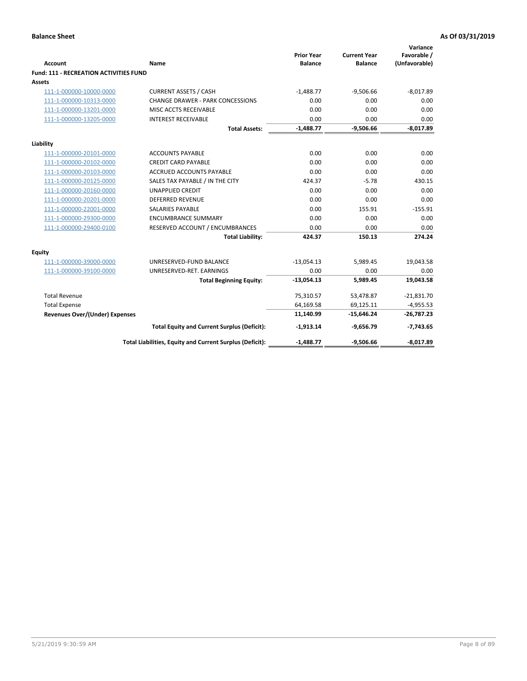| <b>Account</b>                                | <b>Name</b>                                              | <b>Prior Year</b><br><b>Balance</b> | <b>Current Year</b><br><b>Balance</b> | Variance<br>Favorable /<br>(Unfavorable) |
|-----------------------------------------------|----------------------------------------------------------|-------------------------------------|---------------------------------------|------------------------------------------|
| <b>Fund: 111 - RECREATION ACTIVITIES FUND</b> |                                                          |                                     |                                       |                                          |
| <b>Assets</b>                                 |                                                          |                                     |                                       |                                          |
| 111-1-000000-10000-0000                       | <b>CURRENT ASSETS / CASH</b>                             | $-1,488.77$                         | $-9,506.66$                           | $-8,017.89$                              |
| 111-1-000000-10313-0000                       | <b>CHANGE DRAWER - PARK CONCESSIONS</b>                  | 0.00                                | 0.00                                  | 0.00                                     |
| 111-1-000000-13201-0000                       | MISC ACCTS RECEIVABLE                                    | 0.00                                | 0.00                                  | 0.00                                     |
| 111-1-000000-13205-0000                       | <b>INTEREST RECEIVABLE</b>                               | 0.00                                | 0.00                                  | 0.00                                     |
|                                               | <b>Total Assets:</b>                                     | $-1,488.77$                         | $-9,506.66$                           | $-8,017.89$                              |
| Liability                                     |                                                          |                                     |                                       |                                          |
| 111-1-000000-20101-0000                       | <b>ACCOUNTS PAYABLE</b>                                  | 0.00                                | 0.00                                  | 0.00                                     |
| 111-1-000000-20102-0000                       | <b>CREDIT CARD PAYABLE</b>                               | 0.00                                | 0.00                                  | 0.00                                     |
| 111-1-000000-20103-0000                       | <b>ACCRUED ACCOUNTS PAYABLE</b>                          | 0.00                                | 0.00                                  | 0.00                                     |
| 111-1-000000-20125-0000                       | SALES TAX PAYABLE / IN THE CITY                          | 424.37                              | $-5.78$                               | 430.15                                   |
| 111-1-000000-20160-0000                       | <b>UNAPPLIED CREDIT</b>                                  | 0.00                                | 0.00                                  | 0.00                                     |
| 111-1-000000-20201-0000                       | <b>DEFERRED REVENUE</b>                                  | 0.00                                | 0.00                                  | 0.00                                     |
| 111-1-000000-22001-0000                       | <b>SALARIES PAYABLE</b>                                  | 0.00                                | 155.91                                | $-155.91$                                |
| 111-1-000000-29300-0000                       | <b>ENCUMBRANCE SUMMARY</b>                               | 0.00                                | 0.00                                  | 0.00                                     |
| 111-1-000000-29400-0100                       | RESERVED ACCOUNT / ENCUMBRANCES                          | 0.00                                | 0.00                                  | 0.00                                     |
|                                               | <b>Total Liability:</b>                                  | 424.37                              | 150.13                                | 274.24                                   |
| <b>Equity</b>                                 |                                                          |                                     |                                       |                                          |
| 111-1-000000-39000-0000                       | UNRESERVED-FUND BALANCE                                  | $-13,054.13$                        | 5,989.45                              | 19,043.58                                |
| 111-1-000000-39100-0000                       | UNRESERVED-RET. EARNINGS                                 | 0.00                                | 0.00                                  | 0.00                                     |
|                                               | <b>Total Beginning Equity:</b>                           | $-13,054.13$                        | 5,989.45                              | 19,043.58                                |
| <b>Total Revenue</b>                          |                                                          | 75,310.57                           | 53,478.87                             | $-21,831.70$                             |
| <b>Total Expense</b>                          |                                                          | 64,169.58                           | 69,125.11                             | $-4,955.53$                              |
| <b>Revenues Over/(Under) Expenses</b>         |                                                          | 11,140.99                           | $-15,646.24$                          | $-26,787.23$                             |
|                                               | <b>Total Equity and Current Surplus (Deficit):</b>       | $-1,913.14$                         | $-9,656.79$                           | $-7,743.65$                              |
|                                               | Total Liabilities, Equity and Current Surplus (Deficit): | $-1,488.77$                         | $-9,506.66$                           | $-8,017.89$                              |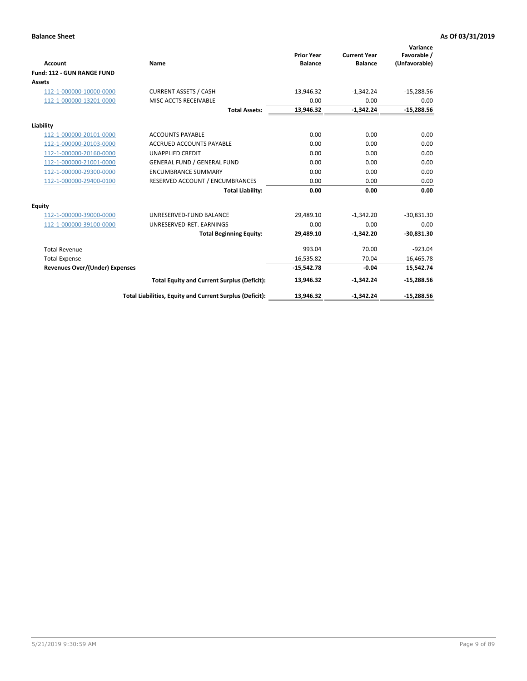|                                       |                                                          |                                     |                                       | Variance                     |
|---------------------------------------|----------------------------------------------------------|-------------------------------------|---------------------------------------|------------------------------|
| <b>Account</b>                        | Name                                                     | <b>Prior Year</b><br><b>Balance</b> | <b>Current Year</b><br><b>Balance</b> | Favorable /<br>(Unfavorable) |
| Fund: 112 - GUN RANGE FUND            |                                                          |                                     |                                       |                              |
| <b>Assets</b>                         |                                                          |                                     |                                       |                              |
| 112-1-000000-10000-0000               | <b>CURRENT ASSETS / CASH</b>                             | 13,946.32                           | $-1,342.24$                           | $-15,288.56$                 |
| 112-1-000000-13201-0000               | MISC ACCTS RECEIVABLE                                    | 0.00                                | 0.00                                  | 0.00                         |
|                                       | <b>Total Assets:</b>                                     | 13,946.32                           | $-1,342.24$                           | $-15,288.56$                 |
| Liability                             |                                                          |                                     |                                       |                              |
| 112-1-000000-20101-0000               | <b>ACCOUNTS PAYABLE</b>                                  | 0.00                                | 0.00                                  | 0.00                         |
| 112-1-000000-20103-0000               | <b>ACCRUED ACCOUNTS PAYABLE</b>                          | 0.00                                | 0.00                                  | 0.00                         |
| 112-1-000000-20160-0000               | <b>UNAPPLIED CREDIT</b>                                  | 0.00                                | 0.00                                  | 0.00                         |
| 112-1-000000-21001-0000               | <b>GENERAL FUND / GENERAL FUND</b>                       | 0.00                                | 0.00                                  | 0.00                         |
| 112-1-000000-29300-0000               | <b>ENCUMBRANCE SUMMARY</b>                               | 0.00                                | 0.00                                  | 0.00                         |
| 112-1-000000-29400-0100               | RESERVED ACCOUNT / ENCUMBRANCES                          | 0.00                                | 0.00                                  | 0.00                         |
|                                       | <b>Total Liability:</b>                                  | 0.00                                | 0.00                                  | 0.00                         |
| Equity                                |                                                          |                                     |                                       |                              |
| 112-1-000000-39000-0000               | UNRESERVED-FUND BALANCE                                  | 29,489.10                           | $-1,342.20$                           | $-30,831.30$                 |
| 112-1-000000-39100-0000               | UNRESERVED-RET. EARNINGS                                 | 0.00                                | 0.00                                  | 0.00                         |
|                                       | <b>Total Beginning Equity:</b>                           | 29,489.10                           | $-1,342.20$                           | $-30,831.30$                 |
| <b>Total Revenue</b>                  |                                                          | 993.04                              | 70.00                                 | $-923.04$                    |
| <b>Total Expense</b>                  |                                                          | 16,535.82                           | 70.04                                 | 16,465.78                    |
| <b>Revenues Over/(Under) Expenses</b> |                                                          | $-15,542.78$                        | $-0.04$                               | 15,542.74                    |
|                                       | <b>Total Equity and Current Surplus (Deficit):</b>       | 13,946.32                           | $-1,342.24$                           | $-15,288.56$                 |
|                                       | Total Liabilities, Equity and Current Surplus (Deficit): | 13,946.32                           | $-1,342.24$                           | $-15,288.56$                 |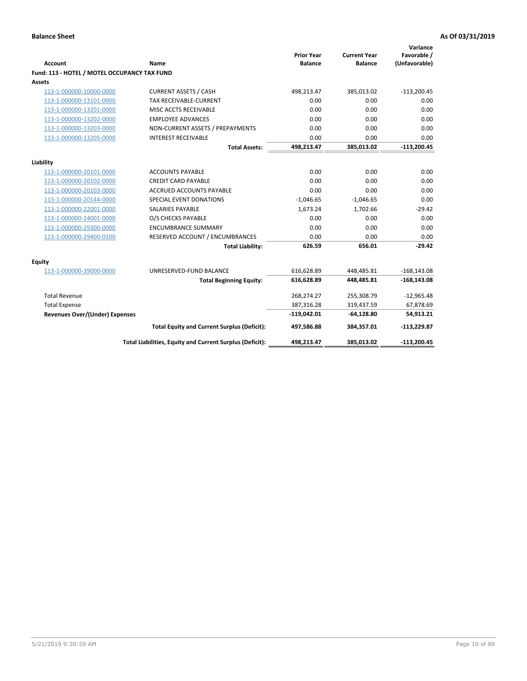| <b>Account</b>                               | Name                                                     | <b>Prior Year</b><br><b>Balance</b> | <b>Current Year</b><br><b>Balance</b> | Variance<br>Favorable /<br>(Unfavorable) |
|----------------------------------------------|----------------------------------------------------------|-------------------------------------|---------------------------------------|------------------------------------------|
| Fund: 113 - HOTEL / MOTEL OCCUPANCY TAX FUND |                                                          |                                     |                                       |                                          |
| Assets                                       |                                                          |                                     |                                       |                                          |
| 113-1-000000-10000-0000                      | <b>CURRENT ASSETS / CASH</b>                             | 498,213.47                          | 385,013.02                            | $-113,200.45$                            |
| 113-1-000000-13101-0000                      | TAX RECEIVABLE-CURRENT                                   | 0.00                                | 0.00                                  | 0.00                                     |
| 113-1-000000-13201-0000                      | MISC ACCTS RECEIVABLE                                    | 0.00                                | 0.00                                  | 0.00                                     |
| 113-1-000000-13202-0000                      | <b>EMPLOYEE ADVANCES</b>                                 | 0.00                                | 0.00                                  | 0.00                                     |
| 113-1-000000-13203-0000                      | NON-CURRENT ASSETS / PREPAYMENTS                         | 0.00                                | 0.00                                  | 0.00                                     |
| 113-1-000000-13205-0000                      | <b>INTEREST RECEIVABLE</b>                               | 0.00                                | 0.00                                  | 0.00                                     |
|                                              | <b>Total Assets:</b>                                     | 498,213.47                          | 385,013.02                            | $-113,200.45$                            |
|                                              |                                                          |                                     |                                       |                                          |
| Liability                                    |                                                          |                                     |                                       |                                          |
| 113-1-000000-20101-0000                      | <b>ACCOUNTS PAYABLE</b>                                  | 0.00<br>0.00                        | 0.00                                  | 0.00                                     |
| 113-1-000000-20102-0000                      | <b>CREDIT CARD PAYABLE</b>                               | 0.00                                | 0.00<br>0.00                          | 0.00                                     |
| 113-1-000000-20103-0000                      | ACCRUED ACCOUNTS PAYABLE                                 |                                     |                                       | 0.00<br>0.00                             |
| 113-1-000000-20144-0000                      | SPECIAL EVENT DONATIONS                                  | $-1,046.65$                         | $-1,046.65$                           |                                          |
| 113-1-000000-22001-0000                      | <b>SALARIES PAYABLE</b>                                  | 1,673.24                            | 1,702.66                              | $-29.42$                                 |
| 113-1-000000-24001-0000                      | O/S CHECKS PAYABLE                                       | 0.00                                | 0.00                                  | 0.00                                     |
| 113-1-000000-29300-0000                      | <b>ENCUMBRANCE SUMMARY</b>                               | 0.00                                | 0.00                                  | 0.00                                     |
| 113-1-000000-29400-0100                      | RESERVED ACCOUNT / ENCUMBRANCES                          | 0.00                                | 0.00                                  | 0.00                                     |
|                                              | <b>Total Liability:</b>                                  | 626.59                              | 656.01                                | $-29.42$                                 |
| Equity                                       |                                                          |                                     |                                       |                                          |
| 113-1-000000-39000-0000                      | UNRESERVED-FUND BALANCE                                  | 616,628.89                          | 448,485.81                            | $-168, 143.08$                           |
|                                              | <b>Total Beginning Equity:</b>                           | 616,628.89                          | 448,485.81                            | $-168, 143.08$                           |
| <b>Total Revenue</b>                         |                                                          | 268,274.27                          | 255,308.79                            | $-12,965.48$                             |
| <b>Total Expense</b>                         |                                                          | 387,316.28                          | 319,437.59                            | 67,878.69                                |
| Revenues Over/(Under) Expenses               |                                                          | $-119,042.01$                       | $-64,128.80$                          | 54,913.21                                |
|                                              | <b>Total Equity and Current Surplus (Deficit):</b>       | 497,586.88                          | 384,357.01                            | $-113,229.87$                            |
|                                              | Total Liabilities, Equity and Current Surplus (Deficit): | 498,213.47                          | 385,013.02                            | $-113,200.45$                            |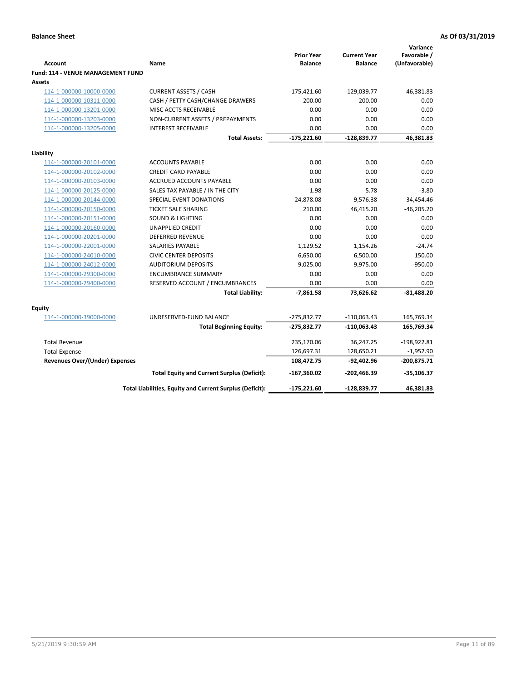| <b>Account</b>                              | Name                                                     | <b>Prior Year</b><br><b>Balance</b> | <b>Current Year</b><br><b>Balance</b> | Variance<br>Favorable /<br>(Unfavorable) |
|---------------------------------------------|----------------------------------------------------------|-------------------------------------|---------------------------------------|------------------------------------------|
| Fund: 114 - VENUE MANAGEMENT FUND<br>Assets |                                                          |                                     |                                       |                                          |
| 114-1-000000-10000-0000                     | <b>CURRENT ASSETS / CASH</b>                             | $-175,421.60$                       | $-129,039.77$                         | 46,381.83                                |
| 114-1-000000-10311-0000                     | CASH / PETTY CASH/CHANGE DRAWERS                         | 200.00                              | 200.00                                | 0.00                                     |
| 114-1-000000-13201-0000                     | MISC ACCTS RECEIVABLE                                    | 0.00                                | 0.00                                  | 0.00                                     |
| 114-1-000000-13203-0000                     | NON-CURRENT ASSETS / PREPAYMENTS                         | 0.00                                | 0.00                                  | 0.00                                     |
| 114-1-000000-13205-0000                     | <b>INTEREST RECEIVABLE</b>                               | 0.00                                | 0.00                                  | 0.00                                     |
|                                             | <b>Total Assets:</b>                                     | $-175,221.60$                       | $-128,839.77$                         | 46,381.83                                |
| Liability                                   |                                                          |                                     |                                       |                                          |
| 114-1-000000-20101-0000                     | <b>ACCOUNTS PAYABLE</b>                                  | 0.00                                | 0.00                                  | 0.00                                     |
| 114-1-000000-20102-0000                     | <b>CREDIT CARD PAYABLE</b>                               | 0.00                                | 0.00                                  | 0.00                                     |
| 114-1-000000-20103-0000                     | <b>ACCRUED ACCOUNTS PAYABLE</b>                          | 0.00                                | 0.00                                  | 0.00                                     |
| 114-1-000000-20125-0000                     | SALES TAX PAYABLE / IN THE CITY                          | 1.98                                | 5.78                                  | $-3.80$                                  |
| 114-1-000000-20144-0000                     | SPECIAL EVENT DONATIONS                                  | $-24,878.08$                        | 9,576.38                              | $-34,454.46$                             |
| 114-1-000000-20150-0000                     | <b>TICKET SALE SHARING</b>                               | 210.00                              | 46,415.20                             | $-46,205.20$                             |
| 114-1-000000-20151-0000                     | <b>SOUND &amp; LIGHTING</b>                              | 0.00                                | 0.00                                  | 0.00                                     |
| 114-1-000000-20160-0000                     | <b>UNAPPLIED CREDIT</b>                                  | 0.00                                | 0.00                                  | 0.00                                     |
| 114-1-000000-20201-0000                     | <b>DEFERRED REVENUE</b>                                  | 0.00                                | 0.00                                  | 0.00                                     |
| 114-1-000000-22001-0000                     | <b>SALARIES PAYABLE</b>                                  | 1,129.52                            | 1,154.26                              | $-24.74$                                 |
| 114-1-000000-24010-0000                     | <b>CIVIC CENTER DEPOSITS</b>                             | 6,650.00                            | 6,500.00                              | 150.00                                   |
| 114-1-000000-24012-0000                     | <b>AUDITORIUM DEPOSITS</b>                               | 9,025.00                            | 9,975.00                              | $-950.00$                                |
| 114-1-000000-29300-0000                     | <b>ENCUMBRANCE SUMMARY</b>                               | 0.00                                | 0.00                                  | 0.00                                     |
| 114-1-000000-29400-0000                     | RESERVED ACCOUNT / ENCUMBRANCES                          | 0.00                                | 0.00                                  | 0.00                                     |
|                                             | <b>Total Liability:</b>                                  | $-7,861.58$                         | 73,626.62                             | $-81,488.20$                             |
| Equity                                      |                                                          |                                     |                                       |                                          |
| 114-1-000000-39000-0000                     | UNRESERVED-FUND BALANCE                                  | $-275,832.77$                       | $-110,063.43$                         | 165,769.34                               |
|                                             | <b>Total Beginning Equity:</b>                           | $-275,832.77$                       | $-110,063.43$                         | 165,769.34                               |
| <b>Total Revenue</b>                        |                                                          | 235,170.06                          | 36,247.25                             | $-198,922.81$                            |
| <b>Total Expense</b>                        |                                                          | 126,697.31                          | 128,650.21                            | $-1,952.90$                              |
| <b>Revenues Over/(Under) Expenses</b>       |                                                          | 108,472.75                          | $-92,402.96$                          | $-200,875.71$                            |
|                                             | <b>Total Equity and Current Surplus (Deficit):</b>       | -167,360.02                         | $-202,466.39$                         | $-35,106.37$                             |
|                                             | Total Liabilities, Equity and Current Surplus (Deficit): | $-175,221.60$                       | $-128,839.77$                         | 46,381.83                                |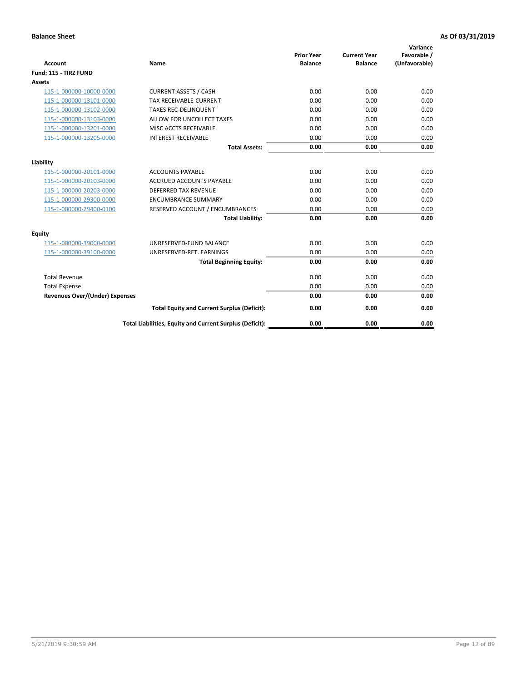| <b>Account</b>                        | <b>Name</b>                                              | <b>Prior Year</b><br><b>Balance</b> | <b>Current Year</b><br><b>Balance</b> | Variance<br>Favorable /<br>(Unfavorable) |
|---------------------------------------|----------------------------------------------------------|-------------------------------------|---------------------------------------|------------------------------------------|
| Fund: 115 - TIRZ FUND                 |                                                          |                                     |                                       |                                          |
| <b>Assets</b>                         |                                                          |                                     |                                       |                                          |
| 115-1-000000-10000-0000               | <b>CURRENT ASSETS / CASH</b>                             | 0.00                                | 0.00                                  | 0.00                                     |
| 115-1-000000-13101-0000               | <b>TAX RECEIVABLE-CURRENT</b>                            | 0.00                                | 0.00                                  | 0.00                                     |
| 115-1-000000-13102-0000               | <b>TAXES REC-DELINQUENT</b>                              | 0.00                                | 0.00                                  | 0.00                                     |
| 115-1-000000-13103-0000               | ALLOW FOR UNCOLLECT TAXES                                | 0.00                                | 0.00                                  | 0.00                                     |
| 115-1-000000-13201-0000               | <b>MISC ACCTS RECEIVABLE</b>                             | 0.00                                | 0.00                                  | 0.00                                     |
| 115-1-000000-13205-0000               | <b>INTEREST RECEIVABLE</b>                               | 0.00                                | 0.00                                  | 0.00                                     |
|                                       | <b>Total Assets:</b>                                     | 0.00                                | 0.00                                  | 0.00                                     |
| Liability                             |                                                          |                                     |                                       |                                          |
| 115-1-000000-20101-0000               | <b>ACCOUNTS PAYABLE</b>                                  | 0.00                                | 0.00                                  | 0.00                                     |
| 115-1-000000-20103-0000               | <b>ACCRUED ACCOUNTS PAYABLE</b>                          | 0.00                                | 0.00                                  | 0.00                                     |
| 115-1-000000-20203-0000               | <b>DEFERRED TAX REVENUE</b>                              | 0.00                                | 0.00                                  | 0.00                                     |
| 115-1-000000-29300-0000               | <b>ENCUMBRANCE SUMMARY</b>                               | 0.00                                | 0.00                                  | 0.00                                     |
| 115-1-000000-29400-0100               | RESERVED ACCOUNT / ENCUMBRANCES                          | 0.00                                | 0.00                                  | 0.00                                     |
|                                       | <b>Total Liability:</b>                                  | 0.00                                | 0.00                                  | 0.00                                     |
| <b>Equity</b>                         |                                                          |                                     |                                       |                                          |
| 115-1-000000-39000-0000               | UNRESERVED-FUND BALANCE                                  | 0.00                                | 0.00                                  | 0.00                                     |
| 115-1-000000-39100-0000               | UNRESERVED-RET. EARNINGS                                 | 0.00                                | 0.00                                  | 0.00                                     |
|                                       | <b>Total Beginning Equity:</b>                           | 0.00                                | 0.00                                  | 0.00                                     |
| <b>Total Revenue</b>                  |                                                          | 0.00                                | 0.00                                  | 0.00                                     |
| <b>Total Expense</b>                  |                                                          | 0.00                                | 0.00                                  | 0.00                                     |
| <b>Revenues Over/(Under) Expenses</b> |                                                          | 0.00                                | 0.00                                  | 0.00                                     |
|                                       | <b>Total Equity and Current Surplus (Deficit):</b>       | 0.00                                | 0.00                                  | 0.00                                     |
|                                       | Total Liabilities, Equity and Current Surplus (Deficit): | 0.00                                | 0.00                                  | 0.00                                     |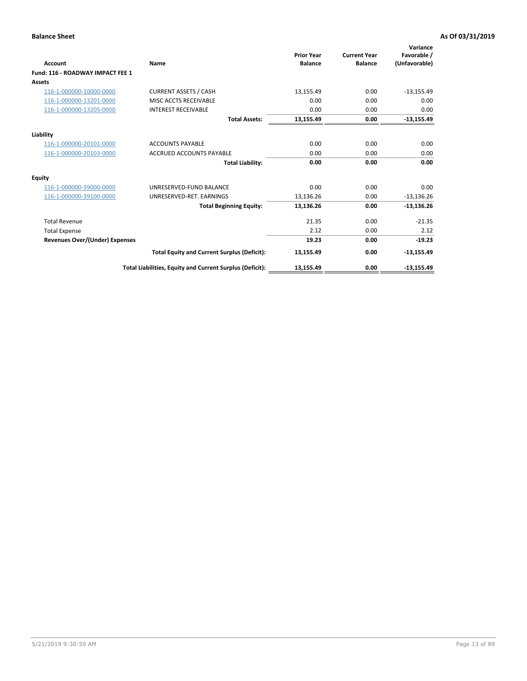| <b>Account</b>                        | Name                                                     | <b>Prior Year</b><br><b>Balance</b> | <b>Current Year</b><br><b>Balance</b> | Variance<br>Favorable /<br>(Unfavorable) |
|---------------------------------------|----------------------------------------------------------|-------------------------------------|---------------------------------------|------------------------------------------|
| Fund: 116 - ROADWAY IMPACT FEE 1      |                                                          |                                     |                                       |                                          |
| <b>Assets</b>                         |                                                          |                                     |                                       |                                          |
| 116-1-000000-10000-0000               | <b>CURRENT ASSETS / CASH</b>                             | 13,155.49                           | 0.00                                  | $-13,155.49$                             |
| 116-1-000000-13201-0000               | MISC ACCTS RECEIVABLE                                    | 0.00                                | 0.00                                  | 0.00                                     |
| 116-1-000000-13205-0000               | <b>INTEREST RECEIVABLE</b>                               | 0.00                                | 0.00                                  | 0.00                                     |
|                                       | <b>Total Assets:</b>                                     | 13,155.49                           | 0.00                                  | $-13,155.49$                             |
| Liability                             |                                                          |                                     |                                       |                                          |
| 116-1-000000-20101-0000               | <b>ACCOUNTS PAYABLE</b>                                  | 0.00                                | 0.00                                  | 0.00                                     |
| 116-1-000000-20103-0000               | <b>ACCRUED ACCOUNTS PAYABLE</b>                          | 0.00                                | 0.00                                  | 0.00                                     |
|                                       | <b>Total Liability:</b>                                  | 0.00                                | 0.00                                  | 0.00                                     |
| Equity                                |                                                          |                                     |                                       |                                          |
| 116-1-000000-39000-0000               | UNRESERVED-FUND BALANCE                                  | 0.00                                | 0.00                                  | 0.00                                     |
| 116-1-000000-39100-0000               | UNRESERVED-RET. EARNINGS                                 | 13,136.26                           | 0.00                                  | $-13,136.26$                             |
|                                       | <b>Total Beginning Equity:</b>                           | 13,136.26                           | 0.00                                  | $-13,136.26$                             |
| <b>Total Revenue</b>                  |                                                          | 21.35                               | 0.00                                  | $-21.35$                                 |
| <b>Total Expense</b>                  |                                                          | 2.12                                | 0.00                                  | 2.12                                     |
| <b>Revenues Over/(Under) Expenses</b> |                                                          | 19.23                               | 0.00                                  | $-19.23$                                 |
|                                       | <b>Total Equity and Current Surplus (Deficit):</b>       | 13,155.49                           | 0.00                                  | $-13,155.49$                             |
|                                       | Total Liabilities, Equity and Current Surplus (Deficit): | 13,155.49                           | 0.00                                  | $-13,155.49$                             |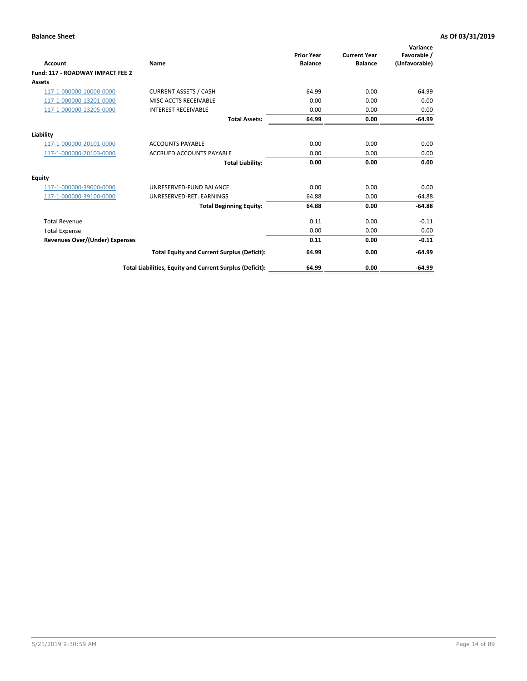| <b>Account</b>                        | <b>Name</b>                                              | <b>Prior Year</b><br><b>Balance</b> | <b>Current Year</b><br><b>Balance</b> | Variance<br>Favorable /<br>(Unfavorable) |
|---------------------------------------|----------------------------------------------------------|-------------------------------------|---------------------------------------|------------------------------------------|
| Fund: 117 - ROADWAY IMPACT FEE 2      |                                                          |                                     |                                       |                                          |
| Assets                                |                                                          |                                     |                                       |                                          |
| 117-1-000000-10000-0000               | <b>CURRENT ASSETS / CASH</b>                             | 64.99                               | 0.00                                  | $-64.99$                                 |
| 117-1-000000-13201-0000               | <b>MISC ACCTS RECEIVABLE</b>                             | 0.00                                | 0.00                                  | 0.00                                     |
| 117-1-000000-13205-0000               | <b>INTEREST RECEIVABLE</b>                               | 0.00                                | 0.00                                  | 0.00                                     |
|                                       | <b>Total Assets:</b>                                     | 64.99                               | 0.00                                  | $-64.99$                                 |
| Liability                             |                                                          |                                     |                                       |                                          |
| 117-1-000000-20101-0000               | <b>ACCOUNTS PAYABLE</b>                                  | 0.00                                | 0.00                                  | 0.00                                     |
| 117-1-000000-20103-0000               | <b>ACCRUED ACCOUNTS PAYABLE</b>                          | 0.00                                | 0.00                                  | 0.00                                     |
|                                       | <b>Total Liability:</b>                                  | 0.00                                | 0.00                                  | 0.00                                     |
| Equity                                |                                                          |                                     |                                       |                                          |
| 117-1-000000-39000-0000               | UNRESERVED-FUND BALANCE                                  | 0.00                                | 0.00                                  | 0.00                                     |
| 117-1-000000-39100-0000               | UNRESERVED-RET, EARNINGS                                 | 64.88                               | 0.00                                  | $-64.88$                                 |
|                                       | <b>Total Beginning Equity:</b>                           | 64.88                               | 0.00                                  | $-64.88$                                 |
| <b>Total Revenue</b>                  |                                                          | 0.11                                | 0.00                                  | $-0.11$                                  |
| <b>Total Expense</b>                  |                                                          | 0.00                                | 0.00                                  | 0.00                                     |
| <b>Revenues Over/(Under) Expenses</b> |                                                          | 0.11                                | 0.00                                  | $-0.11$                                  |
|                                       | <b>Total Equity and Current Surplus (Deficit):</b>       | 64.99                               | 0.00                                  | $-64.99$                                 |
|                                       | Total Liabilities, Equity and Current Surplus (Deficit): | 64.99                               | 0.00                                  | $-64.99$                                 |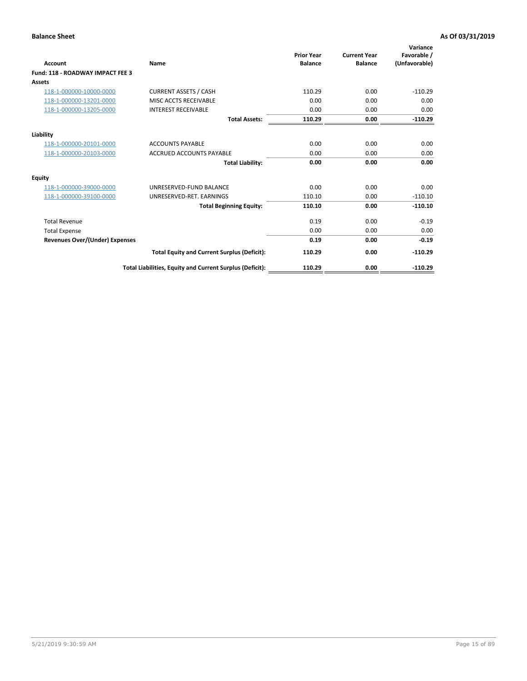| <b>Account</b>                        | Name                                                     | <b>Prior Year</b><br><b>Balance</b> | <b>Current Year</b><br><b>Balance</b> | Variance<br>Favorable /<br>(Unfavorable) |
|---------------------------------------|----------------------------------------------------------|-------------------------------------|---------------------------------------|------------------------------------------|
| Fund: 118 - ROADWAY IMPACT FEE 3      |                                                          |                                     |                                       |                                          |
| Assets                                |                                                          |                                     |                                       |                                          |
| 118-1-000000-10000-0000               | <b>CURRENT ASSETS / CASH</b>                             | 110.29                              | 0.00                                  | $-110.29$                                |
| 118-1-000000-13201-0000               | MISC ACCTS RECEIVABLE                                    | 0.00                                | 0.00                                  | 0.00                                     |
| 118-1-000000-13205-0000               | <b>INTEREST RECEIVABLE</b>                               | 0.00                                | 0.00                                  | 0.00                                     |
|                                       | <b>Total Assets:</b>                                     | 110.29                              | 0.00                                  | $-110.29$                                |
| Liability                             |                                                          |                                     |                                       |                                          |
| 118-1-000000-20101-0000               | <b>ACCOUNTS PAYABLE</b>                                  | 0.00                                | 0.00                                  | 0.00                                     |
| 118-1-000000-20103-0000               | <b>ACCRUED ACCOUNTS PAYABLE</b>                          | 0.00                                | 0.00                                  | 0.00                                     |
|                                       | <b>Total Liability:</b>                                  | 0.00                                | 0.00                                  | 0.00                                     |
| Equity                                |                                                          |                                     |                                       |                                          |
| 118-1-000000-39000-0000               | UNRESERVED-FUND BALANCE                                  | 0.00                                | 0.00                                  | 0.00                                     |
| 118-1-000000-39100-0000               | UNRESERVED-RET, EARNINGS                                 | 110.10                              | 0.00                                  | $-110.10$                                |
|                                       | <b>Total Beginning Equity:</b>                           | 110.10                              | 0.00                                  | $-110.10$                                |
| <b>Total Revenue</b>                  |                                                          | 0.19                                | 0.00                                  | $-0.19$                                  |
| <b>Total Expense</b>                  |                                                          | 0.00                                | 0.00                                  | 0.00                                     |
| <b>Revenues Over/(Under) Expenses</b> |                                                          | 0.19                                | 0.00                                  | $-0.19$                                  |
|                                       | <b>Total Equity and Current Surplus (Deficit):</b>       | 110.29                              | 0.00                                  | $-110.29$                                |
|                                       | Total Liabilities, Equity and Current Surplus (Deficit): | 110.29                              | 0.00                                  | $-110.29$                                |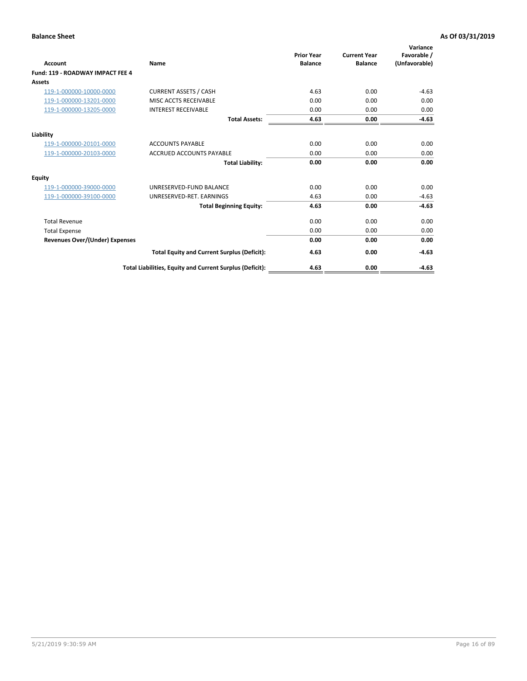| Account                                 | Name                                                     | <b>Prior Year</b><br><b>Balance</b> | <b>Current Year</b><br><b>Balance</b> | Variance<br>Favorable /<br>(Unfavorable) |
|-----------------------------------------|----------------------------------------------------------|-------------------------------------|---------------------------------------|------------------------------------------|
| <b>Fund: 119 - ROADWAY IMPACT FEE 4</b> |                                                          |                                     |                                       |                                          |
| Assets                                  |                                                          |                                     |                                       |                                          |
| 119-1-000000-10000-0000                 | <b>CURRENT ASSETS / CASH</b>                             | 4.63                                | 0.00                                  | $-4.63$                                  |
| 119-1-000000-13201-0000                 | MISC ACCTS RECEIVABLE                                    | 0.00                                | 0.00                                  | 0.00                                     |
| 119-1-000000-13205-0000                 | <b>INTEREST RECEIVABLE</b>                               | 0.00                                | 0.00                                  | 0.00                                     |
|                                         | <b>Total Assets:</b>                                     | 4.63                                | 0.00                                  | $-4.63$                                  |
| Liability                               |                                                          |                                     |                                       |                                          |
| 119-1-000000-20101-0000                 | <b>ACCOUNTS PAYABLE</b>                                  | 0.00                                | 0.00                                  | 0.00                                     |
| 119-1-000000-20103-0000                 | <b>ACCRUED ACCOUNTS PAYABLE</b>                          | 0.00                                | 0.00                                  | 0.00                                     |
|                                         | <b>Total Liability:</b>                                  | 0.00                                | 0.00                                  | 0.00                                     |
| Equity                                  |                                                          |                                     |                                       |                                          |
| 119-1-000000-39000-0000                 | UNRESERVED-FUND BALANCE                                  | 0.00                                | 0.00                                  | 0.00                                     |
| 119-1-000000-39100-0000                 | UNRESERVED-RET. EARNINGS                                 | 4.63                                | 0.00                                  | $-4.63$                                  |
|                                         | <b>Total Beginning Equity:</b>                           | 4.63                                | 0.00                                  | $-4.63$                                  |
| <b>Total Revenue</b>                    |                                                          | 0.00                                | 0.00                                  | 0.00                                     |
| <b>Total Expense</b>                    |                                                          | 0.00                                | 0.00                                  | 0.00                                     |
| <b>Revenues Over/(Under) Expenses</b>   |                                                          | 0.00                                | 0.00                                  | 0.00                                     |
|                                         | <b>Total Equity and Current Surplus (Deficit):</b>       | 4.63                                | 0.00                                  | $-4.63$                                  |
|                                         | Total Liabilities, Equity and Current Surplus (Deficit): | 4.63                                | 0.00                                  | $-4.63$                                  |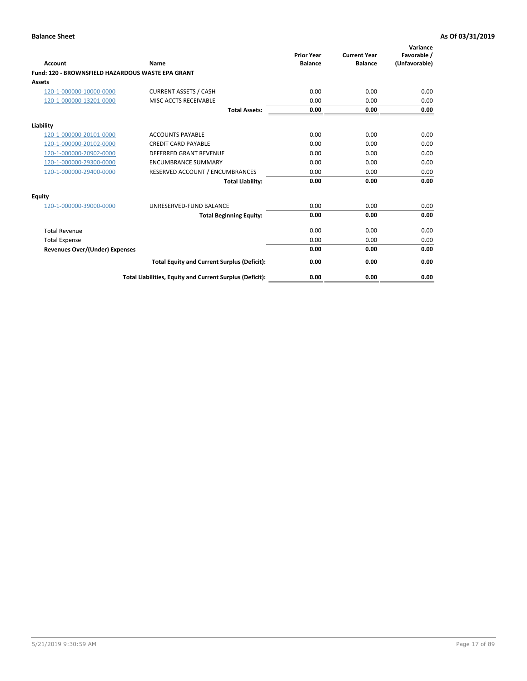|                                                   |                                                          | <b>Prior Year</b> | <b>Current Year</b> | Variance<br>Favorable / |
|---------------------------------------------------|----------------------------------------------------------|-------------------|---------------------|-------------------------|
| <b>Account</b>                                    | <b>Name</b>                                              | <b>Balance</b>    | <b>Balance</b>      | (Unfavorable)           |
| Fund: 120 - BROWNSFIELD HAZARDOUS WASTE EPA GRANT |                                                          |                   |                     |                         |
| <b>Assets</b>                                     |                                                          |                   |                     |                         |
| 120-1-000000-10000-0000                           | <b>CURRENT ASSETS / CASH</b>                             | 0.00              | 0.00                | 0.00                    |
| 120-1-000000-13201-0000                           | MISC ACCTS RECEIVABLE                                    | 0.00              | 0.00                | 0.00                    |
|                                                   | <b>Total Assets:</b>                                     | 0.00              | 0.00                | 0.00                    |
| Liability                                         |                                                          |                   |                     |                         |
| 120-1-000000-20101-0000                           | <b>ACCOUNTS PAYABLE</b>                                  | 0.00              | 0.00                | 0.00                    |
| 120-1-000000-20102-0000                           | <b>CREDIT CARD PAYABLE</b>                               | 0.00              | 0.00                | 0.00                    |
| 120-1-000000-20902-0000                           | <b>DEFERRED GRANT REVENUE</b>                            | 0.00              | 0.00                | 0.00                    |
| 120-1-000000-29300-0000                           | <b>ENCUMBRANCE SUMMARY</b>                               | 0.00              | 0.00                | 0.00                    |
| 120-1-000000-29400-0000                           | RESERVED ACCOUNT / ENCUMBRANCES                          | 0.00              | 0.00                | 0.00                    |
|                                                   | <b>Total Liability:</b>                                  | 0.00              | 0.00                | 0.00                    |
| Equity                                            |                                                          |                   |                     |                         |
| 120-1-000000-39000-0000                           | UNRESERVED-FUND BALANCE                                  | 0.00              | 0.00                | 0.00                    |
|                                                   | <b>Total Beginning Equity:</b>                           | 0.00              | 0.00                | 0.00                    |
| <b>Total Revenue</b>                              |                                                          | 0.00              | 0.00                | 0.00                    |
| <b>Total Expense</b>                              |                                                          | 0.00              | 0.00                | 0.00                    |
| <b>Revenues Over/(Under) Expenses</b>             |                                                          | 0.00              | 0.00                | 0.00                    |
|                                                   | <b>Total Equity and Current Surplus (Deficit):</b>       | 0.00              | 0.00                | 0.00                    |
|                                                   | Total Liabilities, Equity and Current Surplus (Deficit): | 0.00              | 0.00                | 0.00                    |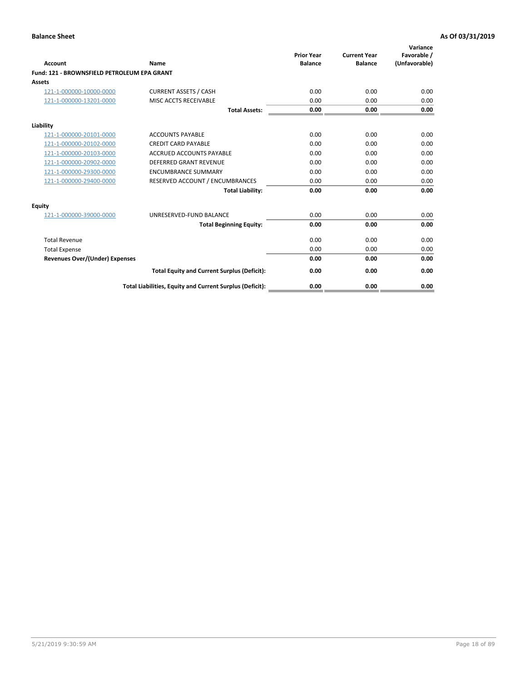| Account                                     | Name                                                     | <b>Prior Year</b><br><b>Balance</b> | <b>Current Year</b><br><b>Balance</b> | Variance<br>Favorable /<br>(Unfavorable) |
|---------------------------------------------|----------------------------------------------------------|-------------------------------------|---------------------------------------|------------------------------------------|
| Fund: 121 - BROWNSFIELD PETROLEUM EPA GRANT |                                                          |                                     |                                       |                                          |
| <b>Assets</b>                               |                                                          |                                     |                                       |                                          |
| 121-1-000000-10000-0000                     | <b>CURRENT ASSETS / CASH</b>                             | 0.00                                | 0.00                                  | 0.00                                     |
| 121-1-000000-13201-0000                     | <b>MISC ACCTS RECEIVABLE</b>                             | 0.00                                | 0.00                                  | 0.00                                     |
|                                             | <b>Total Assets:</b>                                     | 0.00                                | 0.00                                  | 0.00                                     |
| Liability                                   |                                                          |                                     |                                       |                                          |
| 121-1-000000-20101-0000                     | <b>ACCOUNTS PAYABLE</b>                                  | 0.00                                | 0.00                                  | 0.00                                     |
| 121-1-000000-20102-0000                     | <b>CREDIT CARD PAYABLE</b>                               | 0.00                                | 0.00                                  | 0.00                                     |
| 121-1-000000-20103-0000                     | <b>ACCRUED ACCOUNTS PAYABLE</b>                          | 0.00                                | 0.00                                  | 0.00                                     |
| 121-1-000000-20902-0000                     | <b>DEFERRED GRANT REVENUE</b>                            | 0.00                                | 0.00                                  | 0.00                                     |
| 121-1-000000-29300-0000                     | <b>ENCUMBRANCE SUMMARY</b>                               | 0.00                                | 0.00                                  | 0.00                                     |
| 121-1-000000-29400-0000                     | RESERVED ACCOUNT / ENCUMBRANCES                          | 0.00                                | 0.00                                  | 0.00                                     |
|                                             | <b>Total Liability:</b>                                  | 0.00                                | 0.00                                  | 0.00                                     |
| <b>Equity</b>                               |                                                          |                                     |                                       |                                          |
| 121-1-000000-39000-0000                     | UNRESERVED-FUND BALANCE                                  | 0.00                                | 0.00                                  | 0.00                                     |
|                                             | <b>Total Beginning Equity:</b>                           | 0.00                                | 0.00                                  | 0.00                                     |
| <b>Total Revenue</b>                        |                                                          | 0.00                                | 0.00                                  | 0.00                                     |
| <b>Total Expense</b>                        |                                                          | 0.00                                | 0.00                                  | 0.00                                     |
| <b>Revenues Over/(Under) Expenses</b>       |                                                          | 0.00                                | 0.00                                  | 0.00                                     |
|                                             | <b>Total Equity and Current Surplus (Deficit):</b>       | 0.00                                | 0.00                                  | 0.00                                     |
|                                             | Total Liabilities, Equity and Current Surplus (Deficit): | 0.00                                | 0.00                                  | 0.00                                     |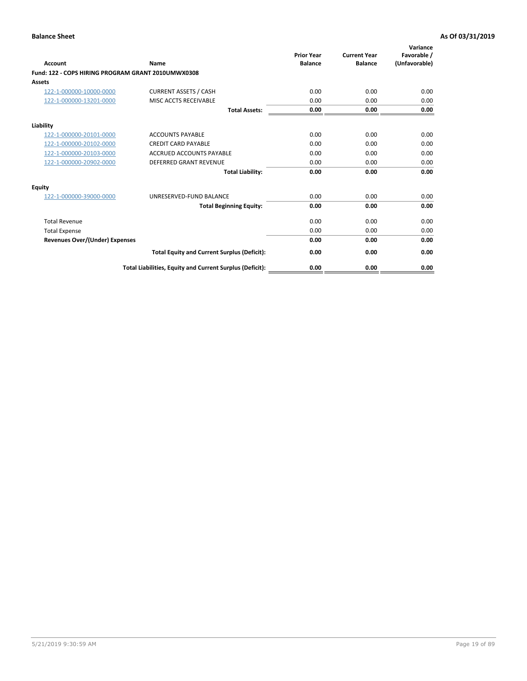| <b>Account</b>                                     | Name                                                     | <b>Prior Year</b><br><b>Balance</b> | <b>Current Year</b><br><b>Balance</b> | Variance<br>Favorable /<br>(Unfavorable) |
|----------------------------------------------------|----------------------------------------------------------|-------------------------------------|---------------------------------------|------------------------------------------|
| Fund: 122 - COPS HIRING PROGRAM GRANT 2010UMWX0308 |                                                          |                                     |                                       |                                          |
| Assets                                             |                                                          |                                     |                                       |                                          |
| 122-1-000000-10000-0000                            | <b>CURRENT ASSETS / CASH</b>                             | 0.00                                | 0.00                                  | 0.00                                     |
| 122-1-000000-13201-0000                            | MISC ACCTS RECEIVABLE                                    | 0.00                                | 0.00                                  | 0.00                                     |
|                                                    | <b>Total Assets:</b>                                     | 0.00                                | 0.00                                  | 0.00                                     |
| Liability                                          |                                                          |                                     |                                       |                                          |
| 122-1-000000-20101-0000                            | <b>ACCOUNTS PAYABLE</b>                                  | 0.00                                | 0.00                                  | 0.00                                     |
| 122-1-000000-20102-0000                            | <b>CREDIT CARD PAYABLE</b>                               | 0.00                                | 0.00                                  | 0.00                                     |
| 122-1-000000-20103-0000                            | <b>ACCRUED ACCOUNTS PAYABLE</b>                          | 0.00                                | 0.00                                  | 0.00                                     |
| 122-1-000000-20902-0000                            | <b>DEFERRED GRANT REVENUE</b>                            | 0.00                                | 0.00                                  | 0.00                                     |
|                                                    | <b>Total Liability:</b>                                  | 0.00                                | 0.00                                  | 0.00                                     |
| Equity                                             |                                                          |                                     |                                       |                                          |
| 122-1-000000-39000-0000                            | UNRESERVED-FUND BALANCE                                  | 0.00                                | 0.00                                  | 0.00                                     |
|                                                    | <b>Total Beginning Equity:</b>                           | 0.00                                | 0.00                                  | 0.00                                     |
| <b>Total Revenue</b>                               |                                                          | 0.00                                | 0.00                                  | 0.00                                     |
| <b>Total Expense</b>                               |                                                          | 0.00                                | 0.00                                  | 0.00                                     |
| <b>Revenues Over/(Under) Expenses</b>              |                                                          | 0.00                                | 0.00                                  | 0.00                                     |
|                                                    | <b>Total Equity and Current Surplus (Deficit):</b>       | 0.00                                | 0.00                                  | 0.00                                     |
|                                                    | Total Liabilities, Equity and Current Surplus (Deficit): | 0.00                                | 0.00                                  | 0.00                                     |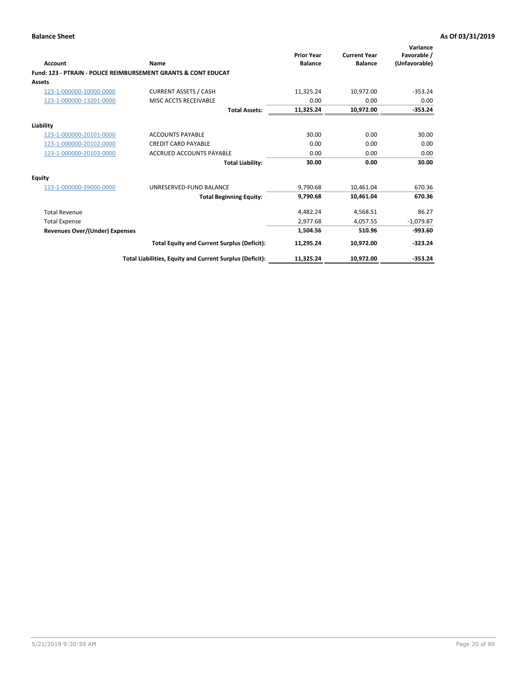| Account                               | Name                                                           | <b>Prior Year</b><br><b>Balance</b> | <b>Current Year</b><br><b>Balance</b> | Variance<br>Favorable /<br>(Unfavorable) |
|---------------------------------------|----------------------------------------------------------------|-------------------------------------|---------------------------------------|------------------------------------------|
|                                       | Fund: 123 - PTRAIN - POLICE REIMBURSEMENT GRANTS & CONT EDUCAT |                                     |                                       |                                          |
| Assets                                |                                                                |                                     |                                       |                                          |
| 123-1-000000-10000-0000               | <b>CURRENT ASSETS / CASH</b>                                   | 11,325.24                           | 10,972.00                             | $-353.24$                                |
| 123-1-000000-13201-0000               | MISC ACCTS RECEIVABLE                                          | 0.00                                | 0.00                                  | 0.00                                     |
|                                       | <b>Total Assets:</b>                                           | 11,325.24                           | 10,972.00                             | $-353.24$                                |
| Liability                             |                                                                |                                     |                                       |                                          |
| 123-1-000000-20101-0000               | <b>ACCOUNTS PAYABLE</b>                                        | 30.00                               | 0.00                                  | 30.00                                    |
| 123-1-000000-20102-0000               | <b>CREDIT CARD PAYABLE</b>                                     | 0.00                                | 0.00                                  | 0.00                                     |
| 123-1-000000-20103-0000               | <b>ACCRUED ACCOUNTS PAYABLE</b>                                | 0.00                                | 0.00                                  | 0.00                                     |
|                                       | <b>Total Liability:</b>                                        | 30.00                               | 0.00                                  | 30.00                                    |
| Equity                                |                                                                |                                     |                                       |                                          |
| 123-1-000000-39000-0000               | UNRESERVED-FUND BALANCE                                        | 9.790.68                            | 10.461.04                             | 670.36                                   |
|                                       | <b>Total Beginning Equity:</b>                                 | 9,790.68                            | 10,461.04                             | 670.36                                   |
| <b>Total Revenue</b>                  |                                                                | 4,482.24                            | 4,568.51                              | 86.27                                    |
| <b>Total Expense</b>                  |                                                                | 2.977.68                            | 4.057.55                              | $-1,079.87$                              |
| <b>Revenues Over/(Under) Expenses</b> |                                                                | 1,504.56                            | 510.96                                | $-993.60$                                |
|                                       | <b>Total Equity and Current Surplus (Deficit):</b>             | 11,295.24                           | 10,972.00                             | $-323.24$                                |
|                                       | Total Liabilities, Equity and Current Surplus (Deficit):       | 11,325.24                           | 10,972.00                             | $-353.24$                                |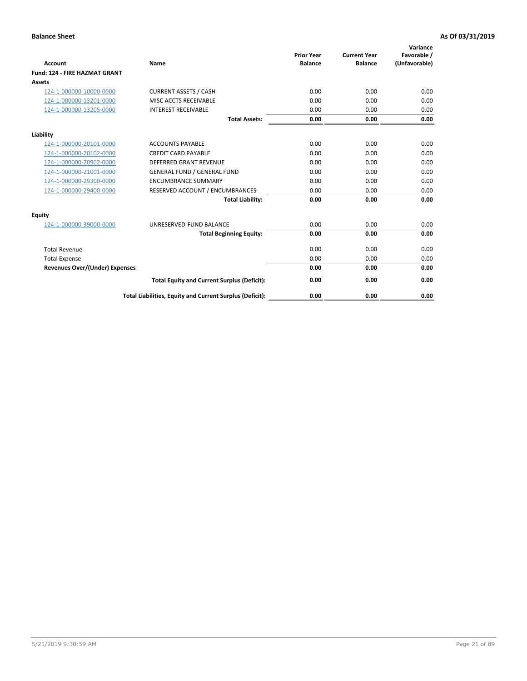| <b>Account</b>                        | Name                                                     | <b>Prior Year</b><br><b>Balance</b> | <b>Current Year</b><br><b>Balance</b> | Variance<br>Favorable /<br>(Unfavorable) |
|---------------------------------------|----------------------------------------------------------|-------------------------------------|---------------------------------------|------------------------------------------|
| Fund: 124 - FIRE HAZMAT GRANT         |                                                          |                                     |                                       |                                          |
| Assets                                |                                                          |                                     |                                       |                                          |
| 124-1-000000-10000-0000               | <b>CURRENT ASSETS / CASH</b>                             | 0.00                                | 0.00                                  | 0.00                                     |
| 124-1-000000-13201-0000               | MISC ACCTS RECEIVABLE                                    | 0.00                                | 0.00                                  | 0.00                                     |
| 124-1-000000-13205-0000               | <b>INTEREST RECEIVABLE</b>                               | 0.00                                | 0.00                                  | 0.00                                     |
|                                       | <b>Total Assets:</b>                                     | 0.00                                | 0.00                                  | 0.00                                     |
| Liability                             |                                                          |                                     |                                       |                                          |
| 124-1-000000-20101-0000               | <b>ACCOUNTS PAYABLE</b>                                  | 0.00                                | 0.00                                  | 0.00                                     |
| 124-1-000000-20102-0000               | <b>CREDIT CARD PAYABLE</b>                               | 0.00                                | 0.00                                  | 0.00                                     |
| 124-1-000000-20902-0000               | <b>DEFERRED GRANT REVENUE</b>                            | 0.00                                | 0.00                                  | 0.00                                     |
| 124-1-000000-21001-0000               | <b>GENERAL FUND / GENERAL FUND</b>                       | 0.00                                | 0.00                                  | 0.00                                     |
| 124-1-000000-29300-0000               | <b>ENCUMBRANCE SUMMARY</b>                               | 0.00                                | 0.00                                  | 0.00                                     |
| 124-1-000000-29400-0000               | RESERVED ACCOUNT / ENCUMBRANCES                          | 0.00                                | 0.00                                  | 0.00                                     |
|                                       | <b>Total Liability:</b>                                  | 0.00                                | 0.00                                  | 0.00                                     |
| Equity                                |                                                          |                                     |                                       |                                          |
| 124-1-000000-39000-0000               | UNRESERVED-FUND BALANCE                                  | 0.00                                | 0.00                                  | 0.00                                     |
|                                       | <b>Total Beginning Equity:</b>                           | 0.00                                | 0.00                                  | 0.00                                     |
| <b>Total Revenue</b>                  |                                                          | 0.00                                | 0.00                                  | 0.00                                     |
| <b>Total Expense</b>                  |                                                          | 0.00                                | 0.00                                  | 0.00                                     |
| <b>Revenues Over/(Under) Expenses</b> |                                                          | 0.00                                | 0.00                                  | 0.00                                     |
|                                       | <b>Total Equity and Current Surplus (Deficit):</b>       | 0.00                                | 0.00                                  | 0.00                                     |
|                                       | Total Liabilities, Equity and Current Surplus (Deficit): | 0.00                                | 0.00                                  | 0.00                                     |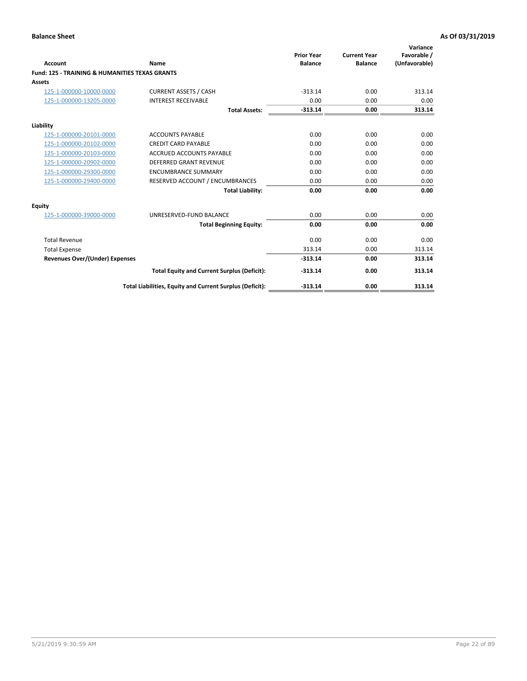| Account                                                   | Name                                                     | <b>Prior Year</b><br><b>Balance</b> | <b>Current Year</b><br><b>Balance</b> | Variance<br>Favorable /<br>(Unfavorable) |
|-----------------------------------------------------------|----------------------------------------------------------|-------------------------------------|---------------------------------------|------------------------------------------|
| <b>Fund: 125 - TRAINING &amp; HUMANITIES TEXAS GRANTS</b> |                                                          |                                     |                                       |                                          |
| <b>Assets</b>                                             |                                                          |                                     |                                       |                                          |
| 125-1-000000-10000-0000                                   | <b>CURRENT ASSETS / CASH</b>                             | $-313.14$                           | 0.00                                  | 313.14                                   |
| 125-1-000000-13205-0000                                   | <b>INTEREST RECEIVABLE</b>                               | 0.00                                | 0.00                                  | 0.00                                     |
|                                                           | <b>Total Assets:</b>                                     | $-313.14$                           | 0.00                                  | 313.14                                   |
| Liability                                                 |                                                          |                                     |                                       |                                          |
| 125-1-000000-20101-0000                                   | <b>ACCOUNTS PAYABLE</b>                                  | 0.00                                | 0.00                                  | 0.00                                     |
| 125-1-000000-20102-0000                                   | <b>CREDIT CARD PAYABLE</b>                               | 0.00                                | 0.00                                  | 0.00                                     |
| 125-1-000000-20103-0000                                   | <b>ACCRUED ACCOUNTS PAYABLE</b>                          | 0.00                                | 0.00                                  | 0.00                                     |
| 125-1-000000-20902-0000                                   | DEFERRED GRANT REVENUE                                   | 0.00                                | 0.00                                  | 0.00                                     |
| 125-1-000000-29300-0000                                   | <b>ENCUMBRANCE SUMMARY</b>                               | 0.00                                | 0.00                                  | 0.00                                     |
| 125-1-000000-29400-0000                                   | RESERVED ACCOUNT / ENCUMBRANCES                          | 0.00                                | 0.00                                  | 0.00                                     |
|                                                           | <b>Total Liability:</b>                                  | 0.00                                | 0.00                                  | 0.00                                     |
| <b>Equity</b>                                             |                                                          |                                     |                                       |                                          |
| 125-1-000000-39000-0000                                   | UNRESERVED-FUND BALANCE                                  | 0.00                                | 0.00                                  | 0.00                                     |
|                                                           | <b>Total Beginning Equity:</b>                           | 0.00                                | 0.00                                  | 0.00                                     |
| <b>Total Revenue</b>                                      |                                                          | 0.00                                | 0.00                                  | 0.00                                     |
| <b>Total Expense</b>                                      |                                                          | 313.14                              | 0.00                                  | 313.14                                   |
| <b>Revenues Over/(Under) Expenses</b>                     |                                                          | $-313.14$                           | 0.00                                  | 313.14                                   |
|                                                           | <b>Total Equity and Current Surplus (Deficit):</b>       | $-313.14$                           | 0.00                                  | 313.14                                   |
|                                                           | Total Liabilities, Equity and Current Surplus (Deficit): | $-313.14$                           | 0.00                                  | 313.14                                   |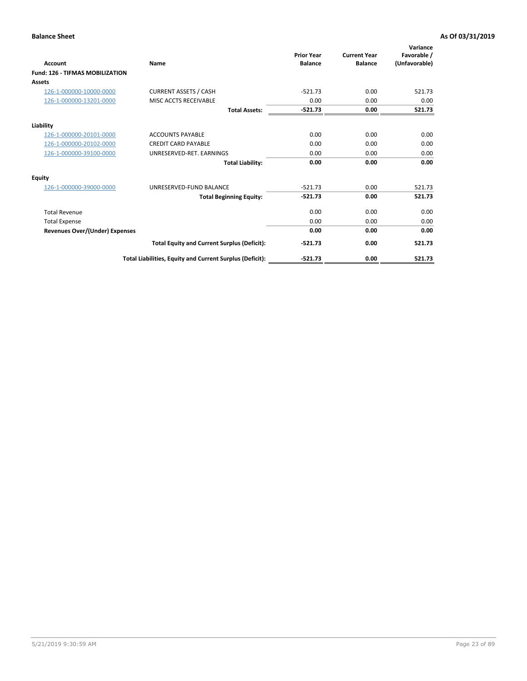| <b>Account</b>                         | <b>Name</b>                                              | <b>Prior Year</b><br><b>Balance</b> | <b>Current Year</b><br><b>Balance</b> | Variance<br>Favorable /<br>(Unfavorable) |
|----------------------------------------|----------------------------------------------------------|-------------------------------------|---------------------------------------|------------------------------------------|
| <b>Fund: 126 - TIFMAS MOBILIZATION</b> |                                                          |                                     |                                       |                                          |
| Assets                                 |                                                          |                                     |                                       |                                          |
| 126-1-000000-10000-0000                | <b>CURRENT ASSETS / CASH</b>                             | $-521.73$                           | 0.00                                  | 521.73                                   |
| 126-1-000000-13201-0000                | MISC ACCTS RECEIVABLE                                    | 0.00                                | 0.00                                  | 0.00                                     |
|                                        | <b>Total Assets:</b>                                     | $-521.73$                           | 0.00                                  | 521.73                                   |
| Liability                              |                                                          |                                     |                                       |                                          |
| 126-1-000000-20101-0000                | <b>ACCOUNTS PAYABLE</b>                                  | 0.00                                | 0.00                                  | 0.00                                     |
| 126-1-000000-20102-0000                | <b>CREDIT CARD PAYABLE</b>                               | 0.00                                | 0.00                                  | 0.00                                     |
| 126-1-000000-39100-0000                | UNRESERVED-RET. EARNINGS                                 | 0.00                                | 0.00                                  | 0.00                                     |
|                                        | <b>Total Liability:</b>                                  | 0.00                                | 0.00                                  | 0.00                                     |
| Equity                                 |                                                          |                                     |                                       |                                          |
| 126-1-000000-39000-0000                | UNRESERVED-FUND BALANCE                                  | $-521.73$                           | 0.00                                  | 521.73                                   |
|                                        | <b>Total Beginning Equity:</b>                           | $-521.73$                           | 0.00                                  | 521.73                                   |
| <b>Total Revenue</b>                   |                                                          | 0.00                                | 0.00                                  | 0.00                                     |
| <b>Total Expense</b>                   |                                                          | 0.00                                | 0.00                                  | 0.00                                     |
| Revenues Over/(Under) Expenses         |                                                          | 0.00                                | 0.00                                  | 0.00                                     |
|                                        | <b>Total Equity and Current Surplus (Deficit):</b>       | $-521.73$                           | 0.00                                  | 521.73                                   |
|                                        | Total Liabilities, Equity and Current Surplus (Deficit): | $-521.73$                           | 0.00                                  | 521.73                                   |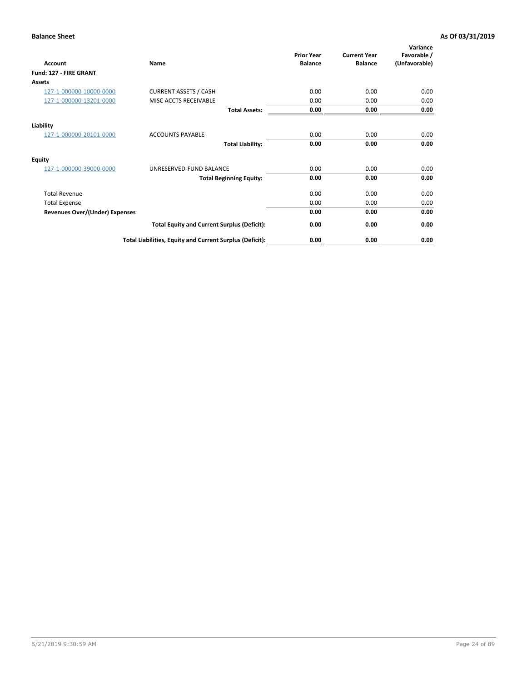| <b>Account</b>                        | Name                                                     | <b>Prior Year</b><br><b>Balance</b> | <b>Current Year</b><br><b>Balance</b> | Variance<br>Favorable /<br>(Unfavorable) |
|---------------------------------------|----------------------------------------------------------|-------------------------------------|---------------------------------------|------------------------------------------|
| Fund: 127 - FIRE GRANT                |                                                          |                                     |                                       |                                          |
| Assets                                |                                                          |                                     |                                       |                                          |
| 127-1-000000-10000-0000               | <b>CURRENT ASSETS / CASH</b>                             | 0.00                                | 0.00                                  | 0.00                                     |
| 127-1-000000-13201-0000               | MISC ACCTS RECEIVABLE                                    | 0.00                                | 0.00                                  | 0.00                                     |
|                                       | <b>Total Assets:</b>                                     | 0.00                                | 0.00                                  | 0.00                                     |
| Liability                             |                                                          |                                     |                                       |                                          |
| 127-1-000000-20101-0000               | <b>ACCOUNTS PAYABLE</b>                                  | 0.00                                | 0.00                                  | 0.00                                     |
|                                       | <b>Total Liability:</b>                                  | 0.00                                | 0.00                                  | 0.00                                     |
| Equity                                |                                                          |                                     |                                       |                                          |
| 127-1-000000-39000-0000               | UNRESERVED-FUND BALANCE                                  | 0.00                                | 0.00                                  | 0.00                                     |
|                                       | <b>Total Beginning Equity:</b>                           | 0.00                                | 0.00                                  | 0.00                                     |
| <b>Total Revenue</b>                  |                                                          | 0.00                                | 0.00                                  | 0.00                                     |
| <b>Total Expense</b>                  |                                                          | 0.00                                | 0.00                                  | 0.00                                     |
| <b>Revenues Over/(Under) Expenses</b> |                                                          | 0.00                                | 0.00                                  | 0.00                                     |
|                                       | <b>Total Equity and Current Surplus (Deficit):</b>       | 0.00                                | 0.00                                  | 0.00                                     |
|                                       | Total Liabilities, Equity and Current Surplus (Deficit): | 0.00                                | 0.00                                  | 0.00                                     |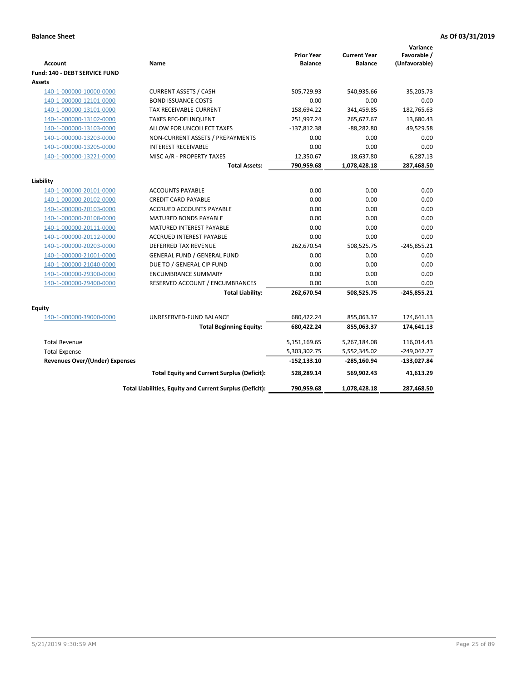| <b>Account</b>                        | Name                                                     | <b>Prior Year</b><br><b>Balance</b> | <b>Current Year</b><br><b>Balance</b> | Variance<br>Favorable /<br>(Unfavorable) |
|---------------------------------------|----------------------------------------------------------|-------------------------------------|---------------------------------------|------------------------------------------|
| Fund: 140 - DEBT SERVICE FUND         |                                                          |                                     |                                       |                                          |
| Assets                                |                                                          |                                     |                                       |                                          |
| 140-1-000000-10000-0000               | <b>CURRENT ASSETS / CASH</b>                             | 505,729.93                          | 540,935.66                            | 35,205.73                                |
| 140-1-000000-12101-0000               | <b>BOND ISSUANCE COSTS</b>                               | 0.00                                | 0.00                                  | 0.00                                     |
| 140-1-000000-13101-0000               | TAX RECEIVABLE-CURRENT                                   | 158,694.22                          | 341,459.85                            | 182,765.63                               |
| 140-1-000000-13102-0000               | <b>TAXES REC-DELINQUENT</b>                              | 251,997.24                          | 265,677.67                            | 13,680.43                                |
| 140-1-000000-13103-0000               | ALLOW FOR UNCOLLECT TAXES                                | $-137,812.38$                       | $-88,282.80$                          | 49,529.58                                |
| 140-1-000000-13203-0000               | NON-CURRENT ASSETS / PREPAYMENTS                         | 0.00                                | 0.00                                  | 0.00                                     |
| 140-1-000000-13205-0000               | <b>INTEREST RECEIVABLE</b>                               | 0.00                                | 0.00                                  | 0.00                                     |
| 140-1-000000-13221-0000               | MISC A/R - PROPERTY TAXES                                | 12,350.67                           | 18,637.80                             | 6,287.13                                 |
|                                       | <b>Total Assets:</b>                                     | 790,959.68                          | 1,078,428.18                          | 287,468.50                               |
| Liability                             |                                                          |                                     |                                       |                                          |
| 140-1-000000-20101-0000               | <b>ACCOUNTS PAYABLE</b>                                  | 0.00                                | 0.00                                  | 0.00                                     |
| 140-1-000000-20102-0000               | <b>CREDIT CARD PAYABLE</b>                               | 0.00                                | 0.00                                  | 0.00                                     |
| 140-1-000000-20103-0000               | ACCRUED ACCOUNTS PAYABLE                                 | 0.00                                | 0.00                                  | 0.00                                     |
| 140-1-000000-20108-0000               | <b>MATURED BONDS PAYABLE</b>                             | 0.00                                | 0.00                                  | 0.00                                     |
| 140-1-000000-20111-0000               | MATURED INTEREST PAYABLE                                 | 0.00                                | 0.00                                  | 0.00                                     |
| 140-1-000000-20112-0000               | <b>ACCRUED INTEREST PAYABLE</b>                          | 0.00                                | 0.00                                  | 0.00                                     |
| 140-1-000000-20203-0000               | <b>DEFERRED TAX REVENUE</b>                              | 262,670.54                          | 508,525.75                            | $-245,855.21$                            |
| 140-1-000000-21001-0000               | <b>GENERAL FUND / GENERAL FUND</b>                       | 0.00                                | 0.00                                  | 0.00                                     |
| 140-1-000000-21040-0000               | DUE TO / GENERAL CIP FUND                                | 0.00                                | 0.00                                  | 0.00                                     |
| 140-1-000000-29300-0000               | <b>ENCUMBRANCE SUMMARY</b>                               | 0.00                                | 0.00                                  | 0.00                                     |
| 140-1-000000-29400-0000               | RESERVED ACCOUNT / ENCUMBRANCES                          | 0.00                                | 0.00                                  | 0.00                                     |
|                                       | <b>Total Liability:</b>                                  | 262,670.54                          | 508,525.75                            | $-245,855.21$                            |
| Equity                                |                                                          |                                     |                                       |                                          |
| 140-1-000000-39000-0000               | UNRESERVED-FUND BALANCE                                  | 680,422.24                          | 855,063.37                            | 174,641.13                               |
|                                       | <b>Total Beginning Equity:</b>                           | 680,422.24                          | 855,063.37                            | 174,641.13                               |
| <b>Total Revenue</b>                  |                                                          | 5,151,169.65                        | 5,267,184.08                          | 116,014.43                               |
| <b>Total Expense</b>                  |                                                          | 5,303,302.75                        | 5,552,345.02                          | $-249,042.27$                            |
| <b>Revenues Over/(Under) Expenses</b> |                                                          | -152,133.10                         | -285,160.94                           | $-133,027.84$                            |
|                                       | <b>Total Equity and Current Surplus (Deficit):</b>       | 528.289.14                          | 569.902.43                            | 41.613.29                                |
|                                       | Total Liabilities, Equity and Current Surplus (Deficit): | 790,959.68                          | 1,078,428.18                          | 287.468.50                               |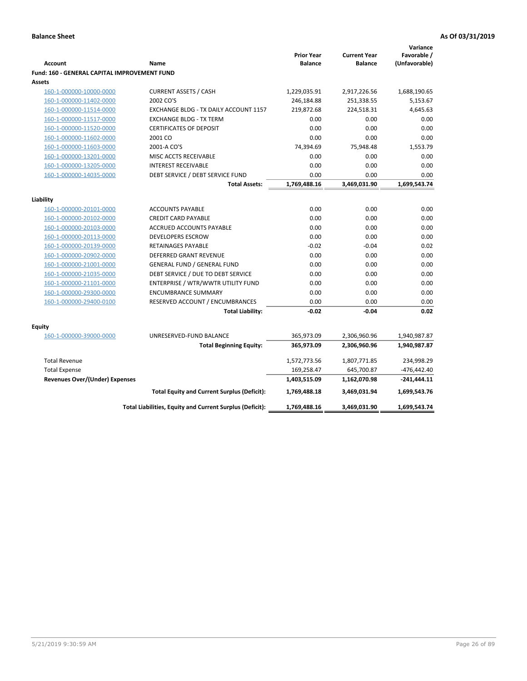|                                                     |                                                          |                                     | <b>Current Year</b> | Variance<br>Favorable / |
|-----------------------------------------------------|----------------------------------------------------------|-------------------------------------|---------------------|-------------------------|
| <b>Account</b>                                      | Name                                                     | <b>Prior Year</b><br><b>Balance</b> | <b>Balance</b>      | (Unfavorable)           |
| <b>Fund: 160 - GENERAL CAPITAL IMPROVEMENT FUND</b> |                                                          |                                     |                     |                         |
| Assets                                              |                                                          |                                     |                     |                         |
| 160-1-000000-10000-0000                             | <b>CURRENT ASSETS / CASH</b>                             | 1,229,035.91                        | 2,917,226.56        | 1,688,190.65            |
| 160-1-000000-11402-0000                             | 2002 CO'S                                                | 246,184.88                          | 251,338.55          | 5,153.67                |
| 160-1-000000-11514-0000                             | EXCHANGE BLDG - TX DAILY ACCOUNT 1157                    | 219,872.68                          | 224,518.31          | 4,645.63                |
| 160-1-000000-11517-0000                             | <b>EXCHANGE BLDG - TX TERM</b>                           | 0.00                                | 0.00                | 0.00                    |
| 160-1-000000-11520-0000                             | <b>CERTIFICATES OF DEPOSIT</b>                           | 0.00                                | 0.00                | 0.00                    |
| 160-1-000000-11602-0000                             | 2001 CO                                                  | 0.00                                | 0.00                | 0.00                    |
| 160-1-000000-11603-0000                             | 2001-A CO'S                                              | 74,394.69                           | 75,948.48           | 1,553.79                |
| 160-1-000000-13201-0000                             | MISC ACCTS RECEIVABLE                                    | 0.00                                | 0.00                | 0.00                    |
| 160-1-000000-13205-0000                             | <b>INTEREST RECEIVABLE</b>                               | 0.00                                | 0.00                | 0.00                    |
| 160-1-000000-14035-0000                             | DEBT SERVICE / DEBT SERVICE FUND                         | 0.00                                | 0.00                | 0.00                    |
|                                                     | <b>Total Assets:</b>                                     | 1,769,488.16                        | 3,469,031.90        | 1,699,543.74            |
|                                                     |                                                          |                                     |                     |                         |
| Liability                                           |                                                          |                                     |                     |                         |
| 160-1-000000-20101-0000                             | <b>ACCOUNTS PAYABLE</b>                                  | 0.00                                | 0.00                | 0.00                    |
| 160-1-000000-20102-0000                             | <b>CREDIT CARD PAYABLE</b>                               | 0.00                                | 0.00                | 0.00                    |
| 160-1-000000-20103-0000                             | ACCRUED ACCOUNTS PAYABLE                                 | 0.00                                | 0.00                | 0.00                    |
| 160-1-000000-20113-0000                             | <b>DEVELOPERS ESCROW</b>                                 | 0.00                                | 0.00                | 0.00                    |
| 160-1-000000-20139-0000                             | <b>RETAINAGES PAYABLE</b>                                | $-0.02$                             | $-0.04$             | 0.02                    |
| 160-1-000000-20902-0000                             | <b>DEFERRED GRANT REVENUE</b>                            | 0.00                                | 0.00                | 0.00                    |
| 160-1-000000-21001-0000                             | <b>GENERAL FUND / GENERAL FUND</b>                       | 0.00                                | 0.00                | 0.00                    |
| 160-1-000000-21035-0000                             | DEBT SERVICE / DUE TO DEBT SERVICE                       | 0.00                                | 0.00                | 0.00                    |
| 160-1-000000-21101-0000                             | ENTERPRISE / WTR/WWTR UTILITY FUND                       | 0.00                                | 0.00                | 0.00                    |
| 160-1-000000-29300-0000                             | <b>ENCUMBRANCE SUMMARY</b>                               | 0.00                                | 0.00                | 0.00                    |
| 160-1-000000-29400-0100                             | RESERVED ACCOUNT / ENCUMBRANCES                          | 0.00                                | 0.00                | 0.00                    |
|                                                     | <b>Total Liability:</b>                                  | $-0.02$                             | $-0.04$             | 0.02                    |
| <b>Equity</b>                                       |                                                          |                                     |                     |                         |
| 160-1-000000-39000-0000                             | UNRESERVED-FUND BALANCE                                  | 365,973.09                          | 2,306,960.96        | 1,940,987.87            |
|                                                     | <b>Total Beginning Equity:</b>                           | 365,973.09                          | 2,306,960.96        | 1,940,987.87            |
|                                                     |                                                          |                                     |                     |                         |
| <b>Total Revenue</b>                                |                                                          | 1,572,773.56                        | 1,807,771.85        | 234,998.29              |
| <b>Total Expense</b>                                |                                                          | 169,258.47                          | 645,700.87          | $-476, 442.40$          |
| <b>Revenues Over/(Under) Expenses</b>               |                                                          | 1,403,515.09                        | 1,162,070.98        | $-241,444.11$           |
|                                                     | <b>Total Equity and Current Surplus (Deficit):</b>       | 1,769,488.18                        | 3,469,031.94        | 1,699,543.76            |
|                                                     | Total Liabilities, Equity and Current Surplus (Deficit): | 1,769,488.16                        | 3,469,031.90        | 1,699,543.74            |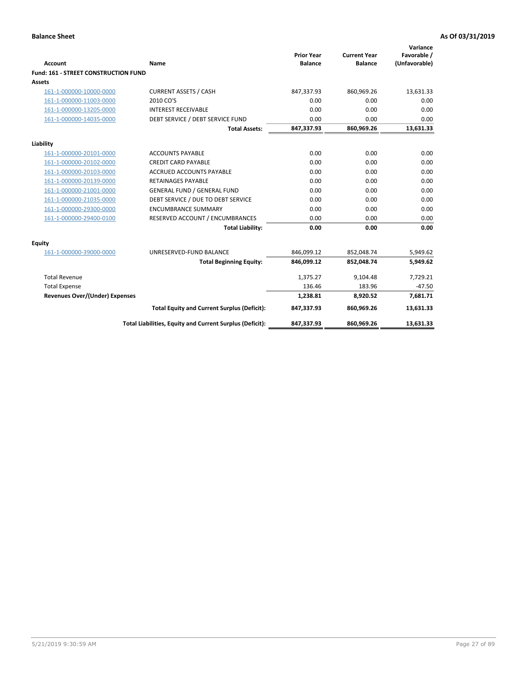| <b>Account</b>                        | <b>Name</b>                                              | <b>Prior Year</b><br><b>Balance</b> | <b>Current Year</b><br><b>Balance</b> | Variance<br>Favorable /<br>(Unfavorable) |
|---------------------------------------|----------------------------------------------------------|-------------------------------------|---------------------------------------|------------------------------------------|
| Fund: 161 - STREET CONSTRUCTION FUND  |                                                          |                                     |                                       |                                          |
| <b>Assets</b>                         |                                                          |                                     |                                       |                                          |
| 161-1-000000-10000-0000               | <b>CURRENT ASSETS / CASH</b>                             | 847,337.93                          | 860,969.26                            | 13,631.33                                |
| 161-1-000000-11003-0000               | 2010 CO'S                                                | 0.00                                | 0.00                                  | 0.00                                     |
| 161-1-000000-13205-0000               | <b>INTEREST RECEIVABLE</b>                               | 0.00                                | 0.00                                  | 0.00                                     |
| 161-1-000000-14035-0000               | DEBT SERVICE / DEBT SERVICE FUND                         | 0.00                                | 0.00                                  | 0.00                                     |
|                                       | <b>Total Assets:</b>                                     | 847,337.93                          | 860,969.26                            | 13,631.33                                |
| Liability                             |                                                          |                                     |                                       |                                          |
| 161-1-000000-20101-0000               | <b>ACCOUNTS PAYABLE</b>                                  | 0.00                                | 0.00                                  | 0.00                                     |
| 161-1-000000-20102-0000               | <b>CREDIT CARD PAYABLE</b>                               | 0.00                                | 0.00                                  | 0.00                                     |
| 161-1-000000-20103-0000               | <b>ACCRUED ACCOUNTS PAYABLE</b>                          | 0.00                                | 0.00                                  | 0.00                                     |
| 161-1-000000-20139-0000               | <b>RETAINAGES PAYABLE</b>                                | 0.00                                | 0.00                                  | 0.00                                     |
| 161-1-000000-21001-0000               | <b>GENERAL FUND / GENERAL FUND</b>                       | 0.00                                | 0.00                                  | 0.00                                     |
| 161-1-000000-21035-0000               | DEBT SERVICE / DUE TO DEBT SERVICE                       | 0.00                                | 0.00                                  | 0.00                                     |
| 161-1-000000-29300-0000               | <b>ENCUMBRANCE SUMMARY</b>                               | 0.00                                | 0.00                                  | 0.00                                     |
| 161-1-000000-29400-0100               | RESERVED ACCOUNT / ENCUMBRANCES                          | 0.00                                | 0.00                                  | 0.00                                     |
|                                       | <b>Total Liability:</b>                                  | 0.00                                | 0.00                                  | 0.00                                     |
| <b>Equity</b>                         |                                                          |                                     |                                       |                                          |
| 161-1-000000-39000-0000               | UNRESERVED-FUND BALANCE                                  | 846,099.12                          | 852,048.74                            | 5,949.62                                 |
|                                       | <b>Total Beginning Equity:</b>                           | 846,099.12                          | 852,048.74                            | 5,949.62                                 |
| <b>Total Revenue</b>                  |                                                          | 1,375.27                            | 9,104.48                              | 7,729.21                                 |
| <b>Total Expense</b>                  |                                                          | 136.46                              | 183.96                                | $-47.50$                                 |
| <b>Revenues Over/(Under) Expenses</b> |                                                          | 1,238.81                            | 8,920.52                              | 7,681.71                                 |
|                                       | <b>Total Equity and Current Surplus (Deficit):</b>       | 847,337.93                          | 860,969.26                            | 13,631.33                                |
|                                       | Total Liabilities, Equity and Current Surplus (Deficit): | 847,337.93                          | 860,969.26                            | 13,631.33                                |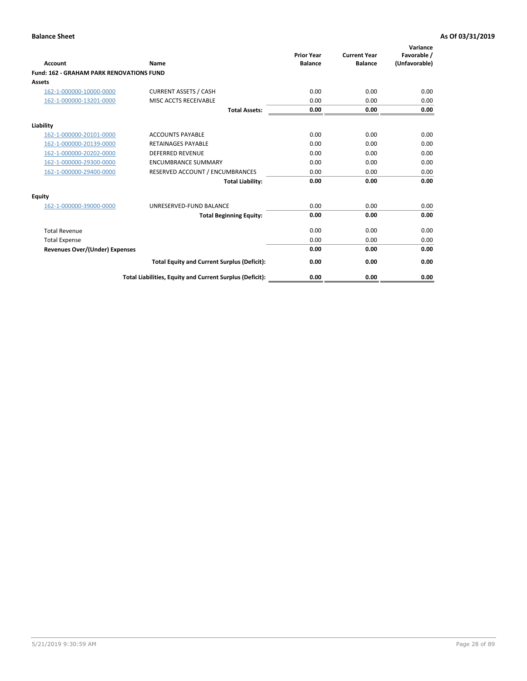| Account                                         | Name                                                     | <b>Prior Year</b><br><b>Balance</b> | <b>Current Year</b><br><b>Balance</b> | Variance<br>Favorable /<br>(Unfavorable) |
|-------------------------------------------------|----------------------------------------------------------|-------------------------------------|---------------------------------------|------------------------------------------|
| <b>Fund: 162 - GRAHAM PARK RENOVATIONS FUND</b> |                                                          |                                     |                                       |                                          |
| <b>Assets</b>                                   |                                                          |                                     |                                       |                                          |
| 162-1-000000-10000-0000                         | <b>CURRENT ASSETS / CASH</b>                             | 0.00                                | 0.00                                  | 0.00                                     |
| 162-1-000000-13201-0000                         | MISC ACCTS RECEIVABLE                                    | 0.00                                | 0.00                                  | 0.00                                     |
|                                                 | <b>Total Assets:</b>                                     | 0.00                                | 0.00                                  | 0.00                                     |
| Liability                                       |                                                          |                                     |                                       |                                          |
| 162-1-000000-20101-0000                         | <b>ACCOUNTS PAYABLE</b>                                  | 0.00                                | 0.00                                  | 0.00                                     |
| 162-1-000000-20139-0000                         | <b>RETAINAGES PAYABLE</b>                                | 0.00                                | 0.00                                  | 0.00                                     |
| 162-1-000000-20202-0000                         | <b>DEFERRED REVENUE</b>                                  | 0.00                                | 0.00                                  | 0.00                                     |
| 162-1-000000-29300-0000                         | <b>ENCUMBRANCE SUMMARY</b>                               | 0.00                                | 0.00                                  | 0.00                                     |
| 162-1-000000-29400-0000                         | RESERVED ACCOUNT / ENCUMBRANCES                          | 0.00                                | 0.00                                  | 0.00                                     |
|                                                 | <b>Total Liability:</b>                                  | 0.00                                | 0.00                                  | 0.00                                     |
| Equity                                          |                                                          |                                     |                                       |                                          |
| 162-1-000000-39000-0000                         | UNRESERVED-FUND BALANCE                                  | 0.00                                | 0.00                                  | 0.00                                     |
|                                                 | <b>Total Beginning Equity:</b>                           | 0.00                                | 0.00                                  | 0.00                                     |
| <b>Total Revenue</b>                            |                                                          | 0.00                                | 0.00                                  | 0.00                                     |
| <b>Total Expense</b>                            |                                                          | 0.00                                | 0.00                                  | 0.00                                     |
| <b>Revenues Over/(Under) Expenses</b>           |                                                          | 0.00                                | 0.00                                  | 0.00                                     |
|                                                 | <b>Total Equity and Current Surplus (Deficit):</b>       | 0.00                                | 0.00                                  | 0.00                                     |
|                                                 | Total Liabilities, Equity and Current Surplus (Deficit): | 0.00                                | 0.00                                  | 0.00                                     |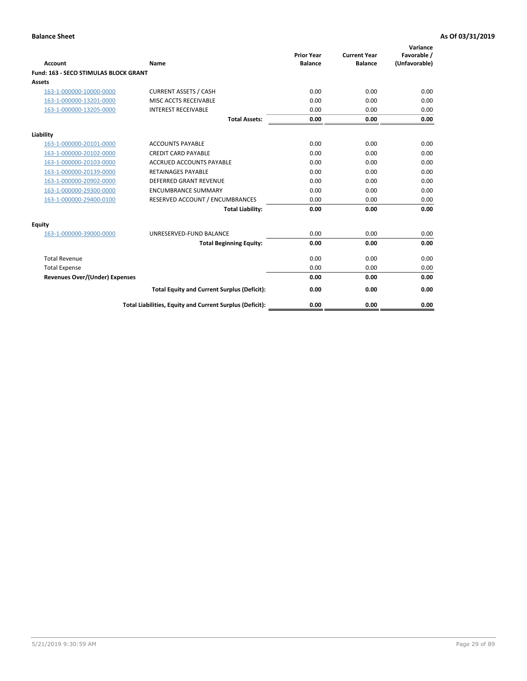|                                              |                                                          | <b>Prior Year</b> | <b>Current Year</b> | Variance<br>Favorable / |
|----------------------------------------------|----------------------------------------------------------|-------------------|---------------------|-------------------------|
| <b>Account</b>                               | Name                                                     | <b>Balance</b>    | <b>Balance</b>      | (Unfavorable)           |
| <b>Fund: 163 - SECO STIMULAS BLOCK GRANT</b> |                                                          |                   |                     |                         |
| Assets                                       |                                                          |                   |                     |                         |
| 163-1-000000-10000-0000                      | <b>CURRENT ASSETS / CASH</b>                             | 0.00              | 0.00                | 0.00                    |
| 163-1-000000-13201-0000                      | MISC ACCTS RECEIVABLE                                    | 0.00              | 0.00                | 0.00                    |
| 163-1-000000-13205-0000                      | <b>INTEREST RECEIVABLE</b>                               | 0.00              | 0.00                | 0.00                    |
|                                              | <b>Total Assets:</b>                                     | 0.00              | 0.00                | 0.00                    |
| Liability                                    |                                                          |                   |                     |                         |
| 163-1-000000-20101-0000                      | <b>ACCOUNTS PAYABLE</b>                                  | 0.00              | 0.00                | 0.00                    |
| 163-1-000000-20102-0000                      | <b>CREDIT CARD PAYABLE</b>                               | 0.00              | 0.00                | 0.00                    |
| 163-1-000000-20103-0000                      | <b>ACCRUED ACCOUNTS PAYABLE</b>                          | 0.00              | 0.00                | 0.00                    |
| 163-1-000000-20139-0000                      | <b>RETAINAGES PAYABLE</b>                                | 0.00              | 0.00                | 0.00                    |
| 163-1-000000-20902-0000                      | <b>DEFERRED GRANT REVENUE</b>                            | 0.00              | 0.00                | 0.00                    |
| 163-1-000000-29300-0000                      | <b>ENCUMBRANCE SUMMARY</b>                               | 0.00              | 0.00                | 0.00                    |
| 163-1-000000-29400-0100                      | RESERVED ACCOUNT / ENCUMBRANCES                          | 0.00              | 0.00                | 0.00                    |
|                                              | <b>Total Liability:</b>                                  | 0.00              | 0.00                | 0.00                    |
| <b>Equity</b>                                |                                                          |                   |                     |                         |
| 163-1-000000-39000-0000                      | UNRESERVED-FUND BALANCE                                  | 0.00              | 0.00                | 0.00                    |
|                                              | <b>Total Beginning Equity:</b>                           | 0.00              | 0.00                | 0.00                    |
| <b>Total Revenue</b>                         |                                                          | 0.00              | 0.00                | 0.00                    |
| <b>Total Expense</b>                         |                                                          | 0.00              | 0.00                | 0.00                    |
| Revenues Over/(Under) Expenses               |                                                          | 0.00              | 0.00                | 0.00                    |
|                                              | <b>Total Equity and Current Surplus (Deficit):</b>       | 0.00              | 0.00                | 0.00                    |
|                                              | Total Liabilities, Equity and Current Surplus (Deficit): | 0.00              | 0.00                | 0.00                    |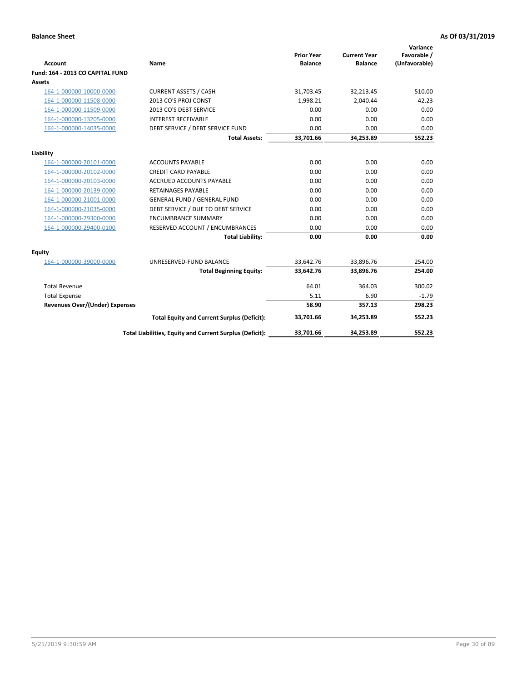| <b>Account</b>                        | Name                                                     | <b>Prior Year</b><br><b>Balance</b> | <b>Current Year</b><br><b>Balance</b> | Variance<br>Favorable /<br>(Unfavorable) |
|---------------------------------------|----------------------------------------------------------|-------------------------------------|---------------------------------------|------------------------------------------|
| Fund: 164 - 2013 CO CAPITAL FUND      |                                                          |                                     |                                       |                                          |
| Assets                                |                                                          |                                     |                                       |                                          |
| 164-1-000000-10000-0000               | <b>CURRENT ASSETS / CASH</b>                             | 31,703.45                           | 32,213.45                             | 510.00                                   |
| 164-1-000000-11508-0000               | 2013 CO'S PROJ CONST                                     | 1.998.21                            | 2.040.44                              | 42.23                                    |
| 164-1-000000-11509-0000               | 2013 CO'S DEBT SERVICE                                   | 0.00                                | 0.00                                  | 0.00                                     |
| 164-1-000000-13205-0000               | <b>INTEREST RECEIVABLE</b>                               | 0.00                                | 0.00                                  | 0.00                                     |
| 164-1-000000-14035-0000               | DEBT SERVICE / DEBT SERVICE FUND                         | 0.00                                | 0.00                                  | 0.00                                     |
|                                       | <b>Total Assets:</b>                                     | 33,701.66                           | 34,253.89                             | 552.23                                   |
| Liability                             |                                                          |                                     |                                       |                                          |
| 164-1-000000-20101-0000               | <b>ACCOUNTS PAYABLE</b>                                  | 0.00                                | 0.00                                  | 0.00                                     |
| 164-1-000000-20102-0000               | <b>CREDIT CARD PAYABLE</b>                               | 0.00                                | 0.00                                  | 0.00                                     |
| 164-1-000000-20103-0000               | <b>ACCRUED ACCOUNTS PAYABLE</b>                          | 0.00                                | 0.00                                  | 0.00                                     |
| 164-1-000000-20139-0000               | <b>RETAINAGES PAYABLE</b>                                | 0.00                                | 0.00                                  | 0.00                                     |
| 164-1-000000-21001-0000               | <b>GENERAL FUND / GENERAL FUND</b>                       | 0.00                                | 0.00                                  | 0.00                                     |
| 164-1-000000-21035-0000               | DEBT SERVICE / DUE TO DEBT SERVICE                       | 0.00                                | 0.00                                  | 0.00                                     |
| 164-1-000000-29300-0000               | <b>ENCUMBRANCE SUMMARY</b>                               | 0.00                                | 0.00                                  | 0.00                                     |
| 164-1-000000-29400-0100               | RESERVED ACCOUNT / ENCUMBRANCES                          | 0.00                                | 0.00                                  | 0.00                                     |
|                                       | <b>Total Liability:</b>                                  | 0.00                                | 0.00                                  | 0.00                                     |
| Equity                                |                                                          |                                     |                                       |                                          |
| 164-1-000000-39000-0000               | UNRESERVED-FUND BALANCE                                  | 33,642.76                           | 33,896.76                             | 254.00                                   |
|                                       | <b>Total Beginning Equity:</b>                           | 33,642.76                           | 33,896.76                             | 254.00                                   |
| <b>Total Revenue</b>                  |                                                          | 64.01                               | 364.03                                | 300.02                                   |
| <b>Total Expense</b>                  |                                                          | 5.11                                | 6.90                                  | $-1.79$                                  |
| <b>Revenues Over/(Under) Expenses</b> |                                                          | 58.90                               | 357.13                                | 298.23                                   |
|                                       | <b>Total Equity and Current Surplus (Deficit):</b>       | 33,701.66                           | 34,253.89                             | 552.23                                   |
|                                       | Total Liabilities, Equity and Current Surplus (Deficit): | 33,701.66                           | 34,253.89                             | 552.23                                   |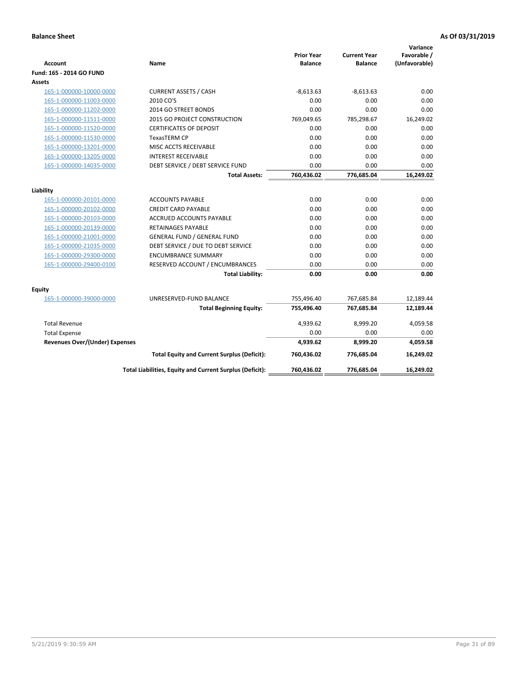| <b>Account</b>                        | Name                                                     | <b>Prior Year</b><br><b>Balance</b> | <b>Current Year</b><br><b>Balance</b> | Variance<br>Favorable /<br>(Unfavorable) |
|---------------------------------------|----------------------------------------------------------|-------------------------------------|---------------------------------------|------------------------------------------|
| Fund: 165 - 2014 GO FUND              |                                                          |                                     |                                       |                                          |
| Assets                                |                                                          |                                     |                                       |                                          |
| 165-1-000000-10000-0000               | <b>CURRENT ASSETS / CASH</b>                             | $-8,613.63$                         | $-8,613.63$                           | 0.00                                     |
| 165-1-000000-11003-0000               | 2010 CO'S                                                | 0.00                                | 0.00                                  | 0.00                                     |
| 165-1-000000-11202-0000               | 2014 GO STREET BONDS                                     | 0.00                                | 0.00                                  | 0.00                                     |
| 165-1-000000-11511-0000               | 2015 GO PROJECT CONSTRUCTION                             | 769,049.65                          | 785,298.67                            | 16,249.02                                |
| 165-1-000000-11520-0000               | <b>CERTIFICATES OF DEPOSIT</b>                           | 0.00                                | 0.00                                  | 0.00                                     |
| 165-1-000000-11530-0000               | <b>TexasTERM CP</b>                                      | 0.00                                | 0.00                                  | 0.00                                     |
| 165-1-000000-13201-0000               | MISC ACCTS RECEIVABLE                                    | 0.00                                | 0.00                                  | 0.00                                     |
| 165-1-000000-13205-0000               | <b>INTEREST RECEIVABLE</b>                               | 0.00                                | 0.00                                  | 0.00                                     |
| 165-1-000000-14035-0000               | DEBT SERVICE / DEBT SERVICE FUND                         | 0.00                                | 0.00                                  | 0.00                                     |
|                                       | <b>Total Assets:</b>                                     | 760,436.02                          | 776,685.04                            | 16,249.02                                |
| Liability                             |                                                          |                                     |                                       |                                          |
| 165-1-000000-20101-0000               | <b>ACCOUNTS PAYABLE</b>                                  | 0.00                                | 0.00                                  | 0.00                                     |
| 165-1-000000-20102-0000               | <b>CREDIT CARD PAYABLE</b>                               | 0.00                                | 0.00                                  | 0.00                                     |
| 165-1-000000-20103-0000               | <b>ACCRUED ACCOUNTS PAYABLE</b>                          | 0.00                                | 0.00                                  | 0.00                                     |
| 165-1-000000-20139-0000               | <b>RETAINAGES PAYABLE</b>                                | 0.00                                | 0.00                                  | 0.00                                     |
| 165-1-000000-21001-0000               | <b>GENERAL FUND / GENERAL FUND</b>                       | 0.00                                | 0.00                                  | 0.00                                     |
| 165-1-000000-21035-0000               | DEBT SERVICE / DUE TO DEBT SERVICE                       | 0.00                                | 0.00                                  | 0.00                                     |
| 165-1-000000-29300-0000               | <b>ENCUMBRANCE SUMMARY</b>                               | 0.00                                | 0.00                                  | 0.00                                     |
| 165-1-000000-29400-0100               | RESERVED ACCOUNT / ENCUMBRANCES                          | 0.00                                | 0.00                                  | 0.00                                     |
|                                       | <b>Total Liability:</b>                                  | 0.00                                | 0.00                                  | 0.00                                     |
| <b>Equity</b>                         |                                                          |                                     |                                       |                                          |
| 165-1-000000-39000-0000               | UNRESERVED-FUND BALANCE                                  | 755,496.40                          | 767,685.84                            | 12,189.44                                |
|                                       | <b>Total Beginning Equity:</b>                           | 755,496.40                          | 767,685.84                            | 12,189.44                                |
| <b>Total Revenue</b>                  |                                                          | 4,939.62                            | 8,999.20                              | 4,059.58                                 |
| <b>Total Expense</b>                  |                                                          | 0.00                                | 0.00                                  | 0.00                                     |
| <b>Revenues Over/(Under) Expenses</b> |                                                          | 4,939.62                            | 8,999.20                              | 4,059.58                                 |
|                                       | <b>Total Equity and Current Surplus (Deficit):</b>       | 760,436.02                          | 776,685.04                            | 16,249.02                                |
|                                       | Total Liabilities, Equity and Current Surplus (Deficit): | 760,436.02                          | 776,685.04                            | 16.249.02                                |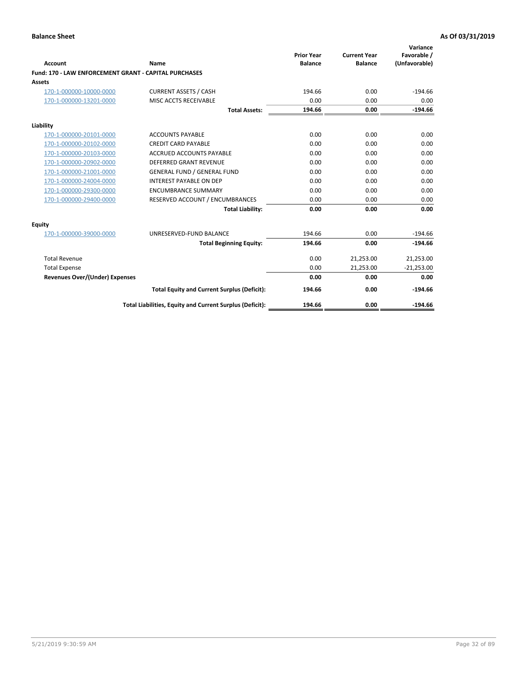|                                                       |                                                          | <b>Prior Year</b> | <b>Current Year</b> | Variance<br>Favorable / |
|-------------------------------------------------------|----------------------------------------------------------|-------------------|---------------------|-------------------------|
| Account                                               | Name                                                     | <b>Balance</b>    | <b>Balance</b>      | (Unfavorable)           |
| Fund: 170 - LAW ENFORCEMENT GRANT - CAPITAL PURCHASES |                                                          |                   |                     |                         |
| <b>Assets</b>                                         |                                                          |                   |                     |                         |
| 170-1-000000-10000-0000                               | <b>CURRENT ASSETS / CASH</b>                             | 194.66            | 0.00                | $-194.66$               |
| 170-1-000000-13201-0000                               | MISC ACCTS RECEIVABLE                                    | 0.00              | 0.00                | 0.00                    |
|                                                       | <b>Total Assets:</b>                                     | 194.66            | 0.00                | $-194.66$               |
| Liability                                             |                                                          |                   |                     |                         |
| 170-1-000000-20101-0000                               | <b>ACCOUNTS PAYABLE</b>                                  | 0.00              | 0.00                | 0.00                    |
| 170-1-000000-20102-0000                               | <b>CREDIT CARD PAYABLE</b>                               | 0.00              | 0.00                | 0.00                    |
| 170-1-000000-20103-0000                               | <b>ACCRUED ACCOUNTS PAYABLE</b>                          | 0.00              | 0.00                | 0.00                    |
| 170-1-000000-20902-0000                               | <b>DEFERRED GRANT REVENUE</b>                            | 0.00              | 0.00                | 0.00                    |
| 170-1-000000-21001-0000                               | <b>GENERAL FUND / GENERAL FUND</b>                       | 0.00              | 0.00                | 0.00                    |
| 170-1-000000-24004-0000                               | <b>INTEREST PAYABLE ON DEP</b>                           | 0.00              | 0.00                | 0.00                    |
| 170-1-000000-29300-0000                               | <b>ENCUMBRANCE SUMMARY</b>                               | 0.00              | 0.00                | 0.00                    |
| 170-1-000000-29400-0000                               | RESERVED ACCOUNT / ENCUMBRANCES                          | 0.00              | 0.00                | 0.00                    |
|                                                       | <b>Total Liability:</b>                                  | 0.00              | 0.00                | 0.00                    |
| <b>Equity</b>                                         |                                                          |                   |                     |                         |
| 170-1-000000-39000-0000                               | UNRESERVED-FUND BALANCE                                  | 194.66            | 0.00                | $-194.66$               |
|                                                       | <b>Total Beginning Equity:</b>                           | 194.66            | 0.00                | $-194.66$               |
| <b>Total Revenue</b>                                  |                                                          | 0.00              | 21,253.00           | 21,253.00               |
| <b>Total Expense</b>                                  |                                                          | 0.00              | 21,253.00           | $-21,253.00$            |
| <b>Revenues Over/(Under) Expenses</b>                 |                                                          | 0.00              | 0.00                | 0.00                    |
|                                                       | <b>Total Equity and Current Surplus (Deficit):</b>       | 194.66            | 0.00                | $-194.66$               |
|                                                       | Total Liabilities, Equity and Current Surplus (Deficit): | 194.66            | 0.00                | $-194.66$               |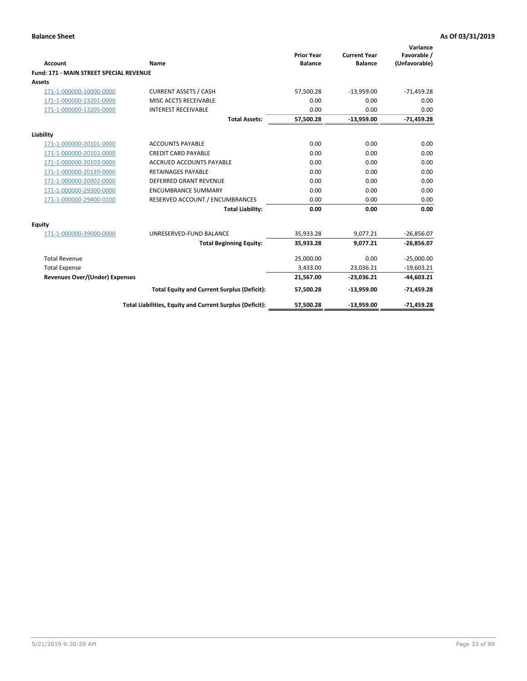|                                                |                                                          | <b>Prior Year</b> | <b>Current Year</b> | Variance<br>Favorable / |
|------------------------------------------------|----------------------------------------------------------|-------------------|---------------------|-------------------------|
| <b>Account</b>                                 | Name                                                     | <b>Balance</b>    | <b>Balance</b>      | (Unfavorable)           |
| <b>Fund: 171 - MAIN STREET SPECIAL REVENUE</b> |                                                          |                   |                     |                         |
| <b>Assets</b>                                  |                                                          |                   |                     |                         |
| 171-1-000000-10000-0000                        | <b>CURRENT ASSETS / CASH</b>                             | 57,500.28         | $-13,959.00$        | $-71,459.28$            |
| 171-1-000000-13201-0000                        | MISC ACCTS RECEIVABLE                                    | 0.00              | 0.00                | 0.00                    |
| 171-1-000000-13205-0000                        | <b>INTEREST RECEIVABLE</b>                               | 0.00              | 0.00                | 0.00                    |
|                                                | <b>Total Assets:</b>                                     | 57,500.28         | $-13,959.00$        | $-71,459.28$            |
| Liability                                      |                                                          |                   |                     |                         |
| 171-1-000000-20101-0000                        | <b>ACCOUNTS PAYABLE</b>                                  | 0.00              | 0.00                | 0.00                    |
| 171-1-000000-20102-0000                        | <b>CREDIT CARD PAYABLE</b>                               | 0.00              | 0.00                | 0.00                    |
| 171-1-000000-20103-0000                        | <b>ACCRUED ACCOUNTS PAYABLE</b>                          | 0.00              | 0.00                | 0.00                    |
| 171-1-000000-20139-0000                        | <b>RETAINAGES PAYABLE</b>                                | 0.00              | 0.00                | 0.00                    |
| 171-1-000000-20902-0000                        | <b>DEFERRED GRANT REVENUE</b>                            | 0.00              | 0.00                | 0.00                    |
| 171-1-000000-29300-0000                        | <b>ENCUMBRANCE SUMMARY</b>                               | 0.00              | 0.00                | 0.00                    |
| 171-1-000000-29400-0100                        | RESERVED ACCOUNT / ENCUMBRANCES                          | 0.00              | 0.00                | 0.00                    |
|                                                | <b>Total Liability:</b>                                  | 0.00              | 0.00                | 0.00                    |
| <b>Equity</b>                                  |                                                          |                   |                     |                         |
| 171-1-000000-39000-0000                        | UNRESERVED-FUND BALANCE                                  | 35,933.28         | 9,077.21            | $-26,856.07$            |
|                                                | <b>Total Beginning Equity:</b>                           | 35,933.28         | 9.077.21            | $-26,856.07$            |
| <b>Total Revenue</b>                           |                                                          | 25,000.00         | 0.00                | $-25,000.00$            |
| <b>Total Expense</b>                           |                                                          | 3,433.00          | 23,036.21           | $-19,603.21$            |
| <b>Revenues Over/(Under) Expenses</b>          |                                                          | 21,567.00         | $-23,036.21$        | $-44,603.21$            |
|                                                | <b>Total Equity and Current Surplus (Deficit):</b>       | 57,500.28         | $-13,959.00$        | $-71,459.28$            |
|                                                | Total Liabilities, Equity and Current Surplus (Deficit): | 57.500.28         | $-13.959.00$        | $-71.459.28$            |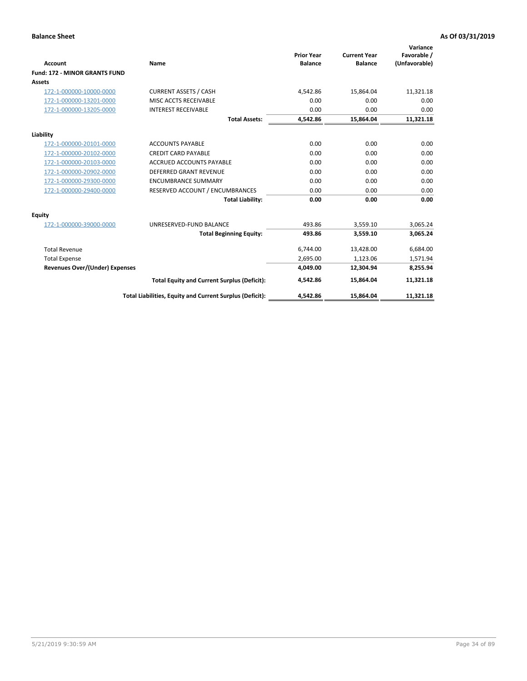|                                       |                                                          |                                     |                                       | Variance                     |
|---------------------------------------|----------------------------------------------------------|-------------------------------------|---------------------------------------|------------------------------|
| <b>Account</b>                        | Name                                                     | <b>Prior Year</b><br><b>Balance</b> | <b>Current Year</b><br><b>Balance</b> | Favorable /<br>(Unfavorable) |
| <b>Fund: 172 - MINOR GRANTS FUND</b>  |                                                          |                                     |                                       |                              |
| <b>Assets</b>                         |                                                          |                                     |                                       |                              |
| 172-1-000000-10000-0000               | <b>CURRENT ASSETS / CASH</b>                             | 4,542.86                            | 15,864.04                             | 11,321.18                    |
| 172-1-000000-13201-0000               | MISC ACCTS RECEIVABLE                                    | 0.00                                | 0.00                                  | 0.00                         |
| 172-1-000000-13205-0000               | <b>INTEREST RECEIVABLE</b>                               | 0.00                                | 0.00                                  | 0.00                         |
|                                       | <b>Total Assets:</b>                                     | 4,542.86                            | 15,864.04                             | 11,321.18                    |
| Liability                             |                                                          |                                     |                                       |                              |
| 172-1-000000-20101-0000               | <b>ACCOUNTS PAYABLE</b>                                  | 0.00                                | 0.00                                  | 0.00                         |
| 172-1-000000-20102-0000               | <b>CREDIT CARD PAYABLE</b>                               | 0.00                                | 0.00                                  | 0.00                         |
| 172-1-000000-20103-0000               | <b>ACCRUED ACCOUNTS PAYABLE</b>                          | 0.00                                | 0.00                                  | 0.00                         |
| 172-1-000000-20902-0000               | DEFERRED GRANT REVENUE                                   | 0.00                                | 0.00                                  | 0.00                         |
| 172-1-000000-29300-0000               | <b>ENCUMBRANCE SUMMARY</b>                               | 0.00                                | 0.00                                  | 0.00                         |
| 172-1-000000-29400-0000               | RESERVED ACCOUNT / ENCUMBRANCES                          | 0.00                                | 0.00                                  | 0.00                         |
|                                       | <b>Total Liability:</b>                                  | 0.00                                | 0.00                                  | 0.00                         |
| Equity                                |                                                          |                                     |                                       |                              |
| 172-1-000000-39000-0000               | UNRESERVED-FUND BALANCE                                  | 493.86                              | 3,559.10                              | 3,065.24                     |
|                                       | <b>Total Beginning Equity:</b>                           | 493.86                              | 3,559.10                              | 3,065.24                     |
| <b>Total Revenue</b>                  |                                                          | 6,744.00                            | 13,428.00                             | 6,684.00                     |
| <b>Total Expense</b>                  |                                                          | 2,695.00                            | 1,123.06                              | 1,571.94                     |
| <b>Revenues Over/(Under) Expenses</b> |                                                          | 4,049.00                            | 12,304.94                             | 8,255.94                     |
|                                       | <b>Total Equity and Current Surplus (Deficit):</b>       | 4,542.86                            | 15,864.04                             | 11,321.18                    |
|                                       | Total Liabilities, Equity and Current Surplus (Deficit): | 4,542.86                            | 15,864.04                             | 11,321.18                    |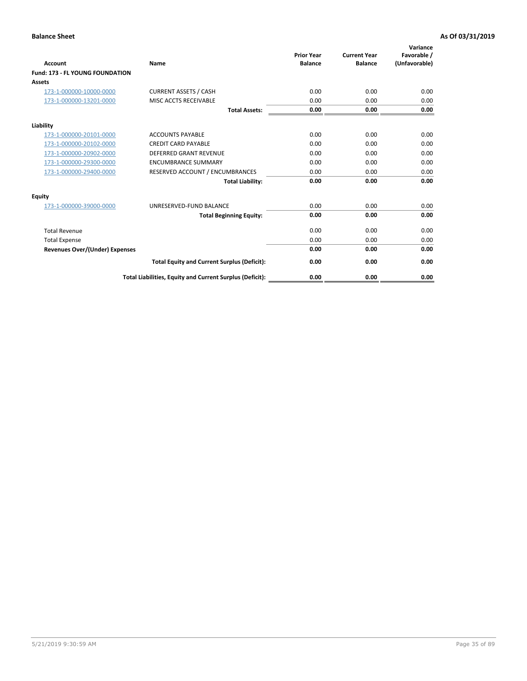| <b>Account</b>                         | <b>Name</b>                                              | <b>Prior Year</b><br><b>Balance</b> | <b>Current Year</b><br><b>Balance</b> | Variance<br>Favorable /<br>(Unfavorable) |
|----------------------------------------|----------------------------------------------------------|-------------------------------------|---------------------------------------|------------------------------------------|
| <b>Fund: 173 - FL YOUNG FOUNDATION</b> |                                                          |                                     |                                       |                                          |
| Assets                                 |                                                          |                                     |                                       |                                          |
| 173-1-000000-10000-0000                | <b>CURRENT ASSETS / CASH</b>                             | 0.00                                | 0.00                                  | 0.00                                     |
| 173-1-000000-13201-0000                | MISC ACCTS RECEIVABLE                                    | 0.00                                | 0.00                                  | 0.00                                     |
|                                        | <b>Total Assets:</b>                                     | 0.00                                | 0.00                                  | 0.00                                     |
| Liability                              |                                                          |                                     |                                       |                                          |
| 173-1-000000-20101-0000                | <b>ACCOUNTS PAYABLE</b>                                  | 0.00                                | 0.00                                  | 0.00                                     |
| 173-1-000000-20102-0000                | <b>CREDIT CARD PAYABLE</b>                               | 0.00                                | 0.00                                  | 0.00                                     |
| 173-1-000000-20902-0000                | <b>DEFERRED GRANT REVENUE</b>                            | 0.00                                | 0.00                                  | 0.00                                     |
| 173-1-000000-29300-0000                | <b>ENCUMBRANCE SUMMARY</b>                               | 0.00                                | 0.00                                  | 0.00                                     |
| 173-1-000000-29400-0000                | RESERVED ACCOUNT / ENCUMBRANCES                          | 0.00                                | 0.00                                  | 0.00                                     |
|                                        | <b>Total Liability:</b>                                  | 0.00                                | 0.00                                  | 0.00                                     |
| Equity                                 |                                                          |                                     |                                       |                                          |
| 173-1-000000-39000-0000                | UNRESERVED-FUND BALANCE                                  | 0.00                                | 0.00                                  | 0.00                                     |
|                                        | <b>Total Beginning Equity:</b>                           | 0.00                                | 0.00                                  | 0.00                                     |
| <b>Total Revenue</b>                   |                                                          | 0.00                                | 0.00                                  | 0.00                                     |
| <b>Total Expense</b>                   |                                                          | 0.00                                | 0.00                                  | 0.00                                     |
| <b>Revenues Over/(Under) Expenses</b>  |                                                          | 0.00                                | 0.00                                  | 0.00                                     |
|                                        | <b>Total Equity and Current Surplus (Deficit):</b>       | 0.00                                | 0.00                                  | 0.00                                     |
|                                        | Total Liabilities, Equity and Current Surplus (Deficit): | 0.00                                | 0.00                                  | 0.00                                     |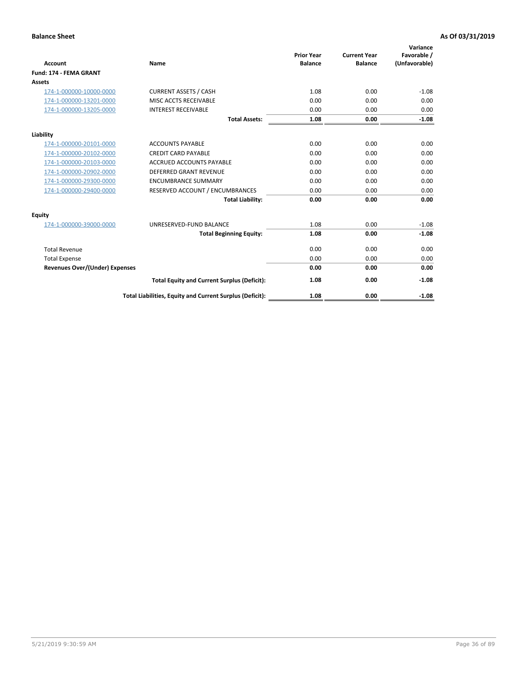| Account                               | Name                                                     | <b>Prior Year</b><br><b>Balance</b> | <b>Current Year</b><br><b>Balance</b> | Variance<br>Favorable /<br>(Unfavorable) |
|---------------------------------------|----------------------------------------------------------|-------------------------------------|---------------------------------------|------------------------------------------|
| Fund: 174 - FEMA GRANT                |                                                          |                                     |                                       |                                          |
| Assets                                |                                                          |                                     |                                       |                                          |
| 174-1-000000-10000-0000               | <b>CURRENT ASSETS / CASH</b>                             | 1.08                                | 0.00                                  | $-1.08$                                  |
| 174-1-000000-13201-0000               | MISC ACCTS RECEIVABLE                                    | 0.00                                | 0.00                                  | 0.00                                     |
| 174-1-000000-13205-0000               | <b>INTEREST RECEIVABLE</b>                               | 0.00                                | 0.00                                  | 0.00                                     |
|                                       | <b>Total Assets:</b>                                     | 1.08                                | 0.00                                  | $-1.08$                                  |
| Liability                             |                                                          |                                     |                                       |                                          |
| 174-1-000000-20101-0000               | <b>ACCOUNTS PAYABLE</b>                                  | 0.00                                | 0.00                                  | 0.00                                     |
| 174-1-000000-20102-0000               | <b>CREDIT CARD PAYABLE</b>                               | 0.00                                | 0.00                                  | 0.00                                     |
| 174-1-000000-20103-0000               | <b>ACCRUED ACCOUNTS PAYABLE</b>                          | 0.00                                | 0.00                                  | 0.00                                     |
| 174-1-000000-20902-0000               | <b>DEFERRED GRANT REVENUE</b>                            | 0.00                                | 0.00                                  | 0.00                                     |
| 174-1-000000-29300-0000               | <b>ENCUMBRANCE SUMMARY</b>                               | 0.00                                | 0.00                                  | 0.00                                     |
| 174-1-000000-29400-0000               | RESERVED ACCOUNT / ENCUMBRANCES                          | 0.00                                | 0.00                                  | 0.00                                     |
|                                       | <b>Total Liability:</b>                                  | 0.00                                | 0.00                                  | 0.00                                     |
| <b>Equity</b>                         |                                                          |                                     |                                       |                                          |
| 174-1-000000-39000-0000               | UNRESERVED-FUND BALANCE                                  | 1.08                                | 0.00                                  | $-1.08$                                  |
|                                       | <b>Total Beginning Equity:</b>                           | 1.08                                | 0.00                                  | $-1.08$                                  |
| <b>Total Revenue</b>                  |                                                          | 0.00                                | 0.00                                  | 0.00                                     |
| <b>Total Expense</b>                  |                                                          | 0.00                                | 0.00                                  | 0.00                                     |
| <b>Revenues Over/(Under) Expenses</b> |                                                          | 0.00                                | 0.00                                  | 0.00                                     |
|                                       | <b>Total Equity and Current Surplus (Deficit):</b>       | 1.08                                | 0.00                                  | $-1.08$                                  |
|                                       | Total Liabilities, Equity and Current Surplus (Deficit): | 1.08                                | 0.00                                  | $-1.08$                                  |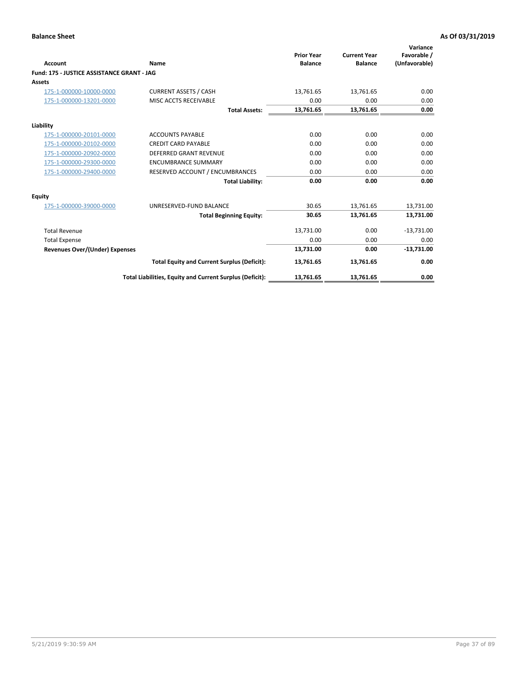|                                            |                                                          | <b>Prior Year</b> | <b>Current Year</b> | Variance<br>Favorable / |
|--------------------------------------------|----------------------------------------------------------|-------------------|---------------------|-------------------------|
| <b>Account</b>                             | Name                                                     | <b>Balance</b>    | <b>Balance</b>      | (Unfavorable)           |
| Fund: 175 - JUSTICE ASSISTANCE GRANT - JAG |                                                          |                   |                     |                         |
| <b>Assets</b>                              |                                                          |                   |                     |                         |
| 175-1-000000-10000-0000                    | <b>CURRENT ASSETS / CASH</b>                             | 13.761.65         | 13,761.65           | 0.00                    |
| 175-1-000000-13201-0000                    | MISC ACCTS RECEIVABLE                                    | 0.00              | 0.00                | 0.00                    |
|                                            | <b>Total Assets:</b>                                     | 13,761.65         | 13,761.65           | 0.00                    |
| Liability                                  |                                                          |                   |                     |                         |
| 175-1-000000-20101-0000                    | <b>ACCOUNTS PAYABLE</b>                                  | 0.00              | 0.00                | 0.00                    |
| 175-1-000000-20102-0000                    | <b>CREDIT CARD PAYABLE</b>                               | 0.00              | 0.00                | 0.00                    |
| 175-1-000000-20902-0000                    | <b>DEFERRED GRANT REVENUE</b>                            | 0.00              | 0.00                | 0.00                    |
| 175-1-000000-29300-0000                    | <b>ENCUMBRANCE SUMMARY</b>                               | 0.00              | 0.00                | 0.00                    |
| 175-1-000000-29400-0000                    | RESERVED ACCOUNT / ENCUMBRANCES                          | 0.00              | 0.00                | 0.00                    |
|                                            | <b>Total Liability:</b>                                  | 0.00              | 0.00                | 0.00                    |
| Equity                                     |                                                          |                   |                     |                         |
| 175-1-000000-39000-0000                    | UNRESERVED-FUND BALANCE                                  | 30.65             | 13,761.65           | 13,731.00               |
|                                            | <b>Total Beginning Equity:</b>                           | 30.65             | 13,761.65           | 13,731.00               |
| <b>Total Revenue</b>                       |                                                          | 13,731.00         | 0.00                | $-13,731.00$            |
| <b>Total Expense</b>                       |                                                          | 0.00              | 0.00                | 0.00                    |
| Revenues Over/(Under) Expenses             |                                                          | 13,731.00         | 0.00                | $-13,731.00$            |
|                                            | <b>Total Equity and Current Surplus (Deficit):</b>       | 13,761.65         | 13,761.65           | 0.00                    |
|                                            | Total Liabilities, Equity and Current Surplus (Deficit): | 13,761.65         | 13,761.65           | 0.00                    |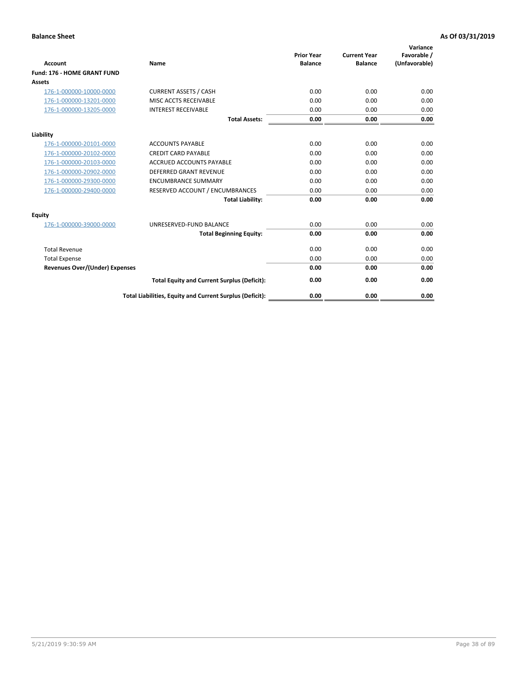| <b>Account</b>                        | Name                                                     | <b>Prior Year</b><br><b>Balance</b> | <b>Current Year</b><br><b>Balance</b> | Variance<br>Favorable /<br>(Unfavorable) |
|---------------------------------------|----------------------------------------------------------|-------------------------------------|---------------------------------------|------------------------------------------|
| Fund: 176 - HOME GRANT FUND           |                                                          |                                     |                                       |                                          |
| Assets                                |                                                          |                                     |                                       |                                          |
| 176-1-000000-10000-0000               | <b>CURRENT ASSETS / CASH</b>                             | 0.00                                | 0.00                                  | 0.00                                     |
| 176-1-000000-13201-0000               | MISC ACCTS RECEIVABLE                                    | 0.00                                | 0.00                                  | 0.00                                     |
| 176-1-000000-13205-0000               | <b>INTEREST RECEIVABLE</b>                               | 0.00                                | 0.00                                  | 0.00                                     |
|                                       | <b>Total Assets:</b>                                     | 0.00                                | 0.00                                  | 0.00                                     |
| Liability                             |                                                          |                                     |                                       |                                          |
| 176-1-000000-20101-0000               | <b>ACCOUNTS PAYABLE</b>                                  | 0.00                                | 0.00                                  | 0.00                                     |
| 176-1-000000-20102-0000               | <b>CREDIT CARD PAYABLE</b>                               | 0.00                                | 0.00                                  | 0.00                                     |
| 176-1-000000-20103-0000               | <b>ACCRUED ACCOUNTS PAYABLE</b>                          | 0.00                                | 0.00                                  | 0.00                                     |
| 176-1-000000-20902-0000               | <b>DEFERRED GRANT REVENUE</b>                            | 0.00                                | 0.00                                  | 0.00                                     |
| 176-1-000000-29300-0000               | <b>ENCUMBRANCE SUMMARY</b>                               | 0.00                                | 0.00                                  | 0.00                                     |
| 176-1-000000-29400-0000               | RESERVED ACCOUNT / ENCUMBRANCES                          | 0.00                                | 0.00                                  | 0.00                                     |
|                                       | <b>Total Liability:</b>                                  | 0.00                                | 0.00                                  | 0.00                                     |
| <b>Equity</b>                         |                                                          |                                     |                                       |                                          |
| 176-1-000000-39000-0000               | UNRESERVED-FUND BALANCE                                  | 0.00                                | 0.00                                  | 0.00                                     |
|                                       | <b>Total Beginning Equity:</b>                           | 0.00                                | 0.00                                  | 0.00                                     |
| <b>Total Revenue</b>                  |                                                          | 0.00                                | 0.00                                  | 0.00                                     |
| <b>Total Expense</b>                  |                                                          | 0.00                                | 0.00                                  | 0.00                                     |
| <b>Revenues Over/(Under) Expenses</b> |                                                          | 0.00                                | 0.00                                  | 0.00                                     |
|                                       | <b>Total Equity and Current Surplus (Deficit):</b>       | 0.00                                | 0.00                                  | 0.00                                     |
|                                       | Total Liabilities, Equity and Current Surplus (Deficit): | 0.00                                | 0.00                                  | 0.00                                     |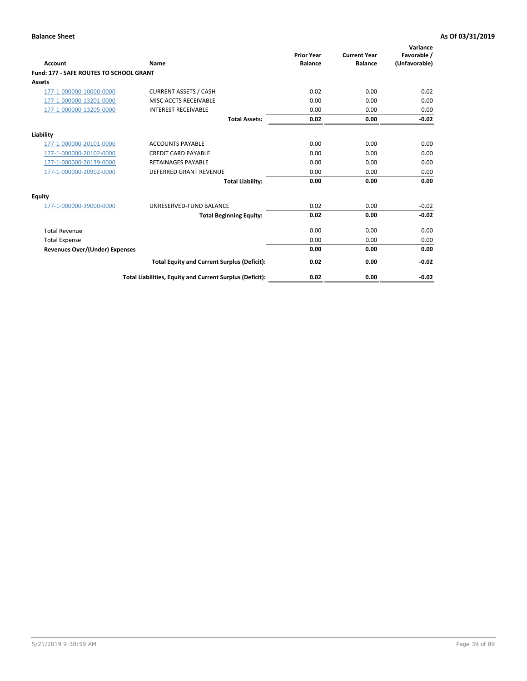| Account                                        | Name                                                     | <b>Prior Year</b><br><b>Balance</b> | <b>Current Year</b><br><b>Balance</b> | Variance<br>Favorable /<br>(Unfavorable) |
|------------------------------------------------|----------------------------------------------------------|-------------------------------------|---------------------------------------|------------------------------------------|
| <b>Fund: 177 - SAFE ROUTES TO SCHOOL GRANT</b> |                                                          |                                     |                                       |                                          |
| <b>Assets</b>                                  |                                                          |                                     |                                       |                                          |
| 177-1-000000-10000-0000                        | <b>CURRENT ASSETS / CASH</b>                             | 0.02                                | 0.00                                  | $-0.02$                                  |
| 177-1-000000-13201-0000                        | MISC ACCTS RECEIVABLE                                    | 0.00                                | 0.00                                  | 0.00                                     |
| 177-1-000000-13205-0000                        | <b>INTEREST RECEIVABLE</b>                               | 0.00                                | 0.00                                  | 0.00                                     |
|                                                | <b>Total Assets:</b>                                     | 0.02                                | 0.00                                  | $-0.02$                                  |
| Liability                                      |                                                          |                                     |                                       |                                          |
| 177-1-000000-20101-0000                        | <b>ACCOUNTS PAYABLE</b>                                  | 0.00                                | 0.00                                  | 0.00                                     |
| 177-1-000000-20102-0000                        | <b>CREDIT CARD PAYABLE</b>                               | 0.00                                | 0.00                                  | 0.00                                     |
| 177-1-000000-20139-0000                        | <b>RETAINAGES PAYABLE</b>                                | 0.00                                | 0.00                                  | 0.00                                     |
| 177-1-000000-20902-0000                        | <b>DEFERRED GRANT REVENUE</b>                            | 0.00                                | 0.00                                  | 0.00                                     |
|                                                | <b>Total Liability:</b>                                  | 0.00                                | 0.00                                  | 0.00                                     |
| Equity                                         |                                                          |                                     |                                       |                                          |
| 177-1-000000-39000-0000                        | UNRESERVED-FUND BALANCE                                  | 0.02                                | 0.00                                  | $-0.02$                                  |
|                                                | <b>Total Beginning Equity:</b>                           | 0.02                                | 0.00                                  | $-0.02$                                  |
| <b>Total Revenue</b>                           |                                                          | 0.00                                | 0.00                                  | 0.00                                     |
| <b>Total Expense</b>                           |                                                          | 0.00                                | 0.00                                  | 0.00                                     |
| Revenues Over/(Under) Expenses                 |                                                          | 0.00                                | 0.00                                  | 0.00                                     |
|                                                | <b>Total Equity and Current Surplus (Deficit):</b>       | 0.02                                | 0.00                                  | $-0.02$                                  |
|                                                | Total Liabilities, Equity and Current Surplus (Deficit): | 0.02                                | 0.00                                  | $-0.02$                                  |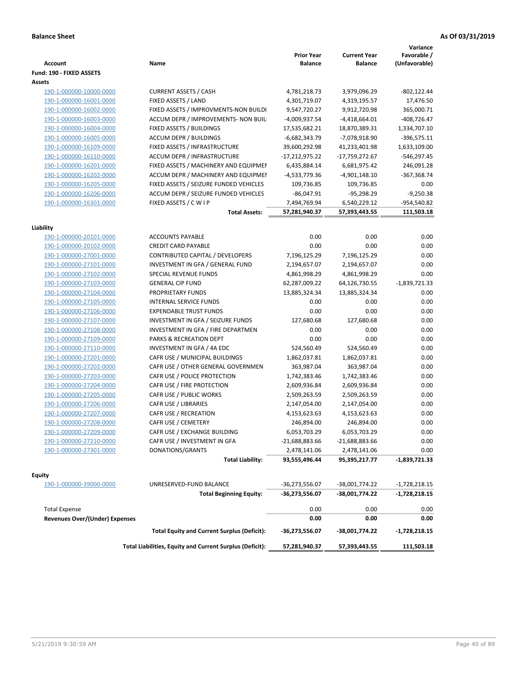|                                |                                                          |                              |                                       | Variance                     |
|--------------------------------|----------------------------------------------------------|------------------------------|---------------------------------------|------------------------------|
| Account                        | Name                                                     | <b>Prior Year</b><br>Balance | <b>Current Year</b><br><b>Balance</b> | Favorable /<br>(Unfavorable) |
| Fund: 190 - FIXED ASSETS       |                                                          |                              |                                       |                              |
| Assets                         |                                                          |                              |                                       |                              |
| 190-1-000000-10000-0000        | <b>CURRENT ASSETS / CASH</b>                             | 4,781,218.73                 | 3,979,096.29                          | -802,122.44                  |
| 190-1-000000-16001-0000        | FIXED ASSETS / LAND                                      | 4,301,719.07                 | 4,319,195.57                          | 17,476.50                    |
| 190-1-000000-16002-0000        | FIXED ASSETS / IMPROVMENTS-NON BUILDI                    | 9,547,720.27                 | 9,912,720.98                          | 365,000.71                   |
| 190-1-000000-16003-0000        | ACCUM DEPR / IMPROVEMENTS- NON BUIL                      | -4,009,937.54                | $-4,418,664.01$                       | $-408,726.47$                |
| 190-1-000000-16004-0000        | FIXED ASSETS / BUILDINGS                                 | 17,535,682.21                | 18,870,389.31                         | 1,334,707.10                 |
| 190-1-000000-16005-0000        | <b>ACCUM DEPR / BUILDINGS</b>                            | $-6,682,343.79$              | -7,078,918.90                         | $-396,575.11$                |
| 190-1-000000-16109-0000        | FIXED ASSETS / INFRASTRUCTURE                            | 39,600,292.98                | 41,233,401.98                         | 1,633,109.00                 |
| 190-1-000000-16110-0000        | ACCUM DEPR / INFRASTRUCTURE                              | $-17,212,975.22$             | -17,759,272.67                        | $-546,297.45$                |
| 190-1-000000-16201-0000        | FIXED ASSETS / MACHINERY AND EQUIPMEN                    | 6,435,884.14                 | 6,681,975.42                          | 246,091.28                   |
| 190-1-000000-16202-0000        | ACCUM DEPR / MACHINERY AND EQUIPMEI                      | -4,533,779.36                | $-4,901,148.10$                       | $-367,368.74$                |
| 190-1-000000-16205-0000        | FIXED ASSETS / SEIZURE FUNDED VEHICLES                   | 109,736.85                   | 109,736.85                            | 0.00                         |
| 190-1-000000-16206-0000        | ACCUM DEPR / SEIZURE FUNDED VEHICLES                     | $-86,047.91$                 | $-95,298.29$                          | $-9,250.38$                  |
| 190-1-000000-16301-0000        | FIXED ASSETS / C W I P                                   | 7,494,769.94                 | 6,540,229.12                          | -954,540.82                  |
|                                | <b>Total Assets:</b>                                     | 57,281,940.37                | 57,393,443.55                         | 111,503.18                   |
|                                |                                                          |                              |                                       |                              |
| Liability                      |                                                          |                              |                                       |                              |
| 190-1-000000-20101-0000        | <b>ACCOUNTS PAYABLE</b>                                  | 0.00                         | 0.00                                  | 0.00                         |
| 190-1-000000-20102-0000        | <b>CREDIT CARD PAYABLE</b>                               | 0.00                         | 0.00                                  | 0.00                         |
| 190-1-000000-27001-0000        | CONTRIBUTED CAPITAL / DEVELOPERS                         | 7,196,125.29                 | 7,196,125.29                          | 0.00                         |
| 190-1-000000-27101-0000        | INVESTMENT IN GFA / GENERAL FUND                         | 2,194,657.07                 | 2,194,657.07                          | 0.00                         |
| 190-1-000000-27102-0000        | <b>SPECIAL REVENUE FUNDS</b>                             | 4,861,998.29                 | 4,861,998.29                          | 0.00                         |
| 190-1-000000-27103-0000        | <b>GENERAL CIP FUND</b>                                  | 62,287,009.22                | 64,126,730.55                         | $-1,839,721.33$              |
| 190-1-000000-27104-0000        | PROPRIETARY FUNDS                                        | 13,885,324.34                | 13,885,324.34                         | 0.00                         |
| 190-1-000000-27105-0000        | <b>INTERNAL SERVICE FUNDS</b>                            | 0.00                         | 0.00                                  | 0.00                         |
| 190-1-000000-27106-0000        | <b>EXPENDABLE TRUST FUNDS</b>                            | 0.00                         | 0.00                                  | 0.00                         |
| 190-1-000000-27107-0000        | INVESTMENT IN GFA / SEIZURE FUNDS                        | 127,680.68                   | 127,680.68                            | 0.00                         |
| 190-1-000000-27108-0000        | INVESTMENT IN GFA / FIRE DEPARTMEN                       | 0.00                         | 0.00                                  | 0.00                         |
| 190-1-000000-27109-0000        | PARKS & RECREATION DEPT                                  | 0.00                         | 0.00                                  | 0.00                         |
| 190-1-000000-27110-0000        | INVESTMENT IN GFA / 4A EDC                               | 524,560.49                   | 524,560.49                            | 0.00                         |
| 190-1-000000-27201-0000        | CAFR USE / MUNICIPAL BUILDINGS                           | 1,862,037.81                 | 1,862,037.81                          | 0.00                         |
| 190-1-000000-27202-0000        | CAFR USE / OTHER GENERAL GOVERNMEN                       | 363,987.04                   | 363,987.04                            | 0.00                         |
| 190-1-000000-27203-0000        | CAFR USE / POLICE PROTECTION                             | 1,742,383.46                 | 1,742,383.46                          | 0.00                         |
| 190-1-000000-27204-0000        | CAFR USE / FIRE PROTECTION                               | 2,609,936.84                 | 2,609,936.84                          | 0.00                         |
| 190-1-000000-27205-0000        | CAFR USE / PUBLIC WORKS                                  | 2,509,263.59                 | 2,509,263.59                          | 0.00                         |
| 190-1-000000-27206-0000        | <b>CAFR USE / LIBRARIES</b>                              | 2,147,054.00                 | 2,147,054.00                          | 0.00                         |
| 190-1-000000-27207-0000        | CAFR USE / RECREATION                                    | 4,153,623.63                 | 4,153,623.63                          | 0.00                         |
| 190-1-000000-27208-0000        | CAFR USE / CEMETERY                                      | 246,894.00                   | 246,894.00                            | 0.00                         |
| 190-1-000000-27209-0000        | CAFR USE / EXCHANGE BUILDING                             | 6,053,703.29                 | 6,053,703.29                          | 0.00                         |
| 190-1-000000-27210-0000        | CAFR USE / INVESTMENT IN GFA                             | -21,688,883.66               | $-21,688,883.66$                      | 0.00                         |
| 190-1-000000-27301-0000        | DONATIONS/GRANTS                                         | 2,478,141.06                 | 2,478,141.06                          | 0.00                         |
|                                | <b>Total Liability:</b>                                  | 93,555,496.44                | 95,395,217.77                         | $-1,839,721.33$              |
|                                |                                                          |                              |                                       |                              |
| Equity                         |                                                          |                              |                                       |                              |
| 190-1-000000-39000-0000        | UNRESERVED-FUND BALANCE                                  | -36,273,556.07               | -38,001,774.22                        | $-1,728,218.15$              |
|                                | <b>Total Beginning Equity:</b>                           | -36,273,556.07               | -38,001,774.22                        | -1,728,218.15                |
| <b>Total Expense</b>           |                                                          | 0.00                         | 0.00                                  | 0.00                         |
| Revenues Over/(Under) Expenses |                                                          | 0.00                         | 0.00                                  | 0.00                         |
|                                | <b>Total Equity and Current Surplus (Deficit):</b>       | -36,273,556.07               | -38,001,774.22                        | -1,728,218.15                |
|                                | Total Liabilities, Equity and Current Surplus (Deficit): | 57,281,940.37                | 57,393,443.55                         | 111,503.18                   |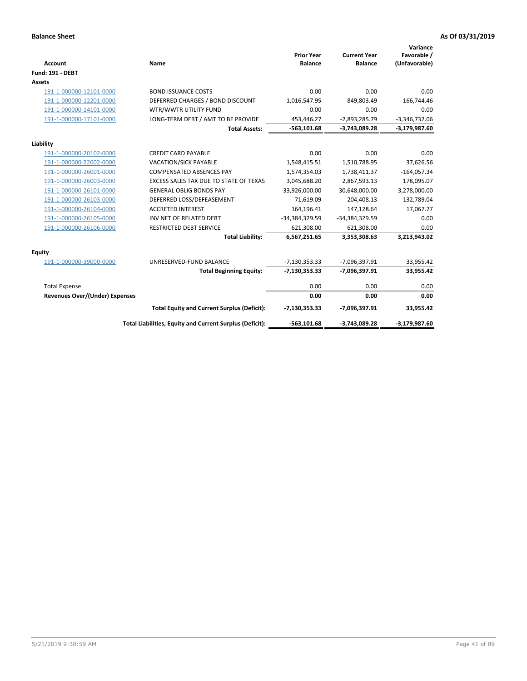| <b>Account</b>                 | Name                                                     | <b>Prior Year</b><br><b>Balance</b> | <b>Current Year</b><br><b>Balance</b> | Variance<br>Favorable /<br>(Unfavorable) |
|--------------------------------|----------------------------------------------------------|-------------------------------------|---------------------------------------|------------------------------------------|
| <b>Fund: 191 - DEBT</b>        |                                                          |                                     |                                       |                                          |
| <b>Assets</b>                  |                                                          |                                     |                                       |                                          |
| 191-1-000000-12101-0000        | <b>BOND ISSUANCE COSTS</b>                               | 0.00                                | 0.00                                  | 0.00                                     |
| 191-1-000000-12201-0000        | DEFERRED CHARGES / BOND DISCOUNT                         | $-1,016,547.95$                     | $-849,803.49$                         | 166,744.46                               |
| 191-1-000000-14101-0000        | WTR/WWTR UTILITY FUND                                    | 0.00                                | 0.00                                  | 0.00                                     |
| 191-1-000000-17101-0000        | LONG-TERM DEBT / AMT TO BE PROVIDE                       | 453,446.27                          | $-2,893,285.79$                       | $-3,346,732.06$                          |
|                                | <b>Total Assets:</b>                                     | $-563,101.68$                       | $-3,743,089.28$                       | $-3,179,987.60$                          |
| Liability                      |                                                          |                                     |                                       |                                          |
| 191-1-000000-20102-0000        | <b>CREDIT CARD PAYABLE</b>                               | 0.00                                | 0.00                                  | 0.00                                     |
| 191-1-000000-22002-0000        | <b>VACATION/SICK PAYABLE</b>                             | 1,548,415.51                        | 1,510,788.95                          | 37,626.56                                |
| 191-1-000000-26001-0000        | <b>COMPENSATED ABSENCES PAY</b>                          | 1,574,354.03                        | 1,738,411.37                          | $-164,057.34$                            |
| 191-1-000000-26003-0000        | EXCESS SALES TAX DUE TO STATE OF TEXAS                   | 3,045,688.20                        | 2,867,593.13                          | 178,095.07                               |
| 191-1-000000-26101-0000        | <b>GENERAL OBLIG BONDS PAY</b>                           | 33,926,000.00                       | 30,648,000.00                         | 3,278,000.00                             |
| 191-1-000000-26103-0000        | DEFERRED LOSS/DEFEASEMENT                                | 71,619.09                           | 204,408.13                            | $-132,789.04$                            |
| 191-1-000000-26104-0000        | <b>ACCRETED INTEREST</b>                                 | 164,196.41                          | 147,128.64                            | 17,067.77                                |
| 191-1-000000-26105-0000        | INV NET OF RELATED DEBT                                  | -34,384,329.59                      | -34,384,329.59                        | 0.00                                     |
| 191-1-000000-26106-0000        | <b>RESTRICTED DEBT SERVICE</b>                           | 621,308.00                          | 621,308.00                            | 0.00                                     |
|                                | <b>Total Liability:</b>                                  | 6,567,251.65                        | 3,353,308.63                          | 3,213,943.02                             |
| Equity                         |                                                          |                                     |                                       |                                          |
| 191-1-000000-39000-0000        | UNRESERVED-FUND BALANCE                                  | $-7,130,353.33$                     | -7,096,397.91                         | 33,955.42                                |
|                                | <b>Total Beginning Equity:</b>                           | $-7,130,353.33$                     | -7,096,397.91                         | 33,955.42                                |
| <b>Total Expense</b>           |                                                          | 0.00                                | 0.00                                  | 0.00                                     |
| Revenues Over/(Under) Expenses |                                                          | 0.00                                | 0.00                                  | 0.00                                     |
|                                | <b>Total Equity and Current Surplus (Deficit):</b>       | $-7,130,353.33$                     | -7,096,397.91                         | 33,955.42                                |
|                                | Total Liabilities, Equity and Current Surplus (Deficit): | $-563,101.68$                       | $-3,743,089.28$                       | $-3,179,987.60$                          |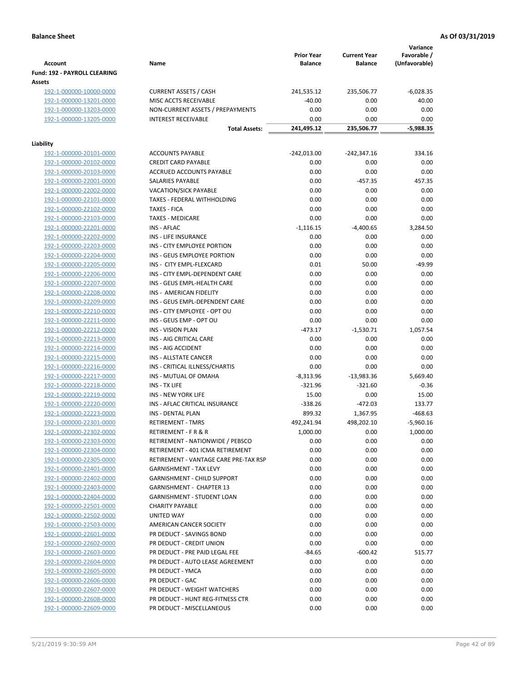|                                                    |                                                         |                     |                      | Variance         |
|----------------------------------------------------|---------------------------------------------------------|---------------------|----------------------|------------------|
|                                                    |                                                         | <b>Prior Year</b>   | <b>Current Year</b>  | Favorable /      |
| <b>Account</b>                                     | Name                                                    | <b>Balance</b>      | <b>Balance</b>       | (Unfavorable)    |
| Fund: 192 - PAYROLL CLEARING                       |                                                         |                     |                      |                  |
| Assets<br>192-1-000000-10000-0000                  | <b>CURRENT ASSETS / CASH</b>                            | 241,535.12          | 235,506.77           | $-6,028.35$      |
| 192-1-000000-13201-0000                            | MISC ACCTS RECEIVABLE                                   | $-40.00$            | 0.00                 | 40.00            |
| 192-1-000000-13203-0000                            | NON-CURRENT ASSETS / PREPAYMENTS                        | 0.00                | 0.00                 | 0.00             |
| 192-1-000000-13205-0000                            | <b>INTEREST RECEIVABLE</b>                              | 0.00                | 0.00                 | 0.00             |
|                                                    | <b>Total Assets:</b>                                    | 241,495.12          | 235,506.77           | $-5,988.35$      |
|                                                    |                                                         |                     |                      |                  |
| Liability                                          |                                                         |                     |                      |                  |
| 192-1-000000-20101-0000                            | <b>ACCOUNTS PAYABLE</b>                                 | $-242,013.00$       | $-242,347.16$        | 334.16           |
| 192-1-000000-20102-0000                            | <b>CREDIT CARD PAYABLE</b>                              | 0.00                | 0.00                 | 0.00             |
| 192-1-000000-20103-0000<br>192-1-000000-22001-0000 | ACCRUED ACCOUNTS PAYABLE<br>SALARIES PAYABLE            | 0.00<br>0.00        | 0.00<br>$-457.35$    | 0.00<br>457.35   |
| 192-1-000000-22002-0000                            | <b>VACATION/SICK PAYABLE</b>                            | 0.00                | 0.00                 | 0.00             |
| 192-1-000000-22101-0000                            | TAXES - FEDERAL WITHHOLDING                             | 0.00                | 0.00                 | 0.00             |
| 192-1-000000-22102-0000                            | <b>TAXES - FICA</b>                                     | 0.00                | 0.00                 | 0.00             |
| 192-1-000000-22103-0000                            | <b>TAXES - MEDICARE</b>                                 | 0.00                | 0.00                 | 0.00             |
| 192-1-000000-22201-0000                            | <b>INS - AFLAC</b>                                      | $-1,116.15$         | $-4,400.65$          | 3,284.50         |
| 192-1-000000-22202-0000                            | INS - LIFE INSURANCE                                    | 0.00                | 0.00                 | 0.00             |
| 192-1-000000-22203-0000                            | INS - CITY EMPLOYEE PORTION                             | 0.00                | 0.00                 | 0.00             |
| 192-1-000000-22204-0000                            | INS - GEUS EMPLOYEE PORTION                             | 0.00                | 0.00                 | 0.00             |
| 192-1-000000-22205-0000                            | INS - CITY EMPL-FLEXCARD                                | 0.01                | 50.00                | $-49.99$         |
| 192-1-000000-22206-0000                            | INS - CITY EMPL-DEPENDENT CARE                          | 0.00                | 0.00                 | 0.00             |
| 192-1-000000-22207-0000                            | INS - GEUS EMPL-HEALTH CARE                             | 0.00                | 0.00                 | 0.00             |
| 192-1-000000-22208-0000                            | INS - AMERICAN FIDELITY                                 | 0.00                | 0.00                 | 0.00             |
| 192-1-000000-22209-0000                            | INS - GEUS EMPL-DEPENDENT CARE                          | 0.00                | 0.00                 | 0.00             |
| 192-1-000000-22210-0000                            | INS - CITY EMPLOYEE - OPT OU                            | 0.00                | 0.00                 | 0.00             |
| 192-1-000000-22211-0000                            | INS - GEUS EMP - OPT OU                                 | 0.00                | 0.00                 | 0.00             |
| 192-1-000000-22212-0000                            | <b>INS - VISION PLAN</b>                                | $-473.17$           | $-1,530.71$          | 1,057.54         |
| 192-1-000000-22213-0000                            | INS - AIG CRITICAL CARE                                 | 0.00                | 0.00                 | 0.00             |
| 192-1-000000-22214-0000                            | INS - AIG ACCIDENT                                      | 0.00                | 0.00                 | 0.00             |
| 192-1-000000-22215-0000                            | INS - ALLSTATE CANCER                                   | 0.00                | 0.00                 | 0.00             |
| 192-1-000000-22216-0000<br>192-1-000000-22217-0000 | INS - CRITICAL ILLNESS/CHARTIS<br>INS - MUTUAL OF OMAHA | 0.00<br>$-8,313.96$ | 0.00<br>$-13,983.36$ | 0.00<br>5,669.40 |
| 192-1-000000-22218-0000                            | INS - TX LIFE                                           | $-321.96$           | $-321.60$            | $-0.36$          |
| 192-1-000000-22219-0000                            | <b>INS - NEW YORK LIFE</b>                              | 15.00               | 0.00                 | 15.00            |
| 192-1-000000-22220-0000                            | INS - AFLAC CRITICAL INSURANCE                          | $-338.26$           | $-472.03$            | 133.77           |
| 192-1-000000-22223-0000                            | <b>INS - DENTAL PLAN</b>                                | 899.32              | 1,367.95             | $-468.63$        |
| <u>192-1-000000-22301-0000</u>                     | <b>RETIREMENT - TMRS</b>                                | 492,241.94          | 498,202.10           | $-5,960.16$      |
| 192-1-000000-22302-0000                            | RETIREMENT - F R & R                                    | 1,000.00            | 0.00                 | 1,000.00         |
| 192-1-000000-22303-0000                            | RETIREMENT - NATIONWIDE / PEBSCO                        | 0.00                | 0.00                 | 0.00             |
| 192-1-000000-22304-0000                            | RETIREMENT - 401 ICMA RETIREMENT                        | 0.00                | 0.00                 | 0.00             |
| 192-1-000000-22305-0000                            | RETIREMENT - VANTAGE CARE PRE-TAX RSP                   | 0.00                | 0.00                 | 0.00             |
| 192-1-000000-22401-0000                            | <b>GARNISHMENT - TAX LEVY</b>                           | 0.00                | 0.00                 | 0.00             |
| 192-1-000000-22402-0000                            | <b>GARNISHMENT - CHILD SUPPORT</b>                      | 0.00                | 0.00                 | 0.00             |
| 192-1-000000-22403-0000                            | <b>GARNISHMENT - CHAPTER 13</b>                         | 0.00                | 0.00                 | 0.00             |
| 192-1-000000-22404-0000                            | <b>GARNISHMENT - STUDENT LOAN</b>                       | 0.00                | 0.00                 | 0.00             |
| 192-1-000000-22501-0000                            | <b>CHARITY PAYABLE</b>                                  | 0.00                | 0.00                 | 0.00             |
| 192-1-000000-22502-0000                            | UNITED WAY                                              | 0.00                | 0.00                 | 0.00             |
| 192-1-000000-22503-0000                            | AMERICAN CANCER SOCIETY                                 | 0.00                | 0.00                 | 0.00             |
| 192-1-000000-22601-0000                            | PR DEDUCT - SAVINGS BOND                                | 0.00                | 0.00                 | 0.00             |
| 192-1-000000-22602-0000                            | PR DEDUCT - CREDIT UNION                                | 0.00                | 0.00                 | 0.00             |
| 192-1-000000-22603-0000                            | PR DEDUCT - PRE PAID LEGAL FEE                          | $-84.65$            | $-600.42$            | 515.77           |
| 192-1-000000-22604-0000<br>192-1-000000-22605-0000 | PR DEDUCT - AUTO LEASE AGREEMENT<br>PR DEDUCT - YMCA    | 0.00<br>0.00        | 0.00<br>0.00         | 0.00<br>0.00     |
| 192-1-000000-22606-0000                            | PR DEDUCT - GAC                                         | 0.00                | 0.00                 | 0.00             |
| 192-1-000000-22607-0000                            | PR DEDUCT - WEIGHT WATCHERS                             | 0.00                | 0.00                 | 0.00             |
| 192-1-000000-22608-0000                            | PR DEDUCT - HUNT REG-FITNESS CTR                        | 0.00                | 0.00                 | 0.00             |
| 192-1-000000-22609-0000                            | PR DEDUCT - MISCELLANEOUS                               | 0.00                | 0.00                 | 0.00             |
|                                                    |                                                         |                     |                      |                  |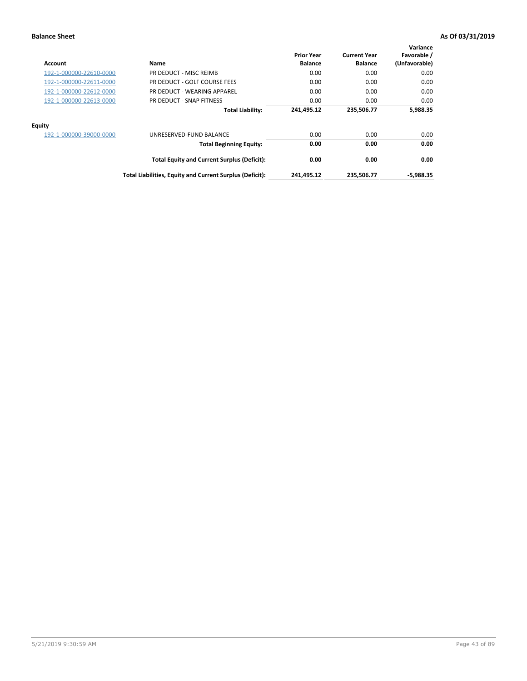| Account                 | Name                                                     | <b>Prior Year</b><br><b>Balance</b> | <b>Current Year</b><br><b>Balance</b> | Variance<br>Favorable /<br>(Unfavorable) |
|-------------------------|----------------------------------------------------------|-------------------------------------|---------------------------------------|------------------------------------------|
| 192-1-000000-22610-0000 | PR DEDUCT - MISC REIMB                                   | 0.00                                | 0.00                                  | 0.00                                     |
| 192-1-000000-22611-0000 | PR DEDUCT - GOLF COURSE FEES                             | 0.00                                | 0.00                                  | 0.00                                     |
| 192-1-000000-22612-0000 | PR DEDUCT - WEARING APPAREL                              | 0.00                                | 0.00                                  | 0.00                                     |
| 192-1-000000-22613-0000 | PR DEDUCT - SNAP FITNESS                                 | 0.00                                | 0.00                                  | 0.00                                     |
|                         | <b>Total Liability:</b>                                  | 241,495.12                          | 235,506.77                            | 5,988.35                                 |
| <b>Equity</b>           |                                                          |                                     |                                       |                                          |
| 192-1-000000-39000-0000 | UNRESERVED-FUND BALANCE                                  | 0.00                                | 0.00                                  | 0.00                                     |
|                         | <b>Total Beginning Equity:</b>                           | 0.00                                | 0.00                                  | 0.00                                     |
|                         | <b>Total Equity and Current Surplus (Deficit):</b>       | 0.00                                | 0.00                                  | 0.00                                     |
|                         | Total Liabilities, Equity and Current Surplus (Deficit): | 241.495.12                          | 235.506.77                            | -5,988.35                                |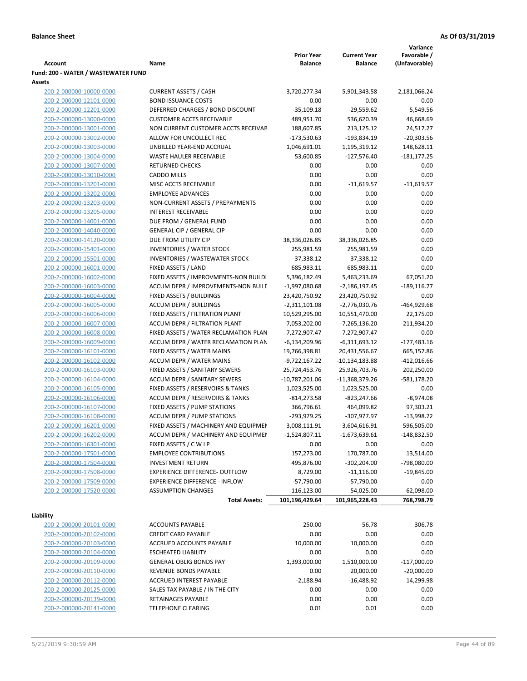|                                     |                                       |                   |                     | Variance       |
|-------------------------------------|---------------------------------------|-------------------|---------------------|----------------|
|                                     |                                       | <b>Prior Year</b> | <b>Current Year</b> | Favorable /    |
| <b>Account</b>                      | Name                                  | <b>Balance</b>    | <b>Balance</b>      | (Unfavorable)  |
| Fund: 200 - WATER / WASTEWATER FUND |                                       |                   |                     |                |
| Assets                              |                                       |                   |                     |                |
| 200-2-000000-10000-0000             | <b>CURRENT ASSETS / CASH</b>          | 3,720,277.34      | 5,901,343.58        | 2,181,066.24   |
| 200-2-000000-12101-0000             | <b>BOND ISSUANCE COSTS</b>            | 0.00              | 0.00                | 0.00           |
| 200-2-000000-12201-0000             | DEFERRED CHARGES / BOND DISCOUNT      | $-35,109.18$      | $-29,559.62$        | 5,549.56       |
| 200-2-000000-13000-0000             | <b>CUSTOMER ACCTS RECEIVABLE</b>      | 489,951.70        | 536,620.39          | 46,668.69      |
| 200-2-000000-13001-0000             | NON CURRENT CUSTOMER ACCTS RECEIVAE   | 188,607.85        | 213,125.12          | 24,517.27      |
| 200-2-000000-13002-0000             | ALLOW FOR UNCOLLECT REC               | -173,530.63       | $-193,834.19$       | $-20,303.56$   |
| 200-2-000000-13003-0000             | UNBILLED YEAR-END ACCRUAL             | 1,046,691.01      | 1,195,319.12        | 148,628.11     |
| 200-2-000000-13004-0000             | <b>WASTE HAULER RECEIVABLE</b>        | 53,600.85         | $-127,576.40$       | $-181, 177.25$ |
| 200-2-000000-13007-0000             | <b>RETURNED CHECKS</b>                | 0.00              | 0.00                | 0.00           |
| 200-2-000000-13010-0000             | <b>CADDO MILLS</b>                    | 0.00              | 0.00                | 0.00           |
| 200-2-000000-13201-0000             | MISC ACCTS RECEIVABLE                 | 0.00              | $-11,619.57$        | $-11,619.57$   |
| 200-2-000000-13202-0000             | <b>EMPLOYEE ADVANCES</b>              | 0.00              | 0.00                | 0.00           |
| 200-2-000000-13203-0000             | NON-CURRENT ASSETS / PREPAYMENTS      | 0.00              | 0.00                | 0.00           |
| 200-2-000000-13205-0000             | <b>INTEREST RECEIVABLE</b>            | 0.00              | 0.00                | 0.00           |
| 200-2-000000-14001-0000             | DUE FROM / GENERAL FUND               | 0.00              | 0.00                | 0.00           |
| 200-2-000000-14040-0000             | <b>GENERAL CIP / GENERAL CIP</b>      | 0.00              | 0.00                | 0.00           |
| 200-2-000000-14120-0000             | DUE FROM UTILITY CIP                  | 38,336,026.85     | 38,336,026.85       | 0.00           |
| 200-2-000000-15401-0000             | <b>INVENTORIES / WATER STOCK</b>      | 255,981.59        | 255,981.59          | 0.00           |
| 200-2-000000-15501-0000             | <b>INVENTORIES / WASTEWATER STOCK</b> | 37,338.12         | 37,338.12           | 0.00           |
| 200-2-000000-16001-0000             | FIXED ASSETS / LAND                   | 685,983.11        | 685,983.11          | 0.00           |
| 200-2-000000-16002-0000             | FIXED ASSETS / IMPROVMENTS-NON BUILDI | 5,396,182.49      | 5,463,233.69        | 67,051.20      |
| 200-2-000000-16003-0000             | ACCUM DEPR / IMPROVEMENTS-NON BUILL   | $-1,997,080.68$   | -2,186,197.45       | $-189, 116.77$ |
| 200-2-000000-16004-0000             | FIXED ASSETS / BUILDINGS              | 23,420,750.92     | 23,420,750.92       | 0.00           |
| 200-2-000000-16005-0000             | <b>ACCUM DEPR / BUILDINGS</b>         | $-2,311,101.08$   | $-2,776,030.76$     | $-464,929.68$  |
| 200-2-000000-16006-0000             | FIXED ASSETS / FILTRATION PLANT       | 10,529,295.00     | 10,551,470.00       | 22,175.00      |
| 200-2-000000-16007-0000             | ACCUM DEPR / FILTRATION PLANT         | -7,053,202.00     | -7,265,136.20       | $-211,934.20$  |
| 200-2-000000-16008-0000             | FIXED ASSETS / WATER RECLAMATION PLAN | 7,272,907.47      | 7,272,907.47        | 0.00           |
| 200-2-000000-16009-0000             | ACCUM DEPR / WATER RECLAMATION PLAN   | $-6,134,209.96$   | $-6,311,693.12$     | $-177,483.16$  |
| 200-2-000000-16101-0000             | FIXED ASSETS / WATER MAINS            | 19,766,398.81     | 20,431,556.67       | 665,157.86     |
| 200-2-000000-16102-0000             | <b>ACCUM DEPR / WATER MAINS</b>       | -9,722,167.22     | -10,134,183.88      | $-412,016.66$  |
| 200-2-000000-16103-0000             | FIXED ASSETS / SANITARY SEWERS        | 25,724,453.76     | 25,926,703.76       | 202,250.00     |
| 200-2-000000-16104-0000             | <b>ACCUM DEPR / SANITARY SEWERS</b>   | $-10,787,201.06$  | -11,368,379.26      | -581,178.20    |
| 200-2-000000-16105-0000             | FIXED ASSETS / RESERVOIRS & TANKS     | 1,023,525.00      | 1,023,525.00        | 0.00           |
| 200-2-000000-16106-0000             | ACCUM DEPR / RESERVOIRS & TANKS       | $-814,273.58$     | $-823,247.66$       | $-8,974.08$    |
| 200-2-000000-16107-0000             | FIXED ASSETS / PUMP STATIONS          | 366,796.61        | 464,099.82          | 97,303.21      |
| 200-2-000000-16108-0000             | <b>ACCUM DEPR / PUMP STATIONS</b>     | -293,979.25       | -307,977.97         | $-13,998.72$   |
| 200-2-000000-16201-0000             | FIXED ASSETS / MACHINERY AND EQUIPMEN | 3,008,111.91      | 3,604,616.91        | 596,505.00     |
| 200-2-000000-16202-0000             | ACCUM DEPR / MACHINERY AND EQUIPMEI   | $-1,524,807.11$   | $-1,673,639.61$     | $-148,832.50$  |
| 200-2-000000-16301-0000             | FIXED ASSETS / C W I P                | 0.00              | 0.00                | 0.00           |
| 200-2-000000-17501-0000             | <b>EMPLOYEE CONTRIBUTIONS</b>         | 157,273.00        | 170,787.00          | 13,514.00      |
| 200-2-000000-17504-0000             | <b>INVESTMENT RETURN</b>              | 495,876.00        | $-302,204.00$       | -798,080.00    |
| 200-2-000000-17508-0000             | EXPERIENCE DIFFERENCE- OUTFLOW        | 8,729.00          | $-11,116.00$        | $-19,845.00$   |
| 200-2-000000-17509-0000             | <b>EXPERIENCE DIFFERENCE - INFLOW</b> | $-57,790.00$      | $-57,790.00$        | 0.00           |
| 200-2-000000-17520-0000             | <b>ASSUMPTION CHANGES</b>             | 116,123.00        | 54,025.00           | $-62,098.00$   |
|                                     | <b>Total Assets:</b>                  | 101,196,429.64    | 101,965,228.43      | 768,798.79     |
|                                     |                                       |                   |                     |                |
| Liability                           |                                       |                   |                     |                |
| 200-2-000000-20101-0000             | <b>ACCOUNTS PAYABLE</b>               | 250.00            | $-56.78$            | 306.78         |
| 200-2-000000-20102-0000             | <b>CREDIT CARD PAYABLE</b>            | 0.00              | 0.00                | 0.00           |
| 200-2-000000-20103-0000             | ACCRUED ACCOUNTS PAYABLE              | 10,000.00         | 10,000.00           | 0.00           |
| 200-2-000000-20104-0000             | <b>ESCHEATED LIABILITY</b>            | 0.00              | 0.00                | 0.00           |
| 200-2-000000-20109-0000             | <b>GENERAL OBLIG BONDS PAY</b>        | 1,393,000.00      | 1,510,000.00        | $-117,000.00$  |
| 200-2-000000-20110-0000             | REVENUE BONDS PAYABLE                 | 0.00              | 20,000.00           | $-20,000.00$   |
| 200-2-000000-20112-0000             | ACCRUED INTEREST PAYABLE              | $-2,188.94$       | $-16,488.92$        | 14,299.98      |
| 200-2-000000-20125-0000             | SALES TAX PAYABLE / IN THE CITY       | 0.00              | 0.00                | 0.00           |
| 200-2-000000-20139-0000             | RETAINAGES PAYABLE                    | 0.00              | 0.00                | 0.00           |
| 200-2-000000-20141-0000             | <b>TELEPHONE CLEARING</b>             | 0.01              | 0.01                | 0.00           |
|                                     |                                       |                   |                     |                |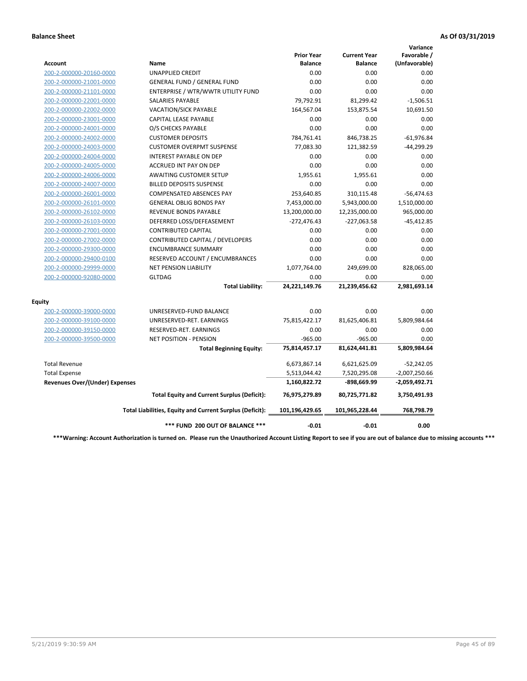|                                       |                                                          |                                     |                                       | Variance                     |
|---------------------------------------|----------------------------------------------------------|-------------------------------------|---------------------------------------|------------------------------|
| Account                               | Name                                                     | <b>Prior Year</b><br><b>Balance</b> | <b>Current Year</b><br><b>Balance</b> | Favorable /<br>(Unfavorable) |
| 200-2-000000-20160-0000               | UNAPPLIED CREDIT                                         | 0.00                                | 0.00                                  | 0.00                         |
| 200-2-000000-21001-0000               | <b>GENERAL FUND / GENERAL FUND</b>                       | 0.00                                | 0.00                                  | 0.00                         |
| 200-2-000000-21101-0000               | ENTERPRISE / WTR/WWTR UTILITY FUND                       | 0.00                                | 0.00                                  | 0.00                         |
| 200-2-000000-22001-0000               | <b>SALARIES PAYABLE</b>                                  | 79,792.91                           | 81,299.42                             | $-1,506.51$                  |
| 200-2-000000-22002-0000               | <b>VACATION/SICK PAYABLE</b>                             | 164,567.04                          | 153,875.54                            | 10,691.50                    |
| 200-2-000000-23001-0000               | <b>CAPITAL LEASE PAYABLE</b>                             | 0.00                                | 0.00                                  | 0.00                         |
| 200-2-000000-24001-0000               | O/S CHECKS PAYABLE                                       | 0.00                                | 0.00                                  | 0.00                         |
| 200-2-000000-24002-0000               | <b>CUSTOMER DEPOSITS</b>                                 | 784,761.41                          | 846,738.25                            | $-61,976.84$                 |
| 200-2-000000-24003-0000               | <b>CUSTOMER OVERPMT SUSPENSE</b>                         | 77,083.30                           | 121,382.59                            | $-44,299.29$                 |
| 200-2-000000-24004-0000               | <b>INTEREST PAYABLE ON DEP</b>                           | 0.00                                | 0.00                                  | 0.00                         |
| 200-2-000000-24005-0000               | <b>ACCRUED INT PAY ON DEP</b>                            | 0.00                                | 0.00                                  | 0.00                         |
| 200-2-000000-24006-0000               | <b>AWAITING CUSTOMER SETUP</b>                           | 1,955.61                            | 1,955.61                              | 0.00                         |
| 200-2-000000-24007-0000               | <b>BILLED DEPOSITS SUSPENSE</b>                          | 0.00                                | 0.00                                  | 0.00                         |
| 200-2-000000-26001-0000               | <b>COMPENSATED ABSENCES PAY</b>                          | 253,640.85                          | 310,115.48                            | $-56,474.63$                 |
| 200-2-000000-26101-0000               | <b>GENERAL OBLIG BONDS PAY</b>                           | 7,453,000.00                        | 5,943,000.00                          | 1,510,000.00                 |
| 200-2-000000-26102-0000               | <b>REVENUE BONDS PAYABLE</b>                             | 13,200,000.00                       | 12,235,000.00                         | 965,000.00                   |
| 200-2-000000-26103-0000               | DEFERRED LOSS/DEFEASEMENT                                | $-272,476.43$                       | -227,063.58                           | $-45,412.85$                 |
| 200-2-000000-27001-0000               | <b>CONTRIBUTED CAPITAL</b>                               | 0.00                                | 0.00                                  | 0.00                         |
| 200-2-000000-27002-0000               | CONTRIBUTED CAPITAL / DEVELOPERS                         | 0.00                                | 0.00                                  | 0.00                         |
| 200-2-000000-29300-0000               | <b>ENCUMBRANCE SUMMARY</b>                               | 0.00                                | 0.00                                  | 0.00                         |
| 200-2-000000-29400-0100               | RESERVED ACCOUNT / ENCUMBRANCES                          | 0.00                                | 0.00                                  | 0.00                         |
| 200-2-000000-29999-0000               | <b>NET PENSION LIABILITY</b>                             | 1,077,764.00                        | 249,699.00                            | 828,065.00                   |
| 200-2-000000-92080-0000               | <b>GLTDAG</b>                                            | 0.00                                | 0.00                                  | 0.00                         |
|                                       | <b>Total Liability:</b>                                  | 24,221,149.76                       | 21,239,456.62                         | 2,981,693.14                 |
| <b>Equity</b>                         |                                                          |                                     |                                       |                              |
| 200-2-000000-39000-0000               | UNRESERVED-FUND BALANCE                                  | 0.00                                | 0.00                                  | 0.00                         |
| 200-2-000000-39100-0000               | UNRESERVED-RET. EARNINGS                                 | 75,815,422.17                       | 81,625,406.81                         | 5,809,984.64                 |
| 200-2-000000-39150-0000               | RESERVED-RET. EARNINGS                                   | 0.00                                | 0.00                                  | 0.00                         |
| 200-2-000000-39500-0000               | <b>NET POSITION - PENSION</b>                            | $-965.00$                           | $-965.00$                             | 0.00                         |
|                                       | <b>Total Beginning Equity:</b>                           | 75,814,457.17                       | 81,624,441.81                         | 5,809,984.64                 |
| <b>Total Revenue</b>                  |                                                          | 6,673,867.14                        | 6,621,625.09                          | $-52,242.05$                 |
| <b>Total Expense</b>                  |                                                          | 5,513,044.42                        | 7,520,295.08                          | $-2,007,250.66$              |
| <b>Revenues Over/(Under) Expenses</b> |                                                          | 1,160,822.72                        | -898,669.99                           | -2,059,492.71                |
|                                       | <b>Total Equity and Current Surplus (Deficit):</b>       | 76,975,279.89                       | 80,725,771.82                         | 3,750,491.93                 |
|                                       | Total Liabilities, Equity and Current Surplus (Deficit): | 101,196,429.65                      | 101,965,228.44                        | 768,798.79                   |
|                                       | *** FUND 200 OUT OF BALANCE ***                          | $-0.01$                             | $-0.01$                               | 0.00                         |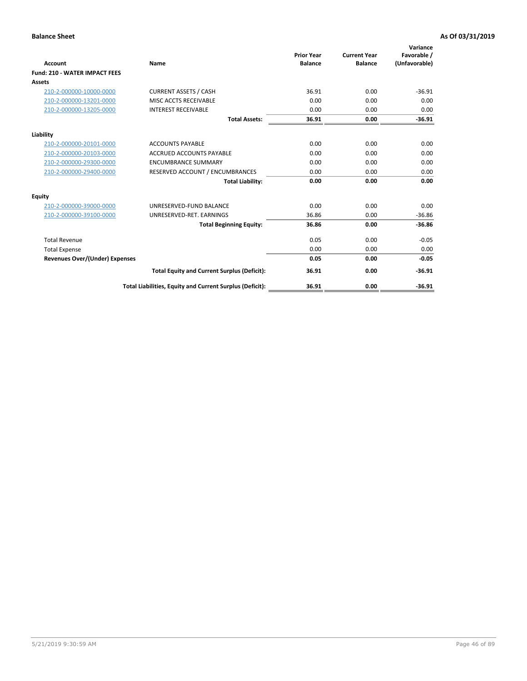| Account                               | Name                                                     | <b>Prior Year</b><br><b>Balance</b> | <b>Current Year</b><br><b>Balance</b> | Variance<br>Favorable /<br>(Unfavorable) |
|---------------------------------------|----------------------------------------------------------|-------------------------------------|---------------------------------------|------------------------------------------|
| <b>Fund: 210 - WATER IMPACT FEES</b>  |                                                          |                                     |                                       |                                          |
| <b>Assets</b>                         |                                                          |                                     |                                       |                                          |
| 210-2-000000-10000-0000               | <b>CURRENT ASSETS / CASH</b>                             | 36.91                               | 0.00                                  | $-36.91$                                 |
| 210-2-000000-13201-0000               | MISC ACCTS RECEIVABLE                                    | 0.00                                | 0.00                                  | 0.00                                     |
| 210-2-000000-13205-0000               | <b>INTEREST RECEIVABLE</b>                               | 0.00                                | 0.00                                  | 0.00                                     |
|                                       | <b>Total Assets:</b>                                     | 36.91                               | 0.00                                  | $-36.91$                                 |
| Liability                             |                                                          |                                     |                                       |                                          |
| 210-2-000000-20101-0000               | <b>ACCOUNTS PAYABLE</b>                                  | 0.00                                | 0.00                                  | 0.00                                     |
| 210-2-000000-20103-0000               | <b>ACCRUED ACCOUNTS PAYABLE</b>                          | 0.00                                | 0.00                                  | 0.00                                     |
| 210-2-000000-29300-0000               | <b>ENCUMBRANCE SUMMARY</b>                               | 0.00                                | 0.00                                  | 0.00                                     |
| 210-2-000000-29400-0000               | RESERVED ACCOUNT / ENCUMBRANCES                          | 0.00                                | 0.00                                  | 0.00                                     |
|                                       | <b>Total Liability:</b>                                  | 0.00                                | 0.00                                  | 0.00                                     |
| Equity                                |                                                          |                                     |                                       |                                          |
| 210-2-000000-39000-0000               | UNRESERVED-FUND BALANCE                                  | 0.00                                | 0.00                                  | 0.00                                     |
| 210-2-000000-39100-0000               | UNRESERVED-RET. EARNINGS                                 | 36.86                               | 0.00                                  | $-36.86$                                 |
|                                       | <b>Total Beginning Equity:</b>                           | 36.86                               | 0.00                                  | $-36.86$                                 |
| <b>Total Revenue</b>                  |                                                          | 0.05                                | 0.00                                  | $-0.05$                                  |
| <b>Total Expense</b>                  |                                                          | 0.00                                | 0.00                                  | 0.00                                     |
| <b>Revenues Over/(Under) Expenses</b> |                                                          | 0.05                                | 0.00                                  | $-0.05$                                  |
|                                       | <b>Total Equity and Current Surplus (Deficit):</b>       | 36.91                               | 0.00                                  | $-36.91$                                 |
|                                       | Total Liabilities, Equity and Current Surplus (Deficit): | 36.91                               | 0.00                                  | $-36.91$                                 |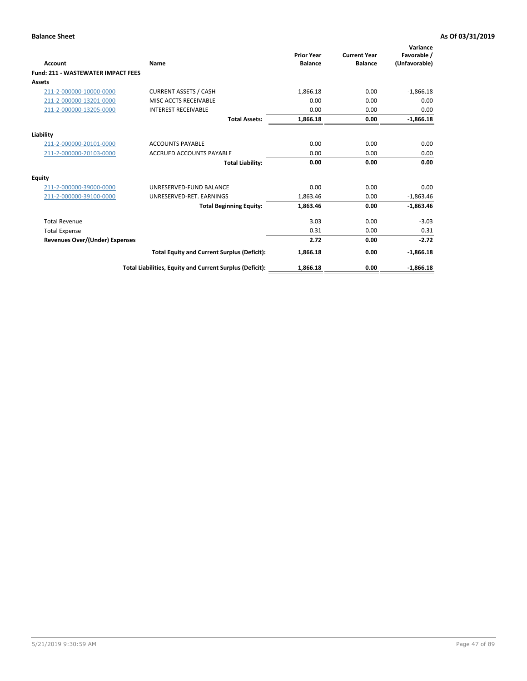| Account                                   | Name                                                     | <b>Prior Year</b><br><b>Balance</b> | <b>Current Year</b><br><b>Balance</b> | Variance<br>Favorable /<br>(Unfavorable) |
|-------------------------------------------|----------------------------------------------------------|-------------------------------------|---------------------------------------|------------------------------------------|
| <b>Fund: 211 - WASTEWATER IMPACT FEES</b> |                                                          |                                     |                                       |                                          |
| <b>Assets</b>                             |                                                          |                                     |                                       |                                          |
| 211-2-000000-10000-0000                   | <b>CURRENT ASSETS / CASH</b>                             | 1,866.18                            | 0.00                                  | $-1,866.18$                              |
| 211-2-000000-13201-0000                   | MISC ACCTS RECEIVABLE                                    | 0.00                                | 0.00                                  | 0.00                                     |
| 211-2-000000-13205-0000                   | <b>INTEREST RECEIVABLE</b>                               | 0.00                                | 0.00                                  | 0.00                                     |
|                                           | <b>Total Assets:</b>                                     | 1,866.18                            | 0.00                                  | $-1,866.18$                              |
| Liability                                 |                                                          |                                     |                                       |                                          |
| 211-2-000000-20101-0000                   | <b>ACCOUNTS PAYABLE</b>                                  | 0.00                                | 0.00                                  | 0.00                                     |
| 211-2-000000-20103-0000                   | <b>ACCRUED ACCOUNTS PAYABLE</b>                          | 0.00                                | 0.00                                  | 0.00                                     |
|                                           | <b>Total Liability:</b>                                  | 0.00                                | 0.00                                  | 0.00                                     |
| Equity                                    |                                                          |                                     |                                       |                                          |
| 211-2-000000-39000-0000                   | UNRESERVED-FUND BALANCE                                  | 0.00                                | 0.00                                  | 0.00                                     |
| 211-2-000000-39100-0000                   | UNRESERVED-RET. EARNINGS                                 | 1,863.46                            | 0.00                                  | $-1,863.46$                              |
|                                           | <b>Total Beginning Equity:</b>                           | 1,863.46                            | 0.00                                  | $-1,863.46$                              |
| <b>Total Revenue</b>                      |                                                          | 3.03                                | 0.00                                  | $-3.03$                                  |
| <b>Total Expense</b>                      |                                                          | 0.31                                | 0.00                                  | 0.31                                     |
| <b>Revenues Over/(Under) Expenses</b>     |                                                          | 2.72                                | 0.00                                  | $-2.72$                                  |
|                                           | <b>Total Equity and Current Surplus (Deficit):</b>       | 1,866.18                            | 0.00                                  | $-1,866.18$                              |
|                                           | Total Liabilities, Equity and Current Surplus (Deficit): | 1,866.18                            | 0.00                                  | $-1.866.18$                              |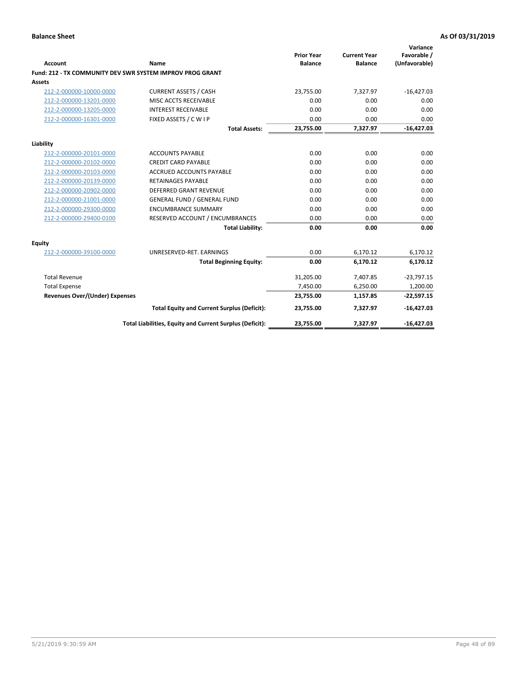| <b>Account</b>                 | Name                                                      | <b>Prior Year</b><br><b>Balance</b> | <b>Current Year</b><br><b>Balance</b> | Variance<br>Favorable /<br>(Unfavorable) |
|--------------------------------|-----------------------------------------------------------|-------------------------------------|---------------------------------------|------------------------------------------|
|                                | Fund: 212 - TX COMMUNITY DEV SWR SYSTEM IMPROV PROG GRANT |                                     |                                       |                                          |
| Assets                         |                                                           |                                     |                                       |                                          |
| 212-2-000000-10000-0000        | <b>CURRENT ASSETS / CASH</b>                              | 23,755.00                           | 7,327.97                              | $-16,427.03$                             |
| 212-2-000000-13201-0000        | MISC ACCTS RECEIVABLE                                     | 0.00                                | 0.00                                  | 0.00                                     |
| 212-2-000000-13205-0000        | <b>INTEREST RECEIVABLE</b>                                | 0.00                                | 0.00                                  | 0.00                                     |
| 212-2-000000-16301-0000        | FIXED ASSETS / C W I P                                    | 0.00                                | 0.00                                  | 0.00                                     |
|                                | <b>Total Assets:</b>                                      | 23,755.00                           | 7,327.97                              | $-16,427.03$                             |
| Liability                      |                                                           |                                     |                                       |                                          |
| 212-2-000000-20101-0000        | <b>ACCOUNTS PAYABLE</b>                                   | 0.00                                | 0.00                                  | 0.00                                     |
| 212-2-000000-20102-0000        | <b>CREDIT CARD PAYABLE</b>                                | 0.00                                | 0.00                                  | 0.00                                     |
| 212-2-000000-20103-0000        | ACCRUED ACCOUNTS PAYABLE                                  | 0.00                                | 0.00                                  | 0.00                                     |
| 212-2-000000-20139-0000        | <b>RETAINAGES PAYABLE</b>                                 | 0.00                                | 0.00                                  | 0.00                                     |
| 212-2-000000-20902-0000        | <b>DEFERRED GRANT REVENUE</b>                             | 0.00                                | 0.00                                  | 0.00                                     |
| 212-2-000000-21001-0000        | <b>GENERAL FUND / GENERAL FUND</b>                        | 0.00                                | 0.00                                  | 0.00                                     |
| 212-2-000000-29300-0000        | <b>ENCUMBRANCE SUMMARY</b>                                | 0.00                                | 0.00                                  | 0.00                                     |
| 212-2-000000-29400-0100        | RESERVED ACCOUNT / ENCUMBRANCES                           | 0.00                                | 0.00                                  | 0.00                                     |
|                                | <b>Total Liability:</b>                                   | 0.00                                | 0.00                                  | 0.00                                     |
| <b>Equity</b>                  |                                                           |                                     |                                       |                                          |
| 212-2-000000-39100-0000        | UNRESERVED-RET. EARNINGS                                  | 0.00                                | 6,170.12                              | 6,170.12                                 |
|                                | <b>Total Beginning Equity:</b>                            | 0.00                                | 6,170.12                              | 6,170.12                                 |
| <b>Total Revenue</b>           |                                                           | 31,205.00                           | 7.407.85                              | $-23,797.15$                             |
| <b>Total Expense</b>           |                                                           | 7,450.00                            | 6,250.00                              | 1,200.00                                 |
| Revenues Over/(Under) Expenses |                                                           | 23,755.00                           | 1,157.85                              | $-22,597.15$                             |
|                                | <b>Total Equity and Current Surplus (Deficit):</b>        | 23,755.00                           | 7,327.97                              | $-16,427.03$                             |
|                                | Total Liabilities, Equity and Current Surplus (Deficit):  | 23,755.00                           | 7,327.97                              | $-16,427.03$                             |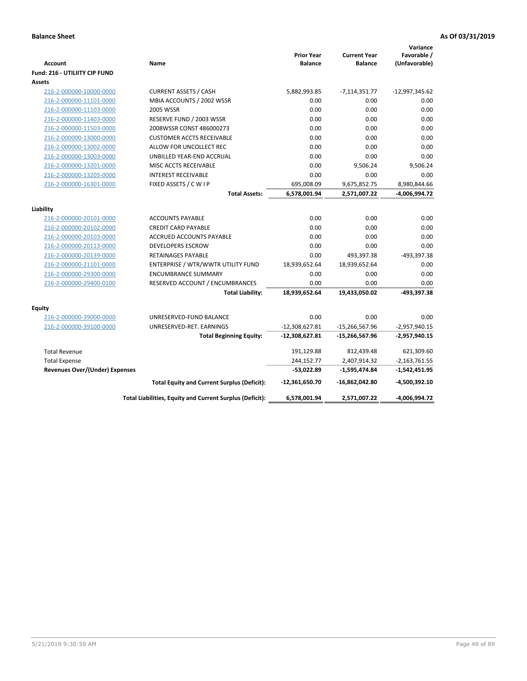| <b>Account</b>                        | Name                                                     | <b>Prior Year</b><br><b>Balance</b> | <b>Current Year</b><br><b>Balance</b> | Variance<br>Favorable /<br>(Unfavorable) |
|---------------------------------------|----------------------------------------------------------|-------------------------------------|---------------------------------------|------------------------------------------|
| Fund: 216 - UTILIITY CIP FUND         |                                                          |                                     |                                       |                                          |
| <b>Assets</b>                         |                                                          |                                     |                                       |                                          |
| 216-2-000000-10000-0000               | <b>CURRENT ASSETS / CASH</b>                             | 5,882,993.85                        | $-7,114,351.77$                       | $-12,997,345.62$                         |
| 216-2-000000-11101-0000               | MBIA ACCOUNTS / 2002 WSSR                                | 0.00                                | 0.00                                  | 0.00                                     |
| 216-2-000000-11103-0000               | <b>2005 WSSR</b>                                         | 0.00                                | 0.00                                  | 0.00                                     |
| 216-2-000000-11403-0000               | RESERVE FUND / 2003 WSSR                                 | 0.00                                | 0.00                                  | 0.00                                     |
| 216-2-000000-11503-0000               | 2008WSSR CONST 486000273                                 | 0.00                                | 0.00                                  | 0.00                                     |
| 216-2-000000-13000-0000               | <b>CUSTOMER ACCTS RECEIVABLE</b>                         | 0.00                                | 0.00                                  | 0.00                                     |
| 216-2-000000-13002-0000               | ALLOW FOR UNCOLLECT REC                                  | 0.00                                | 0.00                                  | 0.00                                     |
| 216-2-000000-13003-0000               | UNBILLED YEAR-END ACCRUAL                                | 0.00                                | 0.00                                  | 0.00                                     |
| 216-2-000000-13201-0000               | MISC ACCTS RECEIVABLE                                    | 0.00                                | 9,506.24                              | 9,506.24                                 |
| 216-2-000000-13205-0000               | <b>INTEREST RECEIVABLE</b>                               | 0.00                                | 0.00                                  | 0.00                                     |
| 216-2-000000-16301-0000               | FIXED ASSETS / C W I P                                   | 695,008.09                          | 9,675,852.75                          | 8,980,844.66                             |
|                                       | <b>Total Assets:</b>                                     | 6,578,001.94                        | 2,571,007.22                          | -4,006,994.72                            |
|                                       |                                                          |                                     |                                       |                                          |
| Liability                             |                                                          |                                     |                                       |                                          |
| 216-2-000000-20101-0000               | <b>ACCOUNTS PAYABLE</b>                                  | 0.00                                | 0.00                                  | 0.00                                     |
| 216-2-000000-20102-0000               | <b>CREDIT CARD PAYABLE</b>                               | 0.00                                | 0.00                                  | 0.00                                     |
| 216-2-000000-20103-0000               | ACCRUED ACCOUNTS PAYABLE                                 | 0.00                                | 0.00                                  | 0.00                                     |
| 216-2-000000-20113-0000               | <b>DEVELOPERS ESCROW</b>                                 | 0.00                                | 0.00                                  | 0.00                                     |
| 216-2-000000-20139-0000               | <b>RETAINAGES PAYABLE</b>                                | 0.00                                | 493,397.38                            | -493,397.38                              |
| 216-2-000000-21101-0000               | ENTERPRISE / WTR/WWTR UTILITY FUND                       | 18,939,652.64                       | 18,939,652.64                         | 0.00                                     |
| 216-2-000000-29300-0000               | <b>ENCUMBRANCE SUMMARY</b>                               | 0.00                                | 0.00                                  | 0.00                                     |
| 216-2-000000-29400-0100               | RESERVED ACCOUNT / ENCUMBRANCES                          | 0.00                                | 0.00                                  | 0.00                                     |
|                                       | <b>Total Liability:</b>                                  | 18,939,652.64                       | 19,433,050.02                         | -493,397.38                              |
| <b>Equity</b>                         |                                                          |                                     |                                       |                                          |
| 216-2-000000-39000-0000               | UNRESERVED-FUND BALANCE                                  | 0.00                                | 0.00                                  | 0.00                                     |
| 216-2-000000-39100-0000               | UNRESERVED-RET. EARNINGS                                 | $-12,308,627.81$                    | $-15,266,567.96$                      | $-2,957,940.15$                          |
|                                       | <b>Total Beginning Equity:</b>                           | -12,308,627.81                      | -15,266,567.96                        | -2,957,940.15                            |
|                                       |                                                          |                                     |                                       |                                          |
| <b>Total Revenue</b>                  |                                                          | 191,129.88                          | 812,439.48                            | 621,309.60                               |
| <b>Total Expense</b>                  |                                                          | 244,152.77                          | 2,407,914.32                          | $-2,163,761.55$                          |
| <b>Revenues Over/(Under) Expenses</b> |                                                          | -53,022.89                          | $-1,595,474.84$                       | $-1,542,451.95$                          |
|                                       | <b>Total Equity and Current Surplus (Deficit):</b>       | -12,361,650.70                      | -16,862,042.80                        | -4,500,392.10                            |
|                                       | Total Liabilities, Equity and Current Surplus (Deficit): | 6,578,001.94                        | 2,571,007.22                          | -4,006,994.72                            |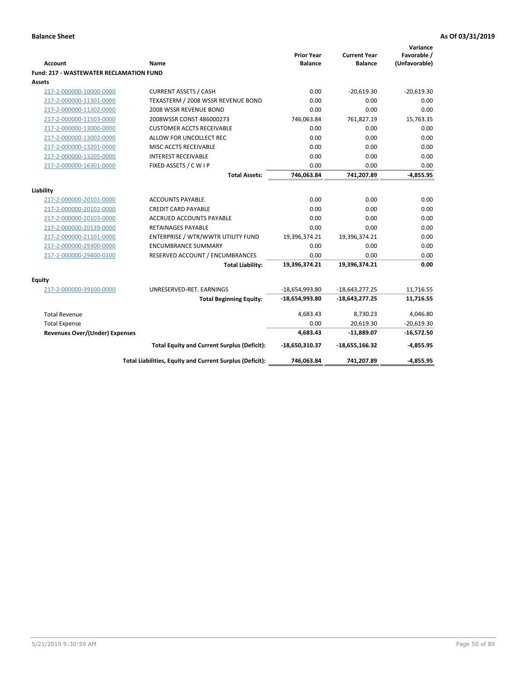| Account                                        | Name                                                     | <b>Prior Year</b><br><b>Balance</b> | <b>Current Year</b><br><b>Balance</b> | Variance<br>Favorable /<br>(Unfavorable) |
|------------------------------------------------|----------------------------------------------------------|-------------------------------------|---------------------------------------|------------------------------------------|
| <b>Fund: 217 - WASTEWATER RECLAMATION FUND</b> |                                                          |                                     |                                       |                                          |
| <b>Assets</b>                                  |                                                          |                                     |                                       |                                          |
| 217-2-000000-10000-0000                        | <b>CURRENT ASSETS / CASH</b>                             | 0.00                                | $-20,619.30$                          | $-20,619.30$                             |
| 217-2-000000-11301-0000                        | TEXASTERM / 2008 WSSR REVENUE BOND                       | 0.00                                | 0.00                                  | 0.00                                     |
| 217-2-000000-11302-0000                        | 2008 WSSR REVENUE BOND                                   | 0.00                                | 0.00                                  | 0.00                                     |
| 217-2-000000-11503-0000                        | 2008WSSR CONST 486000273                                 | 746,063.84                          | 761,827.19                            | 15,763.35                                |
| 217-2-000000-13000-0000                        | <b>CUSTOMER ACCTS RECEIVABLE</b>                         | 0.00                                | 0.00                                  | 0.00                                     |
| 217-2-000000-13002-0000                        | ALLOW FOR UNCOLLECT REC                                  | 0.00                                | 0.00                                  | 0.00                                     |
| 217-2-000000-13201-0000                        | MISC ACCTS RECEIVABLE                                    | 0.00                                | 0.00                                  | 0.00                                     |
| 217-2-000000-13205-0000                        | <b>INTEREST RECEIVABLE</b>                               | 0.00                                | 0.00                                  | 0.00                                     |
| 217-2-000000-16301-0000                        | FIXED ASSETS / C W I P                                   | 0.00                                | 0.00                                  | 0.00                                     |
|                                                | <b>Total Assets:</b>                                     | 746,063.84                          | 741,207.89                            | $-4,855.95$                              |
|                                                |                                                          |                                     |                                       |                                          |
| Liability<br>217-2-000000-20101-0000           | <b>ACCOUNTS PAYABLE</b>                                  | 0.00                                | 0.00                                  | 0.00                                     |
| 217-2-000000-20102-0000                        | <b>CREDIT CARD PAYABLE</b>                               | 0.00                                | 0.00                                  | 0.00                                     |
| 217-2-000000-20103-0000                        | <b>ACCRUED ACCOUNTS PAYABLE</b>                          | 0.00                                | 0.00                                  | 0.00                                     |
| 217-2-000000-20139-0000                        | RETAINAGES PAYABLE                                       | 0.00                                | 0.00                                  | 0.00                                     |
| 217-2-000000-21101-0000                        | ENTERPRISE / WTR/WWTR UTILITY FUND                       | 19,396,374.21                       | 19,396,374.21                         | 0.00                                     |
| 217-2-000000-29300-0000                        | <b>ENCUMBRANCE SUMMARY</b>                               | 0.00                                | 0.00                                  | 0.00                                     |
| 217-2-000000-29400-0100                        | RESERVED ACCOUNT / ENCUMBRANCES                          | 0.00                                | 0.00                                  | 0.00                                     |
|                                                | <b>Total Liability:</b>                                  | 19,396,374.21                       | 19,396,374.21                         | 0.00                                     |
|                                                |                                                          |                                     |                                       |                                          |
| <b>Equity</b>                                  |                                                          |                                     |                                       |                                          |
| 217-2-000000-39100-0000                        | UNRESERVED-RET. EARNINGS                                 | $-18,654,993.80$                    | $-18,643,277.25$                      | 11,716.55                                |
|                                                | <b>Total Beginning Equity:</b>                           | $-18,654,993.80$                    | $-18,643,277.25$                      | 11,716.55                                |
| <b>Total Revenue</b>                           |                                                          | 4,683.43                            | 8,730.23                              | 4,046.80                                 |
| <b>Total Expense</b>                           |                                                          | 0.00                                | 20,619.30                             | $-20,619.30$                             |
| <b>Revenues Over/(Under) Expenses</b>          |                                                          | 4,683.43                            | $-11,889.07$                          | $-16,572.50$                             |
|                                                |                                                          |                                     |                                       |                                          |
|                                                | <b>Total Equity and Current Surplus (Deficit):</b>       | -18,650,310.37                      | $-18,655,166.32$                      | $-4,855.95$                              |
|                                                | Total Liabilities, Equity and Current Surplus (Deficit): | 746,063.84                          | 741,207.89                            | -4,855.95                                |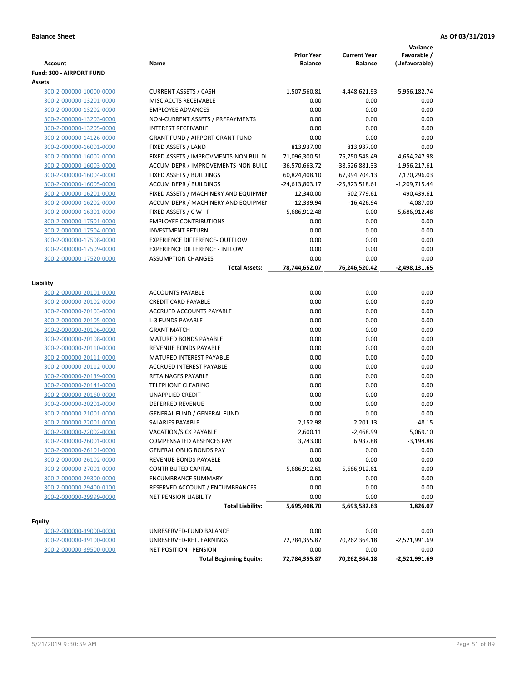| <b>Account</b>           | Name                                   | <b>Prior Year</b><br><b>Balance</b> | <b>Current Year</b><br><b>Balance</b> | Variance<br>Favorable /<br>(Unfavorable) |
|--------------------------|----------------------------------------|-------------------------------------|---------------------------------------|------------------------------------------|
| Fund: 300 - AIRPORT FUND |                                        |                                     |                                       |                                          |
| Assets                   |                                        |                                     |                                       |                                          |
| 300-2-000000-10000-0000  | <b>CURRENT ASSETS / CASH</b>           | 1,507,560.81                        | -4,448,621.93                         | -5,956,182.74                            |
| 300-2-000000-13201-0000  | MISC ACCTS RECEIVABLE                  | 0.00                                | 0.00                                  | 0.00                                     |
| 300-2-000000-13202-0000  | <b>EMPLOYEE ADVANCES</b>               | 0.00                                | 0.00                                  | 0.00                                     |
| 300-2-000000-13203-0000  | NON-CURRENT ASSETS / PREPAYMENTS       | 0.00                                | 0.00                                  | 0.00                                     |
| 300-2-000000-13205-0000  | <b>INTEREST RECEIVABLE</b>             | 0.00                                | 0.00                                  | 0.00                                     |
| 300-2-000000-14126-0000  | <b>GRANT FUND / AIRPORT GRANT FUND</b> | 0.00                                | 0.00                                  | 0.00                                     |
| 300-2-000000-16001-0000  | FIXED ASSETS / LAND                    | 813,937.00                          | 813,937.00                            | 0.00                                     |
| 300-2-000000-16002-0000  | FIXED ASSETS / IMPROVMENTS-NON BUILDI  | 71,096,300.51                       | 75,750,548.49                         | 4,654,247.98                             |
| 300-2-000000-16003-0000  | ACCUM DEPR / IMPROVEMENTS-NON BUILL    | -36,570,663.72                      | -38,526,881.33                        | $-1,956,217.61$                          |
| 300-2-000000-16004-0000  | FIXED ASSETS / BUILDINGS               | 60,824,408.10                       | 67,994,704.13                         | 7,170,296.03                             |
| 300-2-000000-16005-0000  | <b>ACCUM DEPR / BUILDINGS</b>          | -24,613,803.17                      | $-25,823,518.61$                      | $-1,209,715.44$                          |
| 300-2-000000-16201-0000  | FIXED ASSETS / MACHINERY AND EQUIPMEN  | 12,340.00                           | 502,779.61                            | 490,439.61                               |
| 300-2-000000-16202-0000  | ACCUM DEPR / MACHINERY AND EQUIPMEI    | $-12,339.94$                        | $-16,426.94$                          | $-4,087.00$                              |
| 300-2-000000-16301-0000  | FIXED ASSETS / C W I P                 | 5,686,912.48                        | 0.00                                  | -5,686,912.48                            |
| 300-2-000000-17501-0000  | <b>EMPLOYEE CONTRIBUTIONS</b>          | 0.00                                | 0.00                                  | 0.00                                     |
| 300-2-000000-17504-0000  | <b>INVESTMENT RETURN</b>               | 0.00                                | 0.00                                  | 0.00                                     |
| 300-2-000000-17508-0000  | <b>EXPERIENCE DIFFERENCE- OUTFLOW</b>  | 0.00                                | 0.00                                  | 0.00                                     |
| 300-2-000000-17509-0000  | <b>EXPERIENCE DIFFERENCE - INFLOW</b>  | 0.00                                | 0.00                                  | 0.00                                     |
| 300-2-000000-17520-0000  | <b>ASSUMPTION CHANGES</b>              | 0.00                                | 0.00                                  | 0.00                                     |
|                          | <b>Total Assets:</b>                   | 78,744,652.07                       | 76,246,520.42                         | -2,498,131.65                            |
| Liability                |                                        |                                     |                                       |                                          |
| 300-2-000000-20101-0000  | <b>ACCOUNTS PAYABLE</b>                | 0.00                                | 0.00                                  | 0.00                                     |
| 300-2-000000-20102-0000  | <b>CREDIT CARD PAYABLE</b>             | 0.00                                | 0.00                                  | 0.00                                     |
| 300-2-000000-20103-0000  | ACCRUED ACCOUNTS PAYABLE               | 0.00                                | 0.00                                  | 0.00                                     |
| 300-2-000000-20105-0000  | <b>L-3 FUNDS PAYABLE</b>               | 0.00                                | 0.00                                  | 0.00                                     |
| 300-2-000000-20106-0000  | <b>GRANT MATCH</b>                     | 0.00                                | 0.00                                  | 0.00                                     |
| 300-2-000000-20108-0000  | MATURED BONDS PAYABLE                  | 0.00                                | 0.00                                  | 0.00                                     |
| 300-2-000000-20110-0000  | REVENUE BONDS PAYABLE                  | 0.00                                | 0.00                                  | 0.00                                     |
| 300-2-000000-20111-0000  | MATURED INTEREST PAYABLE               | 0.00                                | 0.00                                  | 0.00                                     |
| 300-2-000000-20112-0000  | <b>ACCRUED INTEREST PAYABLE</b>        | 0.00                                | 0.00                                  | 0.00                                     |
| 300-2-000000-20139-0000  | RETAINAGES PAYABLE                     | 0.00                                | 0.00                                  | 0.00                                     |
| 300-2-000000-20141-0000  | <b>TELEPHONE CLEARING</b>              | 0.00                                | 0.00                                  | 0.00                                     |
| 300-2-000000-20160-0000  | <b>UNAPPLIED CREDIT</b>                | 0.00                                | 0.00                                  | 0.00                                     |
| 300-2-000000-20201-0000  | <b>DEFERRED REVENUE</b>                | 0.00                                | 0.00                                  | 0.00                                     |
| 300-2-000000-21001-0000  | <b>GENERAL FUND / GENERAL FUND</b>     | 0.00                                | 0.00                                  | 0.00                                     |
| 300-2-000000-22001-0000  | SALARIES PAYABLE                       | 2,152.98                            | 2,201.13                              | $-48.15$                                 |
| 300-2-000000-22002-0000  | VACATION/SICK PAYABLE                  | 2,600.11                            | $-2,468.99$                           | 5,069.10                                 |
| 300-2-000000-26001-0000  | COMPENSATED ABSENCES PAY               | 3,743.00                            | 6,937.88                              | -3,194.88                                |
| 300-2-000000-26101-0000  | <b>GENERAL OBLIG BONDS PAY</b>         | 0.00                                | 0.00                                  | 0.00                                     |
| 300-2-000000-26102-0000  | REVENUE BONDS PAYABLE                  | 0.00                                | 0.00                                  | 0.00                                     |
| 300-2-000000-27001-0000  | <b>CONTRIBUTED CAPITAL</b>             | 5,686,912.61                        | 5,686,912.61                          | 0.00                                     |
| 300-2-000000-29300-0000  | <b>ENCUMBRANCE SUMMARY</b>             | 0.00                                | 0.00                                  | 0.00                                     |
| 300-2-000000-29400-0100  | RESERVED ACCOUNT / ENCUMBRANCES        | 0.00                                | 0.00                                  | 0.00                                     |
| 300-2-000000-29999-0000  | <b>NET PENSION LIABILITY</b>           | 0.00                                | 0.00                                  | 0.00                                     |
|                          | <b>Total Liability:</b>                | 5,695,408.70                        | 5,693,582.63                          | 1,826.07                                 |
| Equity                   |                                        |                                     |                                       |                                          |
| 300-2-000000-39000-0000  | UNRESERVED-FUND BALANCE                | 0.00                                | 0.00                                  | 0.00                                     |
| 300-2-000000-39100-0000  | UNRESERVED-RET. EARNINGS               | 72,784,355.87                       | 70,262,364.18                         | $-2,521,991.69$                          |
| 300-2-000000-39500-0000  | <b>NET POSITION - PENSION</b>          | 0.00                                | 0.00                                  | 0.00                                     |
|                          | <b>Total Beginning Equity:</b>         | 72,784,355.87                       | 70,262,364.18                         | $-2,521,991.69$                          |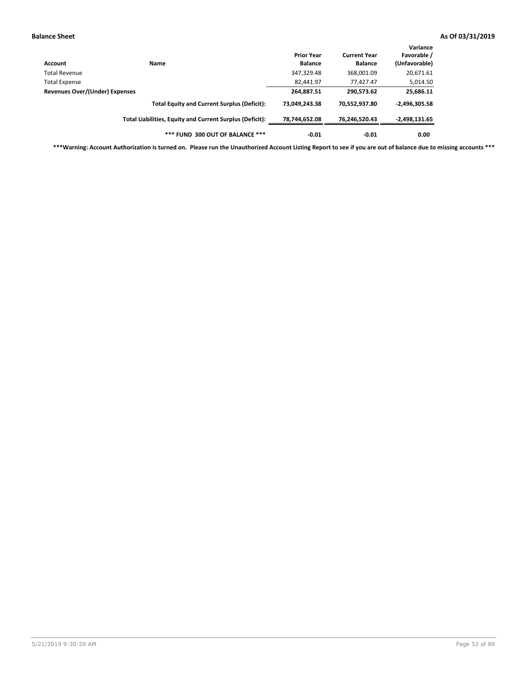| Account                               | Name                                                     | <b>Prior Year</b><br><b>Balance</b> | <b>Current Year</b><br><b>Balance</b> | Variance<br>Favorable /<br>(Unfavorable) |
|---------------------------------------|----------------------------------------------------------|-------------------------------------|---------------------------------------|------------------------------------------|
| Total Revenue                         |                                                          | 347,329.48                          | 368,001.09                            | 20,671.61                                |
| <b>Total Expense</b>                  |                                                          | 82,441.97                           | 77.427.47                             | 5,014.50                                 |
| <b>Revenues Over/(Under) Expenses</b> |                                                          | 264,887.51                          | 290,573.62                            | 25,686.11                                |
|                                       | <b>Total Equity and Current Surplus (Deficit):</b>       | 73.049.243.38                       | 70,552,937.80                         | $-2,496,305.58$                          |
|                                       | Total Liabilities, Equity and Current Surplus (Deficit): | 78,744,652.08                       | 76,246,520.43                         | -2,498,131.65                            |
|                                       | *** FUND 300 OUT OF BALANCE ***                          | $-0.01$                             | $-0.01$                               | 0.00                                     |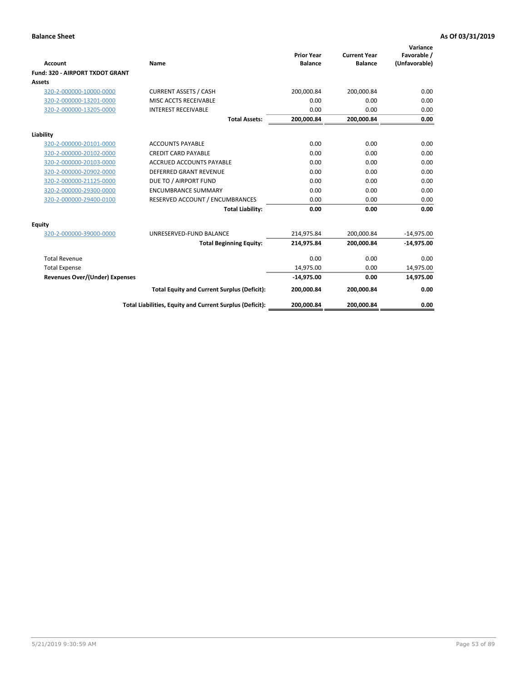|                                       |                                                          |                                     |                                       | Variance                     |
|---------------------------------------|----------------------------------------------------------|-------------------------------------|---------------------------------------|------------------------------|
| <b>Account</b>                        | Name                                                     | <b>Prior Year</b><br><b>Balance</b> | <b>Current Year</b><br><b>Balance</b> | Favorable /<br>(Unfavorable) |
| Fund: 320 - AIRPORT TXDOT GRANT       |                                                          |                                     |                                       |                              |
| Assets                                |                                                          |                                     |                                       |                              |
| 320-2-000000-10000-0000               | <b>CURRENT ASSETS / CASH</b>                             | 200,000.84                          | 200,000.84                            | 0.00                         |
| 320-2-000000-13201-0000               | MISC ACCTS RECEIVABLE                                    | 0.00                                | 0.00                                  | 0.00                         |
| 320-2-000000-13205-0000               | <b>INTEREST RECEIVABLE</b>                               | 0.00                                | 0.00                                  | 0.00                         |
|                                       | <b>Total Assets:</b>                                     | 200,000.84                          | 200,000.84                            | 0.00                         |
| Liability                             |                                                          |                                     |                                       |                              |
| 320-2-000000-20101-0000               | <b>ACCOUNTS PAYABLE</b>                                  | 0.00                                | 0.00                                  | 0.00                         |
| 320-2-000000-20102-0000               | <b>CREDIT CARD PAYABLE</b>                               | 0.00                                | 0.00                                  | 0.00                         |
| 320-2-000000-20103-0000               | <b>ACCRUED ACCOUNTS PAYABLE</b>                          | 0.00                                | 0.00                                  | 0.00                         |
| 320-2-000000-20902-0000               | <b>DEFERRED GRANT REVENUE</b>                            | 0.00                                | 0.00                                  | 0.00                         |
| 320-2-000000-21125-0000               | DUE TO / AIRPORT FUND                                    | 0.00                                | 0.00                                  | 0.00                         |
| 320-2-000000-29300-0000               | <b>ENCUMBRANCE SUMMARY</b>                               | 0.00                                | 0.00                                  | 0.00                         |
| 320-2-000000-29400-0100               | RESERVED ACCOUNT / ENCUMBRANCES                          | 0.00                                | 0.00                                  | 0.00                         |
|                                       | <b>Total Liability:</b>                                  | 0.00                                | 0.00                                  | 0.00                         |
| <b>Equity</b>                         |                                                          |                                     |                                       |                              |
| 320-2-000000-39000-0000               | UNRESERVED-FUND BALANCE                                  | 214,975.84                          | 200,000.84                            | $-14,975.00$                 |
|                                       | <b>Total Beginning Equity:</b>                           | 214,975.84                          | 200,000.84                            | $-14,975.00$                 |
| <b>Total Revenue</b>                  |                                                          | 0.00                                | 0.00                                  | 0.00                         |
| <b>Total Expense</b>                  |                                                          | 14,975.00                           | 0.00                                  | 14,975.00                    |
| <b>Revenues Over/(Under) Expenses</b> |                                                          | $-14,975.00$                        | 0.00                                  | 14,975.00                    |
|                                       | <b>Total Equity and Current Surplus (Deficit):</b>       | 200,000.84                          | 200,000.84                            | 0.00                         |
|                                       | Total Liabilities, Equity and Current Surplus (Deficit): | 200,000.84                          | 200,000.84                            | 0.00                         |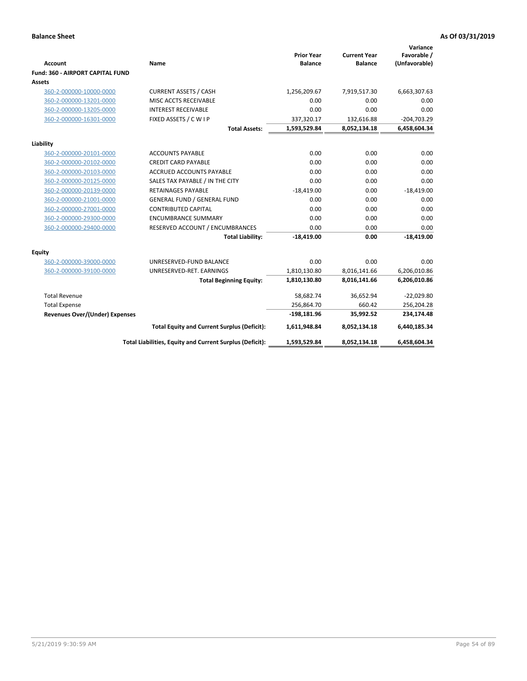| <b>Account</b>                        | Name                                                     | <b>Prior Year</b><br><b>Balance</b> | <b>Current Year</b><br><b>Balance</b> | Variance<br>Favorable /<br>(Unfavorable) |
|---------------------------------------|----------------------------------------------------------|-------------------------------------|---------------------------------------|------------------------------------------|
| Fund: 360 - AIRPORT CAPITAL FUND      |                                                          |                                     |                                       |                                          |
| <b>Assets</b>                         |                                                          |                                     |                                       |                                          |
| 360-2-000000-10000-0000               | <b>CURRENT ASSETS / CASH</b>                             | 1,256,209.67                        | 7,919,517.30                          | 6,663,307.63                             |
| 360-2-000000-13201-0000               | MISC ACCTS RECEIVABLE                                    | 0.00                                | 0.00                                  | 0.00                                     |
| 360-2-000000-13205-0000               | <b>INTEREST RECEIVABLE</b>                               | 0.00                                | 0.00                                  | 0.00                                     |
| 360-2-000000-16301-0000               | FIXED ASSETS / C W I P                                   | 337,320.17                          | 132,616.88                            | $-204,703.29$                            |
|                                       | <b>Total Assets:</b>                                     | 1,593,529.84                        | 8,052,134.18                          | 6,458,604.34                             |
| Liability                             |                                                          |                                     |                                       |                                          |
| 360-2-000000-20101-0000               | <b>ACCOUNTS PAYABLE</b>                                  | 0.00                                | 0.00                                  | 0.00                                     |
| 360-2-000000-20102-0000               | <b>CREDIT CARD PAYABLE</b>                               | 0.00                                | 0.00                                  | 0.00                                     |
| 360-2-000000-20103-0000               | ACCRUED ACCOUNTS PAYABLE                                 | 0.00                                | 0.00                                  | 0.00                                     |
| 360-2-000000-20125-0000               | SALES TAX PAYABLE / IN THE CITY                          | 0.00                                | 0.00                                  | 0.00                                     |
| 360-2-000000-20139-0000               | <b>RETAINAGES PAYABLE</b>                                | $-18,419.00$                        | 0.00                                  | $-18,419.00$                             |
| 360-2-000000-21001-0000               | <b>GENERAL FUND / GENERAL FUND</b>                       | 0.00                                | 0.00                                  | 0.00                                     |
| 360-2-000000-27001-0000               | <b>CONTRIBUTED CAPITAL</b>                               | 0.00                                | 0.00                                  | 0.00                                     |
| 360-2-000000-29300-0000               | <b>ENCUMBRANCE SUMMARY</b>                               | 0.00                                | 0.00                                  | 0.00                                     |
| 360-2-000000-29400-0000               | RESERVED ACCOUNT / ENCUMBRANCES                          | 0.00                                | 0.00                                  | 0.00                                     |
|                                       | <b>Total Liability:</b>                                  | $-18,419.00$                        | 0.00                                  | $-18,419.00$                             |
| Equity                                |                                                          |                                     |                                       |                                          |
| 360-2-000000-39000-0000               | UNRESERVED-FUND BALANCE                                  | 0.00                                | 0.00                                  | 0.00                                     |
| 360-2-000000-39100-0000               | UNRESERVED-RET. EARNINGS                                 | 1,810,130.80                        | 8,016,141.66                          | 6,206,010.86                             |
|                                       | <b>Total Beginning Equity:</b>                           | 1,810,130.80                        | 8,016,141.66                          | 6,206,010.86                             |
| <b>Total Revenue</b>                  |                                                          | 58,682.74                           | 36,652.94                             | $-22,029.80$                             |
| <b>Total Expense</b>                  |                                                          | 256,864.70                          | 660.42                                | 256,204.28                               |
| <b>Revenues Over/(Under) Expenses</b> |                                                          | $-198,181.96$                       | 35,992.52                             | 234,174.48                               |
|                                       | <b>Total Equity and Current Surplus (Deficit):</b>       | 1,611,948.84                        | 8,052,134.18                          | 6,440,185.34                             |
|                                       | Total Liabilities, Equity and Current Surplus (Deficit): | 1,593,529.84                        | 8,052,134.18                          | 6,458,604.34                             |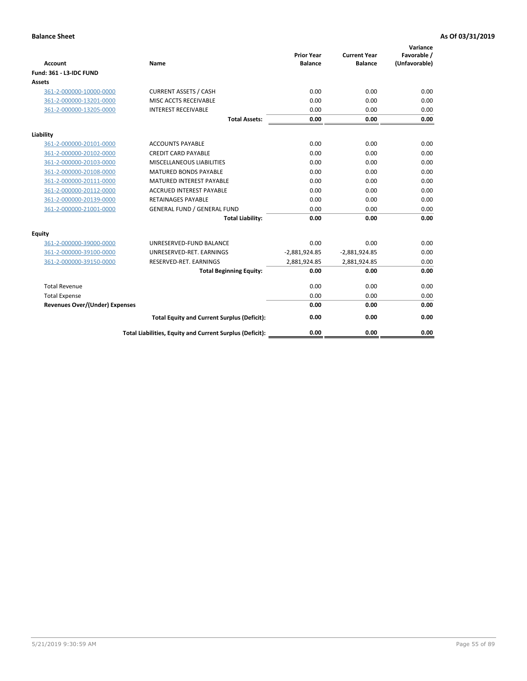| <b>Account</b>                        | Name                                                     | <b>Prior Year</b><br><b>Balance</b> | <b>Current Year</b><br><b>Balance</b> | Variance<br>Favorable /<br>(Unfavorable) |
|---------------------------------------|----------------------------------------------------------|-------------------------------------|---------------------------------------|------------------------------------------|
| <b>Fund: 361 - L3-IDC FUND</b>        |                                                          |                                     |                                       |                                          |
| Assets                                |                                                          |                                     |                                       |                                          |
| 361-2-000000-10000-0000               | <b>CURRENT ASSETS / CASH</b>                             | 0.00                                | 0.00                                  | 0.00                                     |
| 361-2-000000-13201-0000               | MISC ACCTS RECEIVABLE                                    | 0.00                                | 0.00                                  | 0.00                                     |
| 361-2-000000-13205-0000               | <b>INTEREST RECEIVABLE</b>                               | 0.00                                | 0.00                                  | 0.00                                     |
|                                       | <b>Total Assets:</b>                                     | 0.00                                | 0.00                                  | 0.00                                     |
| Liability                             |                                                          |                                     |                                       |                                          |
| 361-2-000000-20101-0000               | <b>ACCOUNTS PAYABLE</b>                                  | 0.00                                | 0.00                                  | 0.00                                     |
| 361-2-000000-20102-0000               | <b>CREDIT CARD PAYABLE</b>                               | 0.00                                | 0.00                                  | 0.00                                     |
| 361-2-000000-20103-0000               | <b>MISCELLANEOUS LIABILITIES</b>                         | 0.00                                | 0.00                                  | 0.00                                     |
| 361-2-000000-20108-0000               | <b>MATURED BONDS PAYABLE</b>                             | 0.00                                | 0.00                                  | 0.00                                     |
| 361-2-000000-20111-0000               | <b>MATURED INTEREST PAYABLE</b>                          | 0.00                                | 0.00                                  | 0.00                                     |
| 361-2-000000-20112-0000               | <b>ACCRUED INTEREST PAYABLE</b>                          | 0.00                                | 0.00                                  | 0.00                                     |
| 361-2-000000-20139-0000               | <b>RETAINAGES PAYABLE</b>                                | 0.00                                | 0.00                                  | 0.00                                     |
| 361-2-000000-21001-0000               | <b>GENERAL FUND / GENERAL FUND</b>                       | 0.00                                | 0.00                                  | 0.00                                     |
|                                       | <b>Total Liability:</b>                                  | 0.00                                | 0.00                                  | 0.00                                     |
| Equity                                |                                                          |                                     |                                       |                                          |
| 361-2-000000-39000-0000               | UNRESERVED-FUND BALANCE                                  | 0.00                                | 0.00                                  | 0.00                                     |
| 361-2-000000-39100-0000               | UNRESERVED-RET. EARNINGS                                 | $-2,881,924.85$                     | $-2,881,924.85$                       | 0.00                                     |
| 361-2-000000-39150-0000               | RESERVED-RET. EARNINGS                                   | 2,881,924.85                        | 2,881,924.85                          | 0.00                                     |
|                                       | <b>Total Beginning Equity:</b>                           | 0.00                                | 0.00                                  | 0.00                                     |
| <b>Total Revenue</b>                  |                                                          | 0.00                                | 0.00                                  | 0.00                                     |
| <b>Total Expense</b>                  |                                                          | 0.00                                | 0.00                                  | 0.00                                     |
| <b>Revenues Over/(Under) Expenses</b> |                                                          | 0.00                                | 0.00                                  | 0.00                                     |
|                                       | <b>Total Equity and Current Surplus (Deficit):</b>       | 0.00                                | 0.00                                  | 0.00                                     |
|                                       | Total Liabilities, Equity and Current Surplus (Deficit): | 0.00                                | 0.00                                  | 0.00                                     |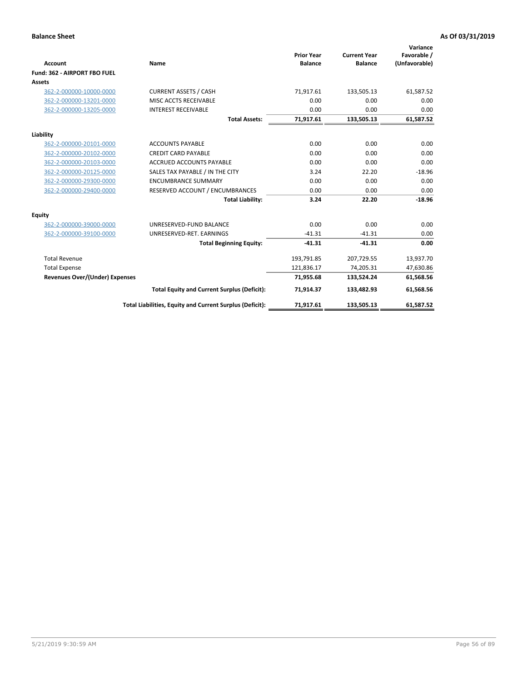|                                       |                                                          |                                     |                                       | Variance                     |
|---------------------------------------|----------------------------------------------------------|-------------------------------------|---------------------------------------|------------------------------|
| <b>Account</b>                        | Name                                                     | <b>Prior Year</b><br><b>Balance</b> | <b>Current Year</b><br><b>Balance</b> | Favorable /<br>(Unfavorable) |
| Fund: 362 - AIRPORT FBO FUEL          |                                                          |                                     |                                       |                              |
| Assets                                |                                                          |                                     |                                       |                              |
| 362-2-000000-10000-0000               | <b>CURRENT ASSETS / CASH</b>                             | 71.917.61                           | 133,505.13                            | 61,587.52                    |
| 362-2-000000-13201-0000               | MISC ACCTS RECEIVABLE                                    | 0.00                                | 0.00                                  | 0.00                         |
| 362-2-000000-13205-0000               | <b>INTEREST RECEIVABLE</b>                               | 0.00                                | 0.00                                  | 0.00                         |
|                                       | <b>Total Assets:</b>                                     | 71,917.61                           | 133,505.13                            | 61,587.52                    |
| Liability                             |                                                          |                                     |                                       |                              |
| 362-2-000000-20101-0000               | <b>ACCOUNTS PAYABLE</b>                                  | 0.00                                | 0.00                                  | 0.00                         |
| 362-2-000000-20102-0000               | <b>CREDIT CARD PAYABLE</b>                               | 0.00                                | 0.00                                  | 0.00                         |
| 362-2-000000-20103-0000               | <b>ACCRUED ACCOUNTS PAYABLE</b>                          | 0.00                                | 0.00                                  | 0.00                         |
| 362-2-000000-20125-0000               | SALES TAX PAYABLE / IN THE CITY                          | 3.24                                | 22.20                                 | $-18.96$                     |
| 362-2-000000-29300-0000               | <b>ENCUMBRANCE SUMMARY</b>                               | 0.00                                | 0.00                                  | 0.00                         |
| 362-2-000000-29400-0000               | RESERVED ACCOUNT / ENCUMBRANCES                          | 0.00                                | 0.00                                  | 0.00                         |
|                                       | <b>Total Liability:</b>                                  | 3.24                                | 22.20                                 | $-18.96$                     |
| <b>Equity</b>                         |                                                          |                                     |                                       |                              |
| 362-2-000000-39000-0000               | UNRESERVED-FUND BALANCE                                  | 0.00                                | 0.00                                  | 0.00                         |
| 362-2-000000-39100-0000               | UNRESERVED-RET. EARNINGS                                 | $-41.31$                            | $-41.31$                              | 0.00                         |
|                                       | <b>Total Beginning Equity:</b>                           | $-41.31$                            | $-41.31$                              | 0.00                         |
| <b>Total Revenue</b>                  |                                                          | 193,791.85                          | 207,729.55                            | 13,937.70                    |
| <b>Total Expense</b>                  |                                                          | 121,836.17                          | 74,205.31                             | 47,630.86                    |
| <b>Revenues Over/(Under) Expenses</b> |                                                          | 71,955.68                           | 133,524.24                            | 61,568.56                    |
|                                       | <b>Total Equity and Current Surplus (Deficit):</b>       | 71,914.37                           | 133,482.93                            | 61,568.56                    |
|                                       | Total Liabilities, Equity and Current Surplus (Deficit): | 71,917.61                           | 133,505.13                            | 61,587.52                    |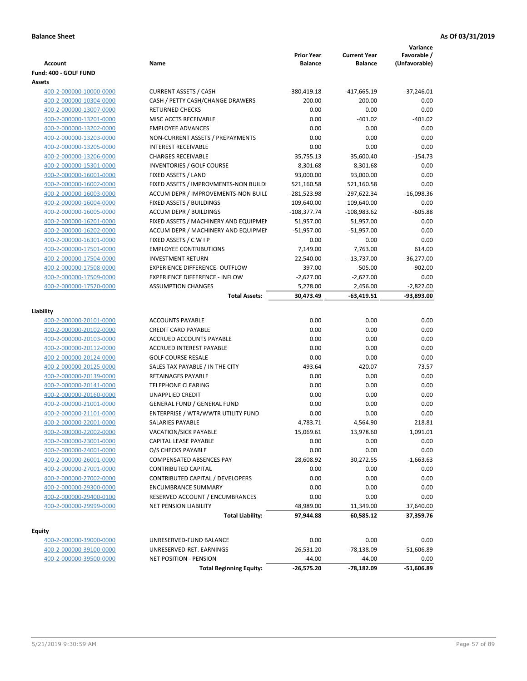| Account                 | Name                                  | <b>Prior Year</b><br><b>Balance</b> | <b>Current Year</b><br><b>Balance</b> | Variance<br>Favorable /<br>(Unfavorable) |
|-------------------------|---------------------------------------|-------------------------------------|---------------------------------------|------------------------------------------|
| Fund: 400 - GOLF FUND   |                                       |                                     |                                       |                                          |
| Assets                  |                                       |                                     |                                       |                                          |
| 400-2-000000-10000-0000 | <b>CURRENT ASSETS / CASH</b>          | -380,419.18                         | -417,665.19                           | $-37,246.01$                             |
| 400-2-000000-10304-0000 | CASH / PETTY CASH/CHANGE DRAWERS      | 200.00                              | 200.00                                | 0.00                                     |
| 400-2-000000-13007-0000 | <b>RETURNED CHECKS</b>                | 0.00                                | 0.00                                  | 0.00                                     |
| 400-2-000000-13201-0000 | MISC ACCTS RECEIVABLE                 | 0.00                                | $-401.02$                             | $-401.02$                                |
| 400-2-000000-13202-0000 | <b>EMPLOYEE ADVANCES</b>              | 0.00                                | 0.00                                  | 0.00                                     |
| 400-2-000000-13203-0000 | NON-CURRENT ASSETS / PREPAYMENTS      | 0.00                                | 0.00                                  | 0.00                                     |
| 400-2-000000-13205-0000 | <b>INTEREST RECEIVABLE</b>            | 0.00                                | 0.00                                  | 0.00                                     |
| 400-2-000000-13206-0000 | <b>CHARGES RECEIVABLE</b>             | 35,755.13                           | 35,600.40                             | $-154.73$                                |
| 400-2-000000-15301-0000 | INVENTORIES / GOLF COURSE             | 8,301.68                            | 8,301.68                              | 0.00                                     |
| 400-2-000000-16001-0000 | FIXED ASSETS / LAND                   | 93,000.00                           | 93,000.00                             | 0.00                                     |
| 400-2-000000-16002-0000 | FIXED ASSETS / IMPROVMENTS-NON BUILDI | 521,160.58                          | 521,160.58                            | 0.00                                     |
| 400-2-000000-16003-0000 | ACCUM DEPR / IMPROVEMENTS-NON BUILI   | -281,523.98                         | -297,622.34                           | $-16,098.36$                             |
| 400-2-000000-16004-0000 | FIXED ASSETS / BUILDINGS              | 109,640.00                          | 109,640.00                            | 0.00                                     |
| 400-2-000000-16005-0000 | <b>ACCUM DEPR / BUILDINGS</b>         | $-108,377.74$                       | $-108,983.62$                         | $-605.88$                                |
| 400-2-000000-16201-0000 | FIXED ASSETS / MACHINERY AND EQUIPMEN | 51,957.00                           | 51,957.00                             | 0.00                                     |
| 400-2-000000-16202-0000 | ACCUM DEPR / MACHINERY AND EQUIPMEI   | $-51,957.00$                        | $-51,957.00$                          | 0.00                                     |
| 400-2-000000-16301-0000 | FIXED ASSETS / C W I P                | 0.00                                | 0.00                                  | 0.00                                     |
| 400-2-000000-17501-0000 | <b>EMPLOYEE CONTRIBUTIONS</b>         | 7,149.00                            | 7,763.00                              | 614.00                                   |
| 400-2-000000-17504-0000 | <b>INVESTMENT RETURN</b>              | 22,540.00                           | $-13,737.00$                          | $-36,277.00$                             |
| 400-2-000000-17508-0000 | <b>EXPERIENCE DIFFERENCE- OUTFLOW</b> | 397.00                              | $-505.00$                             | $-902.00$                                |
| 400-2-000000-17509-0000 | <b>EXPERIENCE DIFFERENCE - INFLOW</b> | $-2,627.00$                         | $-2,627.00$                           | 0.00                                     |
| 400-2-000000-17520-0000 | <b>ASSUMPTION CHANGES</b>             | 5,278.00                            | 2,456.00                              | $-2,822.00$                              |
|                         | <b>Total Assets:</b>                  | 30,473.49                           | $-63,419.51$                          | -93,893.00                               |
|                         |                                       |                                     |                                       |                                          |
| Liability               |                                       |                                     |                                       |                                          |
| 400-2-000000-20101-0000 | <b>ACCOUNTS PAYABLE</b>               | 0.00                                | 0.00                                  | 0.00                                     |
| 400-2-000000-20102-0000 | <b>CREDIT CARD PAYABLE</b>            | 0.00                                | 0.00                                  | 0.00                                     |
| 400-2-000000-20103-0000 | ACCRUED ACCOUNTS PAYABLE              | 0.00                                | 0.00                                  | 0.00                                     |
| 400-2-000000-20112-0000 | <b>ACCRUED INTEREST PAYABLE</b>       | 0.00                                | 0.00                                  | 0.00                                     |
| 400-2-000000-20124-0000 | <b>GOLF COURSE RESALE</b>             | 0.00                                | 0.00                                  | 0.00                                     |
| 400-2-000000-20125-0000 | SALES TAX PAYABLE / IN THE CITY       | 493.64                              | 420.07                                | 73.57                                    |
| 400-2-000000-20139-0000 | RETAINAGES PAYABLE                    | 0.00                                | 0.00                                  | 0.00                                     |
| 400-2-000000-20141-0000 | <b>TELEPHONE CLEARING</b>             | 0.00                                | 0.00                                  | 0.00                                     |
| 400-2-000000-20160-0000 | <b>UNAPPLIED CREDIT</b>               | 0.00                                | 0.00                                  | 0.00                                     |
| 400-2-000000-21001-0000 | <b>GENERAL FUND / GENERAL FUND</b>    | 0.00                                | 0.00                                  | 0.00                                     |
| 400-2-000000-21101-0000 | ENTERPRISE / WTR/WWTR UTILITY FUND    | 0.00                                | 0.00                                  | 0.00                                     |
| 400-2-000000-22001-0000 | SALARIES PAYABLE                      | 4,783.71                            | 4,564.90                              | 218.81                                   |
| 400-2-000000-22002-0000 | VACATION/SICK PAYABLE                 | 15,069.61                           | 13,978.60                             | 1,091.01                                 |
| 400-2-000000-23001-0000 | CAPITAL LEASE PAYABLE                 | 0.00                                | 0.00                                  | 0.00                                     |
| 400-2-000000-24001-0000 | O/S CHECKS PAYABLE                    | 0.00                                | 0.00                                  | 0.00                                     |
| 400-2-000000-26001-0000 | COMPENSATED ABSENCES PAY              | 28,608.92                           | 30,272.55                             | $-1,663.63$                              |
| 400-2-000000-27001-0000 | <b>CONTRIBUTED CAPITAL</b>            | 0.00                                | 0.00                                  | 0.00                                     |
| 400-2-000000-27002-0000 | CONTRIBUTED CAPITAL / DEVELOPERS      | 0.00                                | 0.00                                  | 0.00                                     |
| 400-2-000000-29300-0000 | <b>ENCUMBRANCE SUMMARY</b>            | 0.00                                | 0.00                                  | 0.00                                     |
| 400-2-000000-29400-0100 | RESERVED ACCOUNT / ENCUMBRANCES       | 0.00                                | 0.00                                  | 0.00                                     |
| 400-2-000000-29999-0000 | <b>NET PENSION LIABILITY</b>          | 48,989.00                           | 11,349.00                             | 37,640.00                                |
|                         | <b>Total Liability:</b>               | 97,944.88                           | 60,585.12                             | 37,359.76                                |
|                         |                                       |                                     |                                       |                                          |
| <b>Equity</b>           |                                       |                                     |                                       |                                          |
| 400-2-000000-39000-0000 | UNRESERVED-FUND BALANCE               | 0.00                                | 0.00                                  | 0.00                                     |
| 400-2-000000-39100-0000 | UNRESERVED-RET. EARNINGS              | $-26,531.20$                        | $-78,138.09$                          | $-51,606.89$                             |
| 400-2-000000-39500-0000 | <b>NET POSITION - PENSION</b>         | $-44.00$                            | $-44.00$                              | 0.00                                     |
|                         | <b>Total Beginning Equity:</b>        | $-26,575.20$                        | -78,182.09                            | $-51,606.89$                             |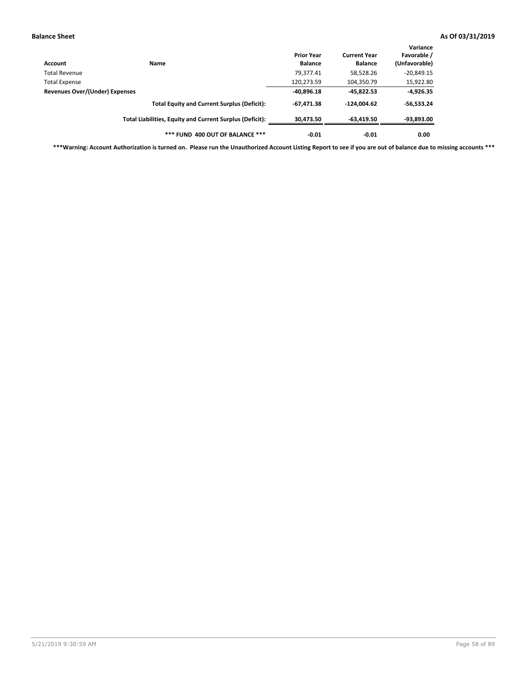| Account                        | Name                                                     | <b>Prior Year</b><br><b>Balance</b> | <b>Current Year</b><br><b>Balance</b> | Variance<br>Favorable /<br>(Unfavorable) |
|--------------------------------|----------------------------------------------------------|-------------------------------------|---------------------------------------|------------------------------------------|
| Total Revenue                  |                                                          | 79,377.41                           | 58,528.26                             | $-20,849.15$                             |
| Total Expense                  |                                                          | 120,273.59                          | 104,350.79                            | 15,922.80                                |
| Revenues Over/(Under) Expenses |                                                          | $-40,896.18$                        | $-45,822.53$                          | $-4,926.35$                              |
|                                | <b>Total Equity and Current Surplus (Deficit):</b>       | $-67.471.38$                        | $-124.004.62$                         | $-56,533.24$                             |
|                                | Total Liabilities, Equity and Current Surplus (Deficit): | 30,473.50                           | $-63,419.50$                          | $-93,893.00$                             |
|                                | *** FUND 400 OUT OF BALANCE ***                          | $-0.01$                             | $-0.01$                               | 0.00                                     |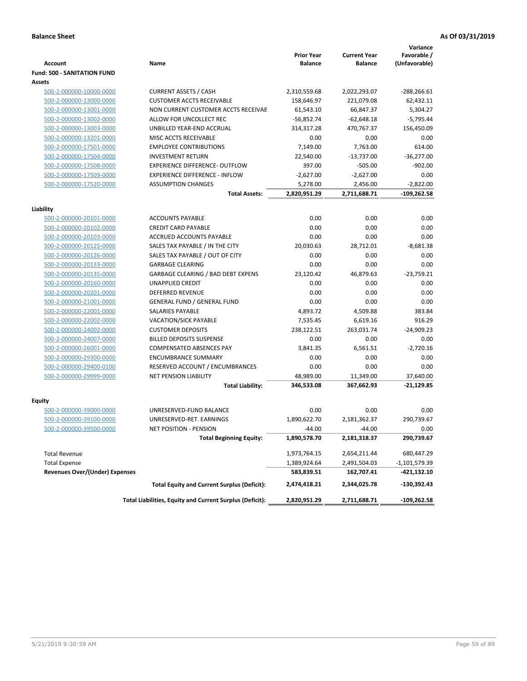|                                                    |                                                          | <b>Prior Year</b> | <b>Current Year</b> | Variance<br>Favorable / |
|----------------------------------------------------|----------------------------------------------------------|-------------------|---------------------|-------------------------|
| <b>Account</b>                                     | Name                                                     | <b>Balance</b>    | <b>Balance</b>      | (Unfavorable)           |
| <b>Fund: 500 - SANITATION FUND</b>                 |                                                          |                   |                     |                         |
| Assets                                             |                                                          |                   |                     |                         |
| 500-2-000000-10000-0000                            | <b>CURRENT ASSETS / CASH</b>                             | 2,310,559.68      | 2,022,293.07        | -288,266.61             |
| 500-2-000000-13000-0000                            | <b>CUSTOMER ACCTS RECEIVABLE</b>                         | 158,646.97        | 221,079.08          | 62,432.11               |
| 500-2-000000-13001-0000                            | NON CURRENT CUSTOMER ACCTS RECEIVAE                      | 61,543.10         | 66,847.37           | 5,304.27                |
| 500-2-000000-13002-0000                            | ALLOW FOR UNCOLLECT REC                                  | $-56,852.74$      | $-62,648.18$        | $-5,795.44$             |
| 500-2-000000-13003-0000                            | UNBILLED YEAR-END ACCRUAL                                | 314,317.28        | 470,767.37          | 156,450.09              |
| 500-2-000000-13201-0000                            | MISC ACCTS RECEIVABLE                                    | 0.00              | 0.00                | 0.00                    |
| 500-2-000000-17501-0000                            | <b>EMPLOYEE CONTRIBUTIONS</b>                            | 7,149.00          | 7.763.00            | 614.00                  |
| 500-2-000000-17504-0000                            | <b>INVESTMENT RETURN</b>                                 | 22,540.00         | $-13,737.00$        | $-36,277.00$            |
| 500-2-000000-17508-0000                            | <b>EXPERIENCE DIFFERENCE- OUTFLOW</b>                    | 397.00            | $-505.00$           | $-902.00$               |
| 500-2-000000-17509-0000                            | <b>EXPERIENCE DIFFERENCE - INFLOW</b>                    | $-2,627.00$       | $-2,627.00$         | 0.00                    |
| 500-2-000000-17520-0000                            | <b>ASSUMPTION CHANGES</b>                                | 5,278.00          | 2,456.00            | $-2,822.00$             |
|                                                    | <b>Total Assets:</b>                                     | 2,820,951.29      | 2,711,688.71        | -109,262.58             |
|                                                    |                                                          |                   |                     |                         |
| Liability                                          | <b>ACCOUNTS PAYABLE</b>                                  | 0.00              | 0.00                | 0.00                    |
| 500-2-000000-20101-0000<br>500-2-000000-20102-0000 | <b>CREDIT CARD PAYABLE</b>                               | 0.00              | 0.00                | 0.00                    |
| 500-2-000000-20103-0000                            | <b>ACCRUED ACCOUNTS PAYABLE</b>                          | 0.00              | 0.00                | 0.00                    |
| 500-2-000000-20125-0000                            | SALES TAX PAYABLE / IN THE CITY                          | 20,030.63         | 28,712.01           | $-8,681.38$             |
| 500-2-000000-20126-0000                            | SALES TAX PAYABLE / OUT OF CITY                          | 0.00              | 0.00                | 0.00                    |
| 500-2-000000-20133-0000                            | <b>GARBAGE CLEARING</b>                                  | 0.00              | 0.00                | 0.00                    |
| 500-2-000000-20135-0000                            | GARBAGE CLEARING / BAD DEBT EXPENS                       | 23,120.42         | 46,879.63           | $-23,759.21$            |
| 500-2-000000-20160-0000                            | UNAPPLIED CREDIT                                         | 0.00              | 0.00                | 0.00                    |
| 500-2-000000-20201-0000                            | <b>DEFERRED REVENUE</b>                                  | 0.00              | 0.00                | 0.00                    |
| 500-2-000000-21001-0000                            | <b>GENERAL FUND / GENERAL FUND</b>                       | 0.00              | 0.00                | 0.00                    |
| 500-2-000000-22001-0000                            | <b>SALARIES PAYABLE</b>                                  | 4,893.72          | 4,509.88            | 383.84                  |
| 500-2-000000-22002-0000                            | <b>VACATION/SICK PAYABLE</b>                             | 7,535.45          | 6,619.16            | 916.29                  |
| 500-2-000000-24002-0000                            | <b>CUSTOMER DEPOSITS</b>                                 | 238,122.51        | 263,031.74          | $-24,909.23$            |
| 500-2-000000-24007-0000                            | <b>BILLED DEPOSITS SUSPENSE</b>                          | 0.00              | 0.00                | 0.00                    |
| 500-2-000000-26001-0000                            | <b>COMPENSATED ABSENCES PAY</b>                          | 3,841.35          | 6,561.51            | $-2,720.16$             |
| 500-2-000000-29300-0000                            | <b>ENCUMBRANCE SUMMARY</b>                               | 0.00              | 0.00                | 0.00                    |
| 500-2-000000-29400-0100                            | RESERVED ACCOUNT / ENCUMBRANCES                          | 0.00              | 0.00                | 0.00                    |
| 500-2-000000-29999-0000                            | <b>NET PENSION LIABILITY</b>                             | 48,989.00         | 11,349.00           | 37,640.00               |
|                                                    | <b>Total Liability:</b>                                  | 346,533.08        | 367,662.93          | $-21,129.85$            |
|                                                    |                                                          |                   |                     |                         |
| Equity                                             |                                                          |                   |                     |                         |
| 500-2-000000-39000-0000                            | UNRESERVED-FUND BALANCE                                  | 0.00              | 0.00                | 0.00                    |
| 500-2-000000-39100-0000                            | UNRESERVED-RET. EARNINGS                                 | 1,890,622.70      | 2,181,362.37        | 290,739.67              |
| <u>500-2-000000-39500-0000</u>                     | NET POSITION - PENSION                                   | $-44.00$          | $-44.00$            | 0.00                    |
|                                                    | <b>Total Beginning Equity:</b>                           | 1,890,578.70      | 2,181,318.37        | 290,739.67              |
| <b>Total Revenue</b>                               |                                                          | 1,973,764.15      | 2,654,211.44        | 680,447.29              |
| <b>Total Expense</b>                               |                                                          | 1,389,924.64      | 2,491,504.03        | -1,101,579.39           |
| <b>Revenues Over/(Under) Expenses</b>              |                                                          | 583,839.51        | 162,707.41          | -421,132.10             |
|                                                    | <b>Total Equity and Current Surplus (Deficit):</b>       | 2,474,418.21      | 2,344,025.78        | -130,392.43             |
|                                                    | Total Liabilities, Equity and Current Surplus (Deficit): | 2,820,951.29      | 2,711,688.71        | $-109,262.58$           |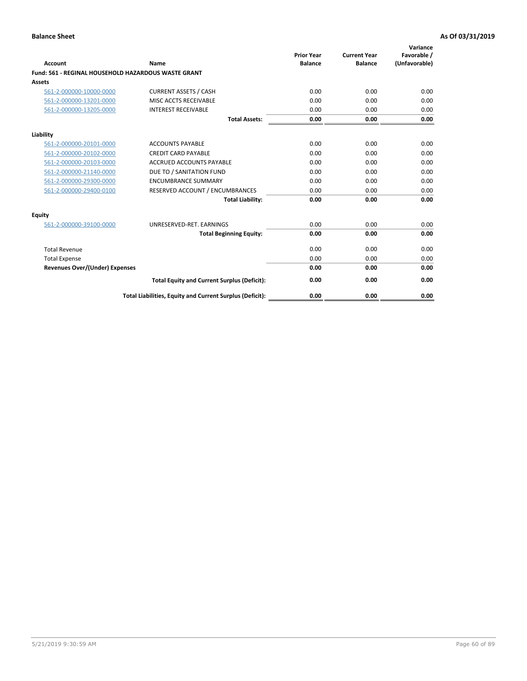| Account                                             | Name                                                     | <b>Prior Year</b><br><b>Balance</b> | <b>Current Year</b><br><b>Balance</b> | Variance<br>Favorable /<br>(Unfavorable) |
|-----------------------------------------------------|----------------------------------------------------------|-------------------------------------|---------------------------------------|------------------------------------------|
| Fund: 561 - REGINAL HOUSEHOLD HAZARDOUS WASTE GRANT |                                                          |                                     |                                       |                                          |
| <b>Assets</b>                                       |                                                          |                                     |                                       |                                          |
| 561-2-000000-10000-0000                             | <b>CURRENT ASSETS / CASH</b>                             | 0.00                                | 0.00                                  | 0.00                                     |
| 561-2-000000-13201-0000                             | MISC ACCTS RECEIVABLE                                    | 0.00                                | 0.00                                  | 0.00                                     |
| 561-2-000000-13205-0000                             | <b>INTEREST RECEIVABLE</b>                               | 0.00                                | 0.00                                  | 0.00                                     |
|                                                     | <b>Total Assets:</b>                                     | 0.00                                | 0.00                                  | 0.00                                     |
| Liability                                           |                                                          |                                     |                                       |                                          |
| 561-2-000000-20101-0000                             | <b>ACCOUNTS PAYABLE</b>                                  | 0.00                                | 0.00                                  | 0.00                                     |
| 561-2-000000-20102-0000                             | <b>CREDIT CARD PAYABLE</b>                               | 0.00                                | 0.00                                  | 0.00                                     |
| 561-2-000000-20103-0000                             | <b>ACCRUED ACCOUNTS PAYABLE</b>                          | 0.00                                | 0.00                                  | 0.00                                     |
| 561-2-000000-21140-0000                             | DUE TO / SANITATION FUND                                 | 0.00                                | 0.00                                  | 0.00                                     |
| 561-2-000000-29300-0000                             | <b>ENCUMBRANCE SUMMARY</b>                               | 0.00                                | 0.00                                  | 0.00                                     |
| 561-2-000000-29400-0100                             | RESERVED ACCOUNT / ENCUMBRANCES                          | 0.00                                | 0.00                                  | 0.00                                     |
|                                                     | <b>Total Liability:</b>                                  | 0.00                                | 0.00                                  | 0.00                                     |
| <b>Equity</b>                                       |                                                          |                                     |                                       |                                          |
| 561-2-000000-39100-0000                             | UNRESERVED-RET. EARNINGS                                 | 0.00                                | 0.00                                  | 0.00                                     |
|                                                     | <b>Total Beginning Equity:</b>                           | 0.00                                | 0.00                                  | 0.00                                     |
| <b>Total Revenue</b>                                |                                                          | 0.00                                | 0.00                                  | 0.00                                     |
| <b>Total Expense</b>                                |                                                          | 0.00                                | 0.00                                  | 0.00                                     |
| <b>Revenues Over/(Under) Expenses</b>               |                                                          | 0.00                                | 0.00                                  | 0.00                                     |
|                                                     | <b>Total Equity and Current Surplus (Deficit):</b>       | 0.00                                | 0.00                                  | 0.00                                     |
|                                                     | Total Liabilities, Equity and Current Surplus (Deficit): | 0.00                                | 0.00                                  | 0.00                                     |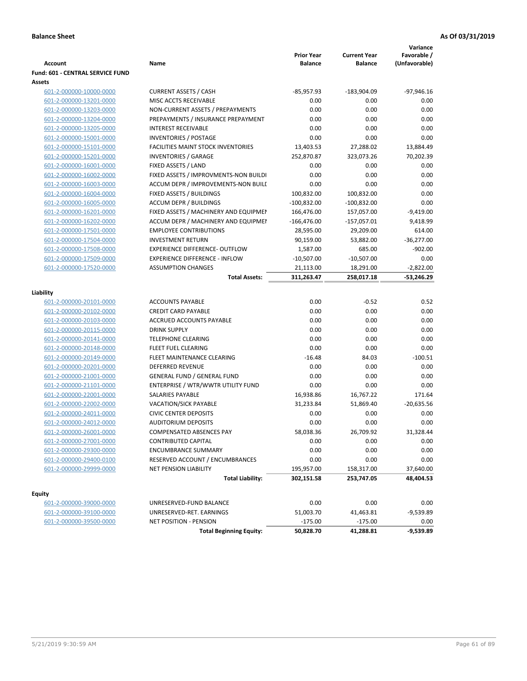| <b>Account</b>                          | Name                                      | <b>Prior Year</b><br><b>Balance</b> | <b>Current Year</b><br><b>Balance</b> | Variance<br>Favorable /<br>(Unfavorable) |
|-----------------------------------------|-------------------------------------------|-------------------------------------|---------------------------------------|------------------------------------------|
| <b>Fund: 601 - CENTRAL SERVICE FUND</b> |                                           |                                     |                                       |                                          |
| Assets                                  |                                           |                                     |                                       |                                          |
| 601-2-000000-10000-0000                 | <b>CURRENT ASSETS / CASH</b>              | $-85,957.93$                        | $-183,904.09$                         | $-97,946.16$                             |
| 601-2-000000-13201-0000                 | MISC ACCTS RECEIVABLE                     | 0.00                                | 0.00                                  | 0.00                                     |
| 601-2-000000-13203-0000                 | NON-CURRENT ASSETS / PREPAYMENTS          | 0.00                                | 0.00                                  | 0.00                                     |
| 601-2-000000-13204-0000                 | PREPAYMENTS / INSURANCE PREPAYMENT        | 0.00                                | 0.00                                  | 0.00                                     |
| 601-2-000000-13205-0000                 | <b>INTEREST RECEIVABLE</b>                | 0.00                                | 0.00                                  | 0.00                                     |
| 601-2-000000-15001-0000                 | INVENTORIES / POSTAGE                     | 0.00                                | 0.00                                  | 0.00                                     |
| 601-2-000000-15101-0000                 | <b>FACILITIES MAINT STOCK INVENTORIES</b> | 13,403.53                           | 27,288.02                             | 13,884.49                                |
| 601-2-000000-15201-0000                 | <b>INVENTORIES / GARAGE</b>               | 252,870.87                          | 323,073.26                            | 70,202.39                                |
| 601-2-000000-16001-0000                 | FIXED ASSETS / LAND                       | 0.00                                | 0.00                                  | 0.00                                     |
| 601-2-000000-16002-0000                 | FIXED ASSETS / IMPROVMENTS-NON BUILDI     | 0.00                                | 0.00                                  | 0.00                                     |
| 601-2-000000-16003-0000                 | ACCUM DEPR / IMPROVEMENTS-NON BUILI       | 0.00                                | 0.00                                  | 0.00                                     |
| 601-2-000000-16004-0000                 | FIXED ASSETS / BUILDINGS                  | 100,832.00                          | 100,832.00                            | 0.00                                     |
| 601-2-000000-16005-0000                 | <b>ACCUM DEPR / BUILDINGS</b>             | $-100,832.00$                       | $-100,832.00$                         | 0.00                                     |
| 601-2-000000-16201-0000                 | FIXED ASSETS / MACHINERY AND EQUIPMEN     | 166,476.00                          | 157,057.00                            | $-9,419.00$                              |
| 601-2-000000-16202-0000                 | ACCUM DEPR / MACHINERY AND EQUIPMEI       | $-166,476.00$                       | $-157,057.01$                         | 9,418.99                                 |
| 601-2-000000-17501-0000                 | <b>EMPLOYEE CONTRIBUTIONS</b>             | 28,595.00                           | 29,209.00                             | 614.00                                   |
| 601-2-000000-17504-0000                 | <b>INVESTMENT RETURN</b>                  | 90,159.00                           | 53,882.00                             | $-36,277.00$                             |
| 601-2-000000-17508-0000                 | <b>EXPERIENCE DIFFERENCE- OUTFLOW</b>     | 1,587.00                            | 685.00                                | $-902.00$                                |
| 601-2-000000-17509-0000                 | <b>EXPERIENCE DIFFERENCE - INFLOW</b>     | $-10,507.00$                        | $-10,507.00$                          | 0.00                                     |
| 601-2-000000-17520-0000                 | <b>ASSUMPTION CHANGES</b>                 | 21,113.00                           | 18,291.00                             | $-2,822.00$                              |
|                                         | <b>Total Assets:</b>                      | 311,263.47                          | 258,017.18                            | -53,246.29                               |
| Liability                               |                                           |                                     |                                       |                                          |
| 601-2-000000-20101-0000                 | <b>ACCOUNTS PAYABLE</b>                   | 0.00                                | $-0.52$                               | 0.52                                     |
| 601-2-000000-20102-0000                 | <b>CREDIT CARD PAYABLE</b>                | 0.00                                | 0.00                                  | 0.00                                     |
| 601-2-000000-20103-0000                 | ACCRUED ACCOUNTS PAYABLE                  | 0.00                                | 0.00                                  | 0.00                                     |
| 601-2-000000-20115-0000                 | <b>DRINK SUPPLY</b>                       | 0.00                                | 0.00                                  | 0.00                                     |
| 601-2-000000-20141-0000                 | <b>TELEPHONE CLEARING</b>                 | 0.00                                | 0.00                                  | 0.00                                     |
| 601-2-000000-20148-0000                 | FLEET FUEL CLEARING                       | 0.00                                | 0.00                                  | 0.00                                     |
| 601-2-000000-20149-0000                 | FLEET MAINTENANCE CLEARING                | $-16.48$                            | 84.03                                 | $-100.51$                                |
| 601-2-000000-20201-0000                 | <b>DEFERRED REVENUE</b>                   | 0.00                                | 0.00                                  | 0.00                                     |
| 601-2-000000-21001-0000                 | <b>GENERAL FUND / GENERAL FUND</b>        | 0.00                                | 0.00                                  | 0.00                                     |
| 601-2-000000-21101-0000                 | ENTERPRISE / WTR/WWTR UTILITY FUND        | 0.00                                | 0.00                                  | 0.00                                     |
| 601-2-000000-22001-0000                 | <b>SALARIES PAYABLE</b>                   | 16,938.86                           | 16,767.22                             | 171.64                                   |
| 601-2-000000-22002-0000                 | <b>VACATION/SICK PAYABLE</b>              | 31,233.84                           | 51,869.40                             | $-20,635.56$                             |
| 601-2-000000-24011-0000                 | <b>CIVIC CENTER DEPOSITS</b>              | 0.00                                | 0.00                                  | 0.00                                     |
| 601-2-000000-24012-0000                 | <b>AUDITORIUM DEPOSITS</b>                | 0.00                                | 0.00                                  | 0.00                                     |
| 601-2-000000-26001-0000                 | COMPENSATED ABSENCES PAY                  | 58,038.36                           | 26,709.92                             | 31,328.44                                |
| 601-2-000000-27001-0000                 | <b>CONTRIBUTED CAPITAL</b>                | 0.00                                | 0.00                                  | 0.00                                     |
| 601-2-000000-29300-0000                 | <b>ENCUMBRANCE SUMMARY</b>                | 0.00                                | 0.00                                  | 0.00                                     |
| 601-2-000000-29400-0100                 | RESERVED ACCOUNT / ENCUMBRANCES           | 0.00                                | 0.00                                  | 0.00                                     |
| 601-2-000000-29999-0000                 | NET PENSION LIABILITY                     | 195,957.00                          | 158,317.00                            | 37,640.00                                |
|                                         | <b>Total Liability:</b>                   | 302,151.58                          | 253,747.05                            | 48,404.53                                |
|                                         |                                           |                                     |                                       |                                          |
| <b>Equity</b>                           |                                           |                                     |                                       |                                          |
| 601-2-000000-39000-0000                 | UNRESERVED-FUND BALANCE                   | 0.00                                | 0.00                                  | 0.00                                     |
| 601-2-000000-39100-0000                 | UNRESERVED-RET. EARNINGS                  | 51,003.70                           | 41,463.81                             | $-9,539.89$                              |
| 601-2-000000-39500-0000                 | NET POSITION - PENSION                    | $-175.00$                           | $-175.00$                             | 0.00                                     |
|                                         | <b>Total Beginning Equity:</b>            | 50,828.70                           | 41,288.81                             | $-9,539.89$                              |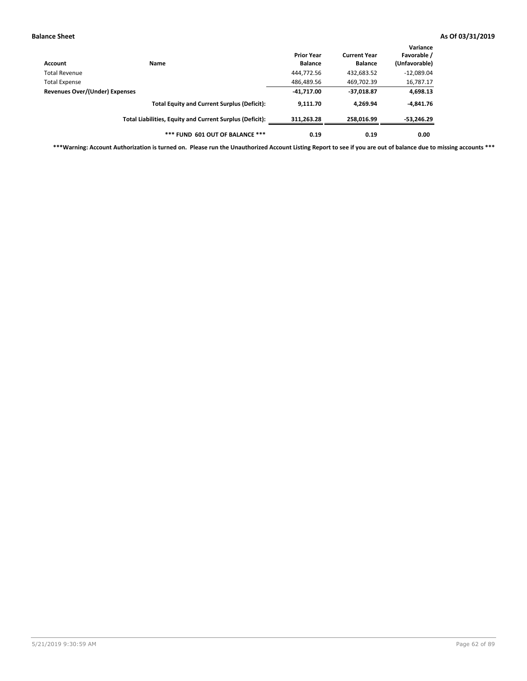| Account                                         | Name                                                     | <b>Prior Year</b><br><b>Balance</b> | <b>Current Year</b><br><b>Balance</b> | Variance<br>Favorable /<br>(Unfavorable) |
|-------------------------------------------------|----------------------------------------------------------|-------------------------------------|---------------------------------------|------------------------------------------|
| Total Revenue                                   |                                                          | 444,772.56                          | 432,683.52                            | $-12,089.04$                             |
|                                                 |                                                          | 486,489.56                          | 469,702.39                            | 16,787.17                                |
| Total Expense<br>Revenues Over/(Under) Expenses | $-41,717.00$                                             | $-37,018.87$                        | 4,698.13                              |                                          |
|                                                 | <b>Total Equity and Current Surplus (Deficit):</b>       | 9.111.70                            | 4.269.94                              | $-4,841.76$                              |
|                                                 | Total Liabilities, Equity and Current Surplus (Deficit): | 311,263.28                          | 258.016.99                            | -53,246.29                               |
|                                                 | *** FUND 601 OUT OF BALANCE ***                          | 0.19                                | 0.19                                  | 0.00                                     |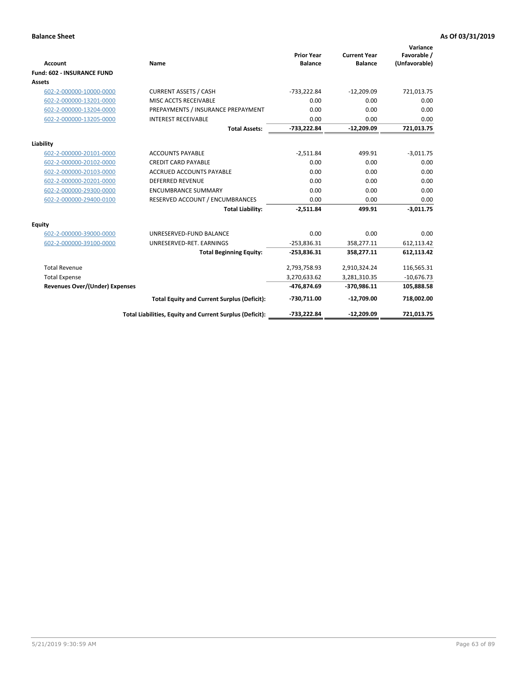| <b>Account</b>                    | Name                                                     | <b>Prior Year</b><br><b>Balance</b> | <b>Current Year</b><br><b>Balance</b> | Variance<br>Favorable /<br>(Unfavorable) |
|-----------------------------------|----------------------------------------------------------|-------------------------------------|---------------------------------------|------------------------------------------|
| <b>Fund: 602 - INSURANCE FUND</b> |                                                          |                                     |                                       |                                          |
| <b>Assets</b>                     |                                                          |                                     |                                       |                                          |
| 602-2-000000-10000-0000           | <b>CURRENT ASSETS / CASH</b>                             | $-733,222.84$                       | $-12,209.09$                          | 721,013.75                               |
| 602-2-000000-13201-0000           | MISC ACCTS RECEIVABLE                                    | 0.00                                | 0.00                                  | 0.00                                     |
| 602-2-000000-13204-0000           | PREPAYMENTS / INSURANCE PREPAYMENT                       | 0.00                                | 0.00                                  | 0.00                                     |
| 602-2-000000-13205-0000           | <b>INTEREST RECEIVABLE</b>                               | 0.00                                | 0.00                                  | 0.00                                     |
|                                   | <b>Total Assets:</b>                                     | $-733,222.84$                       | $-12,209.09$                          | 721,013.75                               |
| Liability                         |                                                          |                                     |                                       |                                          |
| 602-2-000000-20101-0000           | <b>ACCOUNTS PAYABLE</b>                                  | $-2,511.84$                         | 499.91                                | $-3,011.75$                              |
| 602-2-000000-20102-0000           | <b>CREDIT CARD PAYABLE</b>                               | 0.00                                | 0.00                                  | 0.00                                     |
| 602-2-000000-20103-0000           | <b>ACCRUED ACCOUNTS PAYABLE</b>                          | 0.00                                | 0.00                                  | 0.00                                     |
| 602-2-000000-20201-0000           | <b>DEFERRED REVENUE</b>                                  | 0.00                                | 0.00                                  | 0.00                                     |
| 602-2-000000-29300-0000           | <b>ENCUMBRANCE SUMMARY</b>                               | 0.00                                | 0.00                                  | 0.00                                     |
| 602-2-000000-29400-0100           | RESERVED ACCOUNT / ENCUMBRANCES                          | 0.00                                | 0.00                                  | 0.00                                     |
|                                   | <b>Total Liability:</b>                                  | $-2,511.84$                         | 499.91                                | $-3,011.75$                              |
| <b>Equity</b>                     |                                                          |                                     |                                       |                                          |
| 602-2-000000-39000-0000           | UNRESERVED-FUND BALANCE                                  | 0.00                                | 0.00                                  | 0.00                                     |
| 602-2-000000-39100-0000           | UNRESERVED-RET. EARNINGS                                 | $-253,836.31$                       | 358,277.11                            | 612,113.42                               |
|                                   | <b>Total Beginning Equity:</b>                           | $-253,836.31$                       | 358,277.11                            | 612,113.42                               |
| <b>Total Revenue</b>              |                                                          | 2,793,758.93                        | 2,910,324.24                          | 116,565.31                               |
| <b>Total Expense</b>              |                                                          | 3,270,633.62                        | 3,281,310.35                          | $-10,676.73$                             |
| Revenues Over/(Under) Expenses    |                                                          | -476,874.69                         | -370,986.11                           | 105,888.58                               |
|                                   | <b>Total Equity and Current Surplus (Deficit):</b>       | -730,711.00                         | $-12,709.00$                          | 718,002.00                               |
|                                   | Total Liabilities, Equity and Current Surplus (Deficit): | $-733,222.84$                       | $-12,209.09$                          | 721.013.75                               |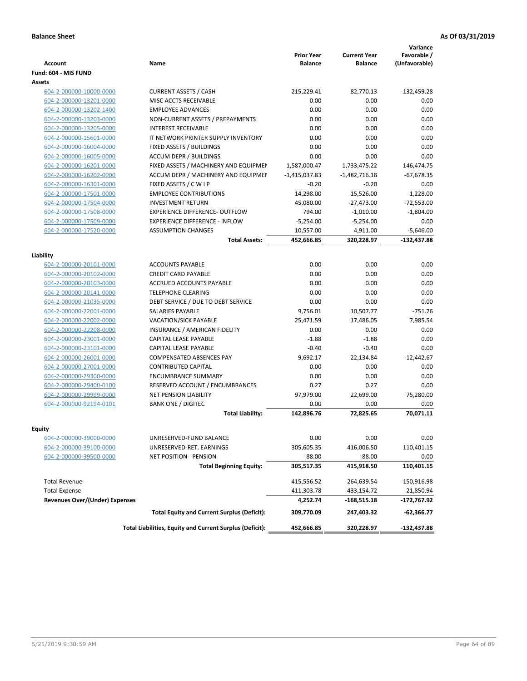| <b>Account</b>                        | <b>Name</b>                                              | <b>Prior Year</b><br><b>Balance</b> | <b>Current Year</b><br><b>Balance</b> | Variance<br>Favorable /<br>(Unfavorable) |
|---------------------------------------|----------------------------------------------------------|-------------------------------------|---------------------------------------|------------------------------------------|
| Fund: 604 - MIS FUND                  |                                                          |                                     |                                       |                                          |
| Assets                                |                                                          |                                     |                                       |                                          |
| 604-2-000000-10000-0000               | <b>CURRENT ASSETS / CASH</b>                             | 215,229.41                          | 82,770.13                             | $-132,459.28$                            |
| 604-2-000000-13201-0000               | MISC ACCTS RECEIVABLE                                    | 0.00                                | 0.00                                  | 0.00                                     |
| 604-2-000000-13202-1400               | <b>EMPLOYEE ADVANCES</b>                                 | 0.00                                | 0.00                                  | 0.00                                     |
| 604-2-000000-13203-0000               | NON-CURRENT ASSETS / PREPAYMENTS                         | 0.00                                | 0.00                                  | 0.00                                     |
| 604-2-000000-13205-0000               | <b>INTEREST RECEIVABLE</b>                               | 0.00                                | 0.00                                  | 0.00                                     |
| 604-2-000000-15601-0000               | IT NETWORK PRINTER SUPPLY INVENTORY                      | 0.00                                | 0.00                                  | 0.00                                     |
| 604-2-000000-16004-0000               | FIXED ASSETS / BUILDINGS                                 | 0.00                                | 0.00                                  | 0.00                                     |
| 604-2-000000-16005-0000               | <b>ACCUM DEPR / BUILDINGS</b>                            | 0.00                                | 0.00                                  | 0.00                                     |
| 604-2-000000-16201-0000               | FIXED ASSETS / MACHINERY AND EQUIPMEN                    | 1,587,000.47                        | 1,733,475.22                          | 146,474.75                               |
| 604-2-000000-16202-0000               | ACCUM DEPR / MACHINERY AND EQUIPMEI                      | $-1,415,037.83$                     | $-1,482,716.18$                       | $-67,678.35$                             |
| 604-2-000000-16301-0000               | FIXED ASSETS / C W I P                                   | $-0.20$                             | $-0.20$                               | 0.00                                     |
| 604-2-000000-17501-0000               | <b>EMPLOYEE CONTRIBUTIONS</b>                            | 14,298.00                           | 15,526.00                             | 1,228.00                                 |
| 604-2-000000-17504-0000               | <b>INVESTMENT RETURN</b>                                 | 45,080.00                           | $-27,473.00$                          | $-72,553.00$                             |
| 604-2-000000-17508-0000               | <b>EXPERIENCE DIFFERENCE- OUTFLOW</b>                    | 794.00                              | $-1,010.00$                           | $-1,804.00$                              |
| 604-2-000000-17509-0000               | <b>EXPERIENCE DIFFERENCE - INFLOW</b>                    | $-5,254.00$                         | $-5,254.00$                           | 0.00                                     |
| 604-2-000000-17520-0000               | <b>ASSUMPTION CHANGES</b>                                | 10,557.00                           | 4,911.00                              | $-5,646.00$                              |
|                                       | <b>Total Assets:</b>                                     | 452,666.85                          | 320,228.97                            | $-132,437.88$                            |
|                                       |                                                          |                                     |                                       |                                          |
| Liability                             |                                                          |                                     |                                       |                                          |
| 604-2-000000-20101-0000               | <b>ACCOUNTS PAYABLE</b>                                  | 0.00                                | 0.00                                  | 0.00                                     |
| 604-2-000000-20102-0000               | <b>CREDIT CARD PAYABLE</b>                               | 0.00                                | 0.00                                  | 0.00                                     |
| 604-2-000000-20103-0000               | <b>ACCRUED ACCOUNTS PAYABLE</b>                          | 0.00                                | 0.00                                  | 0.00                                     |
| 604-2-000000-20141-0000               | <b>TELEPHONE CLEARING</b>                                | 0.00                                | 0.00                                  | 0.00                                     |
| 604-2-000000-21035-0000               | DEBT SERVICE / DUE TO DEBT SERVICE                       | 0.00                                | 0.00                                  | 0.00                                     |
| 604-2-000000-22001-0000               | <b>SALARIES PAYABLE</b>                                  | 9,756.01                            | 10,507.77                             | $-751.76$                                |
| 604-2-000000-22002-0000               | <b>VACATION/SICK PAYABLE</b>                             | 25,471.59                           | 17,486.05                             | 7,985.54                                 |
| 604-2-000000-22208-0000               | INSURANCE / AMERICAN FIDELITY                            | 0.00                                | 0.00                                  | 0.00                                     |
| 604-2-000000-23001-0000               | CAPITAL LEASE PAYABLE                                    | $-1.88$                             | $-1.88$                               | 0.00                                     |
| 604-2-000000-23101-0000               | CAPITAL LEASE PAYABLE                                    | $-0.40$                             | $-0.40$                               | 0.00                                     |
| 604-2-000000-26001-0000               | <b>COMPENSATED ABSENCES PAY</b>                          | 9,692.17                            | 22,134.84                             | $-12,442.67$                             |
| 604-2-000000-27001-0000               | <b>CONTRIBUTED CAPITAL</b>                               | 0.00                                | 0.00                                  | 0.00                                     |
| 604-2-000000-29300-0000               | <b>ENCUMBRANCE SUMMARY</b>                               | 0.00                                | 0.00                                  | 0.00                                     |
| 604-2-000000-29400-0100               | <b>RESERVED ACCOUNT / ENCUMBRANCES</b>                   | 0.27                                | 0.27                                  | 0.00                                     |
| 604-2-000000-29999-0000               | <b>NET PENSION LIABILITY</b>                             | 97,979.00                           | 22,699.00                             | 75,280.00                                |
| 604-2-000000-92194-0101               | <b>BANK ONE / DIGITEC</b>                                | 0.00                                | 0.00                                  | 0.00                                     |
|                                       | <b>Total Liability:</b>                                  | 142,896.76                          | 72,825.65                             | 70,071.11                                |
|                                       |                                                          |                                     |                                       |                                          |
| Equity                                |                                                          |                                     |                                       |                                          |
| 604-2-000000-39000-0000               | UNRESERVED-FUND BALANCE                                  | 0.00                                | 0.00                                  | 0.00                                     |
| 604-2-000000-39100-0000               | UNRESERVED-RET. EARNINGS                                 | 305,605.35                          | 416,006.50                            | 110,401.15                               |
| 604-2-000000-39500-0000               | NET POSITION - PENSION                                   | $-88.00$                            | $-88.00$                              | 0.00                                     |
|                                       | <b>Total Beginning Equity:</b>                           | 305,517.35                          | 415,918.50                            | 110,401.15                               |
| <b>Total Revenue</b>                  |                                                          | 415,556.52                          | 264,639.54                            | $-150,916.98$                            |
| <b>Total Expense</b>                  |                                                          | 411,303.78                          | 433,154.72                            | $-21,850.94$                             |
| <b>Revenues Over/(Under) Expenses</b> |                                                          | 4,252.74                            | $-168,515.18$                         | -172,767.92                              |
|                                       | <b>Total Equity and Current Surplus (Deficit):</b>       | 309,770.09                          | 247,403.32                            | -62,366.77                               |
|                                       |                                                          |                                     |                                       |                                          |
|                                       | Total Liabilities, Equity and Current Surplus (Deficit): | 452,666.85                          | 320,228.97                            | -132,437.88                              |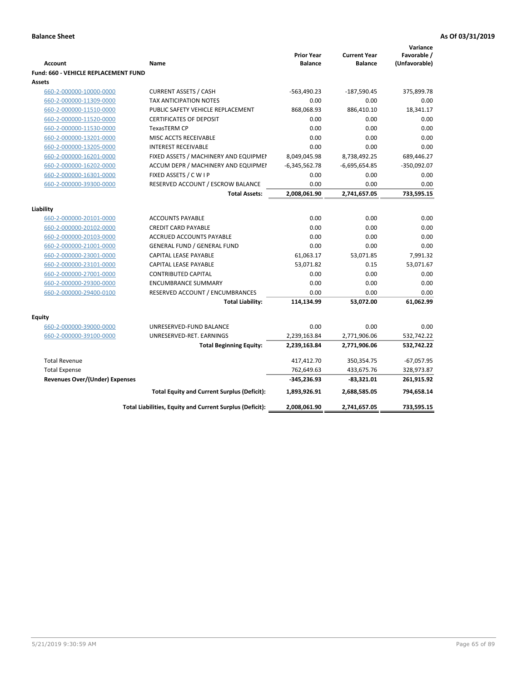|                                             |                                                          |                                     |                                       | Variance                     |
|---------------------------------------------|----------------------------------------------------------|-------------------------------------|---------------------------------------|------------------------------|
| <b>Account</b>                              | Name                                                     | <b>Prior Year</b><br><b>Balance</b> | <b>Current Year</b><br><b>Balance</b> | Favorable /<br>(Unfavorable) |
| <b>Fund: 660 - VEHICLE REPLACEMENT FUND</b> |                                                          |                                     |                                       |                              |
| <b>Assets</b>                               |                                                          |                                     |                                       |                              |
| 660-2-000000-10000-0000                     | <b>CURRENT ASSETS / CASH</b>                             | $-563,490.23$                       | $-187,590.45$                         | 375,899.78                   |
| 660-2-000000-11309-0000                     | TAX ANTICIPATION NOTES                                   | 0.00                                | 0.00                                  | 0.00                         |
| 660-2-000000-11510-0000                     | PUBLIC SAFETY VEHICLE REPLACEMENT                        | 868,068.93                          | 886,410.10                            | 18,341.17                    |
| 660-2-000000-11520-0000                     | <b>CERTIFICATES OF DEPOSIT</b>                           | 0.00                                | 0.00                                  | 0.00                         |
| 660-2-000000-11530-0000                     | <b>TexasTERM CP</b>                                      | 0.00                                | 0.00                                  | 0.00                         |
| 660-2-000000-13201-0000                     | MISC ACCTS RECEIVABLE                                    | 0.00                                | 0.00                                  | 0.00                         |
| 660-2-000000-13205-0000                     | <b>INTEREST RECEIVABLE</b>                               | 0.00                                | 0.00                                  | 0.00                         |
| 660-2-000000-16201-0000                     | FIXED ASSETS / MACHINERY AND EQUIPMEN                    | 8,049,045.98                        | 8,738,492.25                          | 689,446.27                   |
| 660-2-000000-16202-0000                     | ACCUM DEPR / MACHINERY AND EQUIPMEI                      | $-6,345,562.78$                     | $-6,695,654.85$                       | $-350,092.07$                |
| 660-2-000000-16301-0000                     | FIXED ASSETS / C W I P                                   | 0.00                                | 0.00                                  | 0.00                         |
| 660-2-000000-39300-0000                     | RESERVED ACCOUNT / ESCROW BALANCE                        | 0.00                                | 0.00                                  | 0.00                         |
|                                             | <b>Total Assets:</b>                                     | 2,008,061.90                        | 2,741,657.05                          | 733,595.15                   |
|                                             |                                                          |                                     |                                       |                              |
| Liability                                   | <b>ACCOUNTS PAYABLE</b>                                  | 0.00                                | 0.00                                  | 0.00                         |
| 660-2-000000-20101-0000                     | <b>CREDIT CARD PAYABLE</b>                               | 0.00                                | 0.00                                  | 0.00                         |
| 660-2-000000-20102-0000                     | <b>ACCRUED ACCOUNTS PAYABLE</b>                          | 0.00                                | 0.00                                  | 0.00                         |
| 660-2-000000-20103-0000                     |                                                          |                                     | 0.00                                  | 0.00                         |
| 660-2-000000-21001-0000                     | <b>GENERAL FUND / GENERAL FUND</b>                       | 0.00                                |                                       |                              |
| 660-2-000000-23001-0000                     | <b>CAPITAL LEASE PAYABLE</b>                             | 61,063.17                           | 53,071.85                             | 7,991.32                     |
| 660-2-000000-23101-0000                     | <b>CAPITAL LEASE PAYABLE</b>                             | 53,071.82                           | 0.15                                  | 53,071.67                    |
| 660-2-000000-27001-0000                     | <b>CONTRIBUTED CAPITAL</b><br><b>ENCUMBRANCE SUMMARY</b> | 0.00<br>0.00                        | 0.00<br>0.00                          | 0.00<br>0.00                 |
| 660-2-000000-29300-0000                     |                                                          | 0.00                                | 0.00                                  | 0.00                         |
| 660-2-000000-29400-0100                     | RESERVED ACCOUNT / ENCUMBRANCES                          |                                     | 53,072.00                             | 61,062.99                    |
|                                             | <b>Total Liability:</b>                                  | 114,134.99                          |                                       |                              |
| <b>Equity</b>                               |                                                          |                                     |                                       |                              |
| 660-2-000000-39000-0000                     | UNRESERVED-FUND BALANCE                                  | 0.00                                | 0.00                                  | 0.00                         |
| 660-2-000000-39100-0000                     | UNRESERVED-RET. EARNINGS                                 | 2,239,163.84                        | 2,771,906.06                          | 532,742.22                   |
|                                             | <b>Total Beginning Equity:</b>                           | 2,239,163.84                        | 2,771,906.06                          | 532,742.22                   |
| <b>Total Revenue</b>                        |                                                          | 417,412.70                          | 350,354.75                            | $-67,057.95$                 |
| <b>Total Expense</b>                        |                                                          | 762,649.63                          | 433,675.76                            | 328,973.87                   |
| <b>Revenues Over/(Under) Expenses</b>       |                                                          | $-345,236.93$                       | $-83,321.01$                          | 261,915.92                   |
|                                             | <b>Total Equity and Current Surplus (Deficit):</b>       | 1,893,926.91                        | 2,688,585.05                          | 794,658.14                   |
|                                             | Total Liabilities, Equity and Current Surplus (Deficit): | 2,008,061.90                        | 2,741,657.05                          | 733,595.15                   |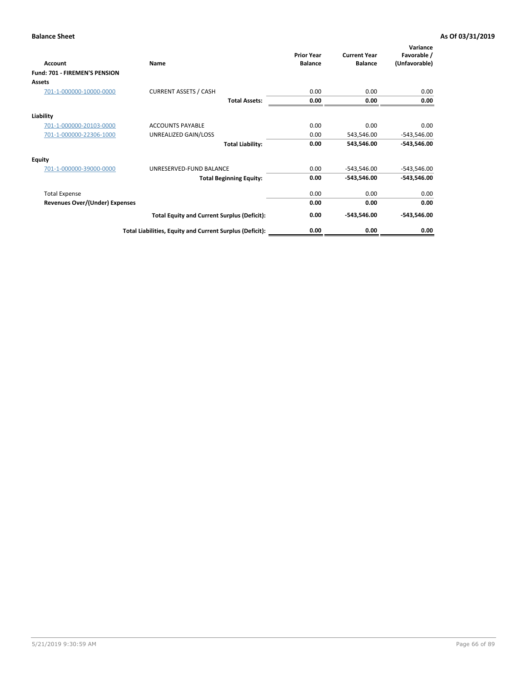| Account                        | Name                                                     | <b>Prior Year</b><br><b>Balance</b> | <b>Current Year</b><br><b>Balance</b> | Variance<br>Favorable /<br>(Unfavorable) |
|--------------------------------|----------------------------------------------------------|-------------------------------------|---------------------------------------|------------------------------------------|
| Fund: 701 - FIREMEN'S PENSION  |                                                          |                                     |                                       |                                          |
| <b>Assets</b>                  |                                                          |                                     |                                       |                                          |
| 701-1-000000-10000-0000        | <b>CURRENT ASSETS / CASH</b>                             | 0.00                                | 0.00                                  | 0.00                                     |
|                                | <b>Total Assets:</b>                                     | 0.00                                | 0.00                                  | 0.00                                     |
| Liability                      |                                                          |                                     |                                       |                                          |
| 701-1-000000-20103-0000        | <b>ACCOUNTS PAYABLE</b>                                  | 0.00                                | 0.00                                  | 0.00                                     |
| 701-1-000000-22306-1000        | UNREALIZED GAIN/LOSS                                     | 0.00                                | 543,546.00                            | $-543,546.00$                            |
|                                | <b>Total Liability:</b>                                  | 0.00                                | 543,546.00                            | $-543,546.00$                            |
| <b>Equity</b>                  |                                                          |                                     |                                       |                                          |
| 701-1-000000-39000-0000        | UNRESERVED-FUND BALANCE                                  | 0.00                                | $-543,546.00$                         | $-543,546.00$                            |
|                                | <b>Total Beginning Equity:</b>                           | 0.00                                | $-543,546.00$                         | $-543,546.00$                            |
| <b>Total Expense</b>           |                                                          | 0.00                                | 0.00                                  | 0.00                                     |
| Revenues Over/(Under) Expenses |                                                          | 0.00                                | 0.00                                  | 0.00                                     |
|                                | <b>Total Equity and Current Surplus (Deficit):</b>       | 0.00                                | $-543,546.00$                         | $-543,546.00$                            |
|                                | Total Liabilities, Equity and Current Surplus (Deficit): | 0.00                                | 0.00                                  | 0.00                                     |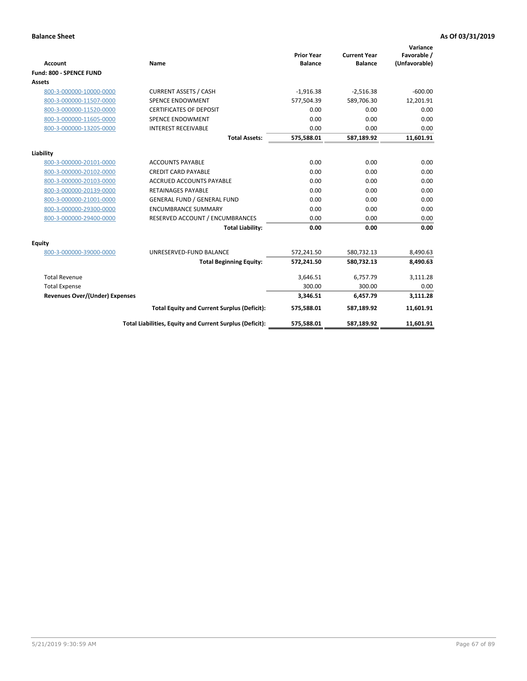|                                       |                                                          |                                     |                                       | Variance                     |
|---------------------------------------|----------------------------------------------------------|-------------------------------------|---------------------------------------|------------------------------|
| <b>Account</b>                        | <b>Name</b>                                              | <b>Prior Year</b><br><b>Balance</b> | <b>Current Year</b><br><b>Balance</b> | Favorable /<br>(Unfavorable) |
| Fund: 800 - SPENCE FUND               |                                                          |                                     |                                       |                              |
| <b>Assets</b>                         |                                                          |                                     |                                       |                              |
|                                       |                                                          |                                     |                                       |                              |
| 800-3-000000-10000-0000               | <b>CURRENT ASSETS / CASH</b>                             | $-1,916.38$                         | $-2,516.38$                           | $-600.00$                    |
| 800-3-000000-11507-0000               | <b>SPENCE ENDOWMENT</b>                                  | 577,504.39                          | 589,706.30                            | 12,201.91                    |
| 800-3-000000-11520-0000               | <b>CERTIFICATES OF DEPOSIT</b>                           | 0.00                                | 0.00                                  | 0.00                         |
| 800-3-000000-11605-0000               | <b>SPENCE ENDOWMENT</b>                                  | 0.00                                | 0.00                                  | 0.00                         |
| 800-3-000000-13205-0000               | <b>INTEREST RECEIVABLE</b>                               | 0.00                                | 0.00                                  | 0.00                         |
|                                       | <b>Total Assets:</b>                                     | 575,588.01                          | 587,189.92                            | 11,601.91                    |
| Liability                             |                                                          |                                     |                                       |                              |
| 800-3-000000-20101-0000               | <b>ACCOUNTS PAYABLE</b>                                  | 0.00                                | 0.00                                  | 0.00                         |
| 800-3-000000-20102-0000               | <b>CREDIT CARD PAYABLE</b>                               | 0.00                                | 0.00                                  | 0.00                         |
| 800-3-000000-20103-0000               | <b>ACCRUED ACCOUNTS PAYABLE</b>                          | 0.00                                | 0.00                                  | 0.00                         |
| 800-3-000000-20139-0000               | <b>RETAINAGES PAYABLE</b>                                | 0.00                                | 0.00                                  | 0.00                         |
| 800-3-000000-21001-0000               | <b>GENERAL FUND / GENERAL FUND</b>                       | 0.00                                | 0.00                                  | 0.00                         |
| 800-3-000000-29300-0000               | <b>ENCUMBRANCE SUMMARY</b>                               | 0.00                                | 0.00                                  | 0.00                         |
| 800-3-000000-29400-0000               | RESERVED ACCOUNT / ENCUMBRANCES                          | 0.00                                | 0.00                                  | 0.00                         |
|                                       | <b>Total Liability:</b>                                  | 0.00                                | 0.00                                  | 0.00                         |
| <b>Equity</b>                         |                                                          |                                     |                                       |                              |
| 800-3-000000-39000-0000               | UNRESERVED-FUND BALANCE                                  | 572,241.50                          | 580,732.13                            | 8,490.63                     |
|                                       | <b>Total Beginning Equity:</b>                           | 572,241.50                          | 580,732.13                            | 8,490.63                     |
| <b>Total Revenue</b>                  |                                                          | 3,646.51                            | 6,757.79                              | 3,111.28                     |
| <b>Total Expense</b>                  |                                                          | 300.00                              | 300.00                                | 0.00                         |
| <b>Revenues Over/(Under) Expenses</b> |                                                          | 3,346.51                            | 6,457.79                              | 3,111.28                     |
|                                       | <b>Total Equity and Current Surplus (Deficit):</b>       | 575,588.01                          | 587,189.92                            | 11,601.91                    |
|                                       | Total Liabilities, Equity and Current Surplus (Deficit): | 575,588.01                          | 587,189.92                            | 11,601.91                    |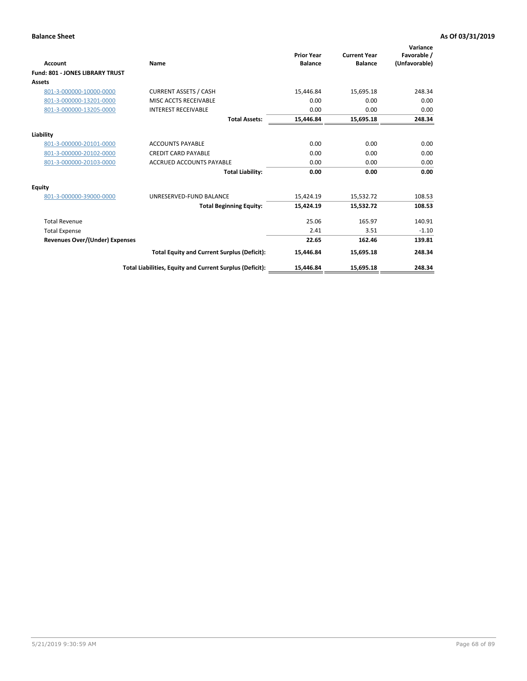| <b>Account</b>                         | Name                                                     | <b>Prior Year</b><br><b>Balance</b> | <b>Current Year</b><br><b>Balance</b> | Variance<br>Favorable /<br>(Unfavorable) |
|----------------------------------------|----------------------------------------------------------|-------------------------------------|---------------------------------------|------------------------------------------|
| <b>Fund: 801 - JONES LIBRARY TRUST</b> |                                                          |                                     |                                       |                                          |
| Assets                                 |                                                          |                                     |                                       |                                          |
| 801-3-000000-10000-0000                | <b>CURRENT ASSETS / CASH</b>                             | 15,446.84                           | 15,695.18                             | 248.34                                   |
| 801-3-000000-13201-0000                | MISC ACCTS RECEIVABLE                                    | 0.00                                | 0.00                                  | 0.00                                     |
| 801-3-000000-13205-0000                | <b>INTEREST RECEIVABLE</b>                               | 0.00                                | 0.00                                  | 0.00                                     |
|                                        | <b>Total Assets:</b>                                     | 15,446.84                           | 15,695.18                             | 248.34                                   |
| Liability                              |                                                          |                                     |                                       |                                          |
| 801-3-000000-20101-0000                | <b>ACCOUNTS PAYABLE</b>                                  | 0.00                                | 0.00                                  | 0.00                                     |
| 801-3-000000-20102-0000                | <b>CREDIT CARD PAYABLE</b>                               | 0.00                                | 0.00                                  | 0.00                                     |
| 801-3-000000-20103-0000                | <b>ACCRUED ACCOUNTS PAYABLE</b>                          | 0.00                                | 0.00                                  | 0.00                                     |
|                                        | <b>Total Liability:</b>                                  | 0.00                                | 0.00                                  | 0.00                                     |
| Equity                                 |                                                          |                                     |                                       |                                          |
| 801-3-000000-39000-0000                | UNRESERVED-FUND BALANCE                                  | 15,424.19                           | 15,532.72                             | 108.53                                   |
|                                        | <b>Total Beginning Equity:</b>                           | 15,424.19                           | 15,532.72                             | 108.53                                   |
| <b>Total Revenue</b>                   |                                                          | 25.06                               | 165.97                                | 140.91                                   |
| <b>Total Expense</b>                   |                                                          | 2.41                                | 3.51                                  | $-1.10$                                  |
| <b>Revenues Over/(Under) Expenses</b>  |                                                          | 22.65                               | 162.46                                | 139.81                                   |
|                                        | <b>Total Equity and Current Surplus (Deficit):</b>       | 15,446.84                           | 15,695.18                             | 248.34                                   |
|                                        | Total Liabilities, Equity and Current Surplus (Deficit): | 15,446.84                           | 15,695.18                             | 248.34                                   |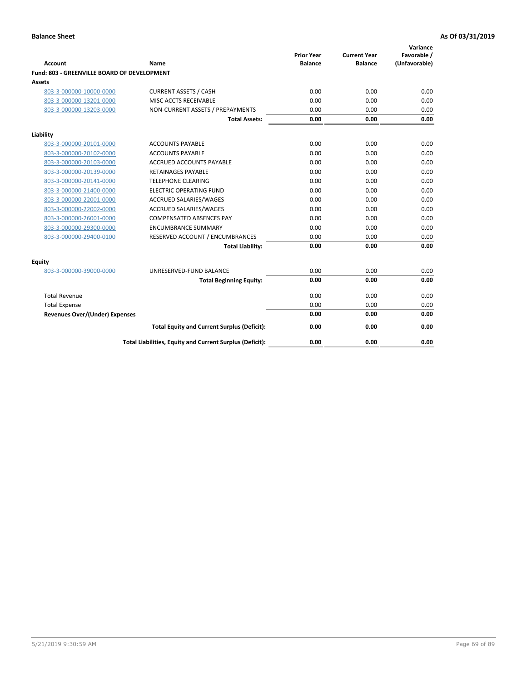| <b>Account</b>                              | Name                                                     | <b>Prior Year</b><br><b>Balance</b> | <b>Current Year</b><br><b>Balance</b> | Variance<br>Favorable /<br>(Unfavorable) |
|---------------------------------------------|----------------------------------------------------------|-------------------------------------|---------------------------------------|------------------------------------------|
| Fund: 803 - GREENVILLE BOARD OF DEVELOPMENT |                                                          |                                     |                                       |                                          |
| Assets                                      |                                                          |                                     |                                       |                                          |
| 803-3-000000-10000-0000                     | <b>CURRENT ASSETS / CASH</b>                             | 0.00                                | 0.00                                  | 0.00                                     |
| 803-3-000000-13201-0000                     | MISC ACCTS RECEIVABLE                                    | 0.00                                | 0.00                                  | 0.00                                     |
| 803-3-000000-13203-0000                     | NON-CURRENT ASSETS / PREPAYMENTS                         | 0.00                                | 0.00                                  | 0.00                                     |
|                                             | <b>Total Assets:</b>                                     | 0.00                                | 0.00                                  | 0.00                                     |
| Liability                                   |                                                          |                                     |                                       |                                          |
| 803-3-000000-20101-0000                     | <b>ACCOUNTS PAYABLE</b>                                  | 0.00                                | 0.00                                  | 0.00                                     |
| 803-3-000000-20102-0000                     | <b>ACCOUNTS PAYABLE</b>                                  | 0.00                                | 0.00                                  | 0.00                                     |
| 803-3-000000-20103-0000                     | <b>ACCRUED ACCOUNTS PAYABLE</b>                          | 0.00                                | 0.00                                  | 0.00                                     |
| 803-3-000000-20139-0000                     | <b>RETAINAGES PAYABLE</b>                                | 0.00                                | 0.00                                  | 0.00                                     |
| 803-3-000000-20141-0000                     | <b>TELEPHONE CLEARING</b>                                | 0.00                                | 0.00                                  | 0.00                                     |
| 803-3-000000-21400-0000                     | <b>ELECTRIC OPERATING FUND</b>                           | 0.00                                | 0.00                                  | 0.00                                     |
| 803-3-000000-22001-0000                     | <b>ACCRUED SALARIES/WAGES</b>                            | 0.00                                | 0.00                                  | 0.00                                     |
| 803-3-000000-22002-0000                     | <b>ACCRUED SALARIES/WAGES</b>                            | 0.00                                | 0.00                                  | 0.00                                     |
| 803-3-000000-26001-0000                     | <b>COMPENSATED ABSENCES PAY</b>                          | 0.00                                | 0.00                                  | 0.00                                     |
| 803-3-000000-29300-0000                     | <b>ENCUMBRANCE SUMMARY</b>                               | 0.00                                | 0.00                                  | 0.00                                     |
| 803-3-000000-29400-0100                     | RESERVED ACCOUNT / ENCUMBRANCES                          | 0.00                                | 0.00                                  | 0.00                                     |
|                                             | <b>Total Liability:</b>                                  | 0.00                                | 0.00                                  | 0.00                                     |
| Equity                                      |                                                          |                                     |                                       |                                          |
| 803-3-000000-39000-0000                     | UNRESERVED-FUND BALANCE                                  | 0.00                                | 0.00                                  | 0.00                                     |
|                                             | <b>Total Beginning Equity:</b>                           | 0.00                                | 0.00                                  | 0.00                                     |
| <b>Total Revenue</b>                        |                                                          | 0.00                                | 0.00                                  | 0.00                                     |
| <b>Total Expense</b>                        |                                                          | 0.00                                | 0.00                                  | 0.00                                     |
| <b>Revenues Over/(Under) Expenses</b>       |                                                          | 0.00                                | 0.00                                  | 0.00                                     |
|                                             | <b>Total Equity and Current Surplus (Deficit):</b>       | 0.00                                | 0.00                                  | 0.00                                     |
|                                             | Total Liabilities, Equity and Current Surplus (Deficit): | 0.00                                | 0.00                                  | 0.00                                     |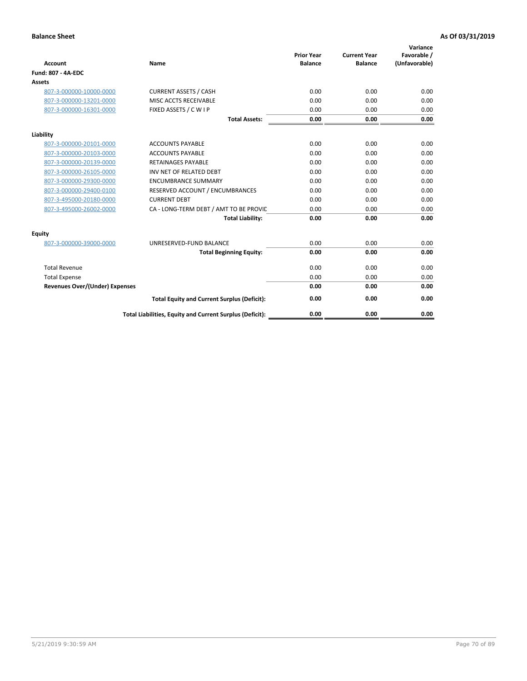| <b>Account</b>                        | Name                                                     | <b>Prior Year</b><br><b>Balance</b> | <b>Current Year</b><br><b>Balance</b> | Variance<br>Favorable /<br>(Unfavorable) |
|---------------------------------------|----------------------------------------------------------|-------------------------------------|---------------------------------------|------------------------------------------|
| Fund: 807 - 4A-EDC                    |                                                          |                                     |                                       |                                          |
| <b>Assets</b>                         |                                                          |                                     |                                       |                                          |
| 807-3-000000-10000-0000               | <b>CURRENT ASSETS / CASH</b>                             | 0.00                                | 0.00                                  | 0.00                                     |
| 807-3-000000-13201-0000               | MISC ACCTS RECEIVABLE                                    | 0.00                                | 0.00                                  | 0.00                                     |
| 807-3-000000-16301-0000               | FIXED ASSETS / C W I P                                   | 0.00                                | 0.00                                  | 0.00                                     |
|                                       | <b>Total Assets:</b>                                     | 0.00                                | 0.00                                  | 0.00                                     |
| Liability                             |                                                          |                                     |                                       |                                          |
| 807-3-000000-20101-0000               | <b>ACCOUNTS PAYABLE</b>                                  | 0.00                                | 0.00                                  | 0.00                                     |
| 807-3-000000-20103-0000               | <b>ACCOUNTS PAYABLE</b>                                  | 0.00                                | 0.00                                  | 0.00                                     |
| 807-3-000000-20139-0000               | <b>RETAINAGES PAYABLE</b>                                | 0.00                                | 0.00                                  | 0.00                                     |
| 807-3-000000-26105-0000               | INV NET OF RELATED DEBT                                  | 0.00                                | 0.00                                  | 0.00                                     |
| 807-3-000000-29300-0000               | <b>ENCUMBRANCE SUMMARY</b>                               | 0.00                                | 0.00                                  | 0.00                                     |
| 807-3-000000-29400-0100               | RESERVED ACCOUNT / ENCUMBRANCES                          | 0.00                                | 0.00                                  | 0.00                                     |
| 807-3-495000-20180-0000               | <b>CURRENT DEBT</b>                                      | 0.00                                | 0.00                                  | 0.00                                     |
| 807-3-495000-26002-0000               | CA - LONG-TERM DEBT / AMT TO BE PROVIL                   | 0.00                                | 0.00                                  | 0.00                                     |
|                                       | <b>Total Liability:</b>                                  | 0.00                                | 0.00                                  | 0.00                                     |
| Equity                                |                                                          |                                     |                                       |                                          |
| 807-3-000000-39000-0000               | UNRESERVED-FUND BALANCE                                  | 0.00                                | 0.00                                  | 0.00                                     |
|                                       | <b>Total Beginning Equity:</b>                           | 0.00                                | 0.00                                  | 0.00                                     |
| <b>Total Revenue</b>                  |                                                          | 0.00                                | 0.00                                  | 0.00                                     |
| <b>Total Expense</b>                  |                                                          | 0.00                                | 0.00                                  | 0.00                                     |
| <b>Revenues Over/(Under) Expenses</b> |                                                          | 0.00                                | 0.00                                  | 0.00                                     |
|                                       | <b>Total Equity and Current Surplus (Deficit):</b>       | 0.00                                | 0.00                                  | 0.00                                     |
|                                       | Total Liabilities, Equity and Current Surplus (Deficit): | 0.00                                | 0.00                                  | 0.00                                     |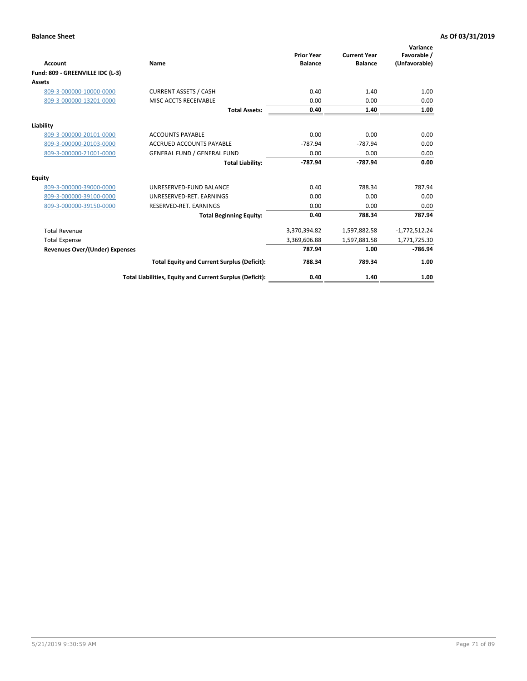| <b>Account</b>                        | <b>Name</b>                                              | <b>Prior Year</b><br><b>Balance</b> | <b>Current Year</b><br><b>Balance</b> | Variance<br>Favorable /<br>(Unfavorable) |
|---------------------------------------|----------------------------------------------------------|-------------------------------------|---------------------------------------|------------------------------------------|
| Fund: 809 - GREENVILLE IDC (L-3)      |                                                          |                                     |                                       |                                          |
| Assets                                |                                                          |                                     |                                       |                                          |
| 809-3-000000-10000-0000               | <b>CURRENT ASSETS / CASH</b>                             | 0.40                                | 1.40                                  | 1.00                                     |
| 809-3-000000-13201-0000               | MISC ACCTS RECEIVABLE                                    | 0.00                                | 0.00                                  | 0.00                                     |
|                                       | <b>Total Assets:</b>                                     | 0.40                                | 1.40                                  | 1.00                                     |
| Liability                             |                                                          |                                     |                                       |                                          |
| 809-3-000000-20101-0000               | <b>ACCOUNTS PAYABLE</b>                                  | 0.00                                | 0.00                                  | 0.00                                     |
| 809-3-000000-20103-0000               | <b>ACCRUED ACCOUNTS PAYABLE</b>                          | $-787.94$                           | $-787.94$                             | 0.00                                     |
| 809-3-000000-21001-0000               | <b>GENERAL FUND / GENERAL FUND</b>                       | 0.00                                | 0.00                                  | 0.00                                     |
|                                       | <b>Total Liability:</b>                                  | -787.94                             | $-787.94$                             | 0.00                                     |
| Equity                                |                                                          |                                     |                                       |                                          |
| 809-3-000000-39000-0000               | UNRESERVED-FUND BALANCE                                  | 0.40                                | 788.34                                | 787.94                                   |
| 809-3-000000-39100-0000               | UNRESERVED-RET, EARNINGS                                 | 0.00                                | 0.00                                  | 0.00                                     |
| 809-3-000000-39150-0000               | RESERVED-RET. EARNINGS                                   | 0.00                                | 0.00                                  | 0.00                                     |
|                                       | <b>Total Beginning Equity:</b>                           | 0.40                                | 788.34                                | 787.94                                   |
| <b>Total Revenue</b>                  |                                                          | 3,370,394.82                        | 1,597,882.58                          | $-1,772,512.24$                          |
| <b>Total Expense</b>                  |                                                          | 3,369,606.88                        | 1,597,881.58                          | 1,771,725.30                             |
| <b>Revenues Over/(Under) Expenses</b> |                                                          | 787.94                              | 1.00                                  | $-786.94$                                |
|                                       | <b>Total Equity and Current Surplus (Deficit):</b>       | 788.34                              | 789.34                                | 1.00                                     |
|                                       | Total Liabilities, Equity and Current Surplus (Deficit): | 0.40                                | 1.40                                  | 1.00                                     |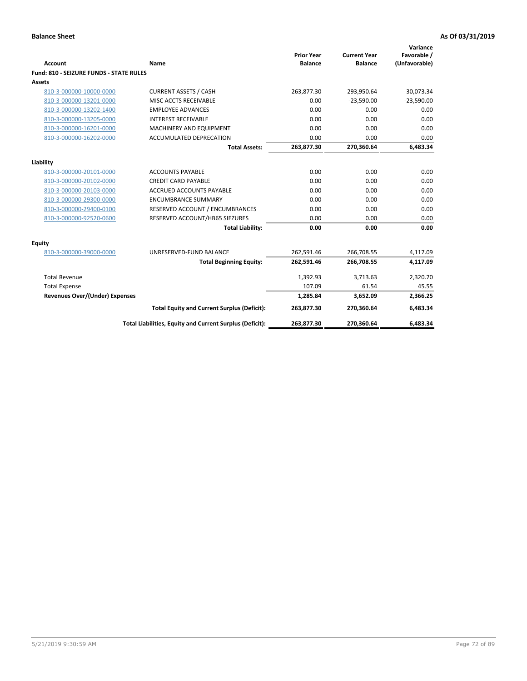| <b>Account</b>                                 | <b>Name</b>                                              | <b>Prior Year</b><br><b>Balance</b> | <b>Current Year</b><br><b>Balance</b> | Variance<br>Favorable /<br>(Unfavorable) |
|------------------------------------------------|----------------------------------------------------------|-------------------------------------|---------------------------------------|------------------------------------------|
| <b>Fund: 810 - SEIZURE FUNDS - STATE RULES</b> |                                                          |                                     |                                       |                                          |
| <b>Assets</b>                                  |                                                          |                                     |                                       |                                          |
| 810-3-000000-10000-0000                        | <b>CURRENT ASSETS / CASH</b>                             | 263,877.30                          | 293,950.64                            | 30,073.34                                |
| 810-3-000000-13201-0000                        | MISC ACCTS RECEIVABLE                                    | 0.00                                | $-23,590.00$                          | $-23,590.00$                             |
| 810-3-000000-13202-1400                        | <b>EMPLOYEE ADVANCES</b>                                 | 0.00                                | 0.00                                  | 0.00                                     |
| 810-3-000000-13205-0000                        | <b>INTEREST RECEIVABLE</b>                               | 0.00                                | 0.00                                  | 0.00                                     |
| 810-3-000000-16201-0000                        | <b>MACHINERY AND EQUIPMENT</b>                           | 0.00                                | 0.00                                  | 0.00                                     |
| 810-3-000000-16202-0000                        | ACCUMULATED DEPRECATION                                  | 0.00                                | 0.00                                  | 0.00                                     |
|                                                | <b>Total Assets:</b>                                     | 263,877.30                          | 270,360.64                            | 6,483.34                                 |
|                                                |                                                          |                                     |                                       |                                          |
| Liability                                      |                                                          |                                     |                                       |                                          |
| 810-3-000000-20101-0000                        | <b>ACCOUNTS PAYABLE</b>                                  | 0.00                                | 0.00                                  | 0.00                                     |
| 810-3-000000-20102-0000                        | <b>CREDIT CARD PAYABLE</b>                               | 0.00                                | 0.00                                  | 0.00                                     |
| 810-3-000000-20103-0000                        | <b>ACCRUED ACCOUNTS PAYABLE</b>                          | 0.00                                | 0.00                                  | 0.00                                     |
| 810-3-000000-29300-0000                        | <b>ENCUMBRANCE SUMMARY</b>                               | 0.00                                | 0.00                                  | 0.00                                     |
| 810-3-000000-29400-0100                        | RESERVED ACCOUNT / ENCUMBRANCES                          | 0.00                                | 0.00                                  | 0.00                                     |
| 810-3-000000-92520-0600                        | RESERVED ACCOUNT/HB65 SIEZURES                           | 0.00                                | 0.00                                  | 0.00                                     |
|                                                | <b>Total Liability:</b>                                  | 0.00                                | 0.00                                  | 0.00                                     |
| <b>Equity</b>                                  |                                                          |                                     |                                       |                                          |
| 810-3-000000-39000-0000                        | UNRESERVED-FUND BALANCE                                  | 262,591.46                          | 266,708.55                            | 4,117.09                                 |
|                                                | <b>Total Beginning Equity:</b>                           | 262,591.46                          | 266,708.55                            | 4,117.09                                 |
| <b>Total Revenue</b>                           |                                                          | 1,392.93                            | 3,713.63                              | 2,320.70                                 |
| <b>Total Expense</b>                           |                                                          | 107.09                              | 61.54                                 | 45.55                                    |
| Revenues Over/(Under) Expenses                 |                                                          | 1,285.84                            | 3,652.09                              | 2,366.25                                 |
|                                                | <b>Total Equity and Current Surplus (Deficit):</b>       | 263,877.30                          | 270,360.64                            | 6,483.34                                 |
|                                                | Total Liabilities, Equity and Current Surplus (Deficit): | 263,877.30                          | 270,360.64                            | 6,483.34                                 |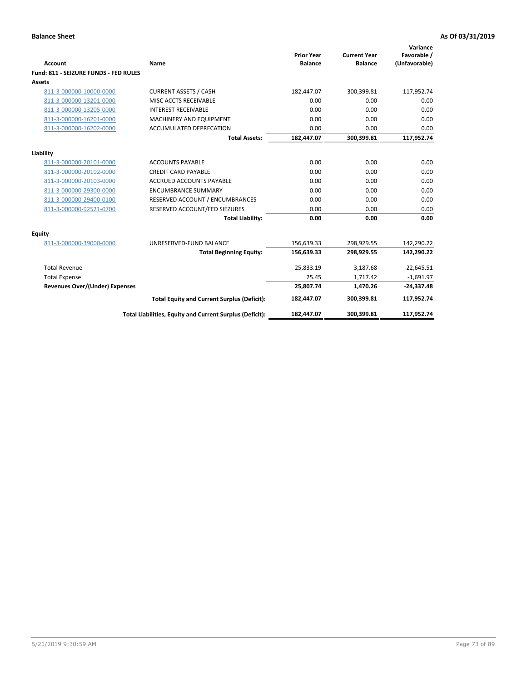| <b>Account</b>                        | Name                                                     | <b>Prior Year</b><br><b>Balance</b> | <b>Current Year</b><br><b>Balance</b> | Variance<br>Favorable /<br>(Unfavorable) |
|---------------------------------------|----------------------------------------------------------|-------------------------------------|---------------------------------------|------------------------------------------|
| Fund: 811 - SEIZURE FUNDS - FED RULES |                                                          |                                     |                                       |                                          |
| <b>Assets</b>                         |                                                          |                                     |                                       |                                          |
| 811-3-000000-10000-0000               | <b>CURRENT ASSETS / CASH</b>                             | 182,447.07                          | 300,399.81                            | 117,952.74                               |
| 811-3-000000-13201-0000               | MISC ACCTS RECEIVABLE                                    | 0.00                                | 0.00                                  | 0.00                                     |
| 811-3-000000-13205-0000               | <b>INTEREST RECEIVABLE</b>                               | 0.00                                | 0.00                                  | 0.00                                     |
| 811-3-000000-16201-0000               | <b>MACHINERY AND EQUIPMENT</b>                           | 0.00                                | 0.00                                  | 0.00                                     |
| 811-3-000000-16202-0000               | <b>ACCUMULATED DEPRECATION</b>                           | 0.00                                | 0.00                                  | 0.00                                     |
|                                       | <b>Total Assets:</b>                                     | 182,447.07                          | 300,399.81                            | 117,952.74                               |
| Liability                             |                                                          |                                     |                                       |                                          |
| 811-3-000000-20101-0000               | <b>ACCOUNTS PAYABLE</b>                                  | 0.00                                | 0.00                                  | 0.00                                     |
| 811-3-000000-20102-0000               | <b>CREDIT CARD PAYABLE</b>                               | 0.00                                | 0.00                                  | 0.00                                     |
| 811-3-000000-20103-0000               | <b>ACCRUED ACCOUNTS PAYABLE</b>                          | 0.00                                | 0.00                                  | 0.00                                     |
| 811-3-000000-29300-0000               | <b>ENCUMBRANCE SUMMARY</b>                               | 0.00                                | 0.00                                  | 0.00                                     |
| 811-3-000000-29400-0100               | RESERVED ACCOUNT / ENCUMBRANCES                          | 0.00                                | 0.00                                  | 0.00                                     |
| 811-3-000000-92521-0700               | RESERVED ACCOUNT/FED SIEZURES                            | 0.00                                | 0.00                                  | 0.00                                     |
|                                       | <b>Total Liability:</b>                                  | 0.00                                | 0.00                                  | 0.00                                     |
| Equity                                |                                                          |                                     |                                       |                                          |
| 811-3-000000-39000-0000               | UNRESERVED-FUND BALANCE                                  | 156,639.33                          | 298,929.55                            | 142,290.22                               |
|                                       | <b>Total Beginning Equity:</b>                           | 156,639.33                          | 298,929.55                            | 142,290.22                               |
| <b>Total Revenue</b>                  |                                                          | 25,833.19                           | 3,187.68                              | $-22,645.51$                             |
| <b>Total Expense</b>                  |                                                          | 25.45                               | 1,717.42                              | $-1,691.97$                              |
| Revenues Over/(Under) Expenses        |                                                          | 25,807.74                           | 1,470.26                              | $-24,337.48$                             |
|                                       | <b>Total Equity and Current Surplus (Deficit):</b>       | 182,447.07                          | 300,399.81                            | 117,952.74                               |
|                                       | Total Liabilities, Equity and Current Surplus (Deficit): | 182,447.07                          | 300.399.81                            | 117.952.74                               |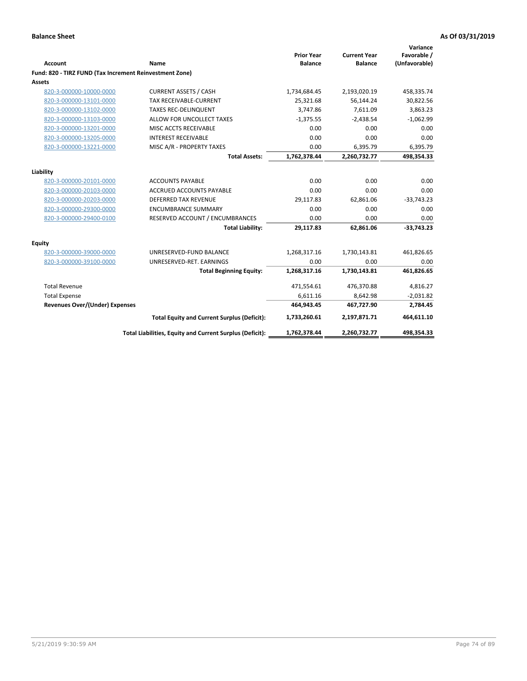| <b>Account</b>                                          | Name                                                     | <b>Prior Year</b><br><b>Balance</b> | <b>Current Year</b><br><b>Balance</b> | Variance<br>Favorable /<br>(Unfavorable) |
|---------------------------------------------------------|----------------------------------------------------------|-------------------------------------|---------------------------------------|------------------------------------------|
| Fund: 820 - TIRZ FUND (Tax Increment Reinvestment Zone) |                                                          |                                     |                                       |                                          |
| <b>Assets</b>                                           |                                                          |                                     |                                       |                                          |
| 820-3-000000-10000-0000                                 | <b>CURRENT ASSETS / CASH</b>                             | 1,734,684.45                        | 2,193,020.19                          | 458,335.74                               |
| 820-3-000000-13101-0000                                 | <b>TAX RECEIVABLE-CURRENT</b>                            | 25,321.68                           | 56,144.24                             | 30,822.56                                |
| 820-3-000000-13102-0000                                 | <b>TAXES REC-DELINQUENT</b>                              | 3,747.86                            | 7,611.09                              | 3,863.23                                 |
| 820-3-000000-13103-0000                                 | ALLOW FOR UNCOLLECT TAXES                                | $-1,375.55$                         | $-2,438.54$                           | $-1,062.99$                              |
| 820-3-000000-13201-0000                                 | MISC ACCTS RECEIVABLE                                    | 0.00                                | 0.00                                  | 0.00                                     |
| 820-3-000000-13205-0000                                 | <b>INTEREST RECEIVABLE</b>                               | 0.00                                | 0.00                                  | 0.00                                     |
| 820-3-000000-13221-0000                                 | MISC A/R - PROPERTY TAXES                                | 0.00                                | 6,395.79                              | 6,395.79                                 |
|                                                         | <b>Total Assets:</b>                                     | 1,762,378.44                        | 2,260,732.77                          | 498,354.33                               |
| Liability                                               |                                                          |                                     |                                       |                                          |
| 820-3-000000-20101-0000                                 | <b>ACCOUNTS PAYABLE</b>                                  | 0.00                                | 0.00                                  | 0.00                                     |
| 820-3-000000-20103-0000                                 | <b>ACCRUED ACCOUNTS PAYABLE</b>                          | 0.00                                | 0.00                                  | 0.00                                     |
| 820-3-000000-20203-0000                                 | DEFERRED TAX REVENUE                                     | 29,117.83                           | 62,861.06                             | $-33,743.23$                             |
| 820-3-000000-29300-0000                                 | <b>ENCUMBRANCE SUMMARY</b>                               | 0.00                                | 0.00                                  | 0.00                                     |
| 820-3-000000-29400-0100                                 | RESERVED ACCOUNT / ENCUMBRANCES                          | 0.00                                | 0.00                                  | 0.00                                     |
|                                                         | <b>Total Liability:</b>                                  | 29,117.83                           | 62,861.06                             | $-33,743.23$                             |
| Equity                                                  |                                                          |                                     |                                       |                                          |
| 820-3-000000-39000-0000                                 | UNRESERVED-FUND BALANCE                                  | 1,268,317.16                        | 1,730,143.81                          | 461,826.65                               |
| 820-3-000000-39100-0000                                 | UNRESERVED-RET. EARNINGS                                 | 0.00                                | 0.00                                  | 0.00                                     |
|                                                         | <b>Total Beginning Equity:</b>                           | 1,268,317.16                        | 1,730,143.81                          | 461,826.65                               |
| <b>Total Revenue</b>                                    |                                                          | 471,554.61                          | 476,370.88                            | 4,816.27                                 |
| <b>Total Expense</b>                                    |                                                          | 6,611.16                            | 8,642.98                              | $-2,031.82$                              |
| <b>Revenues Over/(Under) Expenses</b>                   |                                                          | 464,943.45                          | 467,727.90                            | 2,784.45                                 |
|                                                         | <b>Total Equity and Current Surplus (Deficit):</b>       | 1,733,260.61                        | 2,197,871.71                          | 464,611.10                               |
|                                                         | Total Liabilities, Equity and Current Surplus (Deficit): | 1,762,378.44                        | 2,260,732.77                          | 498,354.33                               |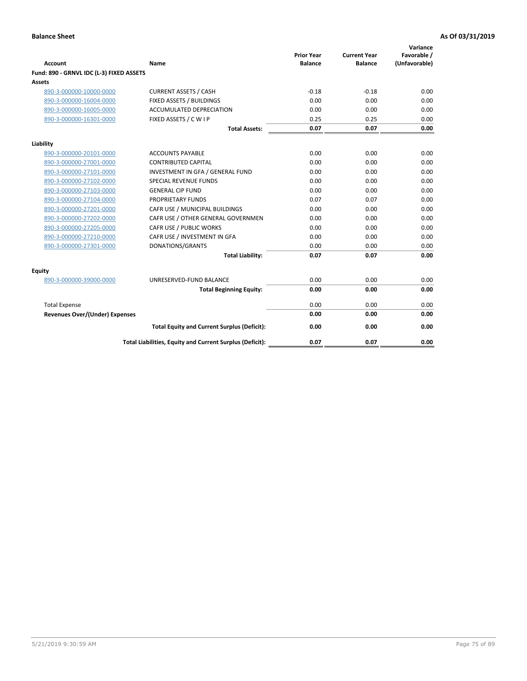| <b>Account</b>                           | Name                                                     | <b>Prior Year</b><br><b>Balance</b> | <b>Current Year</b><br><b>Balance</b> | Variance<br>Favorable /<br>(Unfavorable) |
|------------------------------------------|----------------------------------------------------------|-------------------------------------|---------------------------------------|------------------------------------------|
| Fund: 890 - GRNVL IDC (L-3) FIXED ASSETS |                                                          |                                     |                                       |                                          |
| <b>Assets</b>                            |                                                          |                                     |                                       |                                          |
| 890-3-000000-10000-0000                  | <b>CURRENT ASSETS / CASH</b>                             | $-0.18$                             | $-0.18$                               | 0.00                                     |
| 890-3-000000-16004-0000                  | FIXED ASSETS / BUILDINGS                                 | 0.00                                | 0.00                                  | 0.00                                     |
| 890-3-000000-16005-0000                  | <b>ACCUMULATED DEPRECIATION</b>                          | 0.00                                | 0.00                                  | 0.00                                     |
| 890-3-000000-16301-0000                  | FIXED ASSETS / C W I P                                   | 0.25                                | 0.25                                  | 0.00                                     |
|                                          | <b>Total Assets:</b>                                     | 0.07                                | 0.07                                  | 0.00                                     |
| Liability                                |                                                          |                                     |                                       |                                          |
| 890-3-000000-20101-0000                  | <b>ACCOUNTS PAYABLE</b>                                  | 0.00                                | 0.00                                  | 0.00                                     |
| 890-3-000000-27001-0000                  | <b>CONTRIBUTED CAPITAL</b>                               | 0.00                                | 0.00                                  | 0.00                                     |
| 890-3-000000-27101-0000                  | INVESTMENT IN GFA / GENERAL FUND                         | 0.00                                | 0.00                                  | 0.00                                     |
| 890-3-000000-27102-0000                  | <b>SPECIAL REVENUE FUNDS</b>                             | 0.00                                | 0.00                                  | 0.00                                     |
| 890-3-000000-27103-0000                  | <b>GENERAL CIP FUND</b>                                  | 0.00                                | 0.00                                  | 0.00                                     |
| 890-3-000000-27104-0000                  | PROPRIETARY FUNDS                                        | 0.07                                | 0.07                                  | 0.00                                     |
| 890-3-000000-27201-0000                  | CAFR USE / MUNICIPAL BUILDINGS                           | 0.00                                | 0.00                                  | 0.00                                     |
| 890-3-000000-27202-0000                  | CAFR USE / OTHER GENERAL GOVERNMEN                       | 0.00                                | 0.00                                  | 0.00                                     |
| 890-3-000000-27205-0000                  | CAFR USE / PUBLIC WORKS                                  | 0.00                                | 0.00                                  | 0.00                                     |
| 890-3-000000-27210-0000                  | CAFR USE / INVESTMENT IN GFA                             | 0.00                                | 0.00                                  | 0.00                                     |
| 890-3-000000-27301-0000                  | DONATIONS/GRANTS                                         | 0.00                                | 0.00                                  | 0.00                                     |
|                                          | <b>Total Liability:</b>                                  | 0.07                                | 0.07                                  | 0.00                                     |
| Equity                                   |                                                          |                                     |                                       |                                          |
| 890-3-000000-39000-0000                  | UNRESERVED-FUND BALANCE                                  | 0.00                                | 0.00                                  | 0.00                                     |
|                                          | <b>Total Beginning Equity:</b>                           | 0.00                                | 0.00                                  | 0.00                                     |
| <b>Total Expense</b>                     |                                                          | 0.00                                | 0.00                                  | 0.00                                     |
| Revenues Over/(Under) Expenses           |                                                          | 0.00                                | 0.00                                  | 0.00                                     |
|                                          | <b>Total Equity and Current Surplus (Deficit):</b>       | 0.00                                | 0.00                                  | 0.00                                     |
|                                          | Total Liabilities, Equity and Current Surplus (Deficit): | 0.07                                | 0.07                                  | 0.00                                     |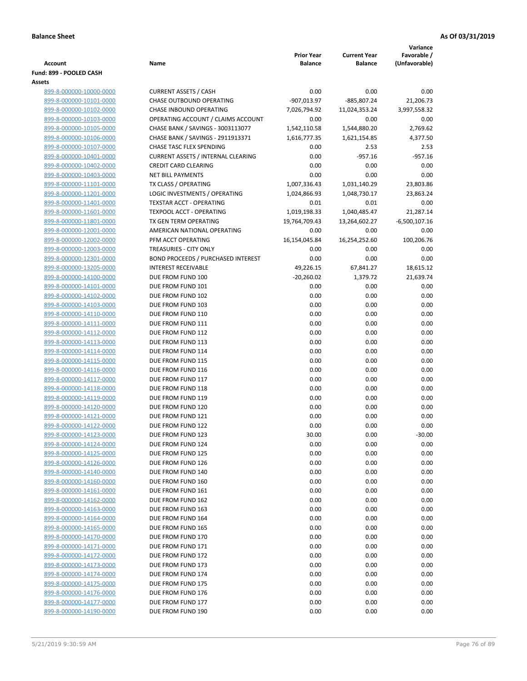|                                                    |                                                                        | <b>Prior Year</b>            | <b>Current Year</b>          | Variance<br>Favorable / |
|----------------------------------------------------|------------------------------------------------------------------------|------------------------------|------------------------------|-------------------------|
| <b>Account</b>                                     | Name                                                                   | <b>Balance</b>               | <b>Balance</b>               | (Unfavorable)           |
| Fund: 899 - POOLED CASH                            |                                                                        |                              |                              |                         |
| Assets                                             |                                                                        |                              |                              |                         |
| 899-8-000000-10000-0000                            | <b>CURRENT ASSETS / CASH</b>                                           | 0.00                         | 0.00                         | 0.00                    |
| 899-8-000000-10101-0000                            | <b>CHASE OUTBOUND OPERATING</b>                                        | -907,013.97                  | $-885,807.24$                | 21,206.73               |
| 899-8-000000-10102-0000                            | CHASE INBOUND OPERATING                                                | 7,026,794.92                 | 11,024,353.24                | 3,997,558.32            |
| 899-8-000000-10103-0000                            | OPERATING ACCOUNT / CLAIMS ACCOUNT                                     | 0.00                         | 0.00                         | 0.00                    |
| 899-8-000000-10105-0000<br>899-8-000000-10106-0000 | CHASE BANK / SAVINGS - 3003113077<br>CHASE BANK / SAVINGS - 2911913371 | 1,542,110.58<br>1,616,777.35 | 1,544,880.20<br>1,621,154.85 | 2,769.62<br>4,377.50    |
| 899-8-000000-10107-0000                            | CHASE TASC FLEX SPENDING                                               | 0.00                         | 2.53                         | 2.53                    |
| 899-8-000000-10401-0000                            | <b>CURRENT ASSETS / INTERNAL CLEARING</b>                              | 0.00                         | $-957.16$                    | $-957.16$               |
| 899-8-000000-10402-0000                            | <b>CREDIT CARD CLEARING</b>                                            | 0.00                         | 0.00                         | 0.00                    |
| 899-8-000000-10403-0000                            | <b>NET BILL PAYMENTS</b>                                               | 0.00                         | 0.00                         | 0.00                    |
| 899-8-000000-11101-0000                            | TX CLASS / OPERATING                                                   | 1,007,336.43                 | 1,031,140.29                 | 23,803.86               |
| 899-8-000000-11201-0000                            | LOGIC INVESTMENTS / OPERATING                                          | 1,024,866.93                 | 1,048,730.17                 | 23,863.24               |
| 899-8-000000-11401-0000                            | <b>TEXSTAR ACCT - OPERATING</b>                                        | 0.01                         | 0.01                         | 0.00                    |
| 899-8-000000-11601-0000                            | TEXPOOL ACCT - OPERATING                                               | 1,019,198.33                 | 1,040,485.47                 | 21,287.14               |
| 899-8-000000-11801-0000                            | TX GEN TERM OPERATING                                                  | 19,764,709.43                | 13,264,602.27                | $-6,500,107.16$         |
| 899-8-000000-12001-0000                            | AMERICAN NATIONAL OPERATING                                            | 0.00                         | 0.00                         | 0.00                    |
| 899-8-000000-12002-0000                            | PFM ACCT OPERATING                                                     | 16,154,045.84                | 16,254,252.60                | 100,206.76              |
| 899-8-000000-12003-0000                            | TREASURIES - CITY ONLY                                                 | 0.00                         | 0.00                         | 0.00                    |
| 899-8-000000-12301-0000                            | <b>BOND PROCEEDS / PURCHASED INTEREST</b>                              | 0.00                         | 0.00                         | 0.00                    |
| 899-8-000000-13205-0000                            | <b>INTEREST RECEIVABLE</b>                                             | 49,226.15                    | 67,841.27                    | 18,615.12               |
| 899-8-000000-14100-0000                            | DUE FROM FUND 100                                                      | $-20,260.02$                 | 1,379.72                     | 21,639.74               |
| 899-8-000000-14101-0000                            | DUE FROM FUND 101                                                      | 0.00                         | 0.00                         | 0.00                    |
| 899-8-000000-14102-0000                            | DUE FROM FUND 102                                                      | 0.00                         | 0.00                         | 0.00                    |
| 899-8-000000-14103-0000                            | DUE FROM FUND 103                                                      | 0.00                         | 0.00                         | 0.00                    |
| 899-8-000000-14110-0000                            | DUE FROM FUND 110                                                      | 0.00                         | 0.00                         | 0.00                    |
| 899-8-000000-14111-0000                            | DUE FROM FUND 111                                                      | 0.00                         | 0.00                         | 0.00                    |
| 899-8-000000-14112-0000                            | DUE FROM FUND 112                                                      | 0.00                         | 0.00                         | 0.00                    |
| 899-8-000000-14113-0000                            | DUE FROM FUND 113                                                      | 0.00                         | 0.00                         | 0.00                    |
| 899-8-000000-14114-0000                            | DUE FROM FUND 114                                                      | 0.00                         | 0.00                         | 0.00                    |
| 899-8-000000-14115-0000                            | DUE FROM FUND 115                                                      | 0.00                         | 0.00                         | 0.00                    |
| 899-8-000000-14116-0000                            | DUE FROM FUND 116                                                      | 0.00                         | 0.00                         | 0.00                    |
| 899-8-000000-14117-0000                            | DUE FROM FUND 117                                                      | 0.00                         | 0.00                         | 0.00                    |
| 899-8-000000-14118-0000                            | DUE FROM FUND 118                                                      | 0.00                         | 0.00                         | 0.00                    |
| 899-8-000000-14119-0000<br>899-8-000000-14120-0000 | DUE FROM FUND 119<br>DUE FROM FUND 120                                 | 0.00<br>0.00                 | 0.00<br>0.00                 | 0.00<br>0.00            |
| 899-8-000000-14121-0000                            | DUE FROM FUND 121                                                      | 0.00                         | 0.00                         | 0.00                    |
| 899-8-000000-14122-0000                            | DUE FROM FUND 122                                                      | 0.00                         | 0.00                         | 0.00                    |
| 899-8-000000-14123-0000                            | DUE FROM FUND 123                                                      | 30.00                        | 0.00                         | $-30.00$                |
| 899-8-000000-14124-0000                            | DUE FROM FUND 124                                                      | 0.00                         | 0.00                         | 0.00                    |
| 899-8-000000-14125-0000                            | DUE FROM FUND 125                                                      | 0.00                         | 0.00                         | 0.00                    |
| 899-8-000000-14126-0000                            | DUE FROM FUND 126                                                      | 0.00                         | 0.00                         | 0.00                    |
| 899-8-000000-14140-0000                            | DUE FROM FUND 140                                                      | 0.00                         | 0.00                         | 0.00                    |
| 899-8-000000-14160-0000                            | DUE FROM FUND 160                                                      | 0.00                         | 0.00                         | 0.00                    |
| 899-8-000000-14161-0000                            | DUE FROM FUND 161                                                      | 0.00                         | 0.00                         | 0.00                    |
| 899-8-000000-14162-0000                            | DUE FROM FUND 162                                                      | 0.00                         | 0.00                         | 0.00                    |
| 899-8-000000-14163-0000                            | DUE FROM FUND 163                                                      | 0.00                         | 0.00                         | 0.00                    |
| 899-8-000000-14164-0000                            | DUE FROM FUND 164                                                      | 0.00                         | 0.00                         | 0.00                    |
| 899-8-000000-14165-0000                            | DUE FROM FUND 165                                                      | 0.00                         | 0.00                         | 0.00                    |
| 899-8-000000-14170-0000                            | DUE FROM FUND 170                                                      | 0.00                         | 0.00                         | 0.00                    |
| 899-8-000000-14171-0000                            | DUE FROM FUND 171                                                      | 0.00                         | 0.00                         | 0.00                    |
| 899-8-000000-14172-0000                            | DUE FROM FUND 172                                                      | 0.00                         | 0.00                         | 0.00                    |
| 899-8-000000-14173-0000                            | DUE FROM FUND 173                                                      | 0.00                         | 0.00                         | 0.00                    |
| 899-8-000000-14174-0000                            | DUE FROM FUND 174                                                      | 0.00                         | 0.00                         | 0.00                    |
| 899-8-000000-14175-0000                            | DUE FROM FUND 175                                                      | 0.00                         | 0.00                         | 0.00                    |
| 899-8-000000-14176-0000                            | DUE FROM FUND 176                                                      | 0.00                         | 0.00                         | 0.00                    |
| 899-8-000000-14177-0000                            | DUE FROM FUND 177                                                      | 0.00                         | 0.00                         | 0.00                    |
| 899-8-000000-14190-0000                            | DUE FROM FUND 190                                                      | 0.00                         | 0.00                         | 0.00                    |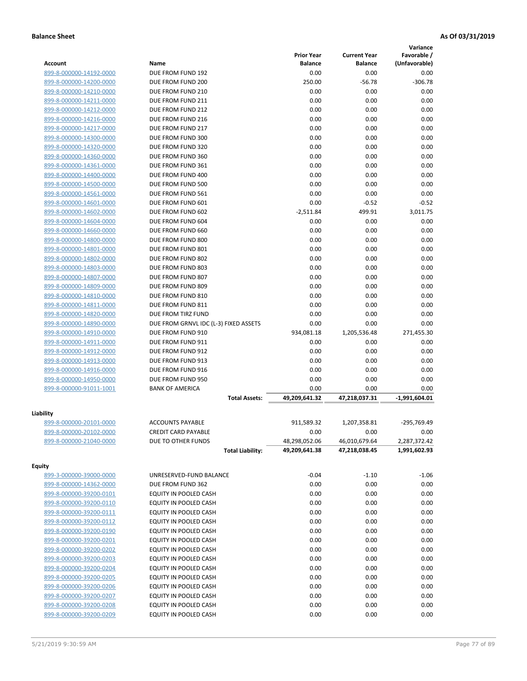|                                                    |                                       |                       |                     | Variance        |
|----------------------------------------------------|---------------------------------------|-----------------------|---------------------|-----------------|
|                                                    |                                       | <b>Prior Year</b>     | <b>Current Year</b> | Favorable /     |
| Account                                            | Name                                  | <b>Balance</b>        | <b>Balance</b>      | (Unfavorable)   |
| 899-8-000000-14192-0000                            | DUE FROM FUND 192                     | 0.00                  | 0.00                | 0.00            |
| 899-8-000000-14200-0000                            | DUE FROM FUND 200                     | 250.00                | $-56.78$            | $-306.78$       |
| 899-8-000000-14210-0000                            | DUE FROM FUND 210                     | 0.00                  | 0.00                | 0.00            |
| 899-8-000000-14211-0000                            | DUE FROM FUND 211                     | 0.00                  | 0.00                | 0.00            |
| 899-8-000000-14212-0000                            | DUE FROM FUND 212                     | 0.00                  | 0.00                | 0.00            |
| 899-8-000000-14216-0000                            | DUE FROM FUND 216                     | 0.00                  | 0.00                | 0.00            |
| 899-8-000000-14217-0000                            | DUE FROM FUND 217                     | 0.00                  | 0.00                | 0.00            |
| 899-8-000000-14300-0000                            | DUE FROM FUND 300                     | 0.00                  | 0.00                | 0.00            |
| 899-8-000000-14320-0000                            | DUE FROM FUND 320                     | 0.00                  | 0.00                | 0.00            |
| 899-8-000000-14360-0000                            | DUE FROM FUND 360                     | 0.00                  | 0.00                | 0.00            |
| 899-8-000000-14361-0000                            | DUE FROM FUND 361                     | 0.00                  | 0.00                | 0.00            |
| 899-8-000000-14400-0000                            | DUE FROM FUND 400                     | 0.00                  | 0.00                | 0.00            |
| 899-8-000000-14500-0000                            | DUE FROM FUND 500                     | 0.00                  | 0.00                | 0.00            |
| 899-8-000000-14561-0000                            | DUE FROM FUND 561                     | 0.00                  | 0.00                | 0.00            |
| 899-8-000000-14601-0000                            | DUE FROM FUND 601                     | 0.00                  | $-0.52$             | $-0.52$         |
| 899-8-000000-14602-0000                            | DUE FROM FUND 602                     | $-2,511.84$           | 499.91              | 3,011.75        |
| 899-8-000000-14604-0000                            | DUE FROM FUND 604                     | 0.00                  | 0.00                | 0.00            |
| 899-8-000000-14660-0000                            | DUE FROM FUND 660                     | 0.00                  | 0.00                | 0.00            |
| 899-8-000000-14800-0000                            | DUE FROM FUND 800                     | 0.00                  | 0.00                | 0.00            |
| 899-8-000000-14801-0000                            | DUE FROM FUND 801                     | 0.00                  | 0.00                | 0.00            |
| 899-8-000000-14802-0000                            | DUE FROM FUND 802                     | 0.00                  | 0.00                | 0.00            |
| 899-8-000000-14803-0000                            | DUE FROM FUND 803                     | 0.00                  | 0.00                | 0.00            |
| 899-8-000000-14807-0000                            | DUE FROM FUND 807                     | 0.00                  | 0.00                | 0.00            |
| 899-8-000000-14809-0000                            | DUE FROM FUND 809                     | 0.00                  | 0.00                | 0.00            |
| 899-8-000000-14810-0000                            | DUE FROM FUND 810                     | 0.00                  | 0.00                | 0.00            |
| 899-8-000000-14811-0000                            | DUE FROM FUND 811                     | 0.00                  | 0.00                | 0.00            |
| 899-8-000000-14820-0000                            | DUE FROM TIRZ FUND                    | 0.00                  | 0.00                | 0.00            |
| 899-8-000000-14890-0000                            | DUE FROM GRNVL IDC (L-3) FIXED ASSETS | 0.00                  | 0.00                | 0.00            |
| 899-8-000000-14910-0000                            | DUE FROM FUND 910                     | 934,081.18            | 1,205,536.48        | 271,455.30      |
| 899-8-000000-14911-0000                            | DUE FROM FUND 911                     | 0.00                  | 0.00                | 0.00            |
| 899-8-000000-14912-0000                            | DUE FROM FUND 912                     | 0.00                  | 0.00                | 0.00            |
| 899-8-000000-14913-0000                            | DUE FROM FUND 913                     | 0.00                  | 0.00                | 0.00            |
| 899-8-000000-14916-0000                            | DUE FROM FUND 916                     | 0.00                  | 0.00                | 0.00            |
|                                                    | DUE FROM FUND 950                     | 0.00                  | 0.00                | 0.00            |
| 899-8-000000-14950-0000<br>899-8-000000-91011-1001 | <b>BANK OF AMERICA</b>                |                       | 0.00                | 0.00            |
|                                                    |                                       | 0.00<br>49,209,641.32 | 47,218,037.31       | $-1,991,604.01$ |
|                                                    | <b>Total Assets:</b>                  |                       |                     |                 |
| Liability                                          |                                       |                       |                     |                 |
| 899-8-000000-20101-0000                            | <b>ACCOUNTS PAYABLE</b>               | 911,589.32            | 1,207,358.81        | -295,769.49     |
| 899-8-000000-20102-0000                            | <b>CREDIT CARD PAYABLE</b>            | 0.00                  | 0.00                | 0.00            |
| 899-8-000000-21040-0000                            | DUE TO OTHER FUNDS                    | 48,298,052.06         | 46,010,679.64       | 2,287,372.42    |
|                                                    | <b>Total Liability:</b>               | 49,209,641.38         | 47,218,038.45       | 1,991,602.93    |
|                                                    |                                       |                       |                     |                 |
| <b>Equity</b>                                      |                                       |                       |                     |                 |
| 899-3-000000-39000-0000                            | UNRESERVED-FUND BALANCE               | $-0.04$               | $-1.10$             | $-1.06$         |
| 899-8-000000-14362-0000                            | DUE FROM FUND 362                     | 0.00                  | 0.00                | 0.00            |
| 899-8-000000-39200-0101                            | EQUITY IN POOLED CASH                 | 0.00                  | 0.00                | 0.00            |
| 899-8-000000-39200-0110                            | EQUITY IN POOLED CASH                 | 0.00                  | 0.00                | 0.00            |
| 899-8-000000-39200-0111                            | EQUITY IN POOLED CASH                 | 0.00                  | 0.00                | 0.00            |
| 899-8-000000-39200-0112                            | EQUITY IN POOLED CASH                 | 0.00                  | 0.00                | 0.00            |
| 899-8-000000-39200-0190                            | EQUITY IN POOLED CASH                 | 0.00                  | 0.00                | 0.00            |
| 899-8-000000-39200-0201                            | EQUITY IN POOLED CASH                 | 0.00                  | 0.00                | 0.00            |
| 899-8-000000-39200-0202                            | EQUITY IN POOLED CASH                 | 0.00                  | 0.00                | 0.00            |
| 899-8-000000-39200-0203                            | EQUITY IN POOLED CASH                 | 0.00                  | 0.00                | 0.00            |
| 899-8-000000-39200-0204                            | EQUITY IN POOLED CASH                 | 0.00                  | 0.00                | 0.00            |
| 899-8-000000-39200-0205                            | EQUITY IN POOLED CASH                 | 0.00                  | 0.00                | 0.00            |
| 899-8-000000-39200-0206                            | EQUITY IN POOLED CASH                 | 0.00                  | 0.00                | 0.00            |
| 899-8-000000-39200-0207                            | EQUITY IN POOLED CASH                 | 0.00                  | 0.00                | 0.00            |
| 899-8-000000-39200-0208                            | EQUITY IN POOLED CASH                 | 0.00                  | 0.00                | 0.00            |
| 899-8-000000-39200-0209                            | EQUITY IN POOLED CASH                 | 0.00                  | 0.00                | 0.00            |
|                                                    |                                       |                       |                     |                 |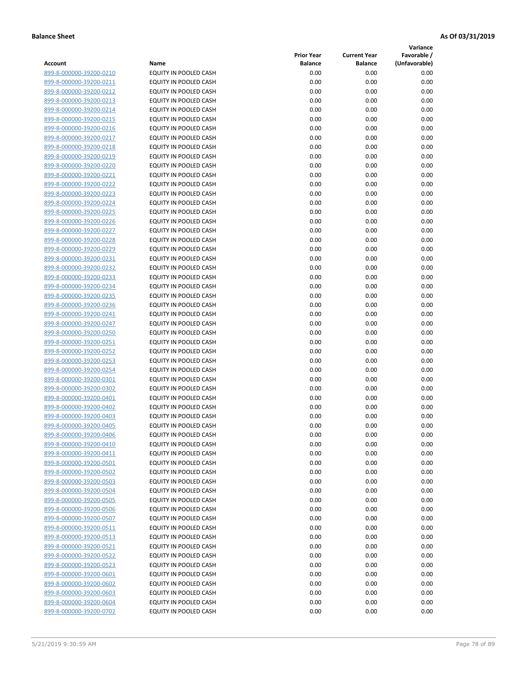**Variance**

| Account                                            | Name                                           | <b>Prior Year</b><br><b>Balance</b> | <b>Current Year</b><br><b>Balance</b> | Favorable /<br>(Unfavorable) |
|----------------------------------------------------|------------------------------------------------|-------------------------------------|---------------------------------------|------------------------------|
| 899-8-000000-39200-0210                            | EQUITY IN POOLED CASH                          | 0.00                                | 0.00                                  | 0.00                         |
| 899-8-000000-39200-0211                            | EQUITY IN POOLED CASH                          | 0.00                                | 0.00                                  | 0.00                         |
| 899-8-000000-39200-0212                            | EQUITY IN POOLED CASH                          | 0.00                                | 0.00                                  | 0.00                         |
| 899-8-000000-39200-0213                            | EQUITY IN POOLED CASH                          | 0.00                                | 0.00                                  | 0.00                         |
| 899-8-000000-39200-0214                            | <b>EQUITY IN POOLED CASH</b>                   | 0.00                                | 0.00                                  | 0.00                         |
| 899-8-000000-39200-0215                            | EQUITY IN POOLED CASH                          | 0.00                                | 0.00                                  | 0.00                         |
| 899-8-000000-39200-0216                            | EQUITY IN POOLED CASH                          | 0.00                                | 0.00                                  | 0.00                         |
| 899-8-000000-39200-0217                            | EQUITY IN POOLED CASH                          | 0.00                                | 0.00                                  | 0.00                         |
| 899-8-000000-39200-0218                            | EQUITY IN POOLED CASH                          | 0.00                                | 0.00                                  | 0.00                         |
| 899-8-000000-39200-0219                            | EQUITY IN POOLED CASH                          | 0.00                                | 0.00                                  | 0.00                         |
| 899-8-000000-39200-0220                            | EQUITY IN POOLED CASH                          | 0.00                                | 0.00                                  | 0.00                         |
| 899-8-000000-39200-0221                            | EQUITY IN POOLED CASH                          | 0.00                                | 0.00                                  | 0.00                         |
| 899-8-000000-39200-0222                            | EQUITY IN POOLED CASH                          | 0.00                                | 0.00                                  | 0.00                         |
| 899-8-000000-39200-0223                            | EQUITY IN POOLED CASH                          | 0.00                                | 0.00                                  | 0.00                         |
| 899-8-000000-39200-0224                            | EQUITY IN POOLED CASH                          | 0.00                                | 0.00                                  | 0.00                         |
| 899-8-000000-39200-0225                            | EQUITY IN POOLED CASH                          | 0.00                                | 0.00                                  | 0.00                         |
| 899-8-000000-39200-0226                            | EQUITY IN POOLED CASH                          | 0.00                                | 0.00                                  | 0.00                         |
| 899-8-000000-39200-0227                            | EQUITY IN POOLED CASH                          | 0.00                                | 0.00                                  | 0.00                         |
| 899-8-000000-39200-0228                            | EQUITY IN POOLED CASH                          | 0.00                                | 0.00                                  | 0.00                         |
| 899-8-000000-39200-0229                            | <b>EQUITY IN POOLED CASH</b>                   | 0.00                                | 0.00                                  | 0.00                         |
| 899-8-000000-39200-0231                            | <b>EQUITY IN POOLED CASH</b>                   | 0.00                                | 0.00                                  | 0.00                         |
| 899-8-000000-39200-0232                            | EQUITY IN POOLED CASH                          | 0.00                                | 0.00                                  | 0.00                         |
| 899-8-000000-39200-0233                            | EQUITY IN POOLED CASH                          | 0.00                                | 0.00                                  | 0.00                         |
| 899-8-000000-39200-0234                            | EQUITY IN POOLED CASH                          | 0.00                                | 0.00                                  | 0.00                         |
| 899-8-000000-39200-0235                            | EQUITY IN POOLED CASH                          | 0.00                                | 0.00                                  | 0.00                         |
| 899-8-000000-39200-0236                            | EQUITY IN POOLED CASH                          | 0.00                                | 0.00                                  | 0.00                         |
| 899-8-000000-39200-0241                            | EQUITY IN POOLED CASH                          | 0.00                                | 0.00                                  | 0.00                         |
| 899-8-000000-39200-0247                            | EQUITY IN POOLED CASH                          | 0.00                                | 0.00                                  | 0.00                         |
| 899-8-000000-39200-0250                            | EQUITY IN POOLED CASH                          | 0.00                                | 0.00                                  | 0.00                         |
| 899-8-000000-39200-0251                            | EQUITY IN POOLED CASH                          | 0.00                                | 0.00                                  | 0.00                         |
| 899-8-000000-39200-0252                            | EQUITY IN POOLED CASH                          | 0.00                                | 0.00                                  | 0.00                         |
| 899-8-000000-39200-0253                            | EQUITY IN POOLED CASH                          | 0.00                                | 0.00                                  | 0.00                         |
| 899-8-000000-39200-0254                            | EQUITY IN POOLED CASH                          | 0.00                                | 0.00                                  | 0.00                         |
| 899-8-000000-39200-0301<br>899-8-000000-39200-0302 | EQUITY IN POOLED CASH                          | 0.00<br>0.00                        | 0.00                                  | 0.00                         |
| 899-8-000000-39200-0401                            | EQUITY IN POOLED CASH<br>EQUITY IN POOLED CASH | 0.00                                | 0.00<br>0.00                          | 0.00<br>0.00                 |
| 899-8-000000-39200-0402                            | EQUITY IN POOLED CASH                          | 0.00                                | 0.00                                  | 0.00                         |
| 899-8-000000-39200-0403                            | EQUITY IN POOLED CASH                          | 0.00                                | 0.00                                  | 0.00                         |
| 899-8-000000-39200-0405                            | <b>EQUITY IN POOLED CASH</b>                   | 0.00                                | 0.00                                  | 0.00                         |
| 899-8-000000-39200-0406                            | EQUITY IN POOLED CASH                          | 0.00                                | 0.00                                  | 0.00                         |
| 899-8-000000-39200-0410                            | <b>EQUITY IN POOLED CASH</b>                   | 0.00                                | 0.00                                  | 0.00                         |
| 899-8-000000-39200-0411                            | EQUITY IN POOLED CASH                          | 0.00                                | 0.00                                  | 0.00                         |
| 899-8-000000-39200-0501                            | EQUITY IN POOLED CASH                          | 0.00                                | 0.00                                  | 0.00                         |
| 899-8-000000-39200-0502                            | EQUITY IN POOLED CASH                          | 0.00                                | 0.00                                  | 0.00                         |
| 899-8-000000-39200-0503                            | EQUITY IN POOLED CASH                          | 0.00                                | 0.00                                  | 0.00                         |
| 899-8-000000-39200-0504                            | <b>EQUITY IN POOLED CASH</b>                   | 0.00                                | 0.00                                  | 0.00                         |
| 899-8-000000-39200-0505                            | EQUITY IN POOLED CASH                          | 0.00                                | 0.00                                  | 0.00                         |
| 899-8-000000-39200-0506                            | EQUITY IN POOLED CASH                          | 0.00                                | 0.00                                  | 0.00                         |
| 899-8-000000-39200-0507                            | EQUITY IN POOLED CASH                          | 0.00                                | 0.00                                  | 0.00                         |
| 899-8-000000-39200-0511                            | <b>EQUITY IN POOLED CASH</b>                   | 0.00                                | 0.00                                  | 0.00                         |
| 899-8-000000-39200-0513                            | EQUITY IN POOLED CASH                          | 0.00                                | 0.00                                  | 0.00                         |
| 899-8-000000-39200-0521                            | EQUITY IN POOLED CASH                          | 0.00                                | 0.00                                  | 0.00                         |
| 899-8-000000-39200-0522                            | EQUITY IN POOLED CASH                          | 0.00                                | 0.00                                  | 0.00                         |
| 899-8-000000-39200-0523                            | EQUITY IN POOLED CASH                          | 0.00                                | 0.00                                  | 0.00                         |
| 899-8-000000-39200-0601                            | EQUITY IN POOLED CASH                          | 0.00                                | 0.00                                  | 0.00                         |
| 899-8-000000-39200-0602                            | EQUITY IN POOLED CASH                          | 0.00                                | 0.00                                  | 0.00                         |
| 899-8-000000-39200-0603                            | EQUITY IN POOLED CASH                          | 0.00                                | 0.00                                  | 0.00                         |
| 899-8-000000-39200-0604                            | EQUITY IN POOLED CASH                          | 0.00                                | 0.00                                  | 0.00                         |
| 899-8-000000-39200-0702                            | EQUITY IN POOLED CASH                          | 0.00                                | 0.00                                  | 0.00                         |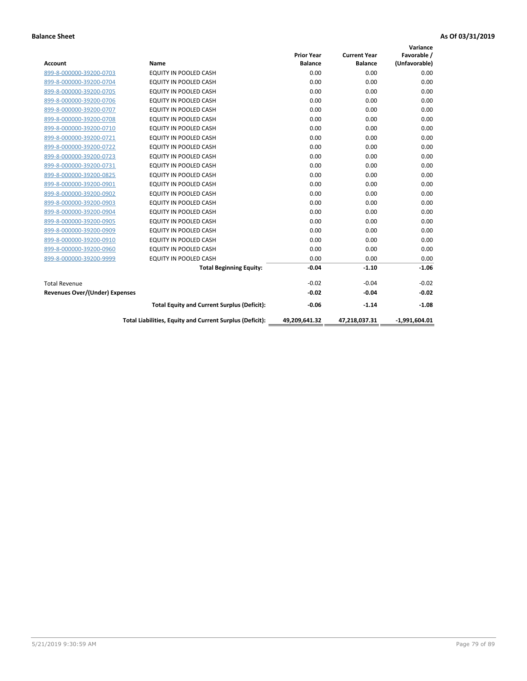|                                       |                                                          |                   |                     | Variance        |
|---------------------------------------|----------------------------------------------------------|-------------------|---------------------|-----------------|
|                                       |                                                          | <b>Prior Year</b> | <b>Current Year</b> | Favorable /     |
| <b>Account</b>                        | Name                                                     | <b>Balance</b>    | <b>Balance</b>      | (Unfavorable)   |
| 899-8-000000-39200-0703               | <b>EQUITY IN POOLED CASH</b>                             | 0.00              | 0.00                | 0.00            |
| 899-8-000000-39200-0704               | <b>EQUITY IN POOLED CASH</b>                             | 0.00              | 0.00                | 0.00            |
| 899-8-000000-39200-0705               | <b>EQUITY IN POOLED CASH</b>                             | 0.00              | 0.00                | 0.00            |
| 899-8-000000-39200-0706               | <b>EQUITY IN POOLED CASH</b>                             | 0.00              | 0.00                | 0.00            |
| 899-8-000000-39200-0707               | <b>EQUITY IN POOLED CASH</b>                             | 0.00              | 0.00                | 0.00            |
| 899-8-000000-39200-0708               | <b>EQUITY IN POOLED CASH</b>                             | 0.00              | 0.00                | 0.00            |
| 899-8-000000-39200-0710               | <b>EQUITY IN POOLED CASH</b>                             | 0.00              | 0.00                | 0.00            |
| 899-8-000000-39200-0721               | <b>EQUITY IN POOLED CASH</b>                             | 0.00              | 0.00                | 0.00            |
| 899-8-000000-39200-0722               | <b>EQUITY IN POOLED CASH</b>                             | 0.00              | 0.00                | 0.00            |
| 899-8-000000-39200-0723               | <b>EQUITY IN POOLED CASH</b>                             | 0.00              | 0.00                | 0.00            |
| 899-8-000000-39200-0731               | <b>EQUITY IN POOLED CASH</b>                             | 0.00              | 0.00                | 0.00            |
| 899-8-000000-39200-0825               | EQUITY IN POOLED CASH                                    | 0.00              | 0.00                | 0.00            |
| 899-8-000000-39200-0901               | <b>EQUITY IN POOLED CASH</b>                             | 0.00              | 0.00                | 0.00            |
| 899-8-000000-39200-0902               | <b>EQUITY IN POOLED CASH</b>                             | 0.00              | 0.00                | 0.00            |
| 899-8-000000-39200-0903               | <b>EQUITY IN POOLED CASH</b>                             | 0.00              | 0.00                | 0.00            |
| 899-8-000000-39200-0904               | <b>EQUITY IN POOLED CASH</b>                             | 0.00              | 0.00                | 0.00            |
| 899-8-000000-39200-0905               | EQUITY IN POOLED CASH                                    | 0.00              | 0.00                | 0.00            |
| 899-8-000000-39200-0909               | EQUITY IN POOLED CASH                                    | 0.00              | 0.00                | 0.00            |
| 899-8-000000-39200-0910               | <b>EQUITY IN POOLED CASH</b>                             | 0.00              | 0.00                | 0.00            |
| 899-8-000000-39200-0960               | <b>EQUITY IN POOLED CASH</b>                             | 0.00              | 0.00                | 0.00            |
| 899-8-000000-39200-9999               | <b>EQUITY IN POOLED CASH</b>                             | 0.00              | 0.00                | 0.00            |
|                                       | <b>Total Beginning Equity:</b>                           | $-0.04$           | $-1.10$             | $-1.06$         |
| <b>Total Revenue</b>                  |                                                          | $-0.02$           | $-0.04$             | $-0.02$         |
| <b>Revenues Over/(Under) Expenses</b> |                                                          | $-0.02$           | $-0.04$             | $-0.02$         |
|                                       | <b>Total Equity and Current Surplus (Deficit):</b>       | $-0.06$           | $-1.14$             | $-1.08$         |
|                                       | Total Liabilities, Equity and Current Surplus (Deficit): | 49,209,641.32     | 47,218,037.31       | $-1,991,604.01$ |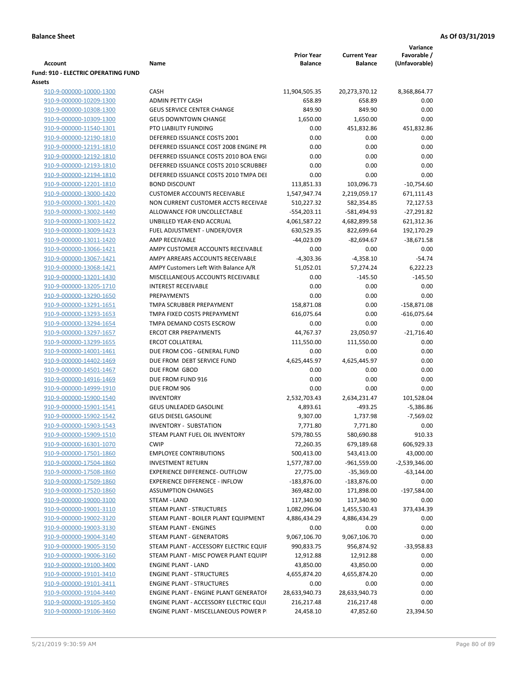|                                                      |                                                                      |                      |                      | Variance        |
|------------------------------------------------------|----------------------------------------------------------------------|----------------------|----------------------|-----------------|
|                                                      |                                                                      | <b>Prior Year</b>    | <b>Current Year</b>  | Favorable /     |
| Account                                              | Name                                                                 | Balance              | <b>Balance</b>       | (Unfavorable)   |
| <b>Fund: 910 - ELECTRIC OPERATING FUND</b><br>Assets |                                                                      |                      |                      |                 |
| 910-9-000000-10000-1300                              | <b>CASH</b>                                                          | 11,904,505.35        | 20,273,370.12        | 8,368,864.77    |
| 910-9-000000-10209-1300                              | <b>ADMIN PETTY CASH</b>                                              | 658.89               | 658.89               | 0.00            |
| 910-9-000000-10308-1300                              | <b>GEUS SERVICE CENTER CHANGE</b>                                    | 849.90               | 849.90               | 0.00            |
| 910-9-000000-10309-1300                              | <b>GEUS DOWNTOWN CHANGE</b>                                          | 1,650.00             | 1,650.00             | 0.00            |
| 910-9-000000-11540-1301                              | PTO LIABILITY FUNDING                                                | 0.00                 | 451,832.86           | 451,832.86      |
| 910-9-000000-12190-1810                              | DEFERRED ISSUANCE COSTS 2001                                         | 0.00                 | 0.00                 | 0.00            |
| 910-9-000000-12191-1810                              | DEFERRED ISSUANCE COST 2008 ENGINE PR                                | 0.00                 | 0.00                 | 0.00            |
| 910-9-000000-12192-1810                              | DEFERRED ISSUANCE COSTS 2010 BOA ENGI                                | 0.00                 | 0.00                 | 0.00            |
| 910-9-000000-12193-1810                              | DEFERRED ISSUANCE COSTS 2010 SCRUBBEI                                | 0.00                 | 0.00                 | 0.00            |
| 910-9-000000-12194-1810                              | DEFERRED ISSUANCE COSTS 2010 TMPA DEI                                | 0.00                 | 0.00                 | 0.00            |
| 910-9-000000-12201-1810                              | <b>BOND DISCOUNT</b>                                                 | 113,851.33           | 103,096.73           | $-10,754.60$    |
| 910-9-000000-13000-1420                              | <b>CUSTOMER ACCOUNTS RECEIVABLE</b>                                  | 1,547,947.74         | 2,219,059.17         | 671,111.43      |
| 910-9-000000-13001-1420                              | NON CURRENT CUSTOMER ACCTS RECEIVAE                                  | 510,227.32           | 582,354.85           | 72,127.53       |
| 910-9-000000-13002-1440                              | ALLOWANCE FOR UNCOLLECTABLE                                          | $-554,203.11$        | $-581,494.93$        | $-27,291.82$    |
| 910-9-000000-13003-1422                              | UNBILLED YEAR-END ACCRUAL                                            | 4,061,587.22         | 4,682,899.58         | 621,312.36      |
| 910-9-000000-13009-1423                              | FUEL ADJUSTMENT - UNDER/OVER                                         | 630,529.35           | 822,699.64           | 192,170.29      |
| 910-9-000000-13011-1420                              | AMP RECEIVABLE                                                       | $-44,023.09$         | $-82,694.67$         | $-38,671.58$    |
| 910-9-000000-13066-1421                              | AMPY CUSTOMER ACCOUNTS RECEIVABLE                                    | 0.00                 | 0.00                 | 0.00            |
| 910-9-000000-13067-1421                              | AMPY ARREARS ACCOUNTS RECEIVABLE                                     | $-4,303.36$          | $-4,358.10$          | $-54.74$        |
| 910-9-000000-13068-1421                              | AMPY Customers Left With Balance A/R                                 | 51,052.01            | 57,274.24            | 6,222.23        |
| 910-9-000000-13201-1430                              | MISCELLANEOUS ACCOUNTS RECEIVABLE                                    | 0.00                 | $-145.50$            | $-145.50$       |
| 910-9-000000-13205-1710                              | <b>INTEREST RECEIVABLE</b>                                           | 0.00                 | 0.00                 | 0.00            |
| 910-9-000000-13290-1650                              | PREPAYMENTS                                                          | 0.00                 | 0.00                 | 0.00            |
| 910-9-000000-13291-1651                              | TMPA SCRUBBER PREPAYMENT                                             | 158,871.08           | 0.00                 | $-158,871.08$   |
| 910-9-000000-13293-1653                              | TMPA FIXED COSTS PREPAYMENT                                          | 616,075.64           | 0.00                 | $-616,075.64$   |
| 910-9-000000-13294-1654                              | TMPA DEMAND COSTS ESCROW                                             | 0.00                 | 0.00                 | 0.00            |
| 910-9-000000-13297-1657                              | <b>ERCOT CRR PREPAYMENTS</b>                                         | 44,767.37            | 23,050.97            | $-21,716.40$    |
| 910-9-000000-13299-1655                              | <b>ERCOT COLLATERAL</b>                                              | 111,550.00           | 111,550.00           | 0.00            |
| 910-9-000000-14001-1461                              | DUE FROM COG - GENERAL FUND                                          | 0.00                 | 0.00                 | 0.00            |
| 910-9-000000-14402-1469                              | DUE FROM DEBT SERVICE FUND                                           | 4,625,445.97         | 4,625,445.97         | 0.00            |
| 910-9-000000-14501-1467                              | DUE FROM GBOD                                                        | 0.00                 | 0.00                 | 0.00            |
| 910-9-000000-14916-1469                              | DUE FROM FUND 916                                                    | 0.00                 | 0.00                 | 0.00            |
| 910-9-000000-14999-1910                              | DUE FROM 906                                                         | 0.00                 | 0.00                 | 0.00            |
| 910-9-000000-15900-1540                              | <b>INVENTORY</b>                                                     | 2,532,703.43         | 2,634,231.47         | 101,528.04      |
| 910-9-000000-15901-1541                              | <b>GEUS UNLEADED GASOLINE</b>                                        | 4,893.61             | $-493.25$            | $-5,386.86$     |
| 910-9-000000-15902-1542                              | <b>GEUS DIESEL GASOLINE</b>                                          | 9,307.00             | 1,737.98             | $-7,569.02$     |
| 910-9-000000-15903-1543                              | <b>INVENTORY - SUBSTATION</b>                                        | 7,771.80             | 7,771.80             | 0.00            |
| 910-9-000000-15909-1510                              | STEAM PLANT FUEL OIL INVENTORY                                       | 579,780.55           | 580,690.88           | 910.33          |
| 910-9-000000-16301-1070                              | <b>CWIP</b>                                                          | 72,260.35            | 679,189.68           | 606,929.33      |
| 910-9-000000-17501-1860                              | <b>EMPLOYEE CONTRIBUTIONS</b>                                        | 500,413.00           | 543,413.00           | 43,000.00       |
| 910-9-000000-17504-1860                              | <b>INVESTMENT RETURN</b>                                             | 1,577,787.00         | $-961,559.00$        | $-2,539,346.00$ |
| 910-9-000000-17508-1860                              | <b>EXPERIENCE DIFFERENCE- OUTFLOW</b>                                | 27,775.00            | $-35,369.00$         | $-63,144.00$    |
| 910-9-000000-17509-1860                              | <b>EXPERIENCE DIFFERENCE - INFLOW</b>                                | $-183,876.00$        | $-183,876.00$        | 0.00            |
| 910-9-000000-17520-1860                              | <b>ASSUMPTION CHANGES</b>                                            | 369,482.00           | 171,898.00           | $-197,584.00$   |
| 910-9-000000-19000-3100                              | STEAM - LAND                                                         | 117,340.90           | 117,340.90           | 0.00            |
| 910-9-000000-19001-3110                              | STEAM PLANT - STRUCTURES                                             | 1,082,096.04         | 1,455,530.43         | 373,434.39      |
| 910-9-000000-19002-3120                              | STEAM PLANT - BOILER PLANT EQUIPMENT                                 | 4,886,434.29         | 4,886,434.29         | 0.00            |
| 910-9-000000-19003-3130                              | STEAM PLANT - ENGINES                                                | 0.00                 | 0.00                 | 0.00            |
| 910-9-000000-19004-3140                              | STEAM PLANT - GENERATORS                                             | 9,067,106.70         | 9,067,106.70         | 0.00            |
| 910-9-000000-19005-3150                              | STEAM PLANT - ACCESSORY ELECTRIC EQUIF                               | 990,833.75           | 956,874.92           | $-33,958.83$    |
| 910-9-000000-19006-3160                              | STEAM PLANT - MISC POWER PLANT EQUIPI                                | 12,912.88            | 12,912.88            | 0.00            |
| 910-9-000000-19100-3400                              | <b>ENGINE PLANT - LAND</b>                                           | 43,850.00            | 43,850.00            | 0.00<br>0.00    |
| 910-9-000000-19101-3410<br>910-9-000000-19101-3411   | <b>ENGINE PLANT - STRUCTURES</b><br><b>ENGINE PLANT - STRUCTURES</b> | 4,655,874.20<br>0.00 | 4,655,874.20<br>0.00 | 0.00            |
| 910-9-000000-19104-3440                              | ENGINE PLANT - ENGINE PLANT GENERATOF                                | 28,633,940.73        | 28,633,940.73        | 0.00            |
| 910-9-000000-19105-3450                              | ENGINE PLANT - ACCESSORY ELECTRIC EQUI                               | 216,217.48           | 216,217.48           | 0.00            |
| 910-9-000000-19106-3460                              | ENGINE PLANT - MISCELLANEOUS POWER P                                 | 24,458.10            | 47,852.60            | 23,394.50       |
|                                                      |                                                                      |                      |                      |                 |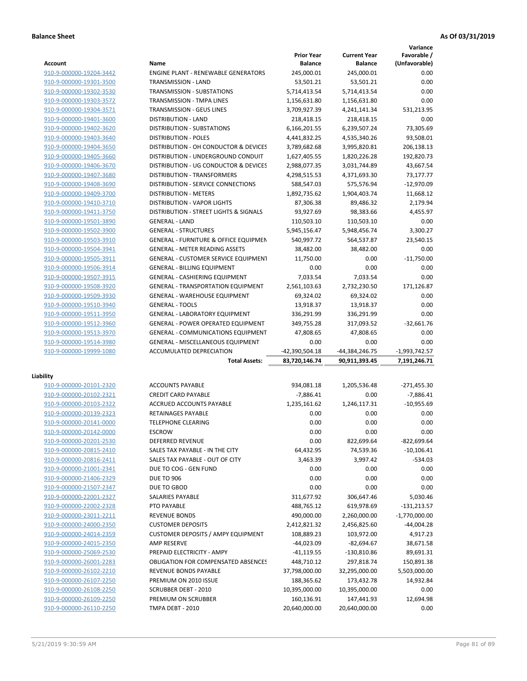**Variance**

|                         |                                                  | <b>Prior Year</b> | <b>Current Year</b> | Favorable /     |
|-------------------------|--------------------------------------------------|-------------------|---------------------|-----------------|
| <b>Account</b>          | Name                                             | <b>Balance</b>    | <b>Balance</b>      | (Unfavorable)   |
| 910-9-000000-19204-3442 | <b>ENGINE PLANT - RENEWABLE GENERATORS</b>       | 245,000.01        | 245,000.01          | 0.00            |
| 910-9-000000-19301-3500 | TRANSMISSION - LAND                              | 53,501.21         | 53,501.21           | 0.00            |
| 910-9-000000-19302-3530 | <b>TRANSMISSION - SUBSTATIONS</b>                | 5,714,413.54      | 5,714,413.54        | 0.00            |
| 910-9-000000-19303-3572 | <b>TRANSMISSION - TMPA LINES</b>                 | 1,156,631.80      | 1,156,631.80        | 0.00            |
| 910-9-000000-19304-3571 | TRANSMISSION - GEUS LINES                        | 3,709,927.39      | 4,241,141.34        | 531,213.95      |
| 910-9-000000-19401-3600 | <b>DISTRIBUTION - LAND</b>                       | 218,418.15        | 218,418.15          | 0.00            |
| 910-9-000000-19402-3620 | DISTRIBUTION - SUBSTATIONS                       | 6,166,201.55      | 6,239,507.24        | 73,305.69       |
| 910-9-000000-19403-3640 | <b>DISTRIBUTION - POLES</b>                      | 4,441,832.25      | 4,535,340.26        | 93,508.01       |
| 910-9-000000-19404-3650 | DISTRIBUTION - OH CONDUCTOR & DEVICES            | 3,789,682.68      | 3,995,820.81        | 206,138.13      |
| 910-9-000000-19405-3660 | DISTRIBUTION - UNDERGROUND CONDUIT               | 1,627,405.55      | 1,820,226.28        | 192,820.73      |
| 910-9-000000-19406-3670 | DISTRIBUTION - UG CONDUCTOR & DEVICES            | 2,988,077.35      | 3,031,744.89        | 43,667.54       |
| 910-9-000000-19407-3680 | DISTRIBUTION - TRANSFORMERS                      | 4,298,515.53      | 4,371,693.30        | 73,177.77       |
| 910-9-000000-19408-3690 | DISTRIBUTION - SERVICE CONNECTIONS               | 588,547.03        | 575,576.94          | $-12,970.09$    |
| 910-9-000000-19409-3700 | <b>DISTRIBUTION - METERS</b>                     | 1,892,735.62      | 1,904,403.74        | 11,668.12       |
| 910-9-000000-19410-3710 | <b>DISTRIBUTION - VAPOR LIGHTS</b>               | 87,306.38         | 89,486.32           | 2,179.94        |
| 910-9-000000-19411-3750 | DISTRIBUTION - STREET LIGHTS & SIGNALS           | 93,927.69         | 98,383.66           | 4,455.97        |
| 910-9-000000-19501-3890 | <b>GENERAL - LAND</b>                            | 110,503.10        | 110,503.10          | 0.00            |
| 910-9-000000-19502-3900 | <b>GENERAL - STRUCTURES</b>                      | 5,945,156.47      | 5,948,456.74        | 3,300.27        |
| 910-9-000000-19503-3910 | <b>GENERAL - FURNITURE &amp; OFFICE EQUIPMEN</b> | 540,997.72        | 564,537.87          | 23,540.15       |
| 910-9-000000-19504-3941 | <b>GENERAL - METER READING ASSETS</b>            | 38,482.00         | 38,482.00           | 0.00            |
| 910-9-000000-19505-3911 | <b>GENERAL - CUSTOMER SERVICE EQUIPMENT</b>      | 11,750.00         | 0.00                | $-11,750.00$    |
| 910-9-000000-19506-3914 | <b>GENERAL - BILLING EQUIPMENT</b>               | 0.00              | 0.00                | 0.00            |
| 910-9-000000-19507-3915 | <b>GENERAL - CASHIERING EQUIPMENT</b>            | 7,033.54          | 7,033.54            | 0.00            |
| 910-9-000000-19508-3920 | <b>GENERAL - TRANSPORTATION EQUIPMENT</b>        | 2,561,103.63      | 2,732,230.50        | 171,126.87      |
| 910-9-000000-19509-3930 | <b>GENERAL - WAREHOUSE EQUIPMENT</b>             | 69,324.02         | 69,324.02           | 0.00            |
| 910-9-000000-19510-3940 | <b>GENERAL - TOOLS</b>                           | 13,918.37         | 13,918.37           | 0.00            |
| 910-9-000000-19511-3950 | <b>GENERAL - LABORATORY EQUIPMENT</b>            | 336,291.99        | 336,291.99          | 0.00            |
| 910-9-000000-19512-3960 | <b>GENERAL - POWER OPERATED EQUIPMENT</b>        | 349,755.28        | 317,093.52          | $-32,661.76$    |
| 910-9-000000-19513-3970 | <b>GENERAL - COMMUNICATIONS EQUIPMENT</b>        | 47,808.65         | 47,808.65           | 0.00            |
| 910-9-000000-19514-3980 | <b>GENERAL - MISCELLANEOUS EQUIPMENT</b>         | 0.00              | 0.00                | 0.00            |
| 910-9-000000-19999-1080 | ACCUMULATED DEPRECIATION                         | -42,390,504.18    | -44,384,246.75      | $-1,993,742.57$ |
|                         | <b>Total Assets:</b>                             | 83,720,146.74     | 90,911,393.45       | 7,191,246.71    |
| Liability               |                                                  |                   |                     |                 |
| 910-9-000000-20101-2320 | <b>ACCOUNTS PAYABLE</b>                          | 934,081.18        | 1,205,536.48        | $-271,455.30$   |
| 910-9-000000-20102-2321 | <b>CREDIT CARD PAYABLE</b>                       | $-7,886.41$       | 0.00                | $-7,886.41$     |
| 910-9-000000-20103-2322 | ACCRUED ACCOUNTS PAYABLE                         | 1,235,161.62      | 1,246,117.31        | $-10,955.69$    |
| 910-9-000000-20139-2323 | RETAINAGES PAYABLE                               | 0.00              | 0.00                | 0.00            |
| 910-9-000000-20141-0000 | <b>TELEPHONE CLEARING</b>                        | 0.00              | 0.00                | 0.00            |
| 910-9-000000-20142-0000 | <b>ESCROW</b>                                    | 0.00              | 0.00                | 0.00            |
| 910-9-000000-20201-2530 | DEFERRED REVENUE                                 | 0.00              | 822,699.64          | -822,699.64     |
| 910-9-000000-20815-2410 | SALES TAX PAYABLE - IN THE CITY                  | 64,432.95         | 74,539.36           | $-10,106.41$    |
| 910-9-000000-20816-2411 | SALES TAX PAYABLE - OUT OF CITY                  | 3,463.39          | 3,997.42            | $-534.03$       |
| 910-9-000000-21001-2341 | DUE TO COG - GEN FUND                            | 0.00              | 0.00                | 0.00            |
| 910-9-000000-21406-2329 | <b>DUE TO 906</b>                                | 0.00              | 0.00                | 0.00            |
| 910-9-000000-21507-2347 | DUE TO GBOD                                      | 0.00              | 0.00                | 0.00            |
| 910-9-000000-22001-2327 | SALARIES PAYABLE                                 | 311,677.92        | 306,647.46          | 5,030.46        |
| 910-9-000000-22002-2328 | PTO PAYABLE                                      | 488,765.12        | 619,978.69          | $-131,213.57$   |
| 910-9-000000-23011-2211 | <b>REVENUE BONDS</b>                             | 490,000.00        | 2,260,000.00        | $-1,770,000.00$ |
| 910-9-000000-24000-2350 | <b>CUSTOMER DEPOSITS</b>                         | 2,412,821.32      | 2,456,825.60        | -44,004.28      |
| 910-9-000000-24014-2359 | <b>CUSTOMER DEPOSITS / AMPY EQUIPMENT</b>        | 108,889.23        | 103,972.00          | 4,917.23        |
| 910-9-000000-24015-2350 | <b>AMP RESERVE</b>                               | $-44,023.09$      | $-82,694.67$        | 38,671.58       |
| 910-9-000000-25069-2530 | PREPAID ELECTRICITY - AMPY                       | $-41, 119.55$     | $-130,810.86$       | 89,691.31       |
| 910-9-000000-26001-2283 | <b>OBLIGATION FOR COMPENSATED ABSENCES</b>       | 448,710.12        | 297,818.74          | 150,891.38      |
| 910-9-000000-26102-2210 | REVENUE BONDS PAYABLE                            | 37,798,000.00     | 32,295,000.00       | 5,503,000.00    |
| 910-9-000000-26107-2250 | PREMIUM ON 2010 ISSUE                            | 188,365.62        | 173,432.78          | 14,932.84       |
| 910-9-000000-26108-2250 | <b>SCRUBBER DEBT - 2010</b>                      | 10,395,000.00     | 10,395,000.00       | 0.00            |
| 910-9-000000-26109-2250 | PREMIUM ON SCRUBBER                              | 160,136.91        | 147,441.93          | 12,694.98       |
| 910-9-000000-26110-2250 | TMPA DEBT - 2010                                 | 20,640,000.00     | 20,640,000.00       | 0.00            |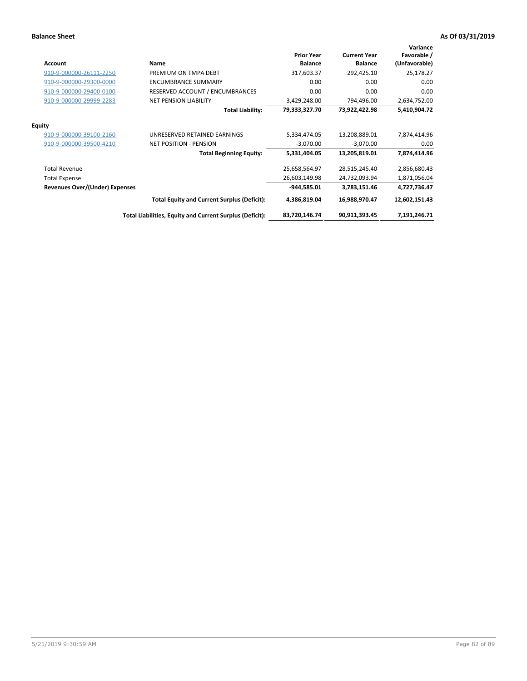| Account                               | Name                                                     | <b>Prior Year</b><br><b>Balance</b> | <b>Current Year</b><br><b>Balance</b> | Variance<br>Favorable /<br>(Unfavorable) |
|---------------------------------------|----------------------------------------------------------|-------------------------------------|---------------------------------------|------------------------------------------|
| 910-9-000000-26111-2250               | PREMIUM ON TMPA DEBT                                     | 317,603.37                          | 292,425.10                            | 25,178.27                                |
| 910-9-000000-29300-0000               | <b>ENCUMBRANCE SUMMARY</b>                               | 0.00                                | 0.00                                  | 0.00                                     |
| 910-9-000000-29400-0100               | RESERVED ACCOUNT / ENCUMBRANCES                          | 0.00                                | 0.00                                  | 0.00                                     |
| 910-9-000000-29999-2283               | <b>NET PENSION LIABILITY</b>                             | 3,429,248.00                        | 794,496.00                            | 2,634,752.00                             |
|                                       | <b>Total Liability:</b>                                  | 79,333,327.70                       | 73,922,422.98                         | 5,410,904.72                             |
| <b>Equity</b>                         |                                                          |                                     |                                       |                                          |
| 910-9-000000-39100-2160               | UNRESERVED RETAINED EARNINGS                             | 5,334,474.05                        | 13,208,889.01                         | 7,874,414.96                             |
| 910-9-000000-39500-4210               | <b>NET POSITION - PENSION</b>                            | $-3,070.00$                         | $-3,070.00$                           | 0.00                                     |
|                                       | <b>Total Beginning Equity:</b>                           | 5,331,404.05                        | 13,205,819.01                         | 7,874,414.96                             |
| <b>Total Revenue</b>                  |                                                          | 25,658,564.97                       | 28,515,245.40                         | 2,856,680.43                             |
| <b>Total Expense</b>                  |                                                          | 26,603,149.98                       | 24,732,093.94                         | 1,871,056.04                             |
| <b>Revenues Over/(Under) Expenses</b> |                                                          | $-944,585.01$                       | 3,783,151.46                          | 4,727,736.47                             |
|                                       | <b>Total Equity and Current Surplus (Deficit):</b>       | 4,386,819.04                        | 16,988,970.47                         | 12,602,151.43                            |
|                                       | Total Liabilities, Equity and Current Surplus (Deficit): | 83,720,146.74                       | 90,911,393.45                         | 7,191,246.71                             |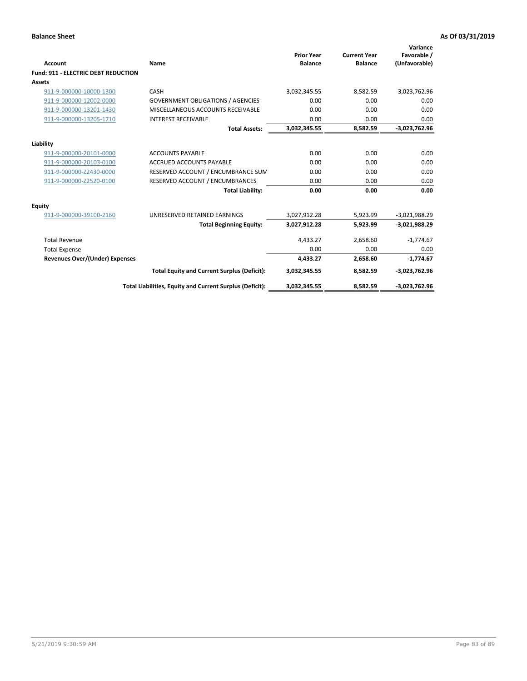| Account                                    | Name                                                     | <b>Prior Year</b><br><b>Balance</b> | <b>Current Year</b><br><b>Balance</b> | Variance<br>Favorable /<br>(Unfavorable) |
|--------------------------------------------|----------------------------------------------------------|-------------------------------------|---------------------------------------|------------------------------------------|
| <b>Fund: 911 - ELECTRIC DEBT REDUCTION</b> |                                                          |                                     |                                       |                                          |
| Assets                                     |                                                          |                                     |                                       |                                          |
| 911-9-000000-10000-1300                    | CASH                                                     | 3,032,345.55                        | 8,582.59                              | $-3,023,762.96$                          |
| 911-9-000000-12002-0000                    | <b>GOVERNMENT OBLIGATIONS / AGENCIES</b>                 | 0.00                                | 0.00                                  | 0.00                                     |
| 911-9-000000-13201-1430                    | MISCELLANEOUS ACCOUNTS RECEIVABLE                        | 0.00                                | 0.00                                  | 0.00                                     |
| 911-9-000000-13205-1710                    | <b>INTEREST RECEIVABLE</b>                               | 0.00                                | 0.00                                  | 0.00                                     |
|                                            | <b>Total Assets:</b>                                     | 3,032,345.55                        | 8,582.59                              | $-3,023,762.96$                          |
| Liability                                  |                                                          |                                     |                                       |                                          |
| 911-9-000000-20101-0000                    | <b>ACCOUNTS PAYABLE</b>                                  | 0.00                                | 0.00                                  | 0.00                                     |
| 911-9-000000-20103-0100                    | <b>ACCRUED ACCOUNTS PAYABLE</b>                          | 0.00                                | 0.00                                  | 0.00                                     |
| 911-9-000000-Z2430-0000                    | RESERVED ACCOUNT / ENCUMBRANCE SUM                       | 0.00                                | 0.00                                  | 0.00                                     |
| 911-9-000000-Z2520-0100                    | RESERVED ACCOUNT / ENCUMBRANCES                          | 0.00                                | 0.00                                  | 0.00                                     |
|                                            | <b>Total Liability:</b>                                  | 0.00                                | 0.00                                  | 0.00                                     |
| Equity                                     |                                                          |                                     |                                       |                                          |
| 911-9-000000-39100-2160                    | UNRESERVED RETAINED EARNINGS                             | 3,027,912.28                        | 5,923.99                              | $-3,021,988.29$                          |
|                                            | <b>Total Beginning Equity:</b>                           | 3,027,912.28                        | 5,923.99                              | $-3,021,988.29$                          |
| <b>Total Revenue</b>                       |                                                          | 4,433.27                            | 2,658.60                              | $-1,774.67$                              |
| <b>Total Expense</b>                       |                                                          | 0.00                                | 0.00                                  | 0.00                                     |
| <b>Revenues Over/(Under) Expenses</b>      |                                                          | 4.433.27                            | 2,658.60                              | $-1,774.67$                              |
|                                            | <b>Total Equity and Current Surplus (Deficit):</b>       | 3,032,345.55                        | 8,582.59                              | $-3,023,762.96$                          |
|                                            | Total Liabilities, Equity and Current Surplus (Deficit): | 3,032,345.55                        | 8,582.59                              | $-3,023,762.96$                          |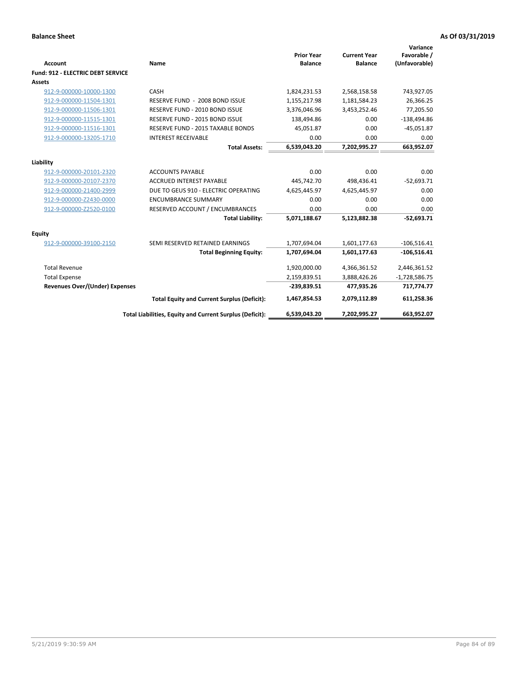| <b>Account</b>                           | Name                                                     | <b>Prior Year</b><br><b>Balance</b> | <b>Current Year</b><br><b>Balance</b> | Variance<br>Favorable /<br>(Unfavorable) |
|------------------------------------------|----------------------------------------------------------|-------------------------------------|---------------------------------------|------------------------------------------|
| <b>Fund: 912 - ELECTRIC DEBT SERVICE</b> |                                                          |                                     |                                       |                                          |
| <b>Assets</b>                            |                                                          |                                     |                                       |                                          |
| 912-9-000000-10000-1300                  | CASH                                                     | 1,824,231.53                        | 2,568,158.58                          | 743,927.05                               |
| 912-9-000000-11504-1301                  | RESERVE FUND - 2008 BOND ISSUE                           | 1,155,217.98                        | 1,181,584.23                          | 26,366.25                                |
| 912-9-000000-11506-1301                  | RESERVE FUND - 2010 BOND ISSUE                           | 3,376,046.96                        | 3,453,252.46                          | 77,205.50                                |
| 912-9-000000-11515-1301                  | RESERVE FUND - 2015 BOND ISSUE                           | 138,494.86                          | 0.00                                  | $-138,494.86$                            |
| 912-9-000000-11516-1301                  | RESERVE FUND - 2015 TAXABLE BONDS                        | 45,051.87                           | 0.00                                  | $-45,051.87$                             |
| 912-9-000000-13205-1710                  | <b>INTEREST RECEIVABLE</b>                               | 0.00                                | 0.00                                  | 0.00                                     |
|                                          | <b>Total Assets:</b>                                     | 6,539,043.20                        | 7,202,995.27                          | 663,952.07                               |
| Liability                                |                                                          |                                     |                                       |                                          |
| 912-9-000000-20101-2320                  | <b>ACCOUNTS PAYABLE</b>                                  | 0.00                                | 0.00                                  | 0.00                                     |
| 912-9-000000-20107-2370                  | <b>ACCRUED INTEREST PAYABLE</b>                          | 445,742.70                          | 498,436.41                            | $-52,693.71$                             |
| 912-9-000000-21400-2999                  | DUE TO GEUS 910 - ELECTRIC OPERATING                     | 4,625,445.97                        | 4,625,445.97                          | 0.00                                     |
| 912-9-000000-Z2430-0000                  | <b>ENCUMBRANCE SUMMARY</b>                               | 0.00                                | 0.00                                  | 0.00                                     |
| 912-9-000000-Z2520-0100                  | RESERVED ACCOUNT / ENCUMBRANCES                          | 0.00                                | 0.00                                  | 0.00                                     |
|                                          | <b>Total Liability:</b>                                  | 5,071,188.67                        | 5,123,882.38                          | $-52,693.71$                             |
| Equity                                   |                                                          |                                     |                                       |                                          |
| 912-9-000000-39100-2150                  | SEMI RESERVED RETAINED EARNINGS                          | 1,707,694.04                        | 1,601,177.63                          | $-106,516.41$                            |
|                                          | <b>Total Beginning Equity:</b>                           | 1,707,694.04                        | 1,601,177.63                          | $-106,516.41$                            |
| <b>Total Revenue</b>                     |                                                          | 1,920,000.00                        | 4,366,361.52                          | 2,446,361.52                             |
| <b>Total Expense</b>                     |                                                          | 2,159,839.51                        | 3,888,426.26                          | $-1,728,586.75$                          |
| <b>Revenues Over/(Under) Expenses</b>    |                                                          | $-239,839.51$                       | 477,935.26                            | 717,774.77                               |
|                                          | <b>Total Equity and Current Surplus (Deficit):</b>       | 1,467,854.53                        | 2,079,112.89                          | 611,258.36                               |
|                                          | Total Liabilities, Equity and Current Surplus (Deficit): | 6,539,043.20                        | 7,202,995.27                          | 663,952.07                               |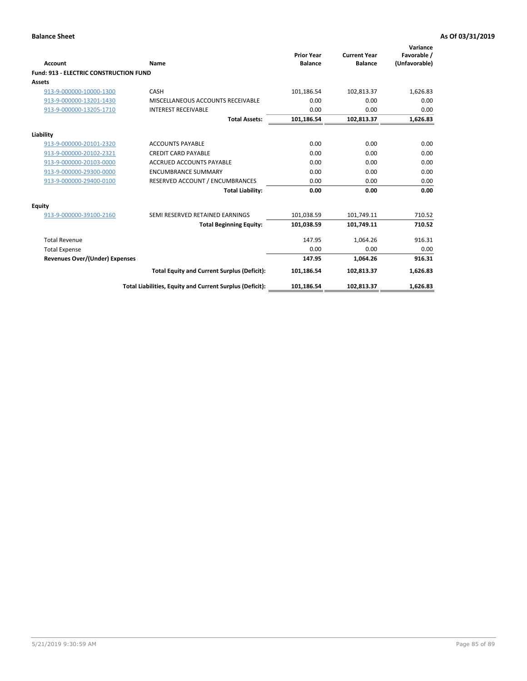| Account                                       | Name                                                     | <b>Prior Year</b><br><b>Balance</b> | <b>Current Year</b><br><b>Balance</b> | Variance<br>Favorable /<br>(Unfavorable) |
|-----------------------------------------------|----------------------------------------------------------|-------------------------------------|---------------------------------------|------------------------------------------|
| <b>Fund: 913 - ELECTRIC CONSTRUCTION FUND</b> |                                                          |                                     |                                       |                                          |
| Assets                                        | CASH                                                     | 101,186.54                          |                                       | 1,626.83                                 |
| 913-9-000000-10000-1300                       |                                                          | 0.00                                | 102,813.37<br>0.00                    |                                          |
| 913-9-000000-13201-1430                       | MISCELLANEOUS ACCOUNTS RECEIVABLE                        |                                     |                                       | 0.00                                     |
| 913-9-000000-13205-1710                       | <b>INTEREST RECEIVABLE</b>                               | 0.00                                | 0.00                                  | 0.00                                     |
|                                               | <b>Total Assets:</b>                                     | 101,186.54                          | 102,813.37                            | 1,626.83                                 |
| Liability                                     |                                                          |                                     |                                       |                                          |
| 913-9-000000-20101-2320                       | <b>ACCOUNTS PAYABLE</b>                                  | 0.00                                | 0.00                                  | 0.00                                     |
| 913-9-000000-20102-2321                       | <b>CREDIT CARD PAYABLE</b>                               | 0.00                                | 0.00                                  | 0.00                                     |
| 913-9-000000-20103-0000                       | <b>ACCRUED ACCOUNTS PAYABLE</b>                          | 0.00                                | 0.00                                  | 0.00                                     |
| 913-9-000000-29300-0000                       | <b>ENCUMBRANCE SUMMARY</b>                               | 0.00                                | 0.00                                  | 0.00                                     |
| 913-9-000000-29400-0100                       | RESERVED ACCOUNT / ENCUMBRANCES                          | 0.00                                | 0.00                                  | 0.00                                     |
|                                               | <b>Total Liability:</b>                                  | 0.00                                | 0.00                                  | 0.00                                     |
| <b>Equity</b>                                 |                                                          |                                     |                                       |                                          |
| 913-9-000000-39100-2160                       | SEMI RESERVED RETAINED EARNINGS                          | 101,038.59                          | 101,749.11                            | 710.52                                   |
|                                               | <b>Total Beginning Equity:</b>                           | 101,038.59                          | 101,749.11                            | 710.52                                   |
| <b>Total Revenue</b>                          |                                                          | 147.95                              | 1.064.26                              | 916.31                                   |
| <b>Total Expense</b>                          |                                                          | 0.00                                | 0.00                                  | 0.00                                     |
| <b>Revenues Over/(Under) Expenses</b>         |                                                          | 147.95                              | 1,064.26                              | 916.31                                   |
|                                               | <b>Total Equity and Current Surplus (Deficit):</b>       | 101,186.54                          | 102,813.37                            | 1,626.83                                 |
|                                               | Total Liabilities, Equity and Current Surplus (Deficit): | 101,186.54                          | 102,813.37                            | 1,626.83                                 |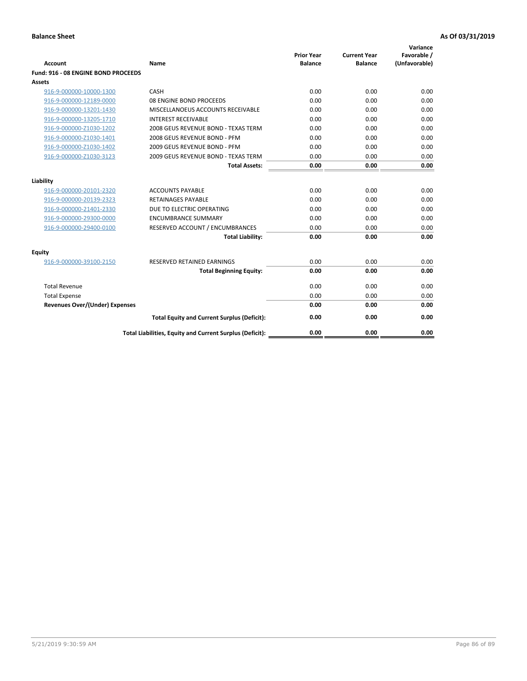| <b>Account</b>                        | Name                                                     | <b>Prior Year</b><br><b>Balance</b> | <b>Current Year</b><br><b>Balance</b> | Variance<br>Favorable /<br>(Unfavorable) |
|---------------------------------------|----------------------------------------------------------|-------------------------------------|---------------------------------------|------------------------------------------|
| Fund: 916 - 08 ENGINE BOND PROCEEDS   |                                                          |                                     |                                       |                                          |
| Assets                                |                                                          |                                     |                                       |                                          |
| 916-9-000000-10000-1300               | CASH                                                     | 0.00                                | 0.00                                  | 0.00                                     |
| 916-9-000000-12189-0000               | 08 ENGINE BOND PROCEEDS                                  | 0.00                                | 0.00                                  | 0.00                                     |
| 916-9-000000-13201-1430               | MISCELLANOEUS ACCOUNTS RECEIVABLE                        | 0.00                                | 0.00                                  | 0.00                                     |
| 916-9-000000-13205-1710               | <b>INTEREST RECEIVABLE</b>                               | 0.00                                | 0.00                                  | 0.00                                     |
| 916-9-000000-Z1030-1202               | 2008 GEUS REVENUE BOND - TEXAS TERM                      | 0.00                                | 0.00                                  | 0.00                                     |
| 916-9-000000-Z1030-1401               | 2008 GEUS REVENUE BOND - PFM                             | 0.00                                | 0.00                                  | 0.00                                     |
| 916-9-000000-Z1030-1402               | 2009 GEUS REVENUE BOND - PFM                             | 0.00                                | 0.00                                  | 0.00                                     |
| 916-9-000000-Z1030-3123               | 2009 GEUS REVENUE BOND - TEXAS TERM                      | 0.00                                | 0.00                                  | 0.00                                     |
|                                       | <b>Total Assets:</b>                                     | 0.00                                | 0.00                                  | 0.00                                     |
| Liability                             |                                                          |                                     |                                       |                                          |
| 916-9-000000-20101-2320               | <b>ACCOUNTS PAYABLE</b>                                  | 0.00                                | 0.00                                  | 0.00                                     |
| 916-9-000000-20139-2323               | <b>RETAINAGES PAYABLE</b>                                | 0.00                                | 0.00                                  | 0.00                                     |
| 916-9-000000-21401-2330               | DUE TO ELECTRIC OPERATING                                | 0.00                                | 0.00                                  | 0.00                                     |
| 916-9-000000-29300-0000               | <b>ENCUMBRANCE SUMMARY</b>                               | 0.00                                | 0.00                                  | 0.00                                     |
| 916-9-000000-29400-0100               | RESERVED ACCOUNT / ENCUMBRANCES                          | 0.00                                | 0.00                                  | 0.00                                     |
|                                       | <b>Total Liability:</b>                                  | 0.00                                | 0.00                                  | 0.00                                     |
| Equity                                |                                                          |                                     |                                       |                                          |
| 916-9-000000-39100-2150               | <b>RESERVED RETAINED EARNINGS</b>                        | 0.00                                | 0.00                                  | 0.00                                     |
|                                       | <b>Total Beginning Equity:</b>                           | 0.00                                | 0.00                                  | 0.00                                     |
| <b>Total Revenue</b>                  |                                                          | 0.00                                | 0.00                                  | 0.00                                     |
| <b>Total Expense</b>                  |                                                          | 0.00                                | 0.00                                  | 0.00                                     |
| <b>Revenues Over/(Under) Expenses</b> |                                                          | 0.00                                | 0.00                                  | 0.00                                     |
|                                       | <b>Total Equity and Current Surplus (Deficit):</b>       | 0.00                                | 0.00                                  | 0.00                                     |
|                                       | Total Liabilities, Equity and Current Surplus (Deficit): | 0.00                                | 0.00                                  | 0.00                                     |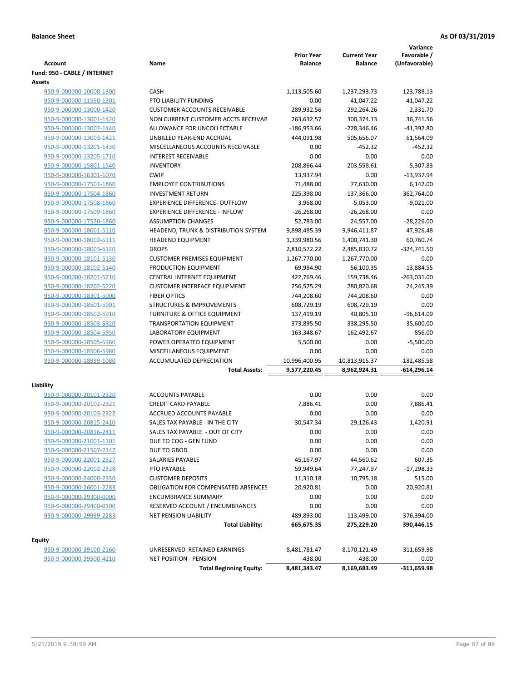**Variance**

|                              |                                            | <b>Prior Year</b> | <b>Current Year</b> | Favorable /   |
|------------------------------|--------------------------------------------|-------------------|---------------------|---------------|
| Account                      | Name                                       | <b>Balance</b>    | <b>Balance</b>      | (Unfavorable) |
| Fund: 950 - CABLE / INTERNET |                                            |                   |                     |               |
| Assets                       |                                            |                   |                     |               |
| 950-9-000000-10000-1300      | <b>CASH</b>                                | 1,113,505.60      | 1,237,293.73        | 123,788.13    |
| 950-9-000000-11550-1301      | PTO LIABILITY FUNDING                      | 0.00              | 41,047.22           | 41,047.22     |
| 950-9-000000-13000-1420      | <b>CUSTOMER ACCOUNTS RECEIVABLE</b>        | 289,932.56        | 292,264.26          | 2,331.70      |
| 950-9-000000-13001-1420      | NON CURRENT CUSTOMER ACCTS RECEIVAE        | 263,632.57        | 300,374.13          | 36,741.56     |
| 950-9-000000-13002-1440      | ALLOWANCE FOR UNCOLLECTABLE                | $-186,953.66$     | $-228,346.46$       | $-41,392.80$  |
| 950-9-000000-13003-1421      | UNBILLED YEAR-END ACCRUAL                  | 444,091.98        | 505,656.07          | 61,564.09     |
| 950-9-000000-13201-1430      | MISCELLANEOUS ACCOUNTS RECEIVABLE          | 0.00              | $-452.32$           | $-452.32$     |
| 950-9-000000-13205-1710      | <b>INTEREST RECEIVABLE</b>                 | 0.00              | 0.00                | 0.00          |
| 950-9-000000-15801-1540      | <b>INVENTORY</b>                           | 208,866.44        | 203,558.61          | $-5,307.83$   |
| 950-9-000000-16301-1070      | <b>CWIP</b>                                | 13,937.94         | 0.00                | $-13,937.94$  |
| 950-9-000000-17501-1860      | <b>EMPLOYEE CONTRIBUTIONS</b>              | 71,488.00         | 77,630.00           | 6,142.00      |
| 950-9-000000-17504-1860      | <b>INVESTMENT RETURN</b>                   | 225,398.00        | $-137,366.00$       | $-362,764.00$ |
| 950-9-000000-17508-1860      | <b>EXPERIENCE DIFFERENCE- OUTFLOW</b>      | 3,968.00          | $-5,053.00$         | $-9,021.00$   |
| 950-9-000000-17509-1860      | <b>EXPERIENCE DIFFERENCE - INFLOW</b>      | $-26,268.00$      | $-26,268.00$        | 0.00          |
| 950-9-000000-17520-1860      | <b>ASSUMPTION CHANGES</b>                  | 52,783.00         | 24,557.00           | $-28,226.00$  |
| 950-9-000000-18001-5110      | HEADEND, TRUNK & DISTRIBUTION SYSTEM       | 9,898,485.39      | 9,946,411.87        | 47,926.48     |
| 950-9-000000-18002-5111      | <b>HEADEND EQUIPMENT</b>                   | 1,339,980.56      | 1,400,741.30        | 60,760.74     |
| 950-9-000000-18003-5120      | <b>DROPS</b>                               | 2,810,572.22      | 2,485,830.72        | $-324,741.50$ |
| 950-9-000000-18101-5130      | <b>CUSTOMER PREMISES EQUIPMENT</b>         | 1,267,770.00      | 1,267,770.00        | 0.00          |
| 950-9-000000-18102-5140      | PRODUCTION EQUIPMENT                       | 69,984.90         | 56,100.35           | $-13,884.55$  |
| 950-9-000000-18201-5210      | <b>CENTRAL INTERNET EQUIPMENT</b>          | 422,769.46        | 159,738.46          | $-263,031.00$ |
| 950-9-000000-18202-5220      | <b>CUSTOMER INTERFACE EQUIPMENT</b>        | 256,575.29        | 280,820.68          | 24,245.39     |
| 950-9-000000-18301-5000      | <b>FIBER OPTICS</b>                        | 744,208.60        | 744,208.60          | 0.00          |
| 950-9-000000-18501-5901      | <b>STRUCTURES &amp; IMPROVEMENTS</b>       | 608,729.19        | 608,729.19          | 0.00          |
| 950-9-000000-18502-5910      | <b>FURNITURE &amp; OFFICE EQUIPMENT</b>    | 137,419.19        | 40,805.10           | $-96,614.09$  |
| 950-9-000000-18503-5920      | <b>TRANSPORTATION EQUIPMENT</b>            | 373,895.50        | 338,295.50          | $-35,600.00$  |
| 950-9-000000-18504-5950      | LABORATORY EQUIPMENT                       | 163,348.67        | 162,492.67          | $-856.00$     |
| 950-9-000000-18505-5960      | POWER OPERATED EQUIPMENT                   | 5,500.00          | 0.00                | $-5,500.00$   |
| 950-9-000000-18506-5980      | MISCELLANEOUS EQUIPMENT                    | 0.00              | 0.00                | 0.00          |
| 950-9-000000-18999-1080      | ACCUMULATED DEPRECIATION                   | -10,996,400.95    | -10,813,915.37      | 182,485.58    |
|                              | <b>Total Assets:</b>                       | 9,577,220.45      | 8,962,924.31        | -614,296.14   |
| Liability                    |                                            |                   |                     |               |
| 950-9-000000-20101-2320      | <b>ACCOUNTS PAYABLE</b>                    | 0.00              | 0.00                | 0.00          |
| 950-9-000000-20102-2321      | <b>CREDIT CARD PAYABLE</b>                 | 7,886.41          | 0.00                | 7,886.41      |
| 950-9-000000-20103-2322      | ACCRUED ACCOUNTS PAYABLE                   | 0.00              | 0.00                | 0.00          |
| 950-9-000000-20815-2410      | SALES TAX PAYABLE - IN THE CITY            | 30.547.34         | 29,126.43           | 1,420.91      |
| 950-9-000000-20816-2411      | SALES TAX PAYABLE - OUT OF CITY            | 0.00              | 0.00                | 0.00          |
| 950-9-000000-21001-1101      | DUE TO COG - GEN FUND                      | 0.00              | 0.00                | 0.00          |
| 950-9-000000-21507-2347      | DUE TO GBOD                                | 0.00              | 0.00                | 0.00          |
| 950-9-000000-22001-2327      | SALARIES PAYABLE                           | 45,167.97         | 44,560.62           | 607.35        |
| 950-9-000000-22002-2328      | PTO PAYABLE                                | 59,949.64         | 77,247.97           | -17,298.33    |
| 950-9-000000-24000-2350      | <b>CUSTOMER DEPOSITS</b>                   | 11,310.18         | 10,795.18           | 515.00        |
| 950-9-000000-26001-2283      | <b>OBLIGATION FOR COMPENSATED ABSENCES</b> | 20,920.81         | 0.00                | 20,920.81     |
| 950-9-000000-29300-0000      | <b>ENCUMBRANCE SUMMARY</b>                 | 0.00              | 0.00                | 0.00          |
| 950-9-000000-29400-0100      | RESERVED ACCOUNT / ENCUMBRANCES            | 0.00              | 0.00                | 0.00          |
| 950-9-000000-29999-2283      | <b>NET PENSION LIABILITY</b>               | 489,893.00        | 113,499.00          | 376,394.00    |
|                              | <b>Total Liability:</b>                    | 665,675.35        | 275,229.20          | 390,446.15    |
|                              |                                            |                   |                     |               |
| <b>Equity</b>                |                                            |                   |                     |               |
| 950-9-000000-39100-2160      | UNRESERVED RETAINED EARNINGS               | 8,481,781.47      | 8,170,121.49        | $-311,659.98$ |
| 950-9-000000-39500-4210      | NET POSITION - PENSION                     | -438.00           | $-438.00$           | 0.00          |
|                              | <b>Total Beginning Equity:</b>             | 8,481,343.47      | 8,169,683.49        | -311,659.98   |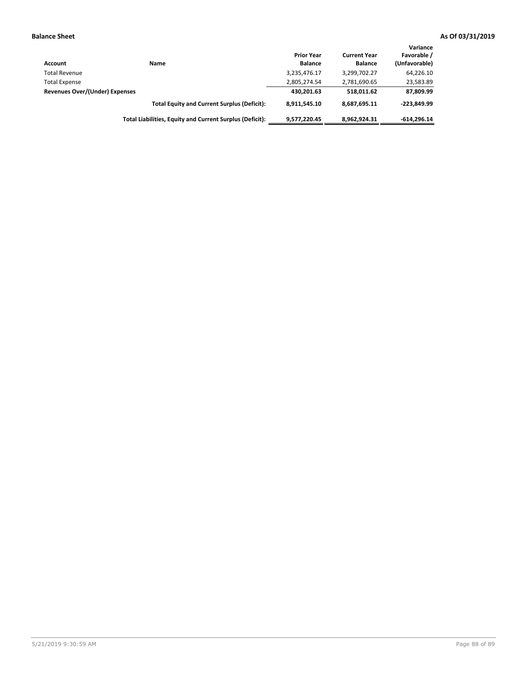| Account                        | Name                                                     | <b>Prior Year</b><br><b>Balance</b> | <b>Current Year</b><br><b>Balance</b> | Variance<br>Favorable /<br>(Unfavorable) |
|--------------------------------|----------------------------------------------------------|-------------------------------------|---------------------------------------|------------------------------------------|
| <b>Total Revenue</b>           |                                                          | 3,235,476.17                        | 3,299,702.27                          | 64,226.10                                |
| <b>Total Expense</b>           |                                                          | 2,805,274.54                        | 2,781,690.65                          | 23,583.89                                |
| Revenues Over/(Under) Expenses |                                                          | 430,201.63                          | 518.011.62                            | 87,809.99                                |
|                                | <b>Total Equity and Current Surplus (Deficit):</b>       | 8.911.545.10                        | 8,687,695.11                          | $-223.849.99$                            |
|                                | Total Liabilities, Equity and Current Surplus (Deficit): | 9,577,220.45                        | 8,962,924.31                          | $-614.296.14$                            |